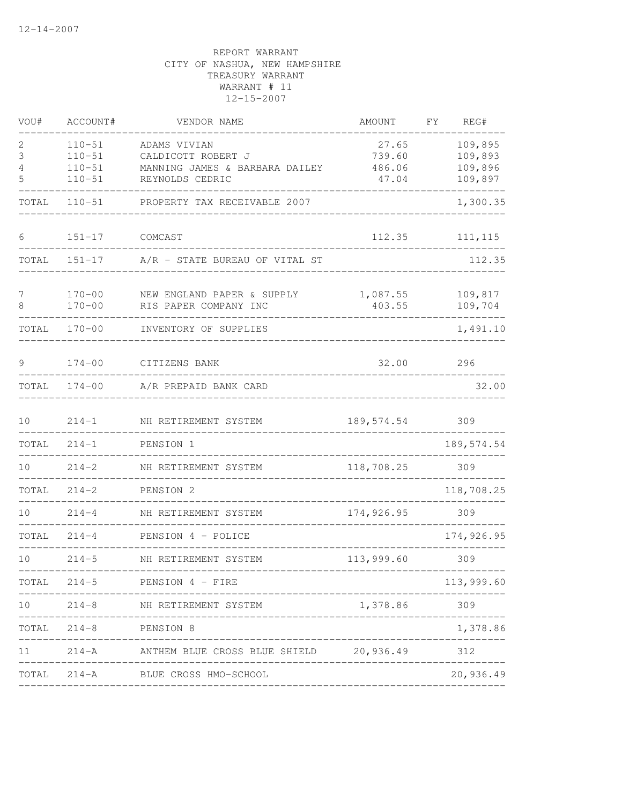| VOU#            | ACCOUNT#              | VENDOR NAME                                       | AMOUNT     | FY<br>REG#  |
|-----------------|-----------------------|---------------------------------------------------|------------|-------------|
| 2               | $110 - 51$            | ADAMS VIVIAN                                      | 27.65      | 109,895     |
| 3               | $110 - 51$            | CALDICOTT ROBERT J                                | 739.60     | 109,893     |
| 4               | $110 - 51$            | MANNING JAMES & BARBARA DAILEY                    | 486.06     | 109,896     |
| 5               | $110 - 51$            | REYNOLDS CEDRIC                                   | 47.04      | 109,897     |
| TOTAL           | $110 - 51$            | PROPERTY TAX RECEIVABLE 2007                      |            | 1,300.35    |
| 6               | $151 - 17$            | COMCAST                                           | 112.35     | 111, 115    |
| TOTAL           | $151 - 17$            | A/R - STATE BUREAU OF VITAL ST                    |            | 112.35      |
| 7               | $170 - 00$            | NEW ENGLAND PAPER & SUPPLY                        | 1,087.55   | 109,817     |
| 8               | $170 - 00$            | RIS PAPER COMPANY INC                             | 403.55     | 109,704     |
| TOTAL           | $170 - 00$            | INVENTORY OF SUPPLIES                             |            | 1,491.10    |
| 9               | $174 - 00$            | CITIZENS BANK                                     | 32.00      | 296         |
| TOTAL           | $174 - 00$            | A/R PREPAID BANK CARD                             |            | 32.00       |
| 10              | $214 - 1$             | NH RETIREMENT SYSTEM                              | 189,574.54 | 309         |
| TOTAL           | $214 - 1$             | PENSION 1                                         |            | 189, 574.54 |
| 10 <sup>°</sup> | $214 - 2$             | NH RETIREMENT SYSTEM                              | 118,708.25 | 309         |
| TOTAL           | $214 - 2$             | PENSION 2                                         |            | 118,708.25  |
| 10              | $214 - 4$             | NH RETIREMENT SYSTEM                              | 174,926.95 | 309         |
| TOTAL           | $214 - 4$             | PENSION 4 - POLICE                                |            | 174,926.95  |
| 10              | $214 - 5$             | NH RETIREMENT SYSTEM                              | 113,999.60 | 309         |
| TOTAL           |                       | $214-5$ PENSION 4 - FIRE                          |            | 113,999.60  |
| 10              |                       | 214-8 NH RETIREMENT SYSTEM                        | 1,378.86   | 309         |
|                 | TOTAL 214-8 PENSION 8 |                                                   |            | 1,378.86    |
| 11              |                       | 214-A MITHEM BLUE CROSS BLUE SHIELD 20,936.49 312 |            |             |
| TOTAL           |                       | 214-A BLUE CROSS HMO-SCHOOL                       |            | 20,936.49   |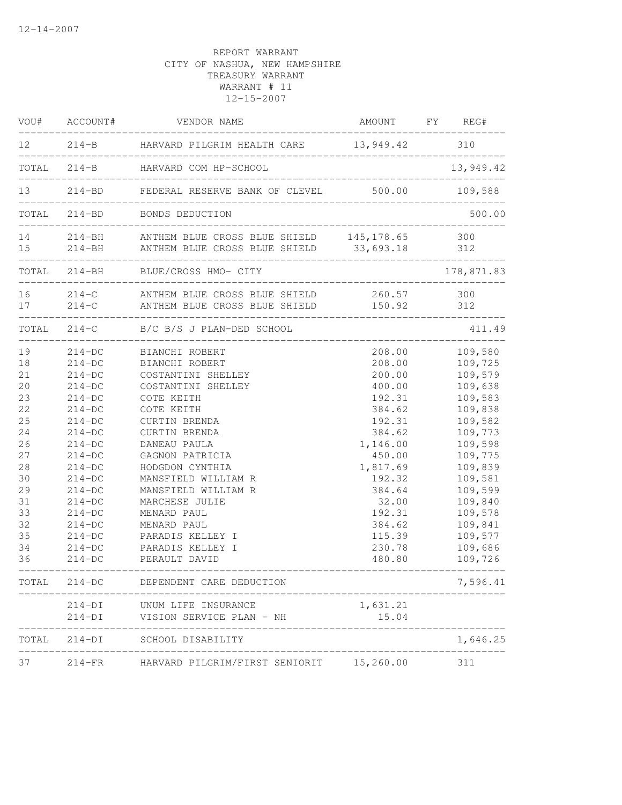|                                                                                                                | VOU# ACCOUNT#                                                                                                                                                                                            | VENDOR NAME                                                                                                                                                                                                                                                                                                                                                           | AMOUNT FY REG#                                                                                                                                                                                |                                                                                                                                                                                                               |
|----------------------------------------------------------------------------------------------------------------|----------------------------------------------------------------------------------------------------------------------------------------------------------------------------------------------------------|-----------------------------------------------------------------------------------------------------------------------------------------------------------------------------------------------------------------------------------------------------------------------------------------------------------------------------------------------------------------------|-----------------------------------------------------------------------------------------------------------------------------------------------------------------------------------------------|---------------------------------------------------------------------------------------------------------------------------------------------------------------------------------------------------------------|
|                                                                                                                |                                                                                                                                                                                                          | 12 214-B HARVARD PILGRIM HEALTH CARE 13,949.42 310<br>-----------                                                                                                                                                                                                                                                                                                     |                                                                                                                                                                                               |                                                                                                                                                                                                               |
|                                                                                                                |                                                                                                                                                                                                          | TOTAL 214-B HARVARD COM HP-SCHOOL                                                                                                                                                                                                                                                                                                                                     |                                                                                                                                                                                               | 13,949.42                                                                                                                                                                                                     |
|                                                                                                                |                                                                                                                                                                                                          | 13 214-BD FEDERAL RESERVE BANK OF CLEVEL 500.00 109,588                                                                                                                                                                                                                                                                                                               |                                                                                                                                                                                               |                                                                                                                                                                                                               |
|                                                                                                                |                                                                                                                                                                                                          | TOTAL 214-BD BONDS DEDUCTION                                                                                                                                                                                                                                                                                                                                          | ________________________________                                                                                                                                                              | 500.00                                                                                                                                                                                                        |
|                                                                                                                |                                                                                                                                                                                                          | 14 214-BH ANTHEM BLUE CROSS BLUE SHIELD 145, 178.65 300<br>15 214-BH ANTHEM BLUE CROSS BLUE SHIELD 33,693.18 312                                                                                                                                                                                                                                                      |                                                                                                                                                                                               |                                                                                                                                                                                                               |
|                                                                                                                |                                                                                                                                                                                                          | TOTAL 214-BH BLUE/CROSS HMO- CITY                                                                                                                                                                                                                                                                                                                                     | ______________                                                                                                                                                                                | 178,871.83                                                                                                                                                                                                    |
| 17                                                                                                             |                                                                                                                                                                                                          | 16 214-C ANTHEM BLUE CROSS BLUE SHIELD<br>214-C ANTHEM BLUE CROSS BLUE SHIELD 150.92                                                                                                                                                                                                                                                                                  | 260.57 300                                                                                                                                                                                    | 312                                                                                                                                                                                                           |
|                                                                                                                |                                                                                                                                                                                                          | TOTAL 214-C B/C B/S J PLAN-DED SCHOOL                                                                                                                                                                                                                                                                                                                                 |                                                                                                                                                                                               | 411.49                                                                                                                                                                                                        |
| 19<br>18<br>21<br>20<br>23<br>22<br>25<br>24<br>26<br>27<br>28<br>30<br>29<br>31<br>33<br>32<br>35<br>34<br>36 | $214-DC$<br>$214-DC$<br>$214-DC$<br>$214-DC$<br>$214-DC$<br>$214-DC$<br>$214-DC$<br>$214-DC$<br>$214-DC$<br>$214-DC$<br>$214-DC$<br>$214-DC$<br>$214-DC$<br>$214-DC$<br>$214-DC$<br>$214-DC$<br>$214-DC$ | 214-DC BIANCHI ROBERT<br>214-DC BIANCHI ROBERT<br>COSTANTINI SHELLEY<br>COSTANTINI SHELLEY<br>COTE KEITH<br>COTE KEITH<br>CURTIN BRENDA<br>CURTIN BRENDA<br>DANEAU PAULA<br>GAGNON PATRICIA<br>HODGDON CYNTHIA<br>MANSFIELD WILLIAM R<br>MANSFIELD WILLIAM R<br>MARCHESE JULIE<br>MENARD PAUL<br>MENARD PAUL<br>PARADIS KELLEY I<br>PARADIS KELLEY I<br>PERAULT DAVID | 208.00<br>208.00<br>200.00<br>400.00<br>192.31<br>384.62<br>192.31<br>384.62<br>1,146.00<br>450.00<br>1,817.69<br>192.32<br>384.64<br>32.00<br>192.31<br>384.62<br>115.39<br>230.78<br>480.80 | 109,580<br>109,725<br>109,579<br>109,638<br>109,583<br>109,838<br>109,582<br>109,773<br>109,598<br>109,775<br>109,839<br>109,581<br>109,599<br>109,840<br>109,578<br>109,841<br>109,577<br>109,686<br>109,726 |
| TOTAL                                                                                                          | $214-DC$                                                                                                                                                                                                 | DEPENDENT CARE DEDUCTION                                                                                                                                                                                                                                                                                                                                              |                                                                                                                                                                                               | 7,596.41                                                                                                                                                                                                      |
|                                                                                                                | $214-DI$<br>$214-DI$                                                                                                                                                                                     | UNUM LIFE INSURANCE<br>VISION SERVICE PLAN - NH                                                                                                                                                                                                                                                                                                                       | 1,631.21<br>15.04                                                                                                                                                                             |                                                                                                                                                                                                               |
| TOTAL                                                                                                          |                                                                                                                                                                                                          | 214-DI SCHOOL DISABILITY                                                                                                                                                                                                                                                                                                                                              |                                                                                                                                                                                               | 1,646.25                                                                                                                                                                                                      |
| 37                                                                                                             | $214-FR$                                                                                                                                                                                                 | HARVARD PILGRIM/FIRST SENIORIT 15,260.00                                                                                                                                                                                                                                                                                                                              |                                                                                                                                                                                               | 311                                                                                                                                                                                                           |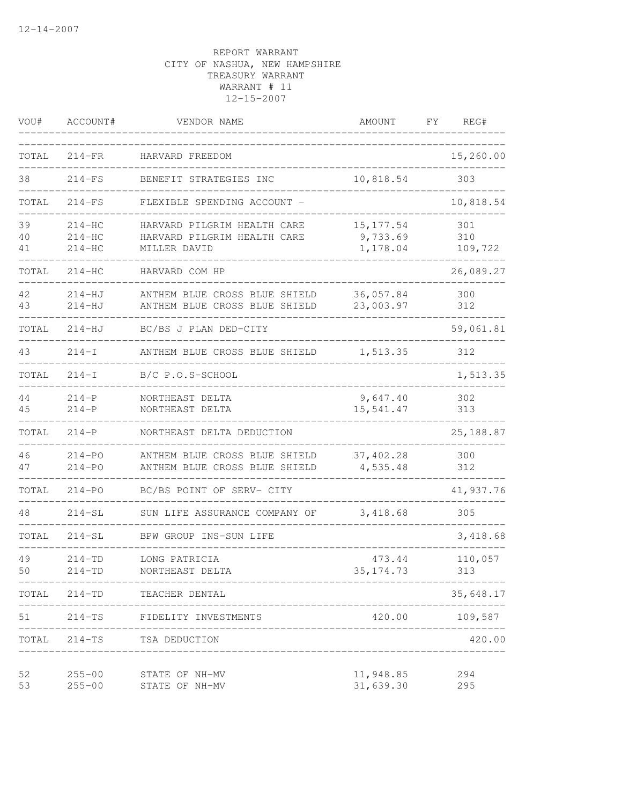| VOU#           | ACCOUNT#                         | VENDOR NAME                                                                | AMOUNT                             | FΥ | REG#                  |
|----------------|----------------------------------|----------------------------------------------------------------------------|------------------------------------|----|-----------------------|
| TOTAL          | $214-FR$                         | HARVARD FREEDOM                                                            |                                    |    | 15,260.00             |
| 38             | $214-FS$                         | BENEFIT STRATEGIES INC                                                     | 10,818.54                          |    | 303                   |
| TOTAL          | $214-FS$                         | FLEXIBLE SPENDING ACCOUNT -                                                |                                    |    | 10,818.54             |
| 39<br>40<br>41 | $214-HC$<br>$214-HC$<br>$214-HC$ | HARVARD PILGRIM HEALTH CARE<br>HARVARD PILGRIM HEALTH CARE<br>MILLER DAVID | 15, 177.54<br>9,733.69<br>1,178.04 |    | 301<br>310<br>109,722 |
| TOTAL          | $214-HC$                         | HARVARD COM HP                                                             |                                    |    | 26,089.27             |
| 42<br>43       | $214 - HJ$<br>$214 - HJ$         | ANTHEM BLUE CROSS BLUE SHIELD<br>ANTHEM BLUE CROSS BLUE SHIELD             | 36,057.84<br>23,003.97             |    | 300<br>312            |
| TOTAL          | $214 - HJ$                       | BC/BS J PLAN DED-CITY                                                      |                                    |    | 59,061.81             |
| 43             | $214-I$                          | ANTHEM BLUE CROSS BLUE SHIELD                                              | 1,513.35                           |    | 312                   |
| TOTAL          | $214-I$                          | B/C P.O.S-SCHOOL                                                           |                                    |    | 1,513.35              |
| 44<br>45       | $214-P$<br>$214-P$               | NORTHEAST DELTA<br>NORTHEAST DELTA                                         | 9,647.40<br>15,541.47              |    | 302<br>313            |
| TOTAL          | $214-P$                          | NORTHEAST DELTA DEDUCTION                                                  |                                    |    | 25, 188.87            |
| 46<br>47       | $214 - PQ$<br>$214 - PQ$         | ANTHEM BLUE CROSS BLUE SHIELD<br>ANTHEM BLUE CROSS BLUE SHIELD             | 37, 402.28<br>4,535.48             |    | 300<br>312            |
| TOTAL          | $214 - PO$                       | BC/BS POINT OF SERV- CITY                                                  |                                    |    | 41,937.76             |
| 48             | $214-SL$                         | SUN LIFE ASSURANCE COMPANY OF                                              | 3,418.68                           |    | 305                   |
| TOTAL          | $214 - SL$                       | BPW GROUP INS-SUN LIFE                                                     |                                    |    | 3,418.68              |
| 49<br>50       | $214 - TD$<br>$214 - TD$         | LONG PATRICIA<br>NORTHEAST DELTA                                           | 473.44<br>35, 174.73               |    | 110,057<br>313        |
|                |                                  | TOTAL 214-TD TEACHER DENTAL<br>____________________________                |                                    |    | 35,648.17             |
| 51             |                                  | 214-TS FIDELITY INVESTMENTS<br>____________________                        |                                    |    | 420.00 109,587        |
|                |                                  | TOTAL 214-TS TSA DEDUCTION                                                 |                                    |    | 420.00                |
| 52<br>53       | $255 - 00$<br>$255 - 00$         | STATE OF NH-MV<br>STATE OF NH-MV                                           | 11,948.85<br>31,639.30             |    | 294<br>295            |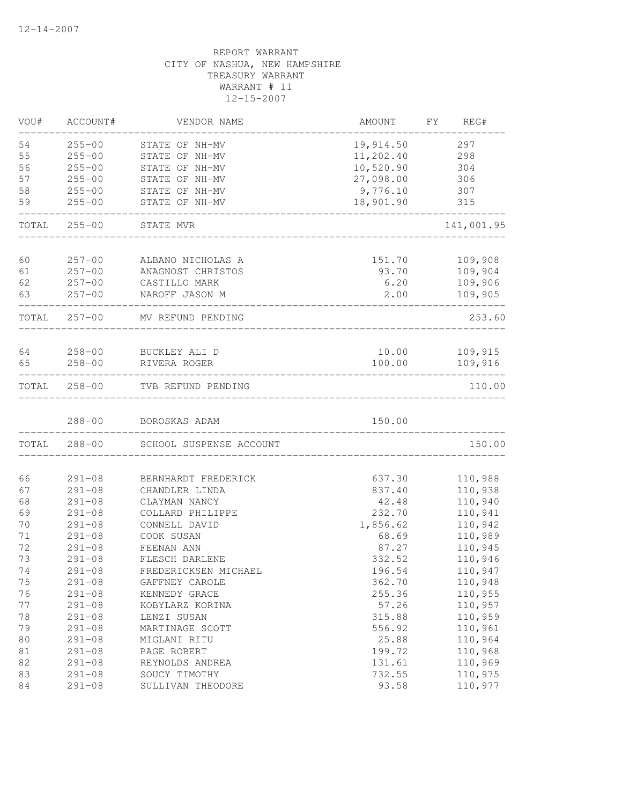| VOU#     | ACCOUNT#                 | VENDOR NAME                     | AMOUNT       | FY | REG#               |
|----------|--------------------------|---------------------------------|--------------|----|--------------------|
| 54       | $255 - 00$               | STATE OF NH-MV                  | 19,914.50    |    | 297                |
| 55       | $255 - 00$               | STATE OF NH-MV                  | 11,202.40    |    | 298                |
| 56       | $255 - 00$               | STATE OF NH-MV                  | 10,520.90    |    | 304                |
| 57       | $255 - 00$               | STATE OF NH-MV                  | 27,098.00    |    | 306                |
| 58       | $255 - 00$               | STATE OF NH-MV                  | 9,776.10     |    | 307                |
| 59       | $255 - 00$               | STATE OF NH-MV                  | 18,901.90    |    | 315                |
| TOTAL    | $255 - 00$               | STATE MVR                       |              |    | 141,001.95         |
|          |                          |                                 |              |    |                    |
| 60       | $257 - 00$               | ALBANO NICHOLAS A               | 151.70       |    | 109,908            |
| 61<br>62 | $257 - 00$               | ANAGNOST CHRISTOS               | 93.70        |    | 109,904            |
| 63       | $257 - 00$<br>$257 - 00$ | CASTILLO MARK<br>NAROFF JASON M | 6.20<br>2.00 |    | 109,906<br>109,905 |
|          | TOTAL 257-00             | MV REFUND PENDING               |              |    | 253.60             |
|          |                          |                                 |              |    |                    |
| 64       |                          | 258-00 BUCKLEY ALI D            | 10.00        |    | 109,915            |
| 65       | $258 - 00$               | RIVERA ROGER                    | 100.00       |    | 109,916            |
|          |                          | TOTAL 258-00 TVB REFUND PENDING |              |    | 110.00             |
|          | $288 - 00$               | BOROSKAS ADAM                   | 150.00       |    |                    |
| TOTAL    | $288 - 00$               | SCHOOL SUSPENSE ACCOUNT         |              |    | 150.00             |
| 66       | $291 - 08$               | BERNHARDT FREDERICK             | 637.30       |    | 110,988            |
| 67       | $291 - 08$               | CHANDLER LINDA                  | 837.40       |    | 110,938            |
| 68       | $291 - 08$               | CLAYMAN NANCY                   | 42.48        |    | 110,940            |
| 69       | $291 - 08$               | COLLARD PHILIPPE                | 232.70       |    | 110,941            |
| 70       | $291 - 08$               | CONNELL DAVID                   | 1,856.62     |    | 110,942            |
| 71       | $291 - 08$               | COOK SUSAN                      | 68.69        |    | 110,989            |
| 72       | $291 - 08$               | FEENAN ANN                      | 87.27        |    | 110,945            |
| 73       | $291 - 08$               | FLESCH DARLENE                  | 332.52       |    | 110,946            |
| 74       | $291 - 08$               | FREDERICKSEN MICHAEL            | 196.54       |    | 110,947            |
| 75       | $291 - 08$               | GAFFNEY CAROLE                  | 362.70       |    | 110,948            |
| 76       | $291 - 08$               | KENNEDY GRACE                   | 255.36       |    | 110,955            |
| 77       | $291 - 08$               | KOBYLARZ KORINA                 | 57.26        |    | 110,957            |
| 78       | $291 - 08$               | LENZI SUSAN                     | 315.88       |    | 110,959            |
| 79       | $291 - 08$               | MARTINAGE SCOTT                 | 556.92       |    | 110,961            |
| $8\,0$   | $291 - 08$               | MIGLANI RITU                    | 25.88        |    | 110,964            |
| $8\,1$   | $291 - 08$               | PAGE ROBERT                     | 199.72       |    | 110,968            |
| 82       | $291 - 08$               | REYNOLDS ANDREA                 | 131.61       |    | 110,969            |
| 83       | $291 - 08$               | SOUCY TIMOTHY                   | 732.55       |    | 110,975            |
| 84       | $291 - 08$               | SULLIVAN THEODORE               | 93.58        |    | 110,977            |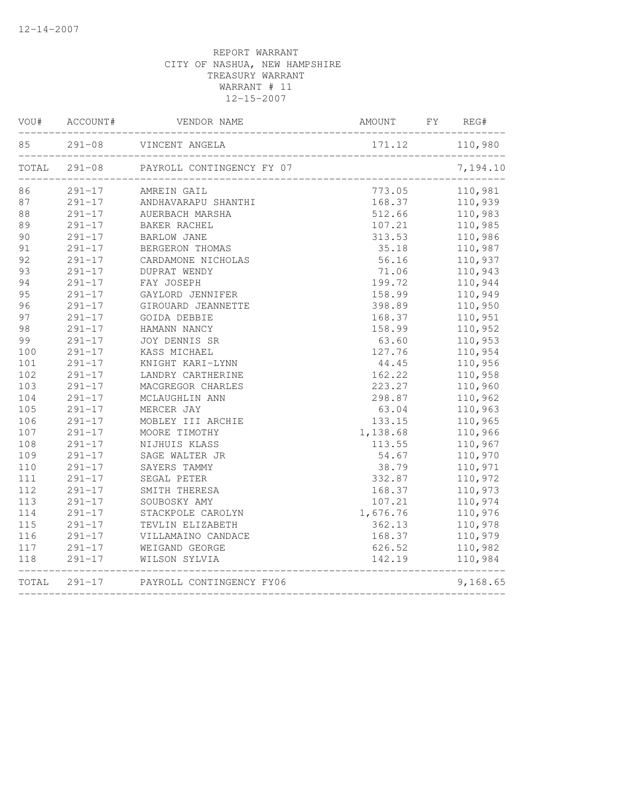| VOU# | ACCOUNT#   | VENDOR NAME                            | AMOUNT                                | FY | REG#           |
|------|------------|----------------------------------------|---------------------------------------|----|----------------|
| 85   |            | 291-08 VINCENT ANGELA                  |                                       |    | 171.12 110,980 |
|      |            | TOTAL 291-08 PAYROLL CONTINGENCY FY 07 | ,<br>________________________________ |    | 7,194.10       |
| 86   | $291 - 17$ | AMREIN GAIL                            | 773.05                                |    | 110,981        |
| 87   |            | 291-17 ANDHAVARAPU SHANTHI             | 168.37                                |    | 110,939        |
| 88   | $291 - 17$ | AUERBACH MARSHA                        | 512.66                                |    | 110,983        |
| 89   | $291 - 17$ | BAKER RACHEL                           | 107.21                                |    | 110,985        |
| 90   | $291 - 17$ | <b>BARLOW JANE</b>                     | 313.53                                |    | 110,986        |
| 91   | $291 - 17$ | BERGERON THOMAS                        | 35.18                                 |    | 110,987        |
| 92   | $291 - 17$ | CARDAMONE NICHOLAS                     | 56.16                                 |    | 110,937        |
| 93   | $291 - 17$ | DUPRAT WENDY                           | 71.06                                 |    | 110,943        |
| 94   | $291 - 17$ | FAY JOSEPH                             | 199.72                                |    | 110,944        |
| 95   | $291 - 17$ | GAYLORD JENNIFER                       | 158.99                                |    | 110,949        |
| 96   | $291 - 17$ | GIROUARD JEANNETTE                     | 398.89                                |    | 110,950        |
| 97   | $291 - 17$ | GOIDA DEBBIE                           | 168.37                                |    | 110,951        |
| 98   | $291 - 17$ | HAMANN NANCY                           | 158.99                                |    | 110,952        |
| 99   | $291 - 17$ | JOY DENNIS SR                          | 63.60                                 |    | 110,953        |
| 100  | $291 - 17$ | KASS MICHAEL                           | 127.76                                |    | 110,954        |
| 101  | $291 - 17$ | KNIGHT KARI-LYNN                       | 44.45                                 |    | 110,956        |
| 102  | $291 - 17$ | LANDRY CARTHERINE                      | 162.22                                |    | 110,958        |
| 103  | $291 - 17$ | MACGREGOR CHARLES                      | 223.27                                |    | 110,960        |
| 104  | $291 - 17$ | MCLAUGHLIN ANN                         | 298.87                                |    | 110,962        |
| 105  | $291 - 17$ | MERCER JAY                             | 63.04                                 |    | 110,963        |
| 106  | $291 - 17$ | MOBLEY III ARCHIE                      | 133.15                                |    | 110,965        |
| 107  | $291 - 17$ | MOORE TIMOTHY                          | 1,138.68                              |    | 110,966        |
| 108  | $291 - 17$ | NIJHUIS KLASS                          | 113.55                                |    | 110,967        |
| 109  | $291 - 17$ | SAGE WALTER JR                         | 54.67                                 |    | 110,970        |
| 110  | $291 - 17$ | SAYERS TAMMY                           | 38.79                                 |    | 110,971        |
| 111  | $291 - 17$ | SEGAL PETER                            | 332.87                                |    | 110,972        |
| 112  | $291 - 17$ | SMITH THERESA                          | 168.37                                |    | 110,973        |
| 113  | $291 - 17$ | SOUBOSKY AMY                           | 107.21                                |    | 110,974        |
| 114  | $291 - 17$ | STACKPOLE CAROLYN                      | 1,676.76                              |    | 110,976        |
| 115  | $291 - 17$ | TEVLIN ELIZABETH                       | 362.13                                |    | 110,978        |
| 116  | $291 - 17$ | VILLAMAINO CANDACE                     | 168.37                                |    | 110,979        |
| 117  | $291 - 17$ | WEIGAND GEORGE                         | 626.52                                |    | 110,982        |
| 118  | $291 - 17$ | WILSON SYLVIA                          | 142.19                                |    | 110,984        |
|      |            | TOTAL 291-17 PAYROLL CONTINGENCY FY06  | ______________________________        |    | 9,168.65       |
|      |            |                                        |                                       |    |                |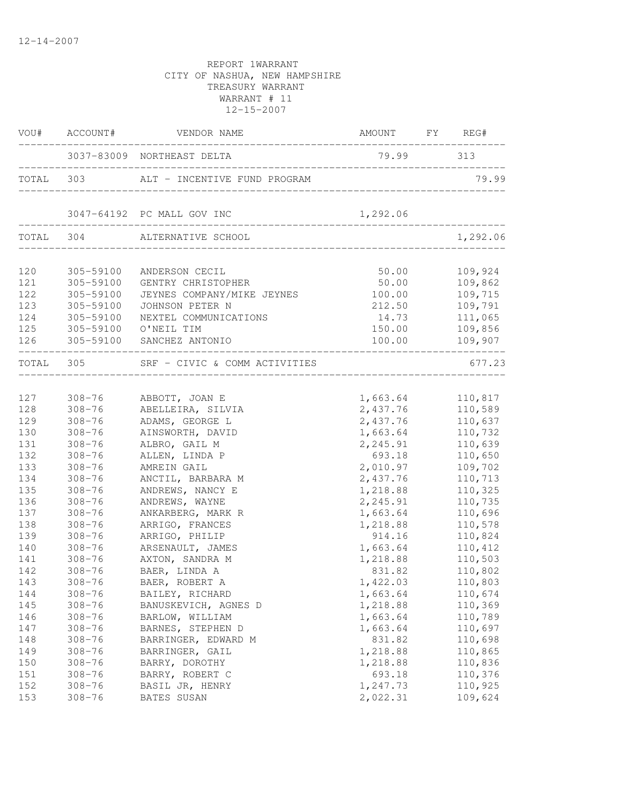|     | VOU# ACCOUNT#        | VENDOR NAME                            | AMOUNT FY REG#                      |                                        |
|-----|----------------------|----------------------------------------|-------------------------------------|----------------------------------------|
|     |                      | 3037-83009 NORTHEAST DELTA             | 79.99 313                           |                                        |
|     |                      | TOTAL 303 ALT - INCENTIVE FUND PROGRAM | ___________________________________ | 79.99                                  |
|     |                      | 3047-64192 PC MALL GOV INC             | 1,292.06                            |                                        |
|     | TOTAL 304            | ALTERNATIVE SCHOOL                     |                                     | 1,292.06                               |
| 120 | 305-59100            | ANDERSON CECIL                         | 50.00                               | 109,924                                |
| 121 | 305-59100            | GENTRY CHRISTOPHER                     | 50.00                               | 109,862                                |
| 122 | 305-59100            | JEYNES COMPANY/MIKE JEYNES             | 100.00                              | 109,715                                |
| 123 | 305-59100            | JOHNSON PETER N                        | 212.50                              | 109,791                                |
| 124 | 305-59100            | NEXTEL COMMUNICATIONS                  | 14.73                               | 111,065                                |
| 125 | 305-59100 O'NEIL TIM |                                        | 150.00                              | 109,856                                |
|     |                      | 126 305-59100 SANCHEZ ANTONIO          | 100.00                              | 109,907<br>. _ _ _ _ _ _ _ _ _ _ _ _ _ |
|     | TOTAL 305            | SRF - CIVIC & COMM ACTIVITIES          |                                     | 677.23                                 |
|     |                      |                                        |                                     |                                        |
| 127 | $308 - 76$           | ABBOTT, JOAN E                         | 1,663.64                            | 110,817                                |
| 128 | $308 - 76$           | ABELLEIRA, SILVIA                      | 2,437.76                            | 110,589                                |
| 129 | $308 - 76$           | ADAMS, GEORGE L                        | 2,437.76                            | 110,637                                |
| 130 | $308 - 76$           | AINSWORTH, DAVID                       | 1,663.64                            | 110,732                                |
| 131 | $308 - 76$           | ALBRO, GAIL M                          | 2,245.91                            | 110,639                                |
| 132 | $308 - 76$           | ALLEN, LINDA P                         | 693.18                              | 110,650                                |
| 133 | $308 - 76$           | AMREIN GAIL                            | 2,010.97                            | 109,702                                |
| 134 | $308 - 76$           | ANCTIL, BARBARA M                      | 2,437.76                            | 110,713                                |
| 135 | $308 - 76$           | ANDREWS, NANCY E                       | 1,218.88                            | 110,325                                |
| 136 | $308 - 76$           | ANDREWS, WAYNE                         | 2,245.91                            | 110,735                                |
| 137 | $308 - 76$           | ANKARBERG, MARK R                      | 1,663.64                            | 110,696                                |
| 138 | $308 - 76$           | ARRIGO, FRANCES                        | 1,218.88                            | 110,578                                |
| 139 | $308 - 76$           | ARRIGO, PHILIP                         | 914.16                              | 110,824                                |
| 140 | $308 - 76$           | ARSENAULT, JAMES                       | 1,663.64                            | 110,412                                |
| 141 | $308 - 76$           | AXTON, SANDRA M                        | 1,218.88                            | 110,503                                |
| 142 | $308 - 76$           | BAER, LINDA A                          | 831.82                              | 110,802                                |
| 143 | $308 - 76$           | BAER, ROBERT A                         | 1,422.03                            | 110,803                                |
| 144 | $308 - 76$           | BAILEY, RICHARD                        | 1,663.64                            | 110,674                                |
| 145 | $308 - 76$           | BANUSKEVICH, AGNES D                   | 1,218.88                            | 110,369                                |
| 146 | $308 - 76$           | BARLOW, WILLIAM                        | 1,663.64                            | 110,789                                |
| 147 | $308 - 76$           | BARNES, STEPHEN D                      | 1,663.64                            | 110,697                                |
| 148 | $308 - 76$           | BARRINGER, EDWARD M                    | 831.82                              | 110,698                                |
| 149 | $308 - 76$           | BARRINGER, GAIL                        | 1,218.88                            | 110,865                                |
| 150 | $308 - 76$           | BARRY, DOROTHY                         | 1,218.88                            | 110,836                                |
| 151 | $308 - 76$           | BARRY, ROBERT C                        | 693.18                              | 110,376                                |
| 152 | $308 - 76$           | BASIL JR, HENRY                        | 1,247.73                            | 110,925                                |
| 153 | $308 - 76$           | BATES SUSAN                            | 2,022.31                            | 109,624                                |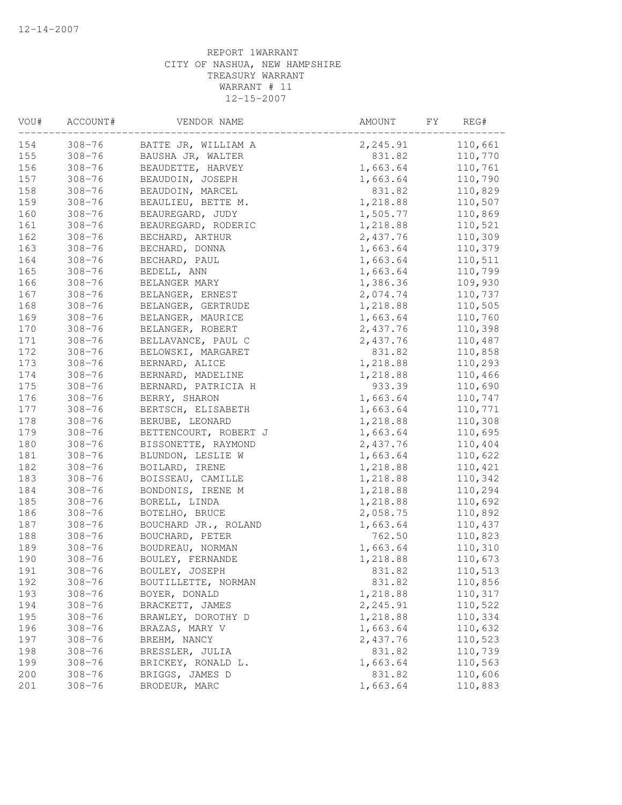| VOU# | ACCOUNT#   | VENDOR NAME           | AMOUNT<br>FΥ | REG#    |
|------|------------|-----------------------|--------------|---------|
| 154  | $308 - 76$ | BATTE JR, WILLIAM A   | 2,245.91     | 110,661 |
| 155  | $308 - 76$ | BAUSHA JR, WALTER     | 831.82       | 110,770 |
| 156  | $308 - 76$ | BEAUDETTE, HARVEY     | 1,663.64     | 110,761 |
| 157  | $308 - 76$ | BEAUDOIN, JOSEPH      | 1,663.64     | 110,790 |
| 158  | $308 - 76$ | BEAUDOIN, MARCEL      | 831.82       | 110,829 |
| 159  | $308 - 76$ | BEAULIEU, BETTE M.    | 1,218.88     | 110,507 |
| 160  | $308 - 76$ | BEAUREGARD, JUDY      | 1,505.77     | 110,869 |
| 161  | $308 - 76$ | BEAUREGARD, RODERIC   | 1,218.88     | 110,521 |
| 162  | $308 - 76$ | BECHARD, ARTHUR       | 2,437.76     | 110,309 |
| 163  | $308 - 76$ | BECHARD, DONNA        | 1,663.64     | 110,379 |
| 164  | $308 - 76$ | BECHARD, PAUL         | 1,663.64     | 110,511 |
| 165  | $308 - 76$ | BEDELL, ANN           | 1,663.64     | 110,799 |
| 166  | $308 - 76$ | BELANGER MARY         | 1,386.36     | 109,930 |
| 167  | $308 - 76$ | BELANGER, ERNEST      | 2,074.74     | 110,737 |
| 168  | $308 - 76$ | BELANGER, GERTRUDE    | 1,218.88     | 110,505 |
| 169  | $308 - 76$ | BELANGER, MAURICE     | 1,663.64     | 110,760 |
| 170  | $308 - 76$ | BELANGER, ROBERT      | 2,437.76     | 110,398 |
| 171  | $308 - 76$ | BELLAVANCE, PAUL C    | 2,437.76     | 110,487 |
| 172  | $308 - 76$ | BELOWSKI, MARGARET    | 831.82       | 110,858 |
| 173  | $308 - 76$ | BERNARD, ALICE        | 1,218.88     | 110,293 |
| 174  | $308 - 76$ | BERNARD, MADELINE     | 1,218.88     | 110,466 |
| 175  | $308 - 76$ | BERNARD, PATRICIA H   | 933.39       | 110,690 |
| 176  | $308 - 76$ | BERRY, SHARON         | 1,663.64     | 110,747 |
| 177  | $308 - 76$ | BERTSCH, ELISABETH    | 1,663.64     | 110,771 |
| 178  | $308 - 76$ | BERUBE, LEONARD       | 1,218.88     | 110,308 |
| 179  | $308 - 76$ | BETTENCOURT, ROBERT J | 1,663.64     | 110,695 |
| 180  | $308 - 76$ | BISSONETTE, RAYMOND   | 2,437.76     | 110,404 |
| 181  | $308 - 76$ | BLUNDON, LESLIE W     | 1,663.64     | 110,622 |
| 182  | $308 - 76$ | BOILARD, IRENE        | 1,218.88     | 110,421 |
| 183  | $308 - 76$ | BOISSEAU, CAMILLE     | 1,218.88     | 110,342 |
| 184  | $308 - 76$ | BONDONIS, IRENE M     | 1,218.88     | 110,294 |
| 185  | $308 - 76$ | BORELL, LINDA         | 1,218.88     | 110,692 |
| 186  | $308 - 76$ | BOTELHO, BRUCE        | 2,058.75     | 110,892 |
|      |            |                       | 1,663.64     |         |
| 187  | $308 - 76$ | BOUCHARD JR., ROLAND  |              | 110,437 |
| 188  | $308 - 76$ | BOUCHARD, PETER       | 762.50       | 110,823 |
| 189  | $308 - 76$ | BOUDREAU, NORMAN      | 1,663.64     | 110,310 |
| 190  | $308 - 76$ | BOULEY, FERNANDE      | 1,218.88     | 110,673 |
| 191  | $308 - 76$ | BOULEY, JOSEPH        | 831.82       | 110,513 |
| 192  | $308 - 76$ | BOUTILLETTE, NORMAN   | 831.82       | 110,856 |
| 193  | $308 - 76$ | BOYER, DONALD         | 1,218.88     | 110,317 |
| 194  | $308 - 76$ | BRACKETT, JAMES       | 2,245.91     | 110,522 |
| 195  | $308 - 76$ | BRAWLEY, DOROTHY D    | 1,218.88     | 110,334 |
| 196  | $308 - 76$ | BRAZAS, MARY V        | 1,663.64     | 110,632 |
| 197  | $308 - 76$ | BREHM, NANCY          | 2,437.76     | 110,523 |
| 198  | $308 - 76$ | BRESSLER, JULIA       | 831.82       | 110,739 |
| 199  | $308 - 76$ | BRICKEY, RONALD L.    | 1,663.64     | 110,563 |
| 200  | $308 - 76$ | BRIGGS, JAMES D       | 831.82       | 110,606 |
| 201  | $308 - 76$ | BRODEUR, MARC         | 1,663.64     | 110,883 |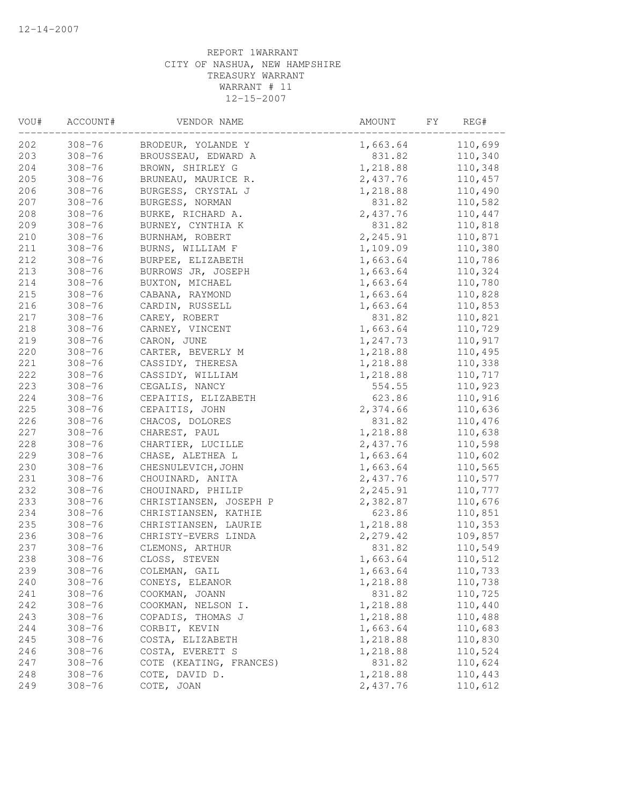| $308 - 76$<br>110,699<br>1,663.64<br>BRODEUR, YOLANDE Y<br>$308 - 76$<br>831.82<br>110,340<br>BROUSSEAU, EDWARD A<br>$308 - 76$<br>1,218.88<br>BROWN, SHIRLEY G<br>110,348<br>$308 - 76$<br>2,437.76<br>110,457<br>BRUNEAU, MAURICE R.<br>$308 - 76$<br>BURGESS, CRYSTAL J<br>1,218.88<br>110,490<br>$308 - 76$<br>831.82<br>BURGESS, NORMAN<br>110,582<br>110,447<br>$308 - 76$<br>BURKE, RICHARD A.<br>2,437.76<br>$308 - 76$<br>BURNEY, CYNTHIA K<br>831.82<br>110,818<br>$308 - 76$<br>2,245.91<br>110,871<br>BURNHAM, ROBERT<br>$308 - 76$<br>BURNS, WILLIAM F<br>1,109.09<br>110,380<br>$308 - 76$<br>BURPEE, ELIZABETH<br>1,663.64<br>110,786<br>$308 - 76$<br>1,663.64<br>110,324<br>BURROWS JR, JOSEPH<br>$308 - 76$<br>1,663.64<br>110,780<br>BUXTON, MICHAEL<br>$308 - 76$<br>1,663.64<br>110,828<br>CABANA, RAYMOND<br>$308 - 76$<br>1,663.64<br>110,853<br>CARDIN, RUSSELL<br>CAREY, ROBERT<br>831.82<br>110,821<br>$308 - 76$<br>110,729<br>$308 - 76$<br>CARNEY, VINCENT<br>1,663.64<br>219<br>$308 - 76$<br>CARON, JUNE<br>1,247.73<br>110,917<br>220<br>$308 - 76$<br>CARTER, BEVERLY M<br>1,218.88<br>110,495<br>221<br>$308 - 76$<br>CASSIDY, THERESA<br>1,218.88<br>110,338<br>222<br>$308 - 76$<br>110,717<br>CASSIDY, WILLIAM<br>1,218.88<br>223<br>$308 - 76$<br>110,923<br>CEGALIS, NANCY<br>554.55<br>224<br>$308 - 76$<br>623.86<br>110,916<br>CEPAITIS, ELIZABETH<br>225<br>$308 - 76$<br>2,374.66<br>CEPAITIS, JOHN<br>110,636<br>226<br>CHACOS, DOLORES<br>831.82<br>$308 - 76$<br>110,476<br>227<br>$308 - 76$<br>CHAREST, PAUL<br>1,218.88<br>110,638<br>228<br>$308 - 76$<br>2,437.76<br>110,598<br>CHARTIER, LUCILLE<br>229<br>$308 - 76$<br>1,663.64<br>110,602<br>CHASE, ALETHEA L<br>$308 - 76$<br>1,663.64<br>110,565<br>CHESNULEVICH, JOHN<br>$308 - 76$<br>2,437.76<br>110,577<br>CHOUINARD, ANITA<br>232<br>$308 - 76$<br>2,245.91<br>CHOUINARD, PHILIP<br>110,777<br>233<br>$308 - 76$<br>CHRISTIANSEN, JOSEPH P<br>2,382.87<br>110,676<br>623.86<br>234<br>$308 - 76$<br>110,851<br>CHRISTIANSEN, KATHIE<br>235<br>110,353<br>$308 - 76$<br>1,218.88<br>CHRISTIANSEN, LAURIE<br>236<br>$308 - 76$<br>2,279.42<br>109,857<br>CHRISTY-EVERS LINDA<br>$308 - 76$<br>831.82<br>110,549<br>CLEMONS, ARTHUR<br>$308 - 76$<br>CLOSS, STEVEN<br>1,663.64<br>110,512<br>239<br>$308 - 76$<br>1,663.64<br>110,733<br>COLEMAN, GAIL<br>$308 - 76$<br>1,218.88<br>110,738<br>CONEYS, ELEANOR<br>241<br>$308 - 76$<br>831.82<br>110,725<br>COOKMAN, JOANN<br>242<br>$308 - 76$<br>COOKMAN, NELSON I.<br>1,218.88<br>110,440<br>243<br>$308 - 76$<br>COPADIS, THOMAS J<br>1,218.88<br>110,488<br>CORBIT, KEVIN<br>1,663.64<br>110,683<br>244<br>$308 - 76$<br>245<br>$308 - 76$<br>COSTA, ELIZABETH<br>1,218.88<br>110,830<br>246<br>COSTA, EVERETT S<br>1,218.88<br>110,524<br>$308 - 76$<br>247<br>831.82<br>110,624<br>$308 - 76$<br>COTE (KEATING, FRANCES)<br>1,218.88<br>110,443<br>248<br>$308 - 76$<br>COTE, DAVID D.<br>$308 - 76$<br>2,437.76<br>110,612<br>COTE, JOAN | VOU# | ACCOUNT# | VENDOR NAME | AMOUNT<br>FY | REG# |
|--------------------------------------------------------------------------------------------------------------------------------------------------------------------------------------------------------------------------------------------------------------------------------------------------------------------------------------------------------------------------------------------------------------------------------------------------------------------------------------------------------------------------------------------------------------------------------------------------------------------------------------------------------------------------------------------------------------------------------------------------------------------------------------------------------------------------------------------------------------------------------------------------------------------------------------------------------------------------------------------------------------------------------------------------------------------------------------------------------------------------------------------------------------------------------------------------------------------------------------------------------------------------------------------------------------------------------------------------------------------------------------------------------------------------------------------------------------------------------------------------------------------------------------------------------------------------------------------------------------------------------------------------------------------------------------------------------------------------------------------------------------------------------------------------------------------------------------------------------------------------------------------------------------------------------------------------------------------------------------------------------------------------------------------------------------------------------------------------------------------------------------------------------------------------------------------------------------------------------------------------------------------------------------------------------------------------------------------------------------------------------------------------------------------------------------------------------------------------------------------------------------------------------------------------------------------------------------------------------------------------------------------------------------------------------------------------------------------------------------------------------------------------------------------------------------------------------------------------------------------------------------------------------------------------------------------------------------------------------------------------------------|------|----------|-------------|--------------|------|
|                                                                                                                                                                                                                                                                                                                                                                                                                                                                                                                                                                                                                                                                                                                                                                                                                                                                                                                                                                                                                                                                                                                                                                                                                                                                                                                                                                                                                                                                                                                                                                                                                                                                                                                                                                                                                                                                                                                                                                                                                                                                                                                                                                                                                                                                                                                                                                                                                                                                                                                                                                                                                                                                                                                                                                                                                                                                                                                                                                                                              | 202  |          |             |              |      |
|                                                                                                                                                                                                                                                                                                                                                                                                                                                                                                                                                                                                                                                                                                                                                                                                                                                                                                                                                                                                                                                                                                                                                                                                                                                                                                                                                                                                                                                                                                                                                                                                                                                                                                                                                                                                                                                                                                                                                                                                                                                                                                                                                                                                                                                                                                                                                                                                                                                                                                                                                                                                                                                                                                                                                                                                                                                                                                                                                                                                              | 203  |          |             |              |      |
|                                                                                                                                                                                                                                                                                                                                                                                                                                                                                                                                                                                                                                                                                                                                                                                                                                                                                                                                                                                                                                                                                                                                                                                                                                                                                                                                                                                                                                                                                                                                                                                                                                                                                                                                                                                                                                                                                                                                                                                                                                                                                                                                                                                                                                                                                                                                                                                                                                                                                                                                                                                                                                                                                                                                                                                                                                                                                                                                                                                                              | 204  |          |             |              |      |
|                                                                                                                                                                                                                                                                                                                                                                                                                                                                                                                                                                                                                                                                                                                                                                                                                                                                                                                                                                                                                                                                                                                                                                                                                                                                                                                                                                                                                                                                                                                                                                                                                                                                                                                                                                                                                                                                                                                                                                                                                                                                                                                                                                                                                                                                                                                                                                                                                                                                                                                                                                                                                                                                                                                                                                                                                                                                                                                                                                                                              | 205  |          |             |              |      |
|                                                                                                                                                                                                                                                                                                                                                                                                                                                                                                                                                                                                                                                                                                                                                                                                                                                                                                                                                                                                                                                                                                                                                                                                                                                                                                                                                                                                                                                                                                                                                                                                                                                                                                                                                                                                                                                                                                                                                                                                                                                                                                                                                                                                                                                                                                                                                                                                                                                                                                                                                                                                                                                                                                                                                                                                                                                                                                                                                                                                              | 206  |          |             |              |      |
|                                                                                                                                                                                                                                                                                                                                                                                                                                                                                                                                                                                                                                                                                                                                                                                                                                                                                                                                                                                                                                                                                                                                                                                                                                                                                                                                                                                                                                                                                                                                                                                                                                                                                                                                                                                                                                                                                                                                                                                                                                                                                                                                                                                                                                                                                                                                                                                                                                                                                                                                                                                                                                                                                                                                                                                                                                                                                                                                                                                                              | 207  |          |             |              |      |
|                                                                                                                                                                                                                                                                                                                                                                                                                                                                                                                                                                                                                                                                                                                                                                                                                                                                                                                                                                                                                                                                                                                                                                                                                                                                                                                                                                                                                                                                                                                                                                                                                                                                                                                                                                                                                                                                                                                                                                                                                                                                                                                                                                                                                                                                                                                                                                                                                                                                                                                                                                                                                                                                                                                                                                                                                                                                                                                                                                                                              | 208  |          |             |              |      |
|                                                                                                                                                                                                                                                                                                                                                                                                                                                                                                                                                                                                                                                                                                                                                                                                                                                                                                                                                                                                                                                                                                                                                                                                                                                                                                                                                                                                                                                                                                                                                                                                                                                                                                                                                                                                                                                                                                                                                                                                                                                                                                                                                                                                                                                                                                                                                                                                                                                                                                                                                                                                                                                                                                                                                                                                                                                                                                                                                                                                              | 209  |          |             |              |      |
|                                                                                                                                                                                                                                                                                                                                                                                                                                                                                                                                                                                                                                                                                                                                                                                                                                                                                                                                                                                                                                                                                                                                                                                                                                                                                                                                                                                                                                                                                                                                                                                                                                                                                                                                                                                                                                                                                                                                                                                                                                                                                                                                                                                                                                                                                                                                                                                                                                                                                                                                                                                                                                                                                                                                                                                                                                                                                                                                                                                                              | 210  |          |             |              |      |
|                                                                                                                                                                                                                                                                                                                                                                                                                                                                                                                                                                                                                                                                                                                                                                                                                                                                                                                                                                                                                                                                                                                                                                                                                                                                                                                                                                                                                                                                                                                                                                                                                                                                                                                                                                                                                                                                                                                                                                                                                                                                                                                                                                                                                                                                                                                                                                                                                                                                                                                                                                                                                                                                                                                                                                                                                                                                                                                                                                                                              | 211  |          |             |              |      |
|                                                                                                                                                                                                                                                                                                                                                                                                                                                                                                                                                                                                                                                                                                                                                                                                                                                                                                                                                                                                                                                                                                                                                                                                                                                                                                                                                                                                                                                                                                                                                                                                                                                                                                                                                                                                                                                                                                                                                                                                                                                                                                                                                                                                                                                                                                                                                                                                                                                                                                                                                                                                                                                                                                                                                                                                                                                                                                                                                                                                              | 212  |          |             |              |      |
|                                                                                                                                                                                                                                                                                                                                                                                                                                                                                                                                                                                                                                                                                                                                                                                                                                                                                                                                                                                                                                                                                                                                                                                                                                                                                                                                                                                                                                                                                                                                                                                                                                                                                                                                                                                                                                                                                                                                                                                                                                                                                                                                                                                                                                                                                                                                                                                                                                                                                                                                                                                                                                                                                                                                                                                                                                                                                                                                                                                                              | 213  |          |             |              |      |
|                                                                                                                                                                                                                                                                                                                                                                                                                                                                                                                                                                                                                                                                                                                                                                                                                                                                                                                                                                                                                                                                                                                                                                                                                                                                                                                                                                                                                                                                                                                                                                                                                                                                                                                                                                                                                                                                                                                                                                                                                                                                                                                                                                                                                                                                                                                                                                                                                                                                                                                                                                                                                                                                                                                                                                                                                                                                                                                                                                                                              | 214  |          |             |              |      |
|                                                                                                                                                                                                                                                                                                                                                                                                                                                                                                                                                                                                                                                                                                                                                                                                                                                                                                                                                                                                                                                                                                                                                                                                                                                                                                                                                                                                                                                                                                                                                                                                                                                                                                                                                                                                                                                                                                                                                                                                                                                                                                                                                                                                                                                                                                                                                                                                                                                                                                                                                                                                                                                                                                                                                                                                                                                                                                                                                                                                              | 215  |          |             |              |      |
|                                                                                                                                                                                                                                                                                                                                                                                                                                                                                                                                                                                                                                                                                                                                                                                                                                                                                                                                                                                                                                                                                                                                                                                                                                                                                                                                                                                                                                                                                                                                                                                                                                                                                                                                                                                                                                                                                                                                                                                                                                                                                                                                                                                                                                                                                                                                                                                                                                                                                                                                                                                                                                                                                                                                                                                                                                                                                                                                                                                                              | 216  |          |             |              |      |
|                                                                                                                                                                                                                                                                                                                                                                                                                                                                                                                                                                                                                                                                                                                                                                                                                                                                                                                                                                                                                                                                                                                                                                                                                                                                                                                                                                                                                                                                                                                                                                                                                                                                                                                                                                                                                                                                                                                                                                                                                                                                                                                                                                                                                                                                                                                                                                                                                                                                                                                                                                                                                                                                                                                                                                                                                                                                                                                                                                                                              | 217  |          |             |              |      |
|                                                                                                                                                                                                                                                                                                                                                                                                                                                                                                                                                                                                                                                                                                                                                                                                                                                                                                                                                                                                                                                                                                                                                                                                                                                                                                                                                                                                                                                                                                                                                                                                                                                                                                                                                                                                                                                                                                                                                                                                                                                                                                                                                                                                                                                                                                                                                                                                                                                                                                                                                                                                                                                                                                                                                                                                                                                                                                                                                                                                              | 218  |          |             |              |      |
|                                                                                                                                                                                                                                                                                                                                                                                                                                                                                                                                                                                                                                                                                                                                                                                                                                                                                                                                                                                                                                                                                                                                                                                                                                                                                                                                                                                                                                                                                                                                                                                                                                                                                                                                                                                                                                                                                                                                                                                                                                                                                                                                                                                                                                                                                                                                                                                                                                                                                                                                                                                                                                                                                                                                                                                                                                                                                                                                                                                                              |      |          |             |              |      |
|                                                                                                                                                                                                                                                                                                                                                                                                                                                                                                                                                                                                                                                                                                                                                                                                                                                                                                                                                                                                                                                                                                                                                                                                                                                                                                                                                                                                                                                                                                                                                                                                                                                                                                                                                                                                                                                                                                                                                                                                                                                                                                                                                                                                                                                                                                                                                                                                                                                                                                                                                                                                                                                                                                                                                                                                                                                                                                                                                                                                              |      |          |             |              |      |
|                                                                                                                                                                                                                                                                                                                                                                                                                                                                                                                                                                                                                                                                                                                                                                                                                                                                                                                                                                                                                                                                                                                                                                                                                                                                                                                                                                                                                                                                                                                                                                                                                                                                                                                                                                                                                                                                                                                                                                                                                                                                                                                                                                                                                                                                                                                                                                                                                                                                                                                                                                                                                                                                                                                                                                                                                                                                                                                                                                                                              |      |          |             |              |      |
|                                                                                                                                                                                                                                                                                                                                                                                                                                                                                                                                                                                                                                                                                                                                                                                                                                                                                                                                                                                                                                                                                                                                                                                                                                                                                                                                                                                                                                                                                                                                                                                                                                                                                                                                                                                                                                                                                                                                                                                                                                                                                                                                                                                                                                                                                                                                                                                                                                                                                                                                                                                                                                                                                                                                                                                                                                                                                                                                                                                                              |      |          |             |              |      |
|                                                                                                                                                                                                                                                                                                                                                                                                                                                                                                                                                                                                                                                                                                                                                                                                                                                                                                                                                                                                                                                                                                                                                                                                                                                                                                                                                                                                                                                                                                                                                                                                                                                                                                                                                                                                                                                                                                                                                                                                                                                                                                                                                                                                                                                                                                                                                                                                                                                                                                                                                                                                                                                                                                                                                                                                                                                                                                                                                                                                              |      |          |             |              |      |
|                                                                                                                                                                                                                                                                                                                                                                                                                                                                                                                                                                                                                                                                                                                                                                                                                                                                                                                                                                                                                                                                                                                                                                                                                                                                                                                                                                                                                                                                                                                                                                                                                                                                                                                                                                                                                                                                                                                                                                                                                                                                                                                                                                                                                                                                                                                                                                                                                                                                                                                                                                                                                                                                                                                                                                                                                                                                                                                                                                                                              |      |          |             |              |      |
|                                                                                                                                                                                                                                                                                                                                                                                                                                                                                                                                                                                                                                                                                                                                                                                                                                                                                                                                                                                                                                                                                                                                                                                                                                                                                                                                                                                                                                                                                                                                                                                                                                                                                                                                                                                                                                                                                                                                                                                                                                                                                                                                                                                                                                                                                                                                                                                                                                                                                                                                                                                                                                                                                                                                                                                                                                                                                                                                                                                                              |      |          |             |              |      |
|                                                                                                                                                                                                                                                                                                                                                                                                                                                                                                                                                                                                                                                                                                                                                                                                                                                                                                                                                                                                                                                                                                                                                                                                                                                                                                                                                                                                                                                                                                                                                                                                                                                                                                                                                                                                                                                                                                                                                                                                                                                                                                                                                                                                                                                                                                                                                                                                                                                                                                                                                                                                                                                                                                                                                                                                                                                                                                                                                                                                              |      |          |             |              |      |
|                                                                                                                                                                                                                                                                                                                                                                                                                                                                                                                                                                                                                                                                                                                                                                                                                                                                                                                                                                                                                                                                                                                                                                                                                                                                                                                                                                                                                                                                                                                                                                                                                                                                                                                                                                                                                                                                                                                                                                                                                                                                                                                                                                                                                                                                                                                                                                                                                                                                                                                                                                                                                                                                                                                                                                                                                                                                                                                                                                                                              |      |          |             |              |      |
|                                                                                                                                                                                                                                                                                                                                                                                                                                                                                                                                                                                                                                                                                                                                                                                                                                                                                                                                                                                                                                                                                                                                                                                                                                                                                                                                                                                                                                                                                                                                                                                                                                                                                                                                                                                                                                                                                                                                                                                                                                                                                                                                                                                                                                                                                                                                                                                                                                                                                                                                                                                                                                                                                                                                                                                                                                                                                                                                                                                                              |      |          |             |              |      |
|                                                                                                                                                                                                                                                                                                                                                                                                                                                                                                                                                                                                                                                                                                                                                                                                                                                                                                                                                                                                                                                                                                                                                                                                                                                                                                                                                                                                                                                                                                                                                                                                                                                                                                                                                                                                                                                                                                                                                                                                                                                                                                                                                                                                                                                                                                                                                                                                                                                                                                                                                                                                                                                                                                                                                                                                                                                                                                                                                                                                              |      |          |             |              |      |
|                                                                                                                                                                                                                                                                                                                                                                                                                                                                                                                                                                                                                                                                                                                                                                                                                                                                                                                                                                                                                                                                                                                                                                                                                                                                                                                                                                                                                                                                                                                                                                                                                                                                                                                                                                                                                                                                                                                                                                                                                                                                                                                                                                                                                                                                                                                                                                                                                                                                                                                                                                                                                                                                                                                                                                                                                                                                                                                                                                                                              | 230  |          |             |              |      |
|                                                                                                                                                                                                                                                                                                                                                                                                                                                                                                                                                                                                                                                                                                                                                                                                                                                                                                                                                                                                                                                                                                                                                                                                                                                                                                                                                                                                                                                                                                                                                                                                                                                                                                                                                                                                                                                                                                                                                                                                                                                                                                                                                                                                                                                                                                                                                                                                                                                                                                                                                                                                                                                                                                                                                                                                                                                                                                                                                                                                              | 231  |          |             |              |      |
|                                                                                                                                                                                                                                                                                                                                                                                                                                                                                                                                                                                                                                                                                                                                                                                                                                                                                                                                                                                                                                                                                                                                                                                                                                                                                                                                                                                                                                                                                                                                                                                                                                                                                                                                                                                                                                                                                                                                                                                                                                                                                                                                                                                                                                                                                                                                                                                                                                                                                                                                                                                                                                                                                                                                                                                                                                                                                                                                                                                                              |      |          |             |              |      |
|                                                                                                                                                                                                                                                                                                                                                                                                                                                                                                                                                                                                                                                                                                                                                                                                                                                                                                                                                                                                                                                                                                                                                                                                                                                                                                                                                                                                                                                                                                                                                                                                                                                                                                                                                                                                                                                                                                                                                                                                                                                                                                                                                                                                                                                                                                                                                                                                                                                                                                                                                                                                                                                                                                                                                                                                                                                                                                                                                                                                              |      |          |             |              |      |
|                                                                                                                                                                                                                                                                                                                                                                                                                                                                                                                                                                                                                                                                                                                                                                                                                                                                                                                                                                                                                                                                                                                                                                                                                                                                                                                                                                                                                                                                                                                                                                                                                                                                                                                                                                                                                                                                                                                                                                                                                                                                                                                                                                                                                                                                                                                                                                                                                                                                                                                                                                                                                                                                                                                                                                                                                                                                                                                                                                                                              |      |          |             |              |      |
|                                                                                                                                                                                                                                                                                                                                                                                                                                                                                                                                                                                                                                                                                                                                                                                                                                                                                                                                                                                                                                                                                                                                                                                                                                                                                                                                                                                                                                                                                                                                                                                                                                                                                                                                                                                                                                                                                                                                                                                                                                                                                                                                                                                                                                                                                                                                                                                                                                                                                                                                                                                                                                                                                                                                                                                                                                                                                                                                                                                                              |      |          |             |              |      |
|                                                                                                                                                                                                                                                                                                                                                                                                                                                                                                                                                                                                                                                                                                                                                                                                                                                                                                                                                                                                                                                                                                                                                                                                                                                                                                                                                                                                                                                                                                                                                                                                                                                                                                                                                                                                                                                                                                                                                                                                                                                                                                                                                                                                                                                                                                                                                                                                                                                                                                                                                                                                                                                                                                                                                                                                                                                                                                                                                                                                              |      |          |             |              |      |
|                                                                                                                                                                                                                                                                                                                                                                                                                                                                                                                                                                                                                                                                                                                                                                                                                                                                                                                                                                                                                                                                                                                                                                                                                                                                                                                                                                                                                                                                                                                                                                                                                                                                                                                                                                                                                                                                                                                                                                                                                                                                                                                                                                                                                                                                                                                                                                                                                                                                                                                                                                                                                                                                                                                                                                                                                                                                                                                                                                                                              | 237  |          |             |              |      |
|                                                                                                                                                                                                                                                                                                                                                                                                                                                                                                                                                                                                                                                                                                                                                                                                                                                                                                                                                                                                                                                                                                                                                                                                                                                                                                                                                                                                                                                                                                                                                                                                                                                                                                                                                                                                                                                                                                                                                                                                                                                                                                                                                                                                                                                                                                                                                                                                                                                                                                                                                                                                                                                                                                                                                                                                                                                                                                                                                                                                              | 238  |          |             |              |      |
|                                                                                                                                                                                                                                                                                                                                                                                                                                                                                                                                                                                                                                                                                                                                                                                                                                                                                                                                                                                                                                                                                                                                                                                                                                                                                                                                                                                                                                                                                                                                                                                                                                                                                                                                                                                                                                                                                                                                                                                                                                                                                                                                                                                                                                                                                                                                                                                                                                                                                                                                                                                                                                                                                                                                                                                                                                                                                                                                                                                                              |      |          |             |              |      |
|                                                                                                                                                                                                                                                                                                                                                                                                                                                                                                                                                                                                                                                                                                                                                                                                                                                                                                                                                                                                                                                                                                                                                                                                                                                                                                                                                                                                                                                                                                                                                                                                                                                                                                                                                                                                                                                                                                                                                                                                                                                                                                                                                                                                                                                                                                                                                                                                                                                                                                                                                                                                                                                                                                                                                                                                                                                                                                                                                                                                              | 240  |          |             |              |      |
|                                                                                                                                                                                                                                                                                                                                                                                                                                                                                                                                                                                                                                                                                                                                                                                                                                                                                                                                                                                                                                                                                                                                                                                                                                                                                                                                                                                                                                                                                                                                                                                                                                                                                                                                                                                                                                                                                                                                                                                                                                                                                                                                                                                                                                                                                                                                                                                                                                                                                                                                                                                                                                                                                                                                                                                                                                                                                                                                                                                                              |      |          |             |              |      |
|                                                                                                                                                                                                                                                                                                                                                                                                                                                                                                                                                                                                                                                                                                                                                                                                                                                                                                                                                                                                                                                                                                                                                                                                                                                                                                                                                                                                                                                                                                                                                                                                                                                                                                                                                                                                                                                                                                                                                                                                                                                                                                                                                                                                                                                                                                                                                                                                                                                                                                                                                                                                                                                                                                                                                                                                                                                                                                                                                                                                              |      |          |             |              |      |
|                                                                                                                                                                                                                                                                                                                                                                                                                                                                                                                                                                                                                                                                                                                                                                                                                                                                                                                                                                                                                                                                                                                                                                                                                                                                                                                                                                                                                                                                                                                                                                                                                                                                                                                                                                                                                                                                                                                                                                                                                                                                                                                                                                                                                                                                                                                                                                                                                                                                                                                                                                                                                                                                                                                                                                                                                                                                                                                                                                                                              |      |          |             |              |      |
|                                                                                                                                                                                                                                                                                                                                                                                                                                                                                                                                                                                                                                                                                                                                                                                                                                                                                                                                                                                                                                                                                                                                                                                                                                                                                                                                                                                                                                                                                                                                                                                                                                                                                                                                                                                                                                                                                                                                                                                                                                                                                                                                                                                                                                                                                                                                                                                                                                                                                                                                                                                                                                                                                                                                                                                                                                                                                                                                                                                                              |      |          |             |              |      |
|                                                                                                                                                                                                                                                                                                                                                                                                                                                                                                                                                                                                                                                                                                                                                                                                                                                                                                                                                                                                                                                                                                                                                                                                                                                                                                                                                                                                                                                                                                                                                                                                                                                                                                                                                                                                                                                                                                                                                                                                                                                                                                                                                                                                                                                                                                                                                                                                                                                                                                                                                                                                                                                                                                                                                                                                                                                                                                                                                                                                              |      |          |             |              |      |
|                                                                                                                                                                                                                                                                                                                                                                                                                                                                                                                                                                                                                                                                                                                                                                                                                                                                                                                                                                                                                                                                                                                                                                                                                                                                                                                                                                                                                                                                                                                                                                                                                                                                                                                                                                                                                                                                                                                                                                                                                                                                                                                                                                                                                                                                                                                                                                                                                                                                                                                                                                                                                                                                                                                                                                                                                                                                                                                                                                                                              |      |          |             |              |      |
|                                                                                                                                                                                                                                                                                                                                                                                                                                                                                                                                                                                                                                                                                                                                                                                                                                                                                                                                                                                                                                                                                                                                                                                                                                                                                                                                                                                                                                                                                                                                                                                                                                                                                                                                                                                                                                                                                                                                                                                                                                                                                                                                                                                                                                                                                                                                                                                                                                                                                                                                                                                                                                                                                                                                                                                                                                                                                                                                                                                                              |      |          |             |              |      |
|                                                                                                                                                                                                                                                                                                                                                                                                                                                                                                                                                                                                                                                                                                                                                                                                                                                                                                                                                                                                                                                                                                                                                                                                                                                                                                                                                                                                                                                                                                                                                                                                                                                                                                                                                                                                                                                                                                                                                                                                                                                                                                                                                                                                                                                                                                                                                                                                                                                                                                                                                                                                                                                                                                                                                                                                                                                                                                                                                                                                              |      |          |             |              |      |
|                                                                                                                                                                                                                                                                                                                                                                                                                                                                                                                                                                                                                                                                                                                                                                                                                                                                                                                                                                                                                                                                                                                                                                                                                                                                                                                                                                                                                                                                                                                                                                                                                                                                                                                                                                                                                                                                                                                                                                                                                                                                                                                                                                                                                                                                                                                                                                                                                                                                                                                                                                                                                                                                                                                                                                                                                                                                                                                                                                                                              | 249  |          |             |              |      |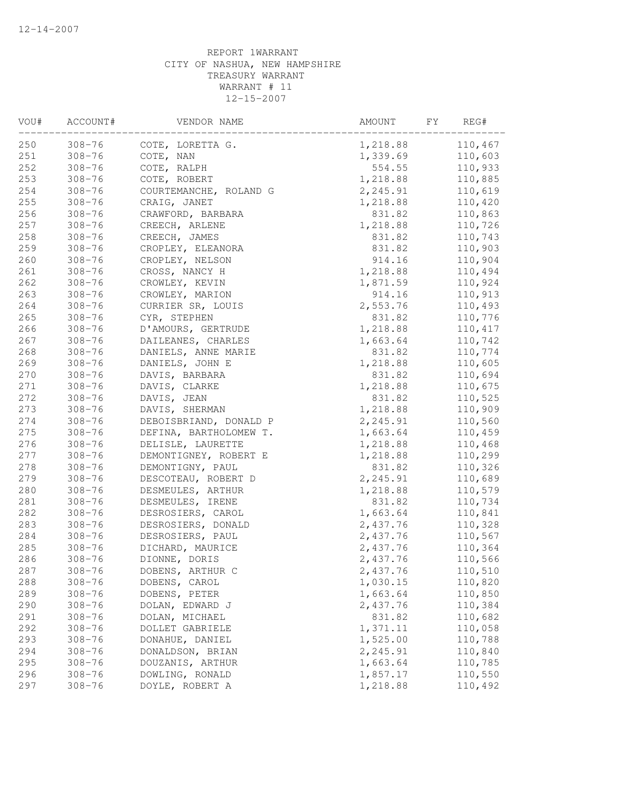| VOU# | ACCOUNT#   | VENDOR NAME            | AMOUNT   | FY<br>REG# |
|------|------------|------------------------|----------|------------|
| 250  | $308 - 76$ | COTE, LORETTA G.       | 1,218.88 | 110,467    |
| 251  | $308 - 76$ | COTE, NAN              | 1,339.69 | 110,603    |
| 252  | $308 - 76$ | COTE, RALPH            | 554.55   | 110,933    |
| 253  | $308 - 76$ | COTE, ROBERT           | 1,218.88 | 110,885    |
| 254  | $308 - 76$ | COURTEMANCHE, ROLAND G | 2,245.91 | 110,619    |
| 255  | $308 - 76$ | CRAIG, JANET           | 1,218.88 | 110,420    |
| 256  | $308 - 76$ | CRAWFORD, BARBARA      | 831.82   | 110,863    |
| 257  | $308 - 76$ | CREECH, ARLENE         | 1,218.88 | 110,726    |
| 258  | $308 - 76$ | CREECH, JAMES          | 831.82   | 110,743    |
| 259  | $308 - 76$ | CROPLEY, ELEANORA      | 831.82   | 110,903    |
| 260  | $308 - 76$ | CROPLEY, NELSON        | 914.16   | 110,904    |
| 261  | $308 - 76$ | CROSS, NANCY H         | 1,218.88 | 110,494    |
| 262  | $308 - 76$ | CROWLEY, KEVIN         | 1,871.59 | 110,924    |
| 263  | $308 - 76$ | CROWLEY, MARION        | 914.16   | 110,913    |
| 264  | $308 - 76$ | CURRIER SR, LOUIS      | 2,553.76 | 110,493    |
| 265  | $308 - 76$ | CYR, STEPHEN           | 831.82   | 110,776    |
| 266  | $308 - 76$ | D'AMOURS, GERTRUDE     | 1,218.88 | 110,417    |
| 267  | $308 - 76$ | DAILEANES, CHARLES     | 1,663.64 | 110,742    |
| 268  | $308 - 76$ | DANIELS, ANNE MARIE    | 831.82   | 110,774    |
| 269  | $308 - 76$ | DANIELS, JOHN E        | 1,218.88 | 110,605    |
| 270  | $308 - 76$ | DAVIS, BARBARA         | 831.82   | 110,694    |
| 271  | $308 - 76$ | DAVIS, CLARKE          | 1,218.88 | 110,675    |
| 272  | $308 - 76$ | DAVIS, JEAN            | 831.82   | 110,525    |
| 273  | $308 - 76$ | DAVIS, SHERMAN         | 1,218.88 | 110,909    |
| 274  | $308 - 76$ | DEBOISBRIAND, DONALD P | 2,245.91 | 110,560    |
| 275  | $308 - 76$ | DEFINA, BARTHOLOMEW T. | 1,663.64 | 110,459    |
| 276  | $308 - 76$ | DELISLE, LAURETTE      | 1,218.88 | 110,468    |
| 277  | $308 - 76$ | DEMONTIGNEY, ROBERT E  | 1,218.88 | 110,299    |
| 278  | $308 - 76$ | DEMONTIGNY, PAUL       | 831.82   | 110,326    |
| 279  | $308 - 76$ | DESCOTEAU, ROBERT D    | 2,245.91 | 110,689    |
| 280  | $308 - 76$ | DESMEULES, ARTHUR      | 1,218.88 | 110,579    |
| 281  | $308 - 76$ | DESMEULES, IRENE       | 831.82   | 110,734    |
| 282  | $308 - 76$ | DESROSIERS, CAROL      | 1,663.64 | 110,841    |
| 283  | $308 - 76$ | DESROSIERS, DONALD     | 2,437.76 | 110,328    |
| 284  | $308 - 76$ | DESROSIERS, PAUL       | 2,437.76 | 110,567    |
| 285  | $308 - 76$ | DICHARD, MAURICE       | 2,437.76 | 110,364    |
| 286  | $308 - 76$ | DIONNE, DORIS          | 2,437.76 | 110,566    |
| 287  | $308 - 76$ | DOBENS, ARTHUR C       | 2,437.76 | 110,510    |
| 288  | $308 - 76$ | DOBENS, CAROL          | 1,030.15 | 110,820    |
| 289  | $308 - 76$ | DOBENS, PETER          | 1,663.64 | 110,850    |
| 290  | $308 - 76$ | DOLAN, EDWARD J        | 2,437.76 | 110,384    |
| 291  | $308 - 76$ | DOLAN, MICHAEL         | 831.82   | 110,682    |
| 292  | $308 - 76$ | DOLLET GABRIELE        | 1,371.11 | 110,058    |
| 293  | $308 - 76$ | DONAHUE, DANIEL        | 1,525.00 | 110,788    |
| 294  | $308 - 76$ | DONALDSON, BRIAN       | 2,245.91 | 110,840    |
| 295  | $308 - 76$ | DOUZANIS, ARTHUR       | 1,663.64 | 110,785    |
| 296  | $308 - 76$ | DOWLING, RONALD        | 1,857.17 | 110,550    |
| 297  | $308 - 76$ | DOYLE, ROBERT A        | 1,218.88 | 110,492    |
|      |            |                        |          |            |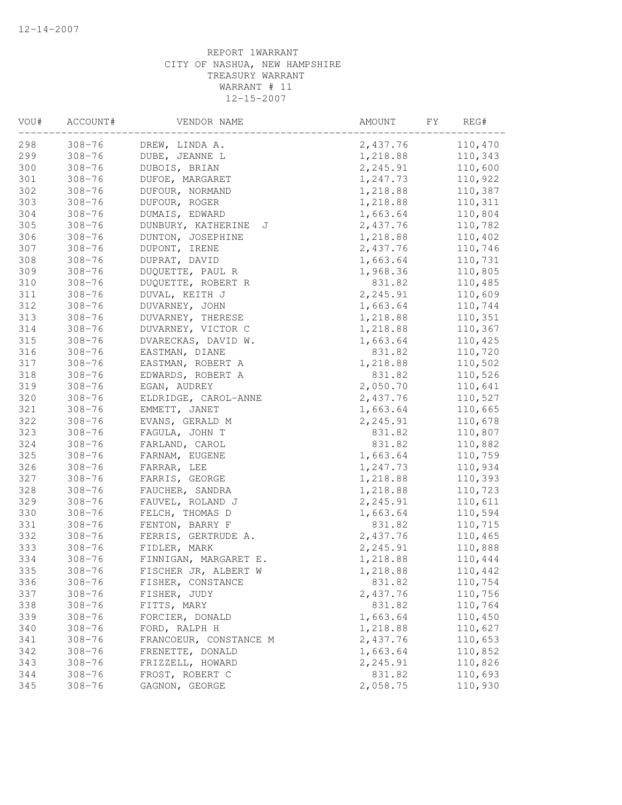| VOU# | ACCOUNT#   | VENDOR NAME             | AMOUNT<br>FY | REG#    |
|------|------------|-------------------------|--------------|---------|
| 298  | $308 - 76$ | DREW, LINDA A.          | 2,437.76     | 110,470 |
| 299  | $308 - 76$ | DUBE, JEANNE L          | 1,218.88     | 110,343 |
| 300  | $308 - 76$ | DUBOIS, BRIAN           | 2,245.91     | 110,600 |
| 301  | $308 - 76$ | DUFOE, MARGARET         | 1,247.73     | 110,922 |
| 302  | $308 - 76$ | DUFOUR, NORMAND         | 1,218.88     | 110,387 |
| 303  | $308 - 76$ | DUFOUR, ROGER           | 1,218.88     | 110,311 |
| 304  | $308 - 76$ | DUMAIS, EDWARD          | 1,663.64     | 110,804 |
| 305  | $308 - 76$ | DUNBURY, KATHERINE<br>J | 2,437.76     | 110,782 |
| 306  | $308 - 76$ | DUNTON, JOSEPHINE       | 1,218.88     | 110,402 |
| 307  | $308 - 76$ | DUPONT, IRENE           | 2,437.76     | 110,746 |
| 308  | $308 - 76$ | DUPRAT, DAVID           | 1,663.64     | 110,731 |
| 309  | $308 - 76$ | DUQUETTE, PAUL R        | 1,968.36     | 110,805 |
| 310  | $308 - 76$ | DUQUETTE, ROBERT R      | 831.82       | 110,485 |
| 311  | $308 - 76$ | DUVAL, KEITH J          | 2,245.91     | 110,609 |
| 312  | $308 - 76$ | DUVARNEY, JOHN          | 1,663.64     | 110,744 |
| 313  | $308 - 76$ | DUVARNEY, THERESE       | 1,218.88     | 110,351 |
| 314  | $308 - 76$ | DUVARNEY, VICTOR C      | 1,218.88     | 110,367 |
| 315  | $308 - 76$ | DVARECKAS, DAVID W.     | 1,663.64     | 110,425 |
| 316  | $308 - 76$ | EASTMAN, DIANE          | 831.82       | 110,720 |
| 317  | $308 - 76$ | EASTMAN, ROBERT A       | 1,218.88     | 110,502 |
| 318  | $308 - 76$ | EDWARDS, ROBERT A       | 831.82       | 110,526 |
| 319  | $308 - 76$ | EGAN, AUDREY            | 2,050.70     | 110,641 |
| 320  | $308 - 76$ | ELDRIDGE, CAROL-ANNE    | 2,437.76     | 110,527 |
| 321  | $308 - 76$ | EMMETT, JANET           | 1,663.64     | 110,665 |
| 322  | $308 - 76$ | EVANS, GERALD M         | 2,245.91     | 110,678 |
| 323  | $308 - 76$ | FAGULA, JOHN T          | 831.82       | 110,807 |
| 324  | $308 - 76$ | FARLAND, CAROL          | 831.82       | 110,882 |
| 325  | $308 - 76$ | FARNAM, EUGENE          | 1,663.64     | 110,759 |
| 326  | $308 - 76$ | FARRAR, LEE             | 1,247.73     | 110,934 |
| 327  | $308 - 76$ | FARRIS, GEORGE          | 1,218.88     | 110,393 |
| 328  | $308 - 76$ | FAUCHER, SANDRA         | 1,218.88     | 110,723 |
| 329  | $308 - 76$ | FAUVEL, ROLAND J        | 2,245.91     | 110,611 |
| 330  | $308 - 76$ | FELCH, THOMAS D         | 1,663.64     | 110,594 |
| 331  | $308 - 76$ | FENTON, BARRY F         | 831.82       | 110,715 |
| 332  | $308 - 76$ | FERRIS, GERTRUDE A.     | 2,437.76     | 110,465 |
| 333  | $308 - 76$ | FIDLER, MARK            | 2,245.91     | 110,888 |
| 334  | $308 - 76$ | FINNIGAN, MARGARET E.   | 1,218.88     | 110,444 |
| 335  | $308 - 76$ | FISCHER JR, ALBERT W    | 1,218.88     | 110,442 |
| 336  | $308 - 76$ | FISHER, CONSTANCE       | 831.82       | 110,754 |
| 337  | $308 - 76$ | FISHER, JUDY            | 2,437.76     | 110,756 |
| 338  | $308 - 76$ | FITTS, MARY             | 831.82       | 110,764 |
| 339  | $308 - 76$ | FORCIER, DONALD         | 1,663.64     | 110,450 |
| 340  | $308 - 76$ | FORD, RALPH H           | 1,218.88     | 110,627 |
| 341  | $308 - 76$ | FRANCOEUR, CONSTANCE M  | 2,437.76     | 110,653 |
| 342  | $308 - 76$ | FRENETTE, DONALD        | 1,663.64     | 110,852 |
| 343  | $308 - 76$ | FRIZZELL, HOWARD        | 2,245.91     | 110,826 |
| 344  | $308 - 76$ | FROST, ROBERT C         | 831.82       | 110,693 |
| 345  | $308 - 76$ | GAGNON, GEORGE          | 2,058.75     | 110,930 |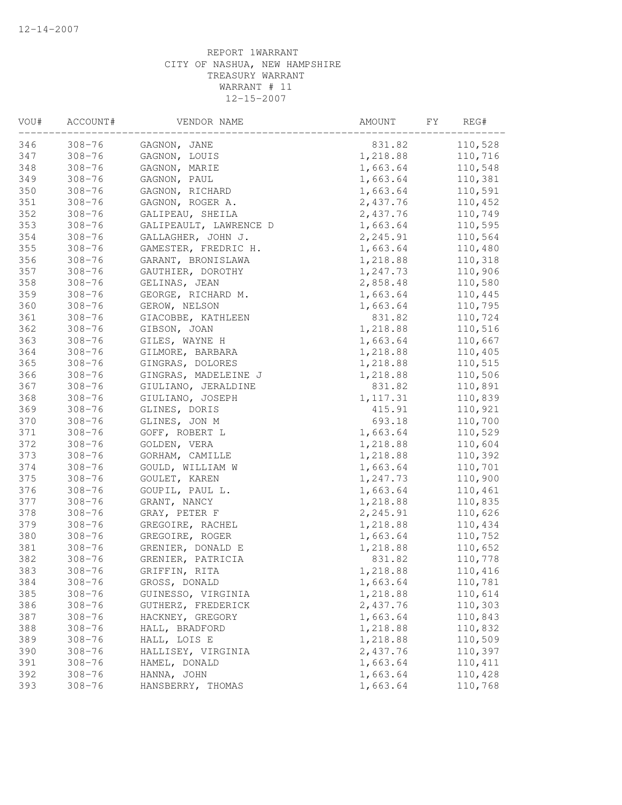| VOU# | ACCOUNT#   | VENDOR NAME            | AMOUNT<br>FY. | REG#    |
|------|------------|------------------------|---------------|---------|
| 346  | $308 - 76$ | GAGNON, JANE           | 831.82        | 110,528 |
| 347  | $308 - 76$ | GAGNON, LOUIS          | 1,218.88      | 110,716 |
| 348  | $308 - 76$ | GAGNON, MARIE          | 1,663.64      | 110,548 |
| 349  | $308 - 76$ | GAGNON, PAUL           | 1,663.64      | 110,381 |
| 350  | $308 - 76$ | GAGNON, RICHARD        | 1,663.64      | 110,591 |
| 351  | $308 - 76$ | GAGNON, ROGER A.       | 2,437.76      | 110,452 |
| 352  | $308 - 76$ | GALIPEAU, SHEILA       | 2,437.76      | 110,749 |
| 353  | $308 - 76$ | GALIPEAULT, LAWRENCE D | 1,663.64      | 110,595 |
| 354  | $308 - 76$ | GALLAGHER, JOHN J.     | 2,245.91      | 110,564 |
| 355  | $308 - 76$ | GAMESTER, FREDRIC H.   | 1,663.64      | 110,480 |
| 356  | $308 - 76$ | GARANT, BRONISLAWA     | 1,218.88      | 110,318 |
| 357  | $308 - 76$ | GAUTHIER, DOROTHY      | 1,247.73      | 110,906 |
| 358  | $308 - 76$ | GELINAS, JEAN          | 2,858.48      | 110,580 |
| 359  | $308 - 76$ | GEORGE, RICHARD M.     | 1,663.64      | 110,445 |
| 360  | $308 - 76$ | GEROW, NELSON          | 1,663.64      | 110,795 |
| 361  | $308 - 76$ | GIACOBBE, KATHLEEN     | 831.82        | 110,724 |
| 362  | $308 - 76$ | GIBSON, JOAN           | 1,218.88      | 110,516 |
| 363  | $308 - 76$ | GILES, WAYNE H         | 1,663.64      | 110,667 |
| 364  | $308 - 76$ | GILMORE, BARBARA       | 1,218.88      | 110,405 |
| 365  | $308 - 76$ | GINGRAS, DOLORES       | 1,218.88      | 110,515 |
| 366  | $308 - 76$ | GINGRAS, MADELEINE J   | 1,218.88      | 110,506 |
| 367  | $308 - 76$ | GIULIANO, JERALDINE    | 831.82        | 110,891 |
| 368  | $308 - 76$ | GIULIANO, JOSEPH       | 1, 117.31     | 110,839 |
| 369  | $308 - 76$ | GLINES, DORIS          | 415.91        | 110,921 |
| 370  | $308 - 76$ | GLINES, JON M          | 693.18        | 110,700 |
| 371  | $308 - 76$ | GOFF, ROBERT L         | 1,663.64      | 110,529 |
| 372  | $308 - 76$ | GOLDEN, VERA           | 1,218.88      | 110,604 |
| 373  | $308 - 76$ | GORHAM, CAMILLE        | 1,218.88      | 110,392 |
| 374  | $308 - 76$ | GOULD, WILLIAM W       | 1,663.64      | 110,701 |
| 375  | $308 - 76$ | GOULET, KAREN          | 1,247.73      | 110,900 |
| 376  | $308 - 76$ | GOUPIL, PAUL L.        | 1,663.64      | 110,461 |
| 377  | $308 - 76$ | GRANT, NANCY           | 1,218.88      | 110,835 |
| 378  | $308 - 76$ | GRAY, PETER F          | 2,245.91      | 110,626 |
| 379  | $308 - 76$ | GREGOIRE, RACHEL       | 1,218.88      | 110,434 |
| 380  | $308 - 76$ | GREGOIRE, ROGER        | 1,663.64      | 110,752 |
| 381  | $308 - 76$ | GRENIER, DONALD E      | 1,218.88      | 110,652 |
| 382  | $308 - 76$ | GRENIER, PATRICIA      | 831.82        | 110,778 |
| 383  | $308 - 76$ | GRIFFIN, RITA          | 1,218.88      | 110,416 |
| 384  | $308 - 76$ | GROSS, DONALD          | 1,663.64      | 110,781 |
| 385  | $308 - 76$ | GUINESSO, VIRGINIA     | 1,218.88      | 110,614 |
| 386  | $308 - 76$ | GUTHERZ, FREDERICK     | 2,437.76      | 110,303 |
| 387  | $308 - 76$ | HACKNEY, GREGORY       | 1,663.64      | 110,843 |
| 388  | $308 - 76$ | HALL, BRADFORD         | 1,218.88      | 110,832 |
| 389  | $308 - 76$ | HALL, LOIS E           | 1,218.88      | 110,509 |
| 390  | $308 - 76$ | HALLISEY, VIRGINIA     | 2,437.76      | 110,397 |
| 391  | $308 - 76$ | HAMEL, DONALD          | 1,663.64      | 110,411 |
| 392  | $308 - 76$ | HANNA, JOHN            | 1,663.64      | 110,428 |
| 393  | $308 - 76$ | HANSBERRY, THOMAS      | 1,663.64      | 110,768 |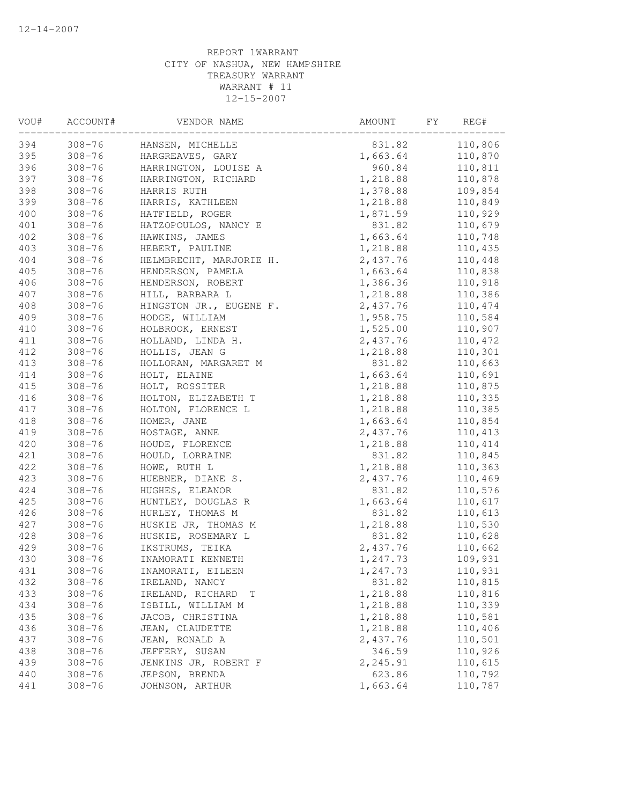| $308 - 76$<br>831.82<br>110,806<br>HANSEN, MICHELLE<br>$308 - 76$<br>1,663.64<br>110,870<br>HARGREAVES, GARY<br>$308 - 76$<br>960.84<br>110,811<br>HARRINGTON, LOUISE A<br>$308 - 76$<br>HARRINGTON, RICHARD<br>1,218.88<br>110,878<br>$308 - 76$<br>1,378.88<br>109,854<br>HARRIS RUTH<br>$308 - 76$<br>1,218.88<br>110,849<br>HARRIS, KATHLEEN<br>110,929<br>$308 - 76$<br>HATFIELD, ROGER<br>1,871.59<br>401<br>$308 - 76$<br>831.82<br>110,679<br>HATZOPOULOS, NANCY E<br>$308 - 76$<br>HAWKINS, JAMES<br>1,663.64<br>110,748<br>$308 - 76$<br>HEBERT, PAULINE<br>1,218.88<br>110,435<br>404<br>$308 - 76$<br>HELMBRECHT, MARJORIE H.<br>2,437.76<br>110,448<br>405<br>$308 - 76$<br>1,663.64<br>110,838<br>HENDERSON, PAMELA<br>406<br>$308 - 76$<br>1,386.36<br>110,918<br>HENDERSON, ROBERT<br>$308 - 76$<br>1,218.88<br>110,386<br>HILL, BARBARA L<br>408<br>$308 - 76$<br>2,437.76<br>110,474<br>HINGSTON JR., EUGENE F.<br>1,958.75<br>110,584<br>409<br>$308 - 76$<br>HODGE, WILLIAM<br>110,907<br>410<br>$308 - 76$<br>HOLBROOK, ERNEST<br>1,525.00<br>411<br>$308 - 76$<br>HOLLAND, LINDA H.<br>2,437.76<br>110,472<br>412<br>110,301<br>$308 - 76$<br>HOLLIS, JEAN G<br>1,218.88<br>413<br>$308 - 76$<br>831.82<br>110,663<br>HOLLORAN, MARGARET M<br>414<br>$308 - 76$<br>1,663.64<br>110,691<br>HOLT, ELAINE<br>415<br>$308 - 76$<br>110,875<br>HOLT, ROSSITER<br>1,218.88<br>416<br>$308 - 76$<br>1,218.88<br>110,335<br>HOLTON, ELIZABETH T<br>1,218.88<br>417<br>$308 - 76$<br>HOLTON, FLORENCE L<br>110,385<br>418<br>$308 - 76$<br>HOMER, JANE<br>1,663.64<br>110,854<br>419<br>$308 - 76$<br>HOSTAGE, ANNE<br>2,437.76<br>110,413<br>420<br>$308 - 76$<br>HOUDE, FLORENCE<br>1,218.88<br>110,414<br>421<br>$308 - 76$<br>831.82<br>110,845<br>HOULD, LORRAINE<br>422<br>$308 - 76$<br>HOWE, RUTH L<br>1,218.88<br>110,363<br>423<br>$308 - 76$<br>2,437.76<br>110,469<br>HUEBNER, DIANE S.<br>424<br>$308 - 76$<br>831.82<br>110,576<br>HUGHES, ELEANOR<br>425<br>$308 - 76$<br>HUNTLEY, DOUGLAS R<br>1,663.64<br>110,617<br>831.82<br>426<br>$308 - 76$<br>HURLEY, THOMAS M<br>110,613<br>427<br>HUSKIE JR, THOMAS M<br>110,530<br>$308 - 76$<br>1,218.88<br>428<br>110,628<br>$308 - 76$<br>HUSKIE, ROSEMARY L<br>831.82<br>429<br>110,662<br>$308 - 76$<br>IKSTRUMS, TEIKA<br>2,437.76<br>430<br>$308 - 76$<br>INAMORATI KENNETH<br>109,931<br>1,247.73<br>431<br>$308 - 76$<br>1,247.73<br>110,931<br>INAMORATI, EILEEN<br>432<br>$308 - 76$<br>831.82<br>110,815<br>IRELAND, NANCY<br>433<br>$308 - 76$<br>1,218.88<br>110,816<br>IRELAND, RICHARD<br>Т<br>434<br>$308 - 76$<br>ISBILL, WILLIAM M<br>1,218.88<br>110,339<br>435<br>$308 - 76$<br>JACOB, CHRISTINA<br>1,218.88<br>110,581<br>436<br>JEAN, CLAUDETTE<br>1,218.88<br>110,406<br>$308 - 76$<br>110,501<br>437<br>$308 - 76$<br>JEAN, RONALD A<br>2,437.76<br>438<br>346.59<br>110,926<br>$308 - 76$<br>JEFFERY, SUSAN<br>439<br>2,245.91<br>110,615<br>$308 - 76$<br>JENKINS JR, ROBERT F<br>623.86<br>440<br>$308 - 76$<br>JEPSON, BRENDA<br>110,792<br>1,663.64<br>110,787<br>441<br>$308 - 76$<br>JOHNSON, ARTHUR | VOU# | ACCOUNT# | VENDOR NAME | AMOUNT<br>FY. | REG# |
|-------------------------------------------------------------------------------------------------------------------------------------------------------------------------------------------------------------------------------------------------------------------------------------------------------------------------------------------------------------------------------------------------------------------------------------------------------------------------------------------------------------------------------------------------------------------------------------------------------------------------------------------------------------------------------------------------------------------------------------------------------------------------------------------------------------------------------------------------------------------------------------------------------------------------------------------------------------------------------------------------------------------------------------------------------------------------------------------------------------------------------------------------------------------------------------------------------------------------------------------------------------------------------------------------------------------------------------------------------------------------------------------------------------------------------------------------------------------------------------------------------------------------------------------------------------------------------------------------------------------------------------------------------------------------------------------------------------------------------------------------------------------------------------------------------------------------------------------------------------------------------------------------------------------------------------------------------------------------------------------------------------------------------------------------------------------------------------------------------------------------------------------------------------------------------------------------------------------------------------------------------------------------------------------------------------------------------------------------------------------------------------------------------------------------------------------------------------------------------------------------------------------------------------------------------------------------------------------------------------------------------------------------------------------------------------------------------------------------------------------------------------------------------------------------------------------------------------------------------------------------------------------------------------------------------------------------------------------------------------------------------------------------------------------------------------------------------------------------------------|------|----------|-------------|---------------|------|
|                                                                                                                                                                                                                                                                                                                                                                                                                                                                                                                                                                                                                                                                                                                                                                                                                                                                                                                                                                                                                                                                                                                                                                                                                                                                                                                                                                                                                                                                                                                                                                                                                                                                                                                                                                                                                                                                                                                                                                                                                                                                                                                                                                                                                                                                                                                                                                                                                                                                                                                                                                                                                                                                                                                                                                                                                                                                                                                                                                                                                                                                                                             | 394  |          |             |               |      |
|                                                                                                                                                                                                                                                                                                                                                                                                                                                                                                                                                                                                                                                                                                                                                                                                                                                                                                                                                                                                                                                                                                                                                                                                                                                                                                                                                                                                                                                                                                                                                                                                                                                                                                                                                                                                                                                                                                                                                                                                                                                                                                                                                                                                                                                                                                                                                                                                                                                                                                                                                                                                                                                                                                                                                                                                                                                                                                                                                                                                                                                                                                             | 395  |          |             |               |      |
|                                                                                                                                                                                                                                                                                                                                                                                                                                                                                                                                                                                                                                                                                                                                                                                                                                                                                                                                                                                                                                                                                                                                                                                                                                                                                                                                                                                                                                                                                                                                                                                                                                                                                                                                                                                                                                                                                                                                                                                                                                                                                                                                                                                                                                                                                                                                                                                                                                                                                                                                                                                                                                                                                                                                                                                                                                                                                                                                                                                                                                                                                                             | 396  |          |             |               |      |
|                                                                                                                                                                                                                                                                                                                                                                                                                                                                                                                                                                                                                                                                                                                                                                                                                                                                                                                                                                                                                                                                                                                                                                                                                                                                                                                                                                                                                                                                                                                                                                                                                                                                                                                                                                                                                                                                                                                                                                                                                                                                                                                                                                                                                                                                                                                                                                                                                                                                                                                                                                                                                                                                                                                                                                                                                                                                                                                                                                                                                                                                                                             | 397  |          |             |               |      |
|                                                                                                                                                                                                                                                                                                                                                                                                                                                                                                                                                                                                                                                                                                                                                                                                                                                                                                                                                                                                                                                                                                                                                                                                                                                                                                                                                                                                                                                                                                                                                                                                                                                                                                                                                                                                                                                                                                                                                                                                                                                                                                                                                                                                                                                                                                                                                                                                                                                                                                                                                                                                                                                                                                                                                                                                                                                                                                                                                                                                                                                                                                             | 398  |          |             |               |      |
|                                                                                                                                                                                                                                                                                                                                                                                                                                                                                                                                                                                                                                                                                                                                                                                                                                                                                                                                                                                                                                                                                                                                                                                                                                                                                                                                                                                                                                                                                                                                                                                                                                                                                                                                                                                                                                                                                                                                                                                                                                                                                                                                                                                                                                                                                                                                                                                                                                                                                                                                                                                                                                                                                                                                                                                                                                                                                                                                                                                                                                                                                                             | 399  |          |             |               |      |
|                                                                                                                                                                                                                                                                                                                                                                                                                                                                                                                                                                                                                                                                                                                                                                                                                                                                                                                                                                                                                                                                                                                                                                                                                                                                                                                                                                                                                                                                                                                                                                                                                                                                                                                                                                                                                                                                                                                                                                                                                                                                                                                                                                                                                                                                                                                                                                                                                                                                                                                                                                                                                                                                                                                                                                                                                                                                                                                                                                                                                                                                                                             | 400  |          |             |               |      |
|                                                                                                                                                                                                                                                                                                                                                                                                                                                                                                                                                                                                                                                                                                                                                                                                                                                                                                                                                                                                                                                                                                                                                                                                                                                                                                                                                                                                                                                                                                                                                                                                                                                                                                                                                                                                                                                                                                                                                                                                                                                                                                                                                                                                                                                                                                                                                                                                                                                                                                                                                                                                                                                                                                                                                                                                                                                                                                                                                                                                                                                                                                             |      |          |             |               |      |
|                                                                                                                                                                                                                                                                                                                                                                                                                                                                                                                                                                                                                                                                                                                                                                                                                                                                                                                                                                                                                                                                                                                                                                                                                                                                                                                                                                                                                                                                                                                                                                                                                                                                                                                                                                                                                                                                                                                                                                                                                                                                                                                                                                                                                                                                                                                                                                                                                                                                                                                                                                                                                                                                                                                                                                                                                                                                                                                                                                                                                                                                                                             | 402  |          |             |               |      |
|                                                                                                                                                                                                                                                                                                                                                                                                                                                                                                                                                                                                                                                                                                                                                                                                                                                                                                                                                                                                                                                                                                                                                                                                                                                                                                                                                                                                                                                                                                                                                                                                                                                                                                                                                                                                                                                                                                                                                                                                                                                                                                                                                                                                                                                                                                                                                                                                                                                                                                                                                                                                                                                                                                                                                                                                                                                                                                                                                                                                                                                                                                             | 403  |          |             |               |      |
|                                                                                                                                                                                                                                                                                                                                                                                                                                                                                                                                                                                                                                                                                                                                                                                                                                                                                                                                                                                                                                                                                                                                                                                                                                                                                                                                                                                                                                                                                                                                                                                                                                                                                                                                                                                                                                                                                                                                                                                                                                                                                                                                                                                                                                                                                                                                                                                                                                                                                                                                                                                                                                                                                                                                                                                                                                                                                                                                                                                                                                                                                                             |      |          |             |               |      |
|                                                                                                                                                                                                                                                                                                                                                                                                                                                                                                                                                                                                                                                                                                                                                                                                                                                                                                                                                                                                                                                                                                                                                                                                                                                                                                                                                                                                                                                                                                                                                                                                                                                                                                                                                                                                                                                                                                                                                                                                                                                                                                                                                                                                                                                                                                                                                                                                                                                                                                                                                                                                                                                                                                                                                                                                                                                                                                                                                                                                                                                                                                             |      |          |             |               |      |
|                                                                                                                                                                                                                                                                                                                                                                                                                                                                                                                                                                                                                                                                                                                                                                                                                                                                                                                                                                                                                                                                                                                                                                                                                                                                                                                                                                                                                                                                                                                                                                                                                                                                                                                                                                                                                                                                                                                                                                                                                                                                                                                                                                                                                                                                                                                                                                                                                                                                                                                                                                                                                                                                                                                                                                                                                                                                                                                                                                                                                                                                                                             |      |          |             |               |      |
|                                                                                                                                                                                                                                                                                                                                                                                                                                                                                                                                                                                                                                                                                                                                                                                                                                                                                                                                                                                                                                                                                                                                                                                                                                                                                                                                                                                                                                                                                                                                                                                                                                                                                                                                                                                                                                                                                                                                                                                                                                                                                                                                                                                                                                                                                                                                                                                                                                                                                                                                                                                                                                                                                                                                                                                                                                                                                                                                                                                                                                                                                                             | 407  |          |             |               |      |
|                                                                                                                                                                                                                                                                                                                                                                                                                                                                                                                                                                                                                                                                                                                                                                                                                                                                                                                                                                                                                                                                                                                                                                                                                                                                                                                                                                                                                                                                                                                                                                                                                                                                                                                                                                                                                                                                                                                                                                                                                                                                                                                                                                                                                                                                                                                                                                                                                                                                                                                                                                                                                                                                                                                                                                                                                                                                                                                                                                                                                                                                                                             |      |          |             |               |      |
|                                                                                                                                                                                                                                                                                                                                                                                                                                                                                                                                                                                                                                                                                                                                                                                                                                                                                                                                                                                                                                                                                                                                                                                                                                                                                                                                                                                                                                                                                                                                                                                                                                                                                                                                                                                                                                                                                                                                                                                                                                                                                                                                                                                                                                                                                                                                                                                                                                                                                                                                                                                                                                                                                                                                                                                                                                                                                                                                                                                                                                                                                                             |      |          |             |               |      |
|                                                                                                                                                                                                                                                                                                                                                                                                                                                                                                                                                                                                                                                                                                                                                                                                                                                                                                                                                                                                                                                                                                                                                                                                                                                                                                                                                                                                                                                                                                                                                                                                                                                                                                                                                                                                                                                                                                                                                                                                                                                                                                                                                                                                                                                                                                                                                                                                                                                                                                                                                                                                                                                                                                                                                                                                                                                                                                                                                                                                                                                                                                             |      |          |             |               |      |
|                                                                                                                                                                                                                                                                                                                                                                                                                                                                                                                                                                                                                                                                                                                                                                                                                                                                                                                                                                                                                                                                                                                                                                                                                                                                                                                                                                                                                                                                                                                                                                                                                                                                                                                                                                                                                                                                                                                                                                                                                                                                                                                                                                                                                                                                                                                                                                                                                                                                                                                                                                                                                                                                                                                                                                                                                                                                                                                                                                                                                                                                                                             |      |          |             |               |      |
|                                                                                                                                                                                                                                                                                                                                                                                                                                                                                                                                                                                                                                                                                                                                                                                                                                                                                                                                                                                                                                                                                                                                                                                                                                                                                                                                                                                                                                                                                                                                                                                                                                                                                                                                                                                                                                                                                                                                                                                                                                                                                                                                                                                                                                                                                                                                                                                                                                                                                                                                                                                                                                                                                                                                                                                                                                                                                                                                                                                                                                                                                                             |      |          |             |               |      |
|                                                                                                                                                                                                                                                                                                                                                                                                                                                                                                                                                                                                                                                                                                                                                                                                                                                                                                                                                                                                                                                                                                                                                                                                                                                                                                                                                                                                                                                                                                                                                                                                                                                                                                                                                                                                                                                                                                                                                                                                                                                                                                                                                                                                                                                                                                                                                                                                                                                                                                                                                                                                                                                                                                                                                                                                                                                                                                                                                                                                                                                                                                             |      |          |             |               |      |
|                                                                                                                                                                                                                                                                                                                                                                                                                                                                                                                                                                                                                                                                                                                                                                                                                                                                                                                                                                                                                                                                                                                                                                                                                                                                                                                                                                                                                                                                                                                                                                                                                                                                                                                                                                                                                                                                                                                                                                                                                                                                                                                                                                                                                                                                                                                                                                                                                                                                                                                                                                                                                                                                                                                                                                                                                                                                                                                                                                                                                                                                                                             |      |          |             |               |      |
|                                                                                                                                                                                                                                                                                                                                                                                                                                                                                                                                                                                                                                                                                                                                                                                                                                                                                                                                                                                                                                                                                                                                                                                                                                                                                                                                                                                                                                                                                                                                                                                                                                                                                                                                                                                                                                                                                                                                                                                                                                                                                                                                                                                                                                                                                                                                                                                                                                                                                                                                                                                                                                                                                                                                                                                                                                                                                                                                                                                                                                                                                                             |      |          |             |               |      |
|                                                                                                                                                                                                                                                                                                                                                                                                                                                                                                                                                                                                                                                                                                                                                                                                                                                                                                                                                                                                                                                                                                                                                                                                                                                                                                                                                                                                                                                                                                                                                                                                                                                                                                                                                                                                                                                                                                                                                                                                                                                                                                                                                                                                                                                                                                                                                                                                                                                                                                                                                                                                                                                                                                                                                                                                                                                                                                                                                                                                                                                                                                             |      |          |             |               |      |
|                                                                                                                                                                                                                                                                                                                                                                                                                                                                                                                                                                                                                                                                                                                                                                                                                                                                                                                                                                                                                                                                                                                                                                                                                                                                                                                                                                                                                                                                                                                                                                                                                                                                                                                                                                                                                                                                                                                                                                                                                                                                                                                                                                                                                                                                                                                                                                                                                                                                                                                                                                                                                                                                                                                                                                                                                                                                                                                                                                                                                                                                                                             |      |          |             |               |      |
|                                                                                                                                                                                                                                                                                                                                                                                                                                                                                                                                                                                                                                                                                                                                                                                                                                                                                                                                                                                                                                                                                                                                                                                                                                                                                                                                                                                                                                                                                                                                                                                                                                                                                                                                                                                                                                                                                                                                                                                                                                                                                                                                                                                                                                                                                                                                                                                                                                                                                                                                                                                                                                                                                                                                                                                                                                                                                                                                                                                                                                                                                                             |      |          |             |               |      |
|                                                                                                                                                                                                                                                                                                                                                                                                                                                                                                                                                                                                                                                                                                                                                                                                                                                                                                                                                                                                                                                                                                                                                                                                                                                                                                                                                                                                                                                                                                                                                                                                                                                                                                                                                                                                                                                                                                                                                                                                                                                                                                                                                                                                                                                                                                                                                                                                                                                                                                                                                                                                                                                                                                                                                                                                                                                                                                                                                                                                                                                                                                             |      |          |             |               |      |
|                                                                                                                                                                                                                                                                                                                                                                                                                                                                                                                                                                                                                                                                                                                                                                                                                                                                                                                                                                                                                                                                                                                                                                                                                                                                                                                                                                                                                                                                                                                                                                                                                                                                                                                                                                                                                                                                                                                                                                                                                                                                                                                                                                                                                                                                                                                                                                                                                                                                                                                                                                                                                                                                                                                                                                                                                                                                                                                                                                                                                                                                                                             |      |          |             |               |      |
|                                                                                                                                                                                                                                                                                                                                                                                                                                                                                                                                                                                                                                                                                                                                                                                                                                                                                                                                                                                                                                                                                                                                                                                                                                                                                                                                                                                                                                                                                                                                                                                                                                                                                                                                                                                                                                                                                                                                                                                                                                                                                                                                                                                                                                                                                                                                                                                                                                                                                                                                                                                                                                                                                                                                                                                                                                                                                                                                                                                                                                                                                                             |      |          |             |               |      |
|                                                                                                                                                                                                                                                                                                                                                                                                                                                                                                                                                                                                                                                                                                                                                                                                                                                                                                                                                                                                                                                                                                                                                                                                                                                                                                                                                                                                                                                                                                                                                                                                                                                                                                                                                                                                                                                                                                                                                                                                                                                                                                                                                                                                                                                                                                                                                                                                                                                                                                                                                                                                                                                                                                                                                                                                                                                                                                                                                                                                                                                                                                             |      |          |             |               |      |
|                                                                                                                                                                                                                                                                                                                                                                                                                                                                                                                                                                                                                                                                                                                                                                                                                                                                                                                                                                                                                                                                                                                                                                                                                                                                                                                                                                                                                                                                                                                                                                                                                                                                                                                                                                                                                                                                                                                                                                                                                                                                                                                                                                                                                                                                                                                                                                                                                                                                                                                                                                                                                                                                                                                                                                                                                                                                                                                                                                                                                                                                                                             |      |          |             |               |      |
|                                                                                                                                                                                                                                                                                                                                                                                                                                                                                                                                                                                                                                                                                                                                                                                                                                                                                                                                                                                                                                                                                                                                                                                                                                                                                                                                                                                                                                                                                                                                                                                                                                                                                                                                                                                                                                                                                                                                                                                                                                                                                                                                                                                                                                                                                                                                                                                                                                                                                                                                                                                                                                                                                                                                                                                                                                                                                                                                                                                                                                                                                                             |      |          |             |               |      |
|                                                                                                                                                                                                                                                                                                                                                                                                                                                                                                                                                                                                                                                                                                                                                                                                                                                                                                                                                                                                                                                                                                                                                                                                                                                                                                                                                                                                                                                                                                                                                                                                                                                                                                                                                                                                                                                                                                                                                                                                                                                                                                                                                                                                                                                                                                                                                                                                                                                                                                                                                                                                                                                                                                                                                                                                                                                                                                                                                                                                                                                                                                             |      |          |             |               |      |
|                                                                                                                                                                                                                                                                                                                                                                                                                                                                                                                                                                                                                                                                                                                                                                                                                                                                                                                                                                                                                                                                                                                                                                                                                                                                                                                                                                                                                                                                                                                                                                                                                                                                                                                                                                                                                                                                                                                                                                                                                                                                                                                                                                                                                                                                                                                                                                                                                                                                                                                                                                                                                                                                                                                                                                                                                                                                                                                                                                                                                                                                                                             |      |          |             |               |      |
|                                                                                                                                                                                                                                                                                                                                                                                                                                                                                                                                                                                                                                                                                                                                                                                                                                                                                                                                                                                                                                                                                                                                                                                                                                                                                                                                                                                                                                                                                                                                                                                                                                                                                                                                                                                                                                                                                                                                                                                                                                                                                                                                                                                                                                                                                                                                                                                                                                                                                                                                                                                                                                                                                                                                                                                                                                                                                                                                                                                                                                                                                                             |      |          |             |               |      |
|                                                                                                                                                                                                                                                                                                                                                                                                                                                                                                                                                                                                                                                                                                                                                                                                                                                                                                                                                                                                                                                                                                                                                                                                                                                                                                                                                                                                                                                                                                                                                                                                                                                                                                                                                                                                                                                                                                                                                                                                                                                                                                                                                                                                                                                                                                                                                                                                                                                                                                                                                                                                                                                                                                                                                                                                                                                                                                                                                                                                                                                                                                             |      |          |             |               |      |
|                                                                                                                                                                                                                                                                                                                                                                                                                                                                                                                                                                                                                                                                                                                                                                                                                                                                                                                                                                                                                                                                                                                                                                                                                                                                                                                                                                                                                                                                                                                                                                                                                                                                                                                                                                                                                                                                                                                                                                                                                                                                                                                                                                                                                                                                                                                                                                                                                                                                                                                                                                                                                                                                                                                                                                                                                                                                                                                                                                                                                                                                                                             |      |          |             |               |      |
|                                                                                                                                                                                                                                                                                                                                                                                                                                                                                                                                                                                                                                                                                                                                                                                                                                                                                                                                                                                                                                                                                                                                                                                                                                                                                                                                                                                                                                                                                                                                                                                                                                                                                                                                                                                                                                                                                                                                                                                                                                                                                                                                                                                                                                                                                                                                                                                                                                                                                                                                                                                                                                                                                                                                                                                                                                                                                                                                                                                                                                                                                                             |      |          |             |               |      |
|                                                                                                                                                                                                                                                                                                                                                                                                                                                                                                                                                                                                                                                                                                                                                                                                                                                                                                                                                                                                                                                                                                                                                                                                                                                                                                                                                                                                                                                                                                                                                                                                                                                                                                                                                                                                                                                                                                                                                                                                                                                                                                                                                                                                                                                                                                                                                                                                                                                                                                                                                                                                                                                                                                                                                                                                                                                                                                                                                                                                                                                                                                             |      |          |             |               |      |
|                                                                                                                                                                                                                                                                                                                                                                                                                                                                                                                                                                                                                                                                                                                                                                                                                                                                                                                                                                                                                                                                                                                                                                                                                                                                                                                                                                                                                                                                                                                                                                                                                                                                                                                                                                                                                                                                                                                                                                                                                                                                                                                                                                                                                                                                                                                                                                                                                                                                                                                                                                                                                                                                                                                                                                                                                                                                                                                                                                                                                                                                                                             |      |          |             |               |      |
|                                                                                                                                                                                                                                                                                                                                                                                                                                                                                                                                                                                                                                                                                                                                                                                                                                                                                                                                                                                                                                                                                                                                                                                                                                                                                                                                                                                                                                                                                                                                                                                                                                                                                                                                                                                                                                                                                                                                                                                                                                                                                                                                                                                                                                                                                                                                                                                                                                                                                                                                                                                                                                                                                                                                                                                                                                                                                                                                                                                                                                                                                                             |      |          |             |               |      |
|                                                                                                                                                                                                                                                                                                                                                                                                                                                                                                                                                                                                                                                                                                                                                                                                                                                                                                                                                                                                                                                                                                                                                                                                                                                                                                                                                                                                                                                                                                                                                                                                                                                                                                                                                                                                                                                                                                                                                                                                                                                                                                                                                                                                                                                                                                                                                                                                                                                                                                                                                                                                                                                                                                                                                                                                                                                                                                                                                                                                                                                                                                             |      |          |             |               |      |
|                                                                                                                                                                                                                                                                                                                                                                                                                                                                                                                                                                                                                                                                                                                                                                                                                                                                                                                                                                                                                                                                                                                                                                                                                                                                                                                                                                                                                                                                                                                                                                                                                                                                                                                                                                                                                                                                                                                                                                                                                                                                                                                                                                                                                                                                                                                                                                                                                                                                                                                                                                                                                                                                                                                                                                                                                                                                                                                                                                                                                                                                                                             |      |          |             |               |      |
|                                                                                                                                                                                                                                                                                                                                                                                                                                                                                                                                                                                                                                                                                                                                                                                                                                                                                                                                                                                                                                                                                                                                                                                                                                                                                                                                                                                                                                                                                                                                                                                                                                                                                                                                                                                                                                                                                                                                                                                                                                                                                                                                                                                                                                                                                                                                                                                                                                                                                                                                                                                                                                                                                                                                                                                                                                                                                                                                                                                                                                                                                                             |      |          |             |               |      |
|                                                                                                                                                                                                                                                                                                                                                                                                                                                                                                                                                                                                                                                                                                                                                                                                                                                                                                                                                                                                                                                                                                                                                                                                                                                                                                                                                                                                                                                                                                                                                                                                                                                                                                                                                                                                                                                                                                                                                                                                                                                                                                                                                                                                                                                                                                                                                                                                                                                                                                                                                                                                                                                                                                                                                                                                                                                                                                                                                                                                                                                                                                             |      |          |             |               |      |
|                                                                                                                                                                                                                                                                                                                                                                                                                                                                                                                                                                                                                                                                                                                                                                                                                                                                                                                                                                                                                                                                                                                                                                                                                                                                                                                                                                                                                                                                                                                                                                                                                                                                                                                                                                                                                                                                                                                                                                                                                                                                                                                                                                                                                                                                                                                                                                                                                                                                                                                                                                                                                                                                                                                                                                                                                                                                                                                                                                                                                                                                                                             |      |          |             |               |      |
|                                                                                                                                                                                                                                                                                                                                                                                                                                                                                                                                                                                                                                                                                                                                                                                                                                                                                                                                                                                                                                                                                                                                                                                                                                                                                                                                                                                                                                                                                                                                                                                                                                                                                                                                                                                                                                                                                                                                                                                                                                                                                                                                                                                                                                                                                                                                                                                                                                                                                                                                                                                                                                                                                                                                                                                                                                                                                                                                                                                                                                                                                                             |      |          |             |               |      |
|                                                                                                                                                                                                                                                                                                                                                                                                                                                                                                                                                                                                                                                                                                                                                                                                                                                                                                                                                                                                                                                                                                                                                                                                                                                                                                                                                                                                                                                                                                                                                                                                                                                                                                                                                                                                                                                                                                                                                                                                                                                                                                                                                                                                                                                                                                                                                                                                                                                                                                                                                                                                                                                                                                                                                                                                                                                                                                                                                                                                                                                                                                             |      |          |             |               |      |
|                                                                                                                                                                                                                                                                                                                                                                                                                                                                                                                                                                                                                                                                                                                                                                                                                                                                                                                                                                                                                                                                                                                                                                                                                                                                                                                                                                                                                                                                                                                                                                                                                                                                                                                                                                                                                                                                                                                                                                                                                                                                                                                                                                                                                                                                                                                                                                                                                                                                                                                                                                                                                                                                                                                                                                                                                                                                                                                                                                                                                                                                                                             |      |          |             |               |      |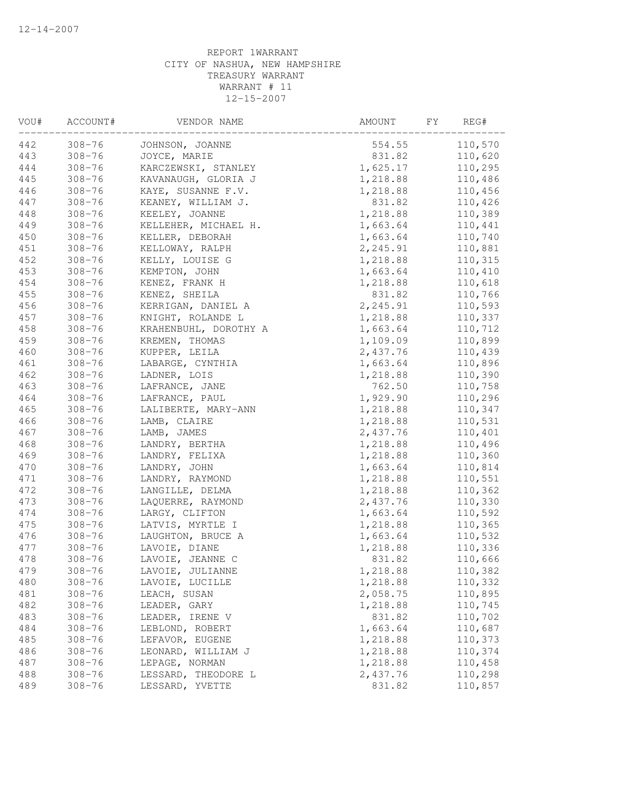| VOU# | ACCOUNT#   | VENDOR NAME           | FY<br>AMOUNT | REG#    |
|------|------------|-----------------------|--------------|---------|
| 442  | $308 - 76$ | JOHNSON, JOANNE       | 554.55       | 110,570 |
| 443  | $308 - 76$ | JOYCE, MARIE          | 831.82       | 110,620 |
| 444  | $308 - 76$ | KARCZEWSKI, STANLEY   | 1,625.17     | 110,295 |
| 445  | $308 - 76$ | KAVANAUGH, GLORIA J   | 1,218.88     | 110,486 |
| 446  | $308 - 76$ | KAYE, SUSANNE F.V.    | 1,218.88     | 110,456 |
| 447  | $308 - 76$ | KEANEY, WILLIAM J.    | 831.82       | 110,426 |
| 448  | $308 - 76$ | KEELEY, JOANNE        | 1,218.88     | 110,389 |
| 449  | $308 - 76$ | KELLEHER, MICHAEL H.  | 1,663.64     | 110,441 |
| 450  | $308 - 76$ | KELLER, DEBORAH       | 1,663.64     | 110,740 |
| 451  | $308 - 76$ | KELLOWAY, RALPH       | 2,245.91     | 110,881 |
| 452  | $308 - 76$ | KELLY, LOUISE G       | 1,218.88     | 110,315 |
| 453  | $308 - 76$ | KEMPTON, JOHN         | 1,663.64     | 110,410 |
| 454  | $308 - 76$ | KENEZ, FRANK H        | 1,218.88     | 110,618 |
| 455  | $308 - 76$ | KENEZ, SHEILA         | 831.82       | 110,766 |
| 456  | $308 - 76$ | KERRIGAN, DANIEL A    | 2,245.91     | 110,593 |
| 457  | $308 - 76$ | KNIGHT, ROLANDE L     | 1,218.88     | 110,337 |
| 458  | $308 - 76$ | KRAHENBUHL, DOROTHY A | 1,663.64     | 110,712 |
| 459  | $308 - 76$ | KREMEN, THOMAS        | 1,109.09     | 110,899 |
| 460  | $308 - 76$ | KUPPER, LEILA         | 2,437.76     | 110,439 |
| 461  | $308 - 76$ | LABARGE, CYNTHIA      | 1,663.64     | 110,896 |
| 462  | $308 - 76$ | LADNER, LOIS          | 1,218.88     | 110,390 |
| 463  | $308 - 76$ | LAFRANCE, JANE        | 762.50       | 110,758 |
| 464  | $308 - 76$ | LAFRANCE, PAUL        | 1,929.90     | 110,296 |
| 465  | $308 - 76$ | LALIBERTE, MARY-ANN   | 1,218.88     | 110,347 |
| 466  | $308 - 76$ | LAMB, CLAIRE          | 1,218.88     | 110,531 |
| 467  | $308 - 76$ | LAMB, JAMES           | 2,437.76     | 110,401 |
| 468  | $308 - 76$ | LANDRY, BERTHA        | 1,218.88     | 110,496 |
| 469  | $308 - 76$ | LANDRY, FELIXA        | 1,218.88     | 110,360 |
| 470  | $308 - 76$ | LANDRY, JOHN          | 1,663.64     | 110,814 |
| 471  | $308 - 76$ | LANDRY, RAYMOND       | 1,218.88     | 110,551 |
| 472  | $308 - 76$ | LANGILLE, DELMA       | 1,218.88     | 110,362 |
| 473  | $308 - 76$ | LAQUERRE, RAYMOND     | 2,437.76     | 110,330 |
| 474  | $308 - 76$ | LARGY, CLIFTON        | 1,663.64     | 110,592 |
| 475  | $308 - 76$ | LATVIS, MYRTLE I      | 1,218.88     | 110,365 |
| 476  | $308 - 76$ | LAUGHTON, BRUCE A     | 1,663.64     | 110,532 |
| 477  | $308 - 76$ | LAVOIE, DIANE         | 1,218.88     | 110,336 |
| 478  | $308 - 76$ | LAVOIE, JEANNE C      | 831.82       | 110,666 |
| 479  | $308 - 76$ | LAVOIE, JULIANNE      | 1,218.88     | 110,382 |
| 480  | $308 - 76$ | LAVOIE, LUCILLE       | 1,218.88     | 110,332 |
| 481  | $308 - 76$ | LEACH, SUSAN          | 2,058.75     | 110,895 |
| 482  | $308 - 76$ | LEADER, GARY          | 1,218.88     | 110,745 |
| 483  | $308 - 76$ | LEADER, IRENE V       | 831.82       | 110,702 |
| 484  | $308 - 76$ | LEBLOND, ROBERT       | 1,663.64     | 110,687 |
| 485  | $308 - 76$ | LEFAVOR, EUGENE       | 1,218.88     | 110,373 |
| 486  | $308 - 76$ | LEONARD, WILLIAM J    | 1,218.88     | 110,374 |
| 487  | $308 - 76$ | LEPAGE, NORMAN        | 1,218.88     | 110,458 |
| 488  | $308 - 76$ | LESSARD, THEODORE L   | 2,437.76     | 110,298 |
| 489  | $308 - 76$ | LESSARD, YVETTE       | 831.82       | 110,857 |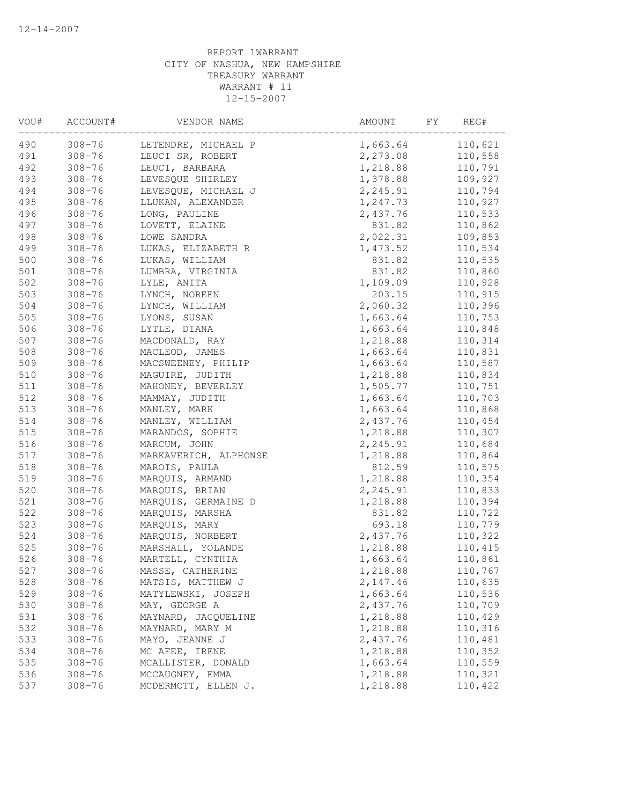| VOU# | ACCOUNT#   | VENDOR NAME           | AMOUNT   | FY<br>REG# |
|------|------------|-----------------------|----------|------------|
| 490  | $308 - 76$ | LETENDRE, MICHAEL P   | 1,663.64 | 110,621    |
| 491  | $308 - 76$ | LEUCI SR, ROBERT      | 2,273.08 | 110,558    |
| 492  | $308 - 76$ | LEUCI, BARBARA        | 1,218.88 | 110,791    |
| 493  | $308 - 76$ | LEVESQUE SHIRLEY      | 1,378.88 | 109,927    |
| 494  | $308 - 76$ | LEVESQUE, MICHAEL J   | 2,245.91 | 110,794    |
| 495  | $308 - 76$ | LLUKAN, ALEXANDER     | 1,247.73 | 110,927    |
| 496  | $308 - 76$ | LONG, PAULINE         | 2,437.76 | 110,533    |
| 497  | $308 - 76$ | LOVETT, ELAINE        | 831.82   | 110,862    |
| 498  | $308 - 76$ | LOWE SANDRA           | 2,022.31 | 109,853    |
| 499  | $308 - 76$ | LUKAS, ELIZABETH R    | 1,473.52 | 110,534    |
| 500  | $308 - 76$ | LUKAS, WILLIAM        | 831.82   | 110,535    |
| 501  | $308 - 76$ | LUMBRA, VIRGINIA      | 831.82   | 110,860    |
| 502  | $308 - 76$ | LYLE, ANITA           | 1,109.09 | 110,928    |
| 503  | $308 - 76$ | LYNCH, NOREEN         | 203.15   | 110,915    |
| 504  | $308 - 76$ | LYNCH, WILLIAM        | 2,060.32 | 110,396    |
| 505  | $308 - 76$ | LYONS, SUSAN          | 1,663.64 | 110,753    |
| 506  | $308 - 76$ | LYTLE, DIANA          | 1,663.64 | 110,848    |
| 507  | $308 - 76$ | MACDONALD, RAY        | 1,218.88 | 110,314    |
| 508  | $308 - 76$ | MACLEOD, JAMES        | 1,663.64 | 110,831    |
| 509  | $308 - 76$ | MACSWEENEY, PHILIP    | 1,663.64 | 110,587    |
| 510  | $308 - 76$ | MAGUIRE, JUDITH       | 1,218.88 | 110,834    |
| 511  | $308 - 76$ | MAHONEY, BEVERLEY     | 1,505.77 | 110,751    |
| 512  | $308 - 76$ | MAMMAY, JUDITH        | 1,663.64 | 110,703    |
| 513  | $308 - 76$ | MANLEY, MARK          | 1,663.64 | 110,868    |
| 514  | $308 - 76$ | MANLEY, WILLIAM       | 2,437.76 | 110,454    |
| 515  | $308 - 76$ | MARANDOS, SOPHIE      | 1,218.88 | 110,307    |
| 516  | $308 - 76$ | MARCUM, JOHN          | 2,245.91 | 110,684    |
| 517  | $308 - 76$ | MARKAVERICH, ALPHONSE | 1,218.88 | 110,864    |
| 518  | $308 - 76$ | MAROIS, PAULA         | 812.59   | 110,575    |
| 519  | $308 - 76$ | MARQUIS, ARMAND       | 1,218.88 | 110,354    |
| 520  | $308 - 76$ | MARQUIS, BRIAN        | 2,245.91 | 110,833    |
| 521  | $308 - 76$ | MARQUIS, GERMAINE D   | 1,218.88 | 110,394    |
| 522  | $308 - 76$ | MARQUIS, MARSHA       | 831.82   | 110,722    |
| 523  | $308 - 76$ | MARQUIS, MARY         | 693.18   | 110,779    |
| 524  | $308 - 76$ | MARQUIS, NORBERT      | 2,437.76 | 110,322    |
| 525  | $308 - 76$ | MARSHALL, YOLANDE     | 1,218.88 | 110,415    |
| 526  | $308 - 76$ | MARTELL, CYNTHIA      | 1,663.64 | 110,861    |
| 527  | $308 - 76$ | MASSE, CATHERINE      | 1,218.88 | 110,767    |
| 528  | $308 - 76$ | MATSIS, MATTHEW J     | 2,147.46 | 110,635    |
| 529  | $308 - 76$ | MATYLEWSKI, JOSEPH    | 1,663.64 | 110,536    |
| 530  | $308 - 76$ | MAY, GEORGE A         | 2,437.76 | 110,709    |
| 531  | $308 - 76$ | MAYNARD, JACQUELINE   | 1,218.88 | 110,429    |
| 532  | $308 - 76$ | MAYNARD, MARY M       | 1,218.88 | 110,316    |
| 533  | $308 - 76$ | MAYO, JEANNE J        | 2,437.76 | 110,481    |
| 534  | $308 - 76$ | MC AFEE, IRENE        | 1,218.88 | 110,352    |
| 535  | $308 - 76$ | MCALLISTER, DONALD    | 1,663.64 | 110,559    |
| 536  | $308 - 76$ | MCCAUGNEY, EMMA       | 1,218.88 | 110,321    |
| 537  | $308 - 76$ | MCDERMOTT, ELLEN J.   | 1,218.88 | 110,422    |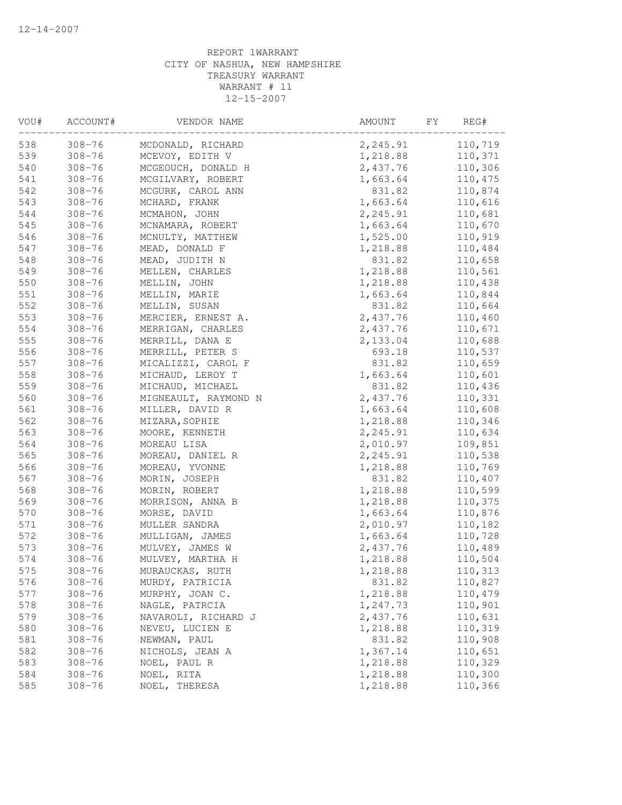| VOU# | ACCOUNT#   | VENDOR NAME          | AMOUNT<br>FΥ | REG#    |
|------|------------|----------------------|--------------|---------|
| 538  | $308 - 76$ | MCDONALD, RICHARD    | 2,245.91     | 110,719 |
| 539  | $308 - 76$ | MCEVOY, EDITH V      | 1,218.88     | 110,371 |
| 540  | $308 - 76$ | MCGEOUCH, DONALD H   | 2,437.76     | 110,306 |
| 541  | $308 - 76$ | MCGILVARY, ROBERT    | 1,663.64     | 110,475 |
| 542  | $308 - 76$ | MCGURK, CAROL ANN    | 831.82       | 110,874 |
| 543  | $308 - 76$ | MCHARD, FRANK        | 1,663.64     | 110,616 |
| 544  | $308 - 76$ | MCMAHON, JOHN        | 2,245.91     | 110,681 |
| 545  | $308 - 76$ | MCNAMARA, ROBERT     | 1,663.64     | 110,670 |
| 546  | $308 - 76$ | MCNULTY, MATTHEW     | 1,525.00     | 110,919 |
| 547  | $308 - 76$ | MEAD, DONALD F       | 1,218.88     | 110,484 |
| 548  | $308 - 76$ | MEAD, JUDITH N       | 831.82       | 110,658 |
| 549  | $308 - 76$ | MELLEN, CHARLES      | 1,218.88     | 110,561 |
| 550  | $308 - 76$ | MELLIN, JOHN         | 1,218.88     | 110,438 |
| 551  | $308 - 76$ | MELLIN, MARIE        | 1,663.64     | 110,844 |
| 552  | $308 - 76$ | MELLIN, SUSAN        | 831.82       | 110,664 |
| 553  | $308 - 76$ | MERCIER, ERNEST A.   | 2,437.76     | 110,460 |
| 554  | $308 - 76$ | MERRIGAN, CHARLES    | 2,437.76     | 110,671 |
| 555  | $308 - 76$ | MERRILL, DANA E      | 2,133.04     | 110,688 |
| 556  | $308 - 76$ | MERRILL, PETER S     | 693.18       | 110,537 |
| 557  | $308 - 76$ | MICALIZZI, CAROL F   | 831.82       | 110,659 |
| 558  | $308 - 76$ | MICHAUD, LEROY T     | 1,663.64     | 110,601 |
| 559  | $308 - 76$ | MICHAUD, MICHAEL     | 831.82       | 110,436 |
| 560  | $308 - 76$ | MIGNEAULT, RAYMOND N | 2,437.76     | 110,331 |
| 561  | $308 - 76$ | MILLER, DAVID R      | 1,663.64     | 110,608 |
| 562  | $308 - 76$ | MIZARA, SOPHIE       | 1,218.88     | 110,346 |
| 563  | $308 - 76$ | MOORE, KENNETH       | 2,245.91     | 110,634 |
| 564  | $308 - 76$ | MOREAU LISA          | 2,010.97     | 109,851 |
| 565  | $308 - 76$ | MOREAU, DANIEL R     | 2,245.91     | 110,538 |
| 566  | $308 - 76$ | MOREAU, YVONNE       | 1,218.88     | 110,769 |
| 567  | $308 - 76$ | MORIN, JOSEPH        | 831.82       | 110,407 |
| 568  | $308 - 76$ | MORIN, ROBERT        | 1,218.88     | 110,599 |
| 569  | $308 - 76$ | MORRISON, ANNA B     | 1,218.88     | 110,375 |
| 570  | $308 - 76$ | MORSE, DAVID         | 1,663.64     | 110,876 |
| 571  | $308 - 76$ | MULLER SANDRA        | 2,010.97     | 110,182 |
| 572  | $308 - 76$ | MULLIGAN, JAMES      | 1,663.64     | 110,728 |
| 573  | $308 - 76$ | MULVEY, JAMES W      | 2,437.76     | 110,489 |
| 574  | $308 - 76$ | MULVEY, MARTHA H     | 1,218.88     | 110,504 |
| 575  | $308 - 76$ | MURAUCKAS, RUTH      | 1,218.88     | 110,313 |
| 576  | $308 - 76$ | MURDY, PATRICIA      | 831.82       | 110,827 |
| 577  | $308 - 76$ | MURPHY, JOAN C.      | 1,218.88     | 110,479 |
| 578  | $308 - 76$ | NAGLE, PATRCIA       | 1,247.73     | 110,901 |
| 579  | $308 - 76$ | NAVAROLI, RICHARD J  | 2,437.76     | 110,631 |
| 580  | $308 - 76$ | NEVEU, LUCIEN E      | 1,218.88     | 110,319 |
| 581  | $308 - 76$ | NEWMAN, PAUL         | 831.82       | 110,908 |
| 582  | $308 - 76$ | NICHOLS, JEAN A      | 1,367.14     | 110,651 |
| 583  | $308 - 76$ | NOEL, PAUL R         | 1,218.88     | 110,329 |
| 584  | $308 - 76$ | NOEL, RITA           | 1,218.88     | 110,300 |
| 585  | $308 - 76$ | NOEL, THERESA        | 1,218.88     | 110,366 |
|      |            |                      |              |         |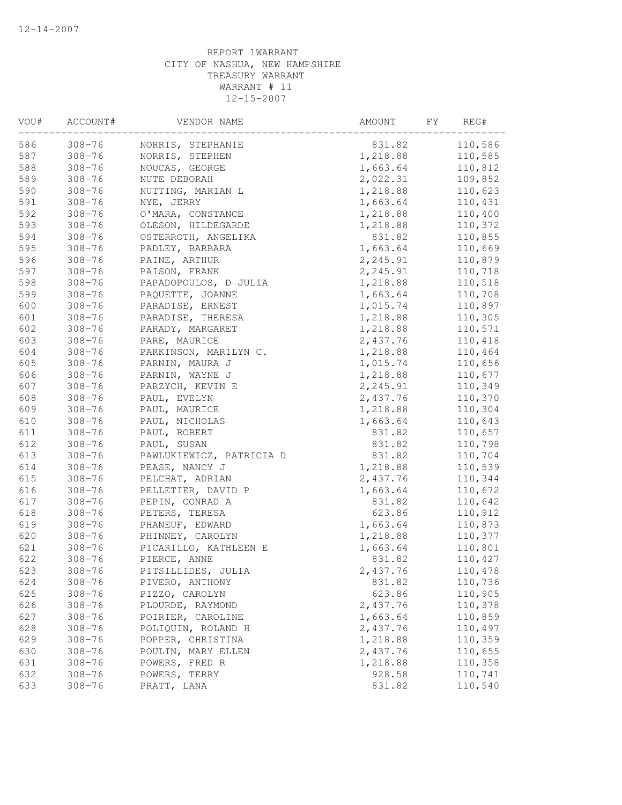| VOU# | ACCOUNT#   | VENDOR NAME              | AMOUNT   | FY.<br>REG# |
|------|------------|--------------------------|----------|-------------|
| 586  | $308 - 76$ | NORRIS, STEPHANIE        | 831.82   | 110,586     |
| 587  | $308 - 76$ | NORRIS, STEPHEN          | 1,218.88 | 110,585     |
| 588  | $308 - 76$ | NOUCAS, GEORGE           | 1,663.64 | 110,812     |
| 589  | $308 - 76$ | NUTE DEBORAH             | 2,022.31 | 109,852     |
| 590  | $308 - 76$ | NUTTING, MARIAN L        | 1,218.88 | 110,623     |
| 591  | $308 - 76$ | NYE, JERRY               | 1,663.64 | 110,431     |
| 592  | $308 - 76$ | O'MARA, CONSTANCE        | 1,218.88 | 110,400     |
| 593  | $308 - 76$ | OLESON, HILDEGARDE       | 1,218.88 | 110,372     |
| 594  | $308 - 76$ | OSTERROTH, ANGELIKA      | 831.82   | 110,855     |
| 595  | $308 - 76$ | PADLEY, BARBARA          | 1,663.64 | 110,669     |
| 596  | $308 - 76$ | PAINE, ARTHUR            | 2,245.91 | 110,879     |
| 597  | $308 - 76$ | PAISON, FRANK            | 2,245.91 | 110,718     |
| 598  | $308 - 76$ | PAPADOPOULOS, D JULIA    | 1,218.88 | 110,518     |
| 599  | $308 - 76$ | PAQUETTE, JOANNE         | 1,663.64 | 110,708     |
| 600  | $308 - 76$ | PARADISE, ERNEST         | 1,015.74 | 110,897     |
| 601  | $308 - 76$ | PARADISE, THERESA        | 1,218.88 | 110,305     |
| 602  | $308 - 76$ | PARADY, MARGARET         | 1,218.88 | 110,571     |
| 603  | $308 - 76$ | PARE, MAURICE            | 2,437.76 | 110,418     |
| 604  | $308 - 76$ | PARKINSON, MARILYN C.    | 1,218.88 | 110,464     |
| 605  | $308 - 76$ | PARNIN, MAURA J          | 1,015.74 | 110,656     |
| 606  | $308 - 76$ | PARNIN, WAYNE J          | 1,218.88 | 110,677     |
| 607  | $308 - 76$ | PARZYCH, KEVIN E         | 2,245.91 | 110,349     |
| 608  | $308 - 76$ | PAUL, EVELYN             | 2,437.76 | 110,370     |
| 609  | $308 - 76$ | PAUL, MAURICE            | 1,218.88 | 110,304     |
| 610  | $308 - 76$ | PAUL, NICHOLAS           | 1,663.64 | 110,643     |
| 611  | $308 - 76$ | PAUL, ROBERT             | 831.82   | 110,657     |
| 612  | $308 - 76$ | PAUL, SUSAN              | 831.82   | 110,798     |
| 613  | $308 - 76$ | PAWLUKIEWICZ, PATRICIA D | 831.82   | 110,704     |
| 614  | $308 - 76$ | PEASE, NANCY J           | 1,218.88 | 110,539     |
| 615  | $308 - 76$ | PELCHAT, ADRIAN          | 2,437.76 | 110,344     |
| 616  | $308 - 76$ | PELLETIER, DAVID P       | 1,663.64 | 110,672     |
| 617  | $308 - 76$ | PEPIN, CONRAD A          | 831.82   | 110,642     |
| 618  | $308 - 76$ | PETERS, TERESA           | 623.86   | 110,912     |
| 619  | $308 - 76$ | PHANEUF, EDWARD          | 1,663.64 | 110,873     |
| 620  | $308 - 76$ | PHINNEY, CAROLYN         | 1,218.88 | 110,377     |
| 621  | $308 - 76$ | PICARILLO, KATHLEEN E    | 1,663.64 | 110,801     |
| 622  | $308 - 76$ | PIERCE, ANNE             | 831.82   | 110,427     |
| 623  | $308 - 76$ | PITSILLIDES, JULIA       | 2,437.76 | 110,478     |
| 624  | $308 - 76$ | PIVERO, ANTHONY          | 831.82   | 110,736     |
| 625  | $308 - 76$ | PIZZO, CAROLYN           | 623.86   | 110,905     |
| 626  | $308 - 76$ | PLOURDE, RAYMOND         | 2,437.76 | 110,378     |
| 627  | $308 - 76$ | POIRIER, CAROLINE        | 1,663.64 | 110,859     |
| 628  | $308 - 76$ | POLIQUIN, ROLAND H       | 2,437.76 | 110,497     |
| 629  | $308 - 76$ | POPPER, CHRISTINA        | 1,218.88 | 110,359     |
| 630  | $308 - 76$ | POULIN, MARY ELLEN       | 2,437.76 | 110,655     |
| 631  | $308 - 76$ | POWERS, FRED R           | 1,218.88 | 110,358     |
| 632  | $308 - 76$ | POWERS, TERRY            | 928.58   | 110,741     |
| 633  | $308 - 76$ | PRATT, LANA              | 831.82   | 110,540     |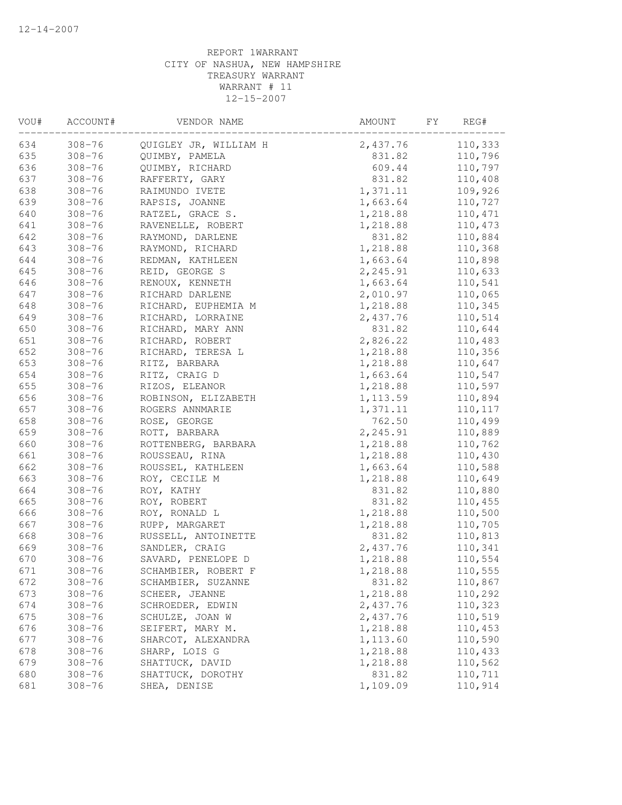| VOU# | ACCOUNT#   | VENDOR NAME           | AMOUNT<br>FY | REG#    |
|------|------------|-----------------------|--------------|---------|
| 634  | $308 - 76$ | QUIGLEY JR, WILLIAM H | 2,437.76     | 110,333 |
| 635  | $308 - 76$ | QUIMBY, PAMELA        | 831.82       | 110,796 |
| 636  | $308 - 76$ | QUIMBY, RICHARD       | 609.44       | 110,797 |
| 637  | $308 - 76$ | RAFFERTY, GARY        | 831.82       | 110,408 |
| 638  | $308 - 76$ | RAIMUNDO IVETE        | 1,371.11     | 109,926 |
| 639  | $308 - 76$ | RAPSIS, JOANNE        | 1,663.64     | 110,727 |
| 640  | $308 - 76$ | RATZEL, GRACE S.      | 1,218.88     | 110,471 |
| 641  | $308 - 76$ | RAVENELLE, ROBERT     | 1,218.88     | 110,473 |
| 642  | $308 - 76$ | RAYMOND, DARLENE      | 831.82       | 110,884 |
| 643  | $308 - 76$ | RAYMOND, RICHARD      | 1,218.88     | 110,368 |
| 644  | $308 - 76$ | REDMAN, KATHLEEN      | 1,663.64     | 110,898 |
| 645  | $308 - 76$ | REID, GEORGE S        | 2,245.91     | 110,633 |
| 646  | $308 - 76$ | RENOUX, KENNETH       | 1,663.64     | 110,541 |
| 647  | $308 - 76$ | RICHARD DARLENE       | 2,010.97     | 110,065 |
| 648  | $308 - 76$ | RICHARD, EUPHEMIA M   | 1,218.88     | 110,345 |
| 649  | $308 - 76$ | RICHARD, LORRAINE     | 2,437.76     | 110,514 |
| 650  | $308 - 76$ | RICHARD, MARY ANN     | 831.82       | 110,644 |
| 651  | $308 - 76$ | RICHARD, ROBERT       | 2,826.22     | 110,483 |
| 652  | $308 - 76$ | RICHARD, TERESA L     | 1,218.88     | 110,356 |
| 653  | $308 - 76$ | RITZ, BARBARA         | 1,218.88     | 110,647 |
| 654  | $308 - 76$ | RITZ, CRAIG D         | 1,663.64     | 110,547 |
| 655  | $308 - 76$ | RIZOS, ELEANOR        | 1,218.88     | 110,597 |
| 656  | $308 - 76$ | ROBINSON, ELIZABETH   | 1,113.59     | 110,894 |
| 657  | $308 - 76$ | ROGERS ANNMARIE       | 1,371.11     | 110,117 |
| 658  | $308 - 76$ | ROSE, GEORGE          | 762.50       | 110,499 |
| 659  | $308 - 76$ | ROTT, BARBARA         | 2,245.91     | 110,889 |
| 660  | $308 - 76$ | ROTTENBERG, BARBARA   | 1,218.88     | 110,762 |
| 661  | $308 - 76$ | ROUSSEAU, RINA        | 1,218.88     | 110,430 |
| 662  | $308 - 76$ | ROUSSEL, KATHLEEN     | 1,663.64     | 110,588 |
| 663  | $308 - 76$ | ROY, CECILE M         | 1,218.88     | 110,649 |
| 664  | $308 - 76$ | ROY, KATHY            | 831.82       | 110,880 |
| 665  | $308 - 76$ | ROY, ROBERT           | 831.82       | 110,455 |
| 666  | $308 - 76$ | ROY, RONALD L         | 1,218.88     | 110,500 |
| 667  | $308 - 76$ | RUPP, MARGARET        | 1,218.88     | 110,705 |
| 668  | $308 - 76$ | RUSSELL, ANTOINETTE   | 831.82       | 110,813 |
| 669  | $308 - 76$ | SANDLER, CRAIG        | 2,437.76     | 110,341 |
| 670  | $308 - 76$ | SAVARD, PENELOPE D    | 1,218.88     | 110,554 |
| 671  | $308 - 76$ | SCHAMBIER, ROBERT F   | 1,218.88     | 110,555 |
| 672  | $308 - 76$ | SCHAMBIER, SUZANNE    | 831.82       | 110,867 |
| 673  | $308 - 76$ | SCHEER, JEANNE        | 1,218.88     | 110,292 |
| 674  | $308 - 76$ | SCHROEDER, EDWIN      | 2,437.76     | 110,323 |
| 675  | $308 - 76$ | SCHULZE, JOAN W       | 2,437.76     | 110,519 |
| 676  | $308 - 76$ | SEIFERT, MARY M.      | 1,218.88     | 110,453 |
| 677  | $308 - 76$ | SHARCOT, ALEXANDRA    | 1,113.60     | 110,590 |
| 678  | $308 - 76$ | SHARP, LOIS G         | 1,218.88     | 110,433 |
| 679  | $308 - 76$ | SHATTUCK, DAVID       | 1,218.88     | 110,562 |
| 680  | $308 - 76$ | SHATTUCK, DOROTHY     | 831.82       | 110,711 |
| 681  | $308 - 76$ | SHEA, DENISE          | 1,109.09     | 110,914 |
|      |            |                       |              |         |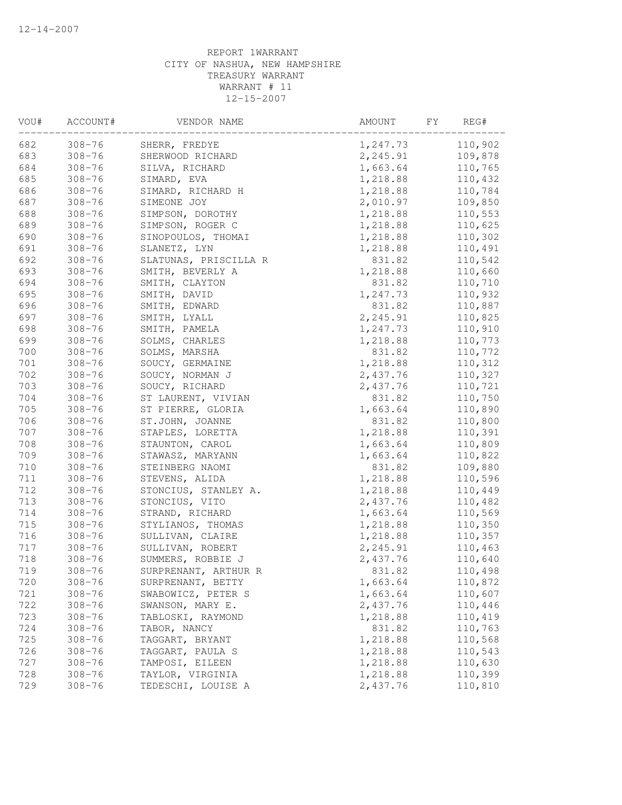| VOU# | ACCOUNT#   | VENDOR NAME           | AMOUNT<br>FY.        | REG#    |
|------|------------|-----------------------|----------------------|---------|
| 682  | $308 - 76$ | SHERR, FREDYE         | 1,247.73             | 110,902 |
| 683  | $308 - 76$ | SHERWOOD RICHARD      | 2,245.91             | 109,878 |
| 684  | $308 - 76$ | SILVA, RICHARD        | 1,663.64             | 110,765 |
| 685  | $308 - 76$ | SIMARD, EVA           | 1,218.88             | 110,432 |
| 686  | $308 - 76$ | SIMARD, RICHARD H     | 1,218.88             | 110,784 |
| 687  | $308 - 76$ | SIMEONE JOY           | 2,010.97             | 109,850 |
| 688  | $308 - 76$ | SIMPSON, DOROTHY      | 1,218.88             | 110,553 |
| 689  | $308 - 76$ | SIMPSON, ROGER C      | 1,218.88             | 110,625 |
| 690  | $308 - 76$ | SINOPOULOS, THOMAI    | 1,218.88             | 110,302 |
| 691  | $308 - 76$ | SLANETZ, LYN          | 1,218.88             | 110,491 |
| 692  | $308 - 76$ | SLATUNAS, PRISCILLA R | 831.82               | 110,542 |
| 693  | $308 - 76$ | SMITH, BEVERLY A      | 1,218.88             | 110,660 |
| 694  | $308 - 76$ | SMITH, CLAYTON        | 831.82               | 110,710 |
| 695  | $308 - 76$ | SMITH, DAVID          | 1,247.73             | 110,932 |
| 696  | $308 - 76$ | SMITH, EDWARD         | 831.82               | 110,887 |
| 697  | $308 - 76$ | SMITH, LYALL          | 2,245.91             | 110,825 |
| 698  | $308 - 76$ | SMITH, PAMELA         | 1,247.73             | 110,910 |
| 699  | $308 - 76$ | SOLMS, CHARLES        | 1,218.88             | 110,773 |
| 700  | $308 - 76$ | SOLMS, MARSHA         | 831.82               | 110,772 |
| 701  | $308 - 76$ | SOUCY, GERMAINE       | 1,218.88             | 110,312 |
| 702  | $308 - 76$ | SOUCY, NORMAN J       | 2,437.76             | 110,327 |
| 703  | $308 - 76$ | SOUCY, RICHARD        | 2,437.76             | 110,721 |
| 704  | $308 - 76$ | ST LAURENT, VIVIAN    | 831.82               | 110,750 |
| 705  | $308 - 76$ | ST PIERRE, GLORIA     | 1,663.64             | 110,890 |
| 706  | $308 - 76$ | ST.JOHN, JOANNE       | 831.82               | 110,800 |
| 707  | $308 - 76$ | STAPLES, LORETTA      | 1,218.88             | 110,391 |
| 708  | $308 - 76$ | STAUNTON, CAROL       | 1,663.64             | 110,809 |
| 709  | $308 - 76$ | STAWASZ, MARYANN      | 1,663.64             | 110,822 |
| 710  | $308 - 76$ | STEINBERG NAOMI       | 831.82               | 109,880 |
| 711  | $308 - 76$ | STEVENS, ALIDA        | 1,218.88             | 110,596 |
| 712  | $308 - 76$ |                       |                      | 110,449 |
| 713  | $308 - 76$ | STONCIUS, STANLEY A.  | 1,218.88<br>2,437.76 | 110,482 |
|      |            | STONCIUS, VITO        |                      |         |
| 714  | $308 - 76$ | STRAND, RICHARD       | 1,663.64             | 110,569 |
| 715  | $308 - 76$ | STYLIANOS, THOMAS     | 1,218.88             | 110,350 |
| 716  | $308 - 76$ | SULLIVAN, CLAIRE      | 1,218.88             | 110,357 |
| 717  | $308 - 76$ | SULLIVAN, ROBERT      | 2,245.91             | 110,463 |
| 718  | $308 - 76$ | SUMMERS, ROBBIE J     | 2,437.76             | 110,640 |
| 719  | $308 - 76$ | SURPRENANT, ARTHUR R  | 831.82               | 110,498 |
| 720  | $308 - 76$ | SURPRENANT, BETTY     | 1,663.64             | 110,872 |
| 721  | $308 - 76$ | SWABOWICZ, PETER S    | 1,663.64             | 110,607 |
| 722  | $308 - 76$ | SWANSON, MARY E.      | 2,437.76             | 110,446 |
| 723  | $308 - 76$ | TABLOSKI, RAYMOND     | 1,218.88             | 110,419 |
| 724  | $308 - 76$ | TABOR, NANCY          | 831.82               | 110,763 |
| 725  | $308 - 76$ | TAGGART, BRYANT       | 1,218.88             | 110,568 |
| 726  | $308 - 76$ | TAGGART, PAULA S      | 1,218.88             | 110,543 |
| 727  | $308 - 76$ | TAMPOSI, EILEEN       | 1,218.88             | 110,630 |
| 728  | $308 - 76$ | TAYLOR, VIRGINIA      | 1,218.88             | 110,399 |
| 729  | $308 - 76$ | TEDESCHI, LOUISE A    | 2,437.76             | 110,810 |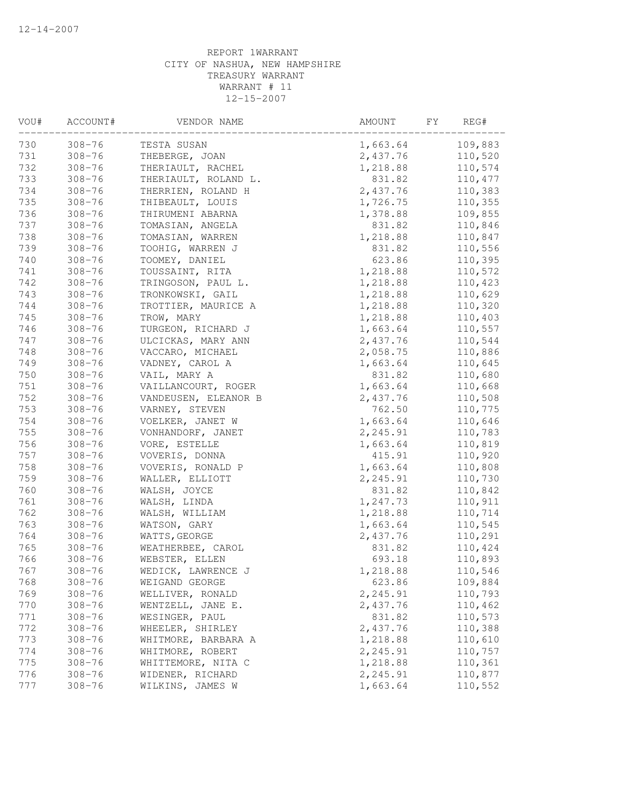| 730<br>109,883<br>$308 - 76$<br>1,663.64<br>TESTA SUSAN<br>731<br>2,437.76<br>110,520<br>$308 - 76$<br>THEBERGE, JOAN<br>732<br>$308 - 76$<br>1,218.88<br>110,574<br>THERIAULT, RACHEL<br>733<br>$308 - 76$<br>THERIAULT, ROLAND L.<br>831.82<br>110,477<br>734<br>$308 - 76$<br>2,437.76<br>THERRIEN, ROLAND H<br>110,383<br>735<br>$308 - 76$<br>THIBEAULT, LOUIS<br>1,726.75<br>110,355<br>736<br>$308 - 76$<br>1,378.88<br>109,855<br>THIRUMENI ABARNA<br>737<br>$308 - 76$<br>831.82<br>110,846<br>TOMASIAN, ANGELA<br>738<br>$308 - 76$<br>TOMASIAN, WARREN<br>110,847<br>1,218.88<br>739<br>$308 - 76$<br>TOOHIG, WARREN J<br>831.82<br>110,556<br>740<br>$308 - 76$<br>TOOMEY, DANIEL<br>623.86<br>110,395<br>741<br>$308 - 76$<br>1,218.88<br>TOUSSAINT, RITA<br>110,572<br>742<br>$308 - 76$<br>110,423<br>TRINGOSON, PAUL L.<br>1,218.88<br>743<br>$308 - 76$<br>1,218.88<br>110,629<br>TRONKOWSKI, GAIL<br>1,218.88<br>110,320<br>744<br>$308 - 76$<br>TROTTIER, MAURICE A<br>745<br>110,403<br>$308 - 76$<br>TROW, MARY<br>1,218.88<br>110,557<br>746<br>$308 - 76$<br>1,663.64<br>TURGEON, RICHARD J<br>747<br>$308 - 76$<br>2,437.76<br>110,544<br>ULCICKAS, MARY ANN<br>748<br>$308 - 76$<br>VACCARO, MICHAEL<br>2,058.75<br>110,886<br>749<br>$308 - 76$<br>VADNEY, CAROL A<br>1,663.64<br>110,645<br>750<br>$308 - 76$<br>831.82<br>110,680<br>VAIL, MARY A<br>751<br>$308 - 76$<br>1,663.64<br>VAILLANCOURT, ROGER<br>110,668<br>752<br>$308 - 76$<br>2,437.76<br>VANDEUSEN, ELEANOR B<br>110,508 | REG# |
|----------------------------------------------------------------------------------------------------------------------------------------------------------------------------------------------------------------------------------------------------------------------------------------------------------------------------------------------------------------------------------------------------------------------------------------------------------------------------------------------------------------------------------------------------------------------------------------------------------------------------------------------------------------------------------------------------------------------------------------------------------------------------------------------------------------------------------------------------------------------------------------------------------------------------------------------------------------------------------------------------------------------------------------------------------------------------------------------------------------------------------------------------------------------------------------------------------------------------------------------------------------------------------------------------------------------------------------------------------------------------------------------------------------------------------------------------------------------------------------------------------------------|------|
|                                                                                                                                                                                                                                                                                                                                                                                                                                                                                                                                                                                                                                                                                                                                                                                                                                                                                                                                                                                                                                                                                                                                                                                                                                                                                                                                                                                                                                                                                                                      |      |
|                                                                                                                                                                                                                                                                                                                                                                                                                                                                                                                                                                                                                                                                                                                                                                                                                                                                                                                                                                                                                                                                                                                                                                                                                                                                                                                                                                                                                                                                                                                      |      |
|                                                                                                                                                                                                                                                                                                                                                                                                                                                                                                                                                                                                                                                                                                                                                                                                                                                                                                                                                                                                                                                                                                                                                                                                                                                                                                                                                                                                                                                                                                                      |      |
|                                                                                                                                                                                                                                                                                                                                                                                                                                                                                                                                                                                                                                                                                                                                                                                                                                                                                                                                                                                                                                                                                                                                                                                                                                                                                                                                                                                                                                                                                                                      |      |
|                                                                                                                                                                                                                                                                                                                                                                                                                                                                                                                                                                                                                                                                                                                                                                                                                                                                                                                                                                                                                                                                                                                                                                                                                                                                                                                                                                                                                                                                                                                      |      |
|                                                                                                                                                                                                                                                                                                                                                                                                                                                                                                                                                                                                                                                                                                                                                                                                                                                                                                                                                                                                                                                                                                                                                                                                                                                                                                                                                                                                                                                                                                                      |      |
|                                                                                                                                                                                                                                                                                                                                                                                                                                                                                                                                                                                                                                                                                                                                                                                                                                                                                                                                                                                                                                                                                                                                                                                                                                                                                                                                                                                                                                                                                                                      |      |
|                                                                                                                                                                                                                                                                                                                                                                                                                                                                                                                                                                                                                                                                                                                                                                                                                                                                                                                                                                                                                                                                                                                                                                                                                                                                                                                                                                                                                                                                                                                      |      |
|                                                                                                                                                                                                                                                                                                                                                                                                                                                                                                                                                                                                                                                                                                                                                                                                                                                                                                                                                                                                                                                                                                                                                                                                                                                                                                                                                                                                                                                                                                                      |      |
|                                                                                                                                                                                                                                                                                                                                                                                                                                                                                                                                                                                                                                                                                                                                                                                                                                                                                                                                                                                                                                                                                                                                                                                                                                                                                                                                                                                                                                                                                                                      |      |
|                                                                                                                                                                                                                                                                                                                                                                                                                                                                                                                                                                                                                                                                                                                                                                                                                                                                                                                                                                                                                                                                                                                                                                                                                                                                                                                                                                                                                                                                                                                      |      |
|                                                                                                                                                                                                                                                                                                                                                                                                                                                                                                                                                                                                                                                                                                                                                                                                                                                                                                                                                                                                                                                                                                                                                                                                                                                                                                                                                                                                                                                                                                                      |      |
|                                                                                                                                                                                                                                                                                                                                                                                                                                                                                                                                                                                                                                                                                                                                                                                                                                                                                                                                                                                                                                                                                                                                                                                                                                                                                                                                                                                                                                                                                                                      |      |
|                                                                                                                                                                                                                                                                                                                                                                                                                                                                                                                                                                                                                                                                                                                                                                                                                                                                                                                                                                                                                                                                                                                                                                                                                                                                                                                                                                                                                                                                                                                      |      |
|                                                                                                                                                                                                                                                                                                                                                                                                                                                                                                                                                                                                                                                                                                                                                                                                                                                                                                                                                                                                                                                                                                                                                                                                                                                                                                                                                                                                                                                                                                                      |      |
|                                                                                                                                                                                                                                                                                                                                                                                                                                                                                                                                                                                                                                                                                                                                                                                                                                                                                                                                                                                                                                                                                                                                                                                                                                                                                                                                                                                                                                                                                                                      |      |
|                                                                                                                                                                                                                                                                                                                                                                                                                                                                                                                                                                                                                                                                                                                                                                                                                                                                                                                                                                                                                                                                                                                                                                                                                                                                                                                                                                                                                                                                                                                      |      |
|                                                                                                                                                                                                                                                                                                                                                                                                                                                                                                                                                                                                                                                                                                                                                                                                                                                                                                                                                                                                                                                                                                                                                                                                                                                                                                                                                                                                                                                                                                                      |      |
|                                                                                                                                                                                                                                                                                                                                                                                                                                                                                                                                                                                                                                                                                                                                                                                                                                                                                                                                                                                                                                                                                                                                                                                                                                                                                                                                                                                                                                                                                                                      |      |
|                                                                                                                                                                                                                                                                                                                                                                                                                                                                                                                                                                                                                                                                                                                                                                                                                                                                                                                                                                                                                                                                                                                                                                                                                                                                                                                                                                                                                                                                                                                      |      |
|                                                                                                                                                                                                                                                                                                                                                                                                                                                                                                                                                                                                                                                                                                                                                                                                                                                                                                                                                                                                                                                                                                                                                                                                                                                                                                                                                                                                                                                                                                                      |      |
|                                                                                                                                                                                                                                                                                                                                                                                                                                                                                                                                                                                                                                                                                                                                                                                                                                                                                                                                                                                                                                                                                                                                                                                                                                                                                                                                                                                                                                                                                                                      |      |
|                                                                                                                                                                                                                                                                                                                                                                                                                                                                                                                                                                                                                                                                                                                                                                                                                                                                                                                                                                                                                                                                                                                                                                                                                                                                                                                                                                                                                                                                                                                      |      |
| 753<br>762.50<br>$308 - 76$<br>VARNEY, STEVEN<br>110,775                                                                                                                                                                                                                                                                                                                                                                                                                                                                                                                                                                                                                                                                                                                                                                                                                                                                                                                                                                                                                                                                                                                                                                                                                                                                                                                                                                                                                                                             |      |
| 754<br>$308 - 76$<br>1,663.64<br>110,646<br>VOELKER, JANET W                                                                                                                                                                                                                                                                                                                                                                                                                                                                                                                                                                                                                                                                                                                                                                                                                                                                                                                                                                                                                                                                                                                                                                                                                                                                                                                                                                                                                                                         |      |
| 755<br>$308 - 76$<br>2,245.91<br>110,783<br>VONHANDORF, JANET                                                                                                                                                                                                                                                                                                                                                                                                                                                                                                                                                                                                                                                                                                                                                                                                                                                                                                                                                                                                                                                                                                                                                                                                                                                                                                                                                                                                                                                        |      |
| 756<br>$308 - 76$<br>110,819<br>VORE, ESTELLE<br>1,663.64                                                                                                                                                                                                                                                                                                                                                                                                                                                                                                                                                                                                                                                                                                                                                                                                                                                                                                                                                                                                                                                                                                                                                                                                                                                                                                                                                                                                                                                            |      |
| 757<br>$308 - 76$<br>415.91<br>VOVERIS, DONNA<br>110,920                                                                                                                                                                                                                                                                                                                                                                                                                                                                                                                                                                                                                                                                                                                                                                                                                                                                                                                                                                                                                                                                                                                                                                                                                                                                                                                                                                                                                                                             |      |
| 758<br>$308 - 76$<br>1,663.64<br>110,808<br>VOVERIS, RONALD P                                                                                                                                                                                                                                                                                                                                                                                                                                                                                                                                                                                                                                                                                                                                                                                                                                                                                                                                                                                                                                                                                                                                                                                                                                                                                                                                                                                                                                                        |      |
| 759<br>$308 - 76$<br>WALLER, ELLIOTT<br>2,245.91<br>110,730                                                                                                                                                                                                                                                                                                                                                                                                                                                                                                                                                                                                                                                                                                                                                                                                                                                                                                                                                                                                                                                                                                                                                                                                                                                                                                                                                                                                                                                          |      |
| 760<br>$308 - 76$<br>831.82<br>110,842<br>WALSH, JOYCE                                                                                                                                                                                                                                                                                                                                                                                                                                                                                                                                                                                                                                                                                                                                                                                                                                                                                                                                                                                                                                                                                                                                                                                                                                                                                                                                                                                                                                                               |      |
| 761<br>$308 - 76$<br>1,247.73<br>110,911<br>WALSH, LINDA                                                                                                                                                                                                                                                                                                                                                                                                                                                                                                                                                                                                                                                                                                                                                                                                                                                                                                                                                                                                                                                                                                                                                                                                                                                                                                                                                                                                                                                             |      |
| 762<br>$308 - 76$<br>1,218.88<br>110,714<br>WALSH, WILLIAM                                                                                                                                                                                                                                                                                                                                                                                                                                                                                                                                                                                                                                                                                                                                                                                                                                                                                                                                                                                                                                                                                                                                                                                                                                                                                                                                                                                                                                                           |      |
| 763<br>110,545<br>$308 - 76$<br>1,663.64<br>WATSON, GARY                                                                                                                                                                                                                                                                                                                                                                                                                                                                                                                                                                                                                                                                                                                                                                                                                                                                                                                                                                                                                                                                                                                                                                                                                                                                                                                                                                                                                                                             |      |
| 764<br>$308 - 76$<br>2,437.76<br>110,291<br>WATTS, GEORGE                                                                                                                                                                                                                                                                                                                                                                                                                                                                                                                                                                                                                                                                                                                                                                                                                                                                                                                                                                                                                                                                                                                                                                                                                                                                                                                                                                                                                                                            |      |
| 765<br>$308 - 76$<br>110,424<br>WEATHERBEE, CAROL<br>831.82                                                                                                                                                                                                                                                                                                                                                                                                                                                                                                                                                                                                                                                                                                                                                                                                                                                                                                                                                                                                                                                                                                                                                                                                                                                                                                                                                                                                                                                          |      |
| 766<br>$308 - 76$<br>693.18<br>110,893<br>WEBSTER, ELLEN                                                                                                                                                                                                                                                                                                                                                                                                                                                                                                                                                                                                                                                                                                                                                                                                                                                                                                                                                                                                                                                                                                                                                                                                                                                                                                                                                                                                                                                             |      |
| 767<br>$308 - 76$<br>WEDICK, LAWRENCE J<br>1,218.88<br>110,546                                                                                                                                                                                                                                                                                                                                                                                                                                                                                                                                                                                                                                                                                                                                                                                                                                                                                                                                                                                                                                                                                                                                                                                                                                                                                                                                                                                                                                                       |      |
| 768<br>$308 - 76$<br>623.86<br>109,884<br>WEIGAND GEORGE                                                                                                                                                                                                                                                                                                                                                                                                                                                                                                                                                                                                                                                                                                                                                                                                                                                                                                                                                                                                                                                                                                                                                                                                                                                                                                                                                                                                                                                             |      |
| 769<br>$308 - 76$<br>2,245.91<br>110,793<br>WELLIVER, RONALD                                                                                                                                                                                                                                                                                                                                                                                                                                                                                                                                                                                                                                                                                                                                                                                                                                                                                                                                                                                                                                                                                                                                                                                                                                                                                                                                                                                                                                                         |      |
| 770<br>$308 - 76$<br>WENTZELL, JANE E.<br>2,437.76<br>110,462                                                                                                                                                                                                                                                                                                                                                                                                                                                                                                                                                                                                                                                                                                                                                                                                                                                                                                                                                                                                                                                                                                                                                                                                                                                                                                                                                                                                                                                        |      |
| 771<br>$308 - 76$<br>WESINGER, PAUL<br>831.82<br>110,573                                                                                                                                                                                                                                                                                                                                                                                                                                                                                                                                                                                                                                                                                                                                                                                                                                                                                                                                                                                                                                                                                                                                                                                                                                                                                                                                                                                                                                                             |      |
| 772<br>WHEELER, SHIRLEY<br>2,437.76<br>110,388<br>$308 - 76$                                                                                                                                                                                                                                                                                                                                                                                                                                                                                                                                                                                                                                                                                                                                                                                                                                                                                                                                                                                                                                                                                                                                                                                                                                                                                                                                                                                                                                                         |      |
| 773<br>$308 - 76$<br>WHITMORE, BARBARA A<br>1,218.88<br>110,610                                                                                                                                                                                                                                                                                                                                                                                                                                                                                                                                                                                                                                                                                                                                                                                                                                                                                                                                                                                                                                                                                                                                                                                                                                                                                                                                                                                                                                                      |      |
| 774<br>WHITMORE, ROBERT<br>2,245.91<br>110,757<br>$308 - 76$                                                                                                                                                                                                                                                                                                                                                                                                                                                                                                                                                                                                                                                                                                                                                                                                                                                                                                                                                                                                                                                                                                                                                                                                                                                                                                                                                                                                                                                         |      |
| 775<br>1,218.88<br>$308 - 76$<br>WHITTEMORE, NITA C<br>110,361                                                                                                                                                                                                                                                                                                                                                                                                                                                                                                                                                                                                                                                                                                                                                                                                                                                                                                                                                                                                                                                                                                                                                                                                                                                                                                                                                                                                                                                       |      |
| 2,245.91<br>110,877<br>776<br>$308 - 76$<br>WIDENER, RICHARD                                                                                                                                                                                                                                                                                                                                                                                                                                                                                                                                                                                                                                                                                                                                                                                                                                                                                                                                                                                                                                                                                                                                                                                                                                                                                                                                                                                                                                                         |      |
| 777<br>$308 - 76$<br>1,663.64<br>110,552<br>WILKINS, JAMES W                                                                                                                                                                                                                                                                                                                                                                                                                                                                                                                                                                                                                                                                                                                                                                                                                                                                                                                                                                                                                                                                                                                                                                                                                                                                                                                                                                                                                                                         |      |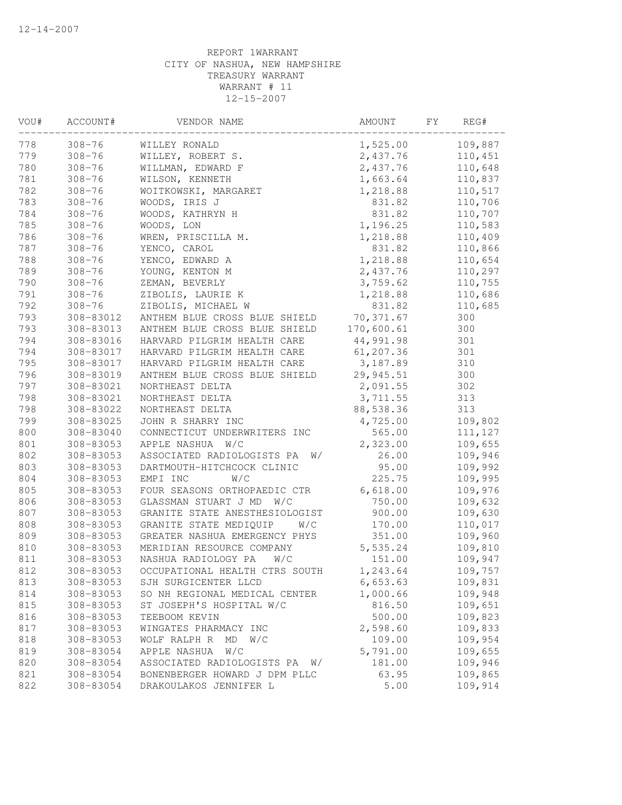| VOU# | ACCOUNT#   | VENDOR NAME                      | AMOUNT     | FY | REG#    |  |
|------|------------|----------------------------------|------------|----|---------|--|
| 778  | $308 - 76$ | WILLEY RONALD                    | 1,525.00   |    | 109,887 |  |
| 779  | $308 - 76$ | WILLEY, ROBERT S.                | 2,437.76   |    | 110,451 |  |
| 780  | $308 - 76$ | WILLMAN, EDWARD F                | 2,437.76   |    | 110,648 |  |
| 781  | $308 - 76$ | WILSON, KENNETH                  | 1,663.64   |    | 110,837 |  |
| 782  | $308 - 76$ | WOITKOWSKI, MARGARET             | 1,218.88   |    | 110,517 |  |
| 783  | $308 - 76$ | WOODS, IRIS J                    | 831.82     |    | 110,706 |  |
| 784  | $308 - 76$ | WOODS, KATHRYN H                 | 831.82     |    | 110,707 |  |
| 785  | $308 - 76$ | WOODS, LON                       | 1,196.25   |    | 110,583 |  |
| 786  | $308 - 76$ | WREN, PRISCILLA M.               | 1,218.88   |    | 110,409 |  |
| 787  | $308 - 76$ | YENCO, CAROL                     | 831.82     |    | 110,866 |  |
| 788  | $308 - 76$ | YENCO, EDWARD A                  | 1,218.88   |    | 110,654 |  |
| 789  | $308 - 76$ | YOUNG, KENTON M                  | 2,437.76   |    | 110,297 |  |
| 790  | $308 - 76$ | ZEMAN, BEVERLY                   | 3,759.62   |    | 110,755 |  |
| 791  | $308 - 76$ | ZIBOLIS, LAURIE K                | 1,218.88   |    | 110,686 |  |
| 792  | $308 - 76$ | ZIBOLIS, MICHAEL W               | 831.82     |    | 110,685 |  |
| 793  | 308-83012  | ANTHEM BLUE CROSS BLUE SHIELD    | 70,371.67  |    | 300     |  |
| 793  | 308-83013  | ANTHEM BLUE CROSS BLUE SHIELD    | 170,600.61 |    | 300     |  |
| 794  | 308-83016  | HARVARD PILGRIM HEALTH CARE      | 44,991.98  |    | 301     |  |
| 794  | 308-83017  | HARVARD PILGRIM HEALTH CARE      | 61,207.36  |    | 301     |  |
| 795  | 308-83017  | HARVARD PILGRIM HEALTH CARE      | 3,187.89   |    | 310     |  |
| 796  | 308-83019  | ANTHEM BLUE CROSS BLUE SHIELD    | 29,945.51  |    | 300     |  |
| 797  | 308-83021  | NORTHEAST DELTA                  | 2,091.55   |    | 302     |  |
| 798  | 308-83021  | NORTHEAST DELTA                  | 3,711.55   |    | 313     |  |
| 798  | 308-83022  | NORTHEAST DELTA                  | 88,538.36  |    | 313     |  |
| 799  | 308-83025  | JOHN R SHARRY INC                | 4,725.00   |    | 109,802 |  |
| 800  | 308-83040  | CONNECTICUT UNDERWRITERS INC     | 565.00     |    | 111,127 |  |
| 801  | 308-83053  | APPLE NASHUA W/C                 | 2,323.00   |    | 109,655 |  |
| 802  | 308-83053  | ASSOCIATED RADIOLOGISTS PA<br>W/ | 26.00      |    | 109,946 |  |
| 803  | 308-83053  | DARTMOUTH-HITCHCOCK CLINIC       | 95.00      |    | 109,992 |  |
| 804  | 308-83053  | W/C<br>EMPI INC                  | 225.75     |    | 109,995 |  |
| 805  | 308-83053  | FOUR SEASONS ORTHOPAEDIC CTR     | 6,618.00   |    | 109,976 |  |
| 806  | 308-83053  | GLASSMAN STUART J MD<br>W/C      | 750.00     |    | 109,632 |  |
| 807  | 308-83053  | GRANITE STATE ANESTHESIOLOGIST   | 900.00     |    | 109,630 |  |
| 808  | 308-83053  | GRANITE STATE MEDIQUIP<br>W/C    | 170.00     |    | 110,017 |  |
| 809  | 308-83053  | GREATER NASHUA EMERGENCY PHYS    | 351.00     |    | 109,960 |  |
| 810  | 308-83053  | MERIDIAN RESOURCE COMPANY        | 5,535.24   |    | 109,810 |  |
| 811  | 308-83053  | NASHUA RADIOLOGY PA<br>W/C       | 151.00     |    | 109,947 |  |
| 812  | 308-83053  | OCCUPATIONAL HEALTH CTRS SOUTH   | 1,243.64   |    | 109,757 |  |
| 813  | 308-83053  | SJH SURGICENTER LLCD             | 6,653.63   |    | 109,831 |  |
| 814  | 308-83053  | SO NH REGIONAL MEDICAL CENTER    | 1,000.66   |    | 109,948 |  |
| 815  | 308-83053  | ST JOSEPH'S HOSPITAL W/C         | 816.50     |    | 109,651 |  |
| 816  | 308-83053  | TEEBOOM KEVIN                    | 500.00     |    | 109,823 |  |
| 817  | 308-83053  | WINGATES PHARMACY INC            | 2,598.60   |    | 109,833 |  |
| 818  | 308-83053  | WOLF RALPH R<br>W/C<br>MD        | 109.00     |    | 109,954 |  |
| 819  | 308-83054  | APPLE NASHUA<br>W/C              | 5,791.00   |    | 109,655 |  |
| 820  | 308-83054  | ASSOCIATED RADIOLOGISTS PA<br>W/ | 181.00     |    | 109,946 |  |
| 821  | 308-83054  | BONENBERGER HOWARD J DPM PLLC    | 63.95      |    | 109,865 |  |
| 822  | 308-83054  | DRAKOULAKOS JENNIFER L           | 5.00       |    | 109,914 |  |
|      |            |                                  |            |    |         |  |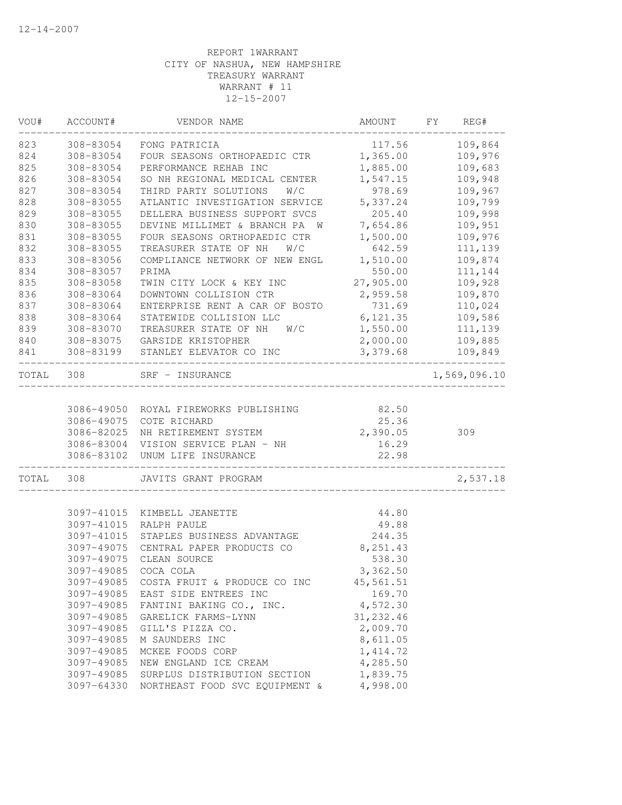| 109,864<br>308-83054<br>FONG PATRICIA<br>117.56<br>1,365.00<br>109,976<br>308-83054<br>FOUR SEASONS ORTHOPAEDIC CTR<br>109,683<br>308-83054<br>PERFORMANCE REHAB INC<br>1,885.00<br>109,948<br>308-83054<br>SO NH REGIONAL MEDICAL CENTER<br>1,547.15<br>308-83054<br>THIRD PARTY SOLUTIONS<br>W/C<br>978.69<br>109,967<br>ATLANTIC INVESTIGATION SERVICE<br>5,337.24<br>109,799<br>308-83055<br>109,998<br>308-83055<br>DELLERA BUSINESS SUPPORT SVCS<br>205.40<br>7,654.86<br>308-83055<br>DEVINE MILLIMET & BRANCH PA W<br>109,951<br>1,500.00<br>109,976<br>308-83055<br>FOUR SEASONS ORTHOPAEDIC CTR<br>642.59<br>111,139<br>308-83055<br>TREASURER STATE OF NH<br>W/C<br>1,510.00<br>109,874<br>308-83056<br>COMPLIANCE NETWORK OF NEW ENGL<br>308-83057<br>PRIMA<br>550.00<br>111,144<br>308-83058<br>TWIN CITY LOCK & KEY INC<br>27,905.00<br>109,928<br>308-83064<br>DOWNTOWN COLLISION CTR<br>2,959.58<br>109,870<br>731.69<br>308-83064<br>ENTERPRISE RENT A CAR OF BOSTO<br>110,024<br>6,121.35<br>308-83064<br>STATEWIDE COLLISION LLC<br>109,586<br>TREASURER STATE OF NH<br>1,550.00<br>308-83070<br>W/C<br>111,139<br>2,000.00<br>308-83075<br>GARSIDE KRISTOPHER<br>109,885<br>3,379.68<br>109,849<br>308-83199<br>STANLEY ELEVATOR CO INC<br>308<br>1,569,096.10<br>SRF - INSURANCE<br>3086-49050 ROYAL FIREWORKS PUBLISHING<br>82.50<br>3086-49075<br>25.36<br>COTE RICHARD<br>2,390.05<br>3086-82025<br>NH RETIREMENT SYSTEM<br>309<br>3086-83004 VISION SERVICE PLAN - NH<br>16.29<br>22.98<br>3086-83102<br>UNUM LIFE INSURANCE<br>2,537.18<br>308<br>JAVITS GRANT PROGRAM<br>3097-41015<br>44.80<br>KIMBELL JEANETTE<br>3097-41015<br>RALPH PAULE<br>49.88<br>244.35<br>3097-41015<br>STAPLES BUSINESS ADVANTAGE<br>8,251.43<br>3097-49075<br>CENTRAL PAPER PRODUCTS CO<br>CLEAN SOURCE<br>538.30<br>3097-49075<br>3097-49085 COCA COLA<br>3,362.50<br>3097-49085<br>COSTA FRUIT & PRODUCE CO INC<br>45,561.51<br>3097-49085<br>EAST SIDE ENTREES INC<br>169.70<br>4,572.30<br>3097-49085<br>FANTINI BAKING CO., INC.<br>31, 232.46<br>3097-49085<br>GARELICK FARMS-LYNN<br>2,009.70<br>3097-49085<br>GILL'S PIZZA CO.<br>8,611.05<br>3097-49085<br>M SAUNDERS INC<br>3097-49085<br>MCKEE FOODS CORP<br>1, 414.72<br>4,285.50<br>3097-49085<br>NEW ENGLAND ICE CREAM<br>1,839.75<br>3097-49085<br>SURPLUS DISTRIBUTION SECTION<br>3097-64330<br>NORTHEAST FOOD SVC EQUIPMENT &<br>4,998.00 | WOU#  | ACCOUNT# | VENDOR NAME | AMOUNT | FY | REG# |
|-------------------------------------------------------------------------------------------------------------------------------------------------------------------------------------------------------------------------------------------------------------------------------------------------------------------------------------------------------------------------------------------------------------------------------------------------------------------------------------------------------------------------------------------------------------------------------------------------------------------------------------------------------------------------------------------------------------------------------------------------------------------------------------------------------------------------------------------------------------------------------------------------------------------------------------------------------------------------------------------------------------------------------------------------------------------------------------------------------------------------------------------------------------------------------------------------------------------------------------------------------------------------------------------------------------------------------------------------------------------------------------------------------------------------------------------------------------------------------------------------------------------------------------------------------------------------------------------------------------------------------------------------------------------------------------------------------------------------------------------------------------------------------------------------------------------------------------------------------------------------------------------------------------------------------------------------------------------------------------------------------------------------------------------------------------------------------------------------------------------------------------------------------------------------------------------------------------------------------------------------------------------------------------------------------------------------------------------------------------------------------------------------------------------|-------|----------|-------------|--------|----|------|
|                                                                                                                                                                                                                                                                                                                                                                                                                                                                                                                                                                                                                                                                                                                                                                                                                                                                                                                                                                                                                                                                                                                                                                                                                                                                                                                                                                                                                                                                                                                                                                                                                                                                                                                                                                                                                                                                                                                                                                                                                                                                                                                                                                                                                                                                                                                                                                                                                   | 823   |          |             |        |    |      |
|                                                                                                                                                                                                                                                                                                                                                                                                                                                                                                                                                                                                                                                                                                                                                                                                                                                                                                                                                                                                                                                                                                                                                                                                                                                                                                                                                                                                                                                                                                                                                                                                                                                                                                                                                                                                                                                                                                                                                                                                                                                                                                                                                                                                                                                                                                                                                                                                                   | 824   |          |             |        |    |      |
|                                                                                                                                                                                                                                                                                                                                                                                                                                                                                                                                                                                                                                                                                                                                                                                                                                                                                                                                                                                                                                                                                                                                                                                                                                                                                                                                                                                                                                                                                                                                                                                                                                                                                                                                                                                                                                                                                                                                                                                                                                                                                                                                                                                                                                                                                                                                                                                                                   | 825   |          |             |        |    |      |
|                                                                                                                                                                                                                                                                                                                                                                                                                                                                                                                                                                                                                                                                                                                                                                                                                                                                                                                                                                                                                                                                                                                                                                                                                                                                                                                                                                                                                                                                                                                                                                                                                                                                                                                                                                                                                                                                                                                                                                                                                                                                                                                                                                                                                                                                                                                                                                                                                   | 826   |          |             |        |    |      |
|                                                                                                                                                                                                                                                                                                                                                                                                                                                                                                                                                                                                                                                                                                                                                                                                                                                                                                                                                                                                                                                                                                                                                                                                                                                                                                                                                                                                                                                                                                                                                                                                                                                                                                                                                                                                                                                                                                                                                                                                                                                                                                                                                                                                                                                                                                                                                                                                                   | 827   |          |             |        |    |      |
|                                                                                                                                                                                                                                                                                                                                                                                                                                                                                                                                                                                                                                                                                                                                                                                                                                                                                                                                                                                                                                                                                                                                                                                                                                                                                                                                                                                                                                                                                                                                                                                                                                                                                                                                                                                                                                                                                                                                                                                                                                                                                                                                                                                                                                                                                                                                                                                                                   | 828   |          |             |        |    |      |
|                                                                                                                                                                                                                                                                                                                                                                                                                                                                                                                                                                                                                                                                                                                                                                                                                                                                                                                                                                                                                                                                                                                                                                                                                                                                                                                                                                                                                                                                                                                                                                                                                                                                                                                                                                                                                                                                                                                                                                                                                                                                                                                                                                                                                                                                                                                                                                                                                   | 829   |          |             |        |    |      |
|                                                                                                                                                                                                                                                                                                                                                                                                                                                                                                                                                                                                                                                                                                                                                                                                                                                                                                                                                                                                                                                                                                                                                                                                                                                                                                                                                                                                                                                                                                                                                                                                                                                                                                                                                                                                                                                                                                                                                                                                                                                                                                                                                                                                                                                                                                                                                                                                                   | 830   |          |             |        |    |      |
|                                                                                                                                                                                                                                                                                                                                                                                                                                                                                                                                                                                                                                                                                                                                                                                                                                                                                                                                                                                                                                                                                                                                                                                                                                                                                                                                                                                                                                                                                                                                                                                                                                                                                                                                                                                                                                                                                                                                                                                                                                                                                                                                                                                                                                                                                                                                                                                                                   | 831   |          |             |        |    |      |
|                                                                                                                                                                                                                                                                                                                                                                                                                                                                                                                                                                                                                                                                                                                                                                                                                                                                                                                                                                                                                                                                                                                                                                                                                                                                                                                                                                                                                                                                                                                                                                                                                                                                                                                                                                                                                                                                                                                                                                                                                                                                                                                                                                                                                                                                                                                                                                                                                   | 832   |          |             |        |    |      |
|                                                                                                                                                                                                                                                                                                                                                                                                                                                                                                                                                                                                                                                                                                                                                                                                                                                                                                                                                                                                                                                                                                                                                                                                                                                                                                                                                                                                                                                                                                                                                                                                                                                                                                                                                                                                                                                                                                                                                                                                                                                                                                                                                                                                                                                                                                                                                                                                                   | 833   |          |             |        |    |      |
|                                                                                                                                                                                                                                                                                                                                                                                                                                                                                                                                                                                                                                                                                                                                                                                                                                                                                                                                                                                                                                                                                                                                                                                                                                                                                                                                                                                                                                                                                                                                                                                                                                                                                                                                                                                                                                                                                                                                                                                                                                                                                                                                                                                                                                                                                                                                                                                                                   | 834   |          |             |        |    |      |
|                                                                                                                                                                                                                                                                                                                                                                                                                                                                                                                                                                                                                                                                                                                                                                                                                                                                                                                                                                                                                                                                                                                                                                                                                                                                                                                                                                                                                                                                                                                                                                                                                                                                                                                                                                                                                                                                                                                                                                                                                                                                                                                                                                                                                                                                                                                                                                                                                   | 835   |          |             |        |    |      |
|                                                                                                                                                                                                                                                                                                                                                                                                                                                                                                                                                                                                                                                                                                                                                                                                                                                                                                                                                                                                                                                                                                                                                                                                                                                                                                                                                                                                                                                                                                                                                                                                                                                                                                                                                                                                                                                                                                                                                                                                                                                                                                                                                                                                                                                                                                                                                                                                                   | 836   |          |             |        |    |      |
|                                                                                                                                                                                                                                                                                                                                                                                                                                                                                                                                                                                                                                                                                                                                                                                                                                                                                                                                                                                                                                                                                                                                                                                                                                                                                                                                                                                                                                                                                                                                                                                                                                                                                                                                                                                                                                                                                                                                                                                                                                                                                                                                                                                                                                                                                                                                                                                                                   | 837   |          |             |        |    |      |
|                                                                                                                                                                                                                                                                                                                                                                                                                                                                                                                                                                                                                                                                                                                                                                                                                                                                                                                                                                                                                                                                                                                                                                                                                                                                                                                                                                                                                                                                                                                                                                                                                                                                                                                                                                                                                                                                                                                                                                                                                                                                                                                                                                                                                                                                                                                                                                                                                   | 838   |          |             |        |    |      |
|                                                                                                                                                                                                                                                                                                                                                                                                                                                                                                                                                                                                                                                                                                                                                                                                                                                                                                                                                                                                                                                                                                                                                                                                                                                                                                                                                                                                                                                                                                                                                                                                                                                                                                                                                                                                                                                                                                                                                                                                                                                                                                                                                                                                                                                                                                                                                                                                                   | 839   |          |             |        |    |      |
|                                                                                                                                                                                                                                                                                                                                                                                                                                                                                                                                                                                                                                                                                                                                                                                                                                                                                                                                                                                                                                                                                                                                                                                                                                                                                                                                                                                                                                                                                                                                                                                                                                                                                                                                                                                                                                                                                                                                                                                                                                                                                                                                                                                                                                                                                                                                                                                                                   | 840   |          |             |        |    |      |
|                                                                                                                                                                                                                                                                                                                                                                                                                                                                                                                                                                                                                                                                                                                                                                                                                                                                                                                                                                                                                                                                                                                                                                                                                                                                                                                                                                                                                                                                                                                                                                                                                                                                                                                                                                                                                                                                                                                                                                                                                                                                                                                                                                                                                                                                                                                                                                                                                   | 841   |          |             |        |    |      |
|                                                                                                                                                                                                                                                                                                                                                                                                                                                                                                                                                                                                                                                                                                                                                                                                                                                                                                                                                                                                                                                                                                                                                                                                                                                                                                                                                                                                                                                                                                                                                                                                                                                                                                                                                                                                                                                                                                                                                                                                                                                                                                                                                                                                                                                                                                                                                                                                                   | TOTAL |          |             |        |    |      |
|                                                                                                                                                                                                                                                                                                                                                                                                                                                                                                                                                                                                                                                                                                                                                                                                                                                                                                                                                                                                                                                                                                                                                                                                                                                                                                                                                                                                                                                                                                                                                                                                                                                                                                                                                                                                                                                                                                                                                                                                                                                                                                                                                                                                                                                                                                                                                                                                                   |       |          |             |        |    |      |
|                                                                                                                                                                                                                                                                                                                                                                                                                                                                                                                                                                                                                                                                                                                                                                                                                                                                                                                                                                                                                                                                                                                                                                                                                                                                                                                                                                                                                                                                                                                                                                                                                                                                                                                                                                                                                                                                                                                                                                                                                                                                                                                                                                                                                                                                                                                                                                                                                   |       |          |             |        |    |      |
|                                                                                                                                                                                                                                                                                                                                                                                                                                                                                                                                                                                                                                                                                                                                                                                                                                                                                                                                                                                                                                                                                                                                                                                                                                                                                                                                                                                                                                                                                                                                                                                                                                                                                                                                                                                                                                                                                                                                                                                                                                                                                                                                                                                                                                                                                                                                                                                                                   |       |          |             |        |    |      |
|                                                                                                                                                                                                                                                                                                                                                                                                                                                                                                                                                                                                                                                                                                                                                                                                                                                                                                                                                                                                                                                                                                                                                                                                                                                                                                                                                                                                                                                                                                                                                                                                                                                                                                                                                                                                                                                                                                                                                                                                                                                                                                                                                                                                                                                                                                                                                                                                                   |       |          |             |        |    |      |
|                                                                                                                                                                                                                                                                                                                                                                                                                                                                                                                                                                                                                                                                                                                                                                                                                                                                                                                                                                                                                                                                                                                                                                                                                                                                                                                                                                                                                                                                                                                                                                                                                                                                                                                                                                                                                                                                                                                                                                                                                                                                                                                                                                                                                                                                                                                                                                                                                   |       |          |             |        |    |      |
|                                                                                                                                                                                                                                                                                                                                                                                                                                                                                                                                                                                                                                                                                                                                                                                                                                                                                                                                                                                                                                                                                                                                                                                                                                                                                                                                                                                                                                                                                                                                                                                                                                                                                                                                                                                                                                                                                                                                                                                                                                                                                                                                                                                                                                                                                                                                                                                                                   |       |          |             |        |    |      |
|                                                                                                                                                                                                                                                                                                                                                                                                                                                                                                                                                                                                                                                                                                                                                                                                                                                                                                                                                                                                                                                                                                                                                                                                                                                                                                                                                                                                                                                                                                                                                                                                                                                                                                                                                                                                                                                                                                                                                                                                                                                                                                                                                                                                                                                                                                                                                                                                                   | TOTAL |          |             |        |    |      |
|                                                                                                                                                                                                                                                                                                                                                                                                                                                                                                                                                                                                                                                                                                                                                                                                                                                                                                                                                                                                                                                                                                                                                                                                                                                                                                                                                                                                                                                                                                                                                                                                                                                                                                                                                                                                                                                                                                                                                                                                                                                                                                                                                                                                                                                                                                                                                                                                                   |       |          |             |        |    |      |
|                                                                                                                                                                                                                                                                                                                                                                                                                                                                                                                                                                                                                                                                                                                                                                                                                                                                                                                                                                                                                                                                                                                                                                                                                                                                                                                                                                                                                                                                                                                                                                                                                                                                                                                                                                                                                                                                                                                                                                                                                                                                                                                                                                                                                                                                                                                                                                                                                   |       |          |             |        |    |      |
|                                                                                                                                                                                                                                                                                                                                                                                                                                                                                                                                                                                                                                                                                                                                                                                                                                                                                                                                                                                                                                                                                                                                                                                                                                                                                                                                                                                                                                                                                                                                                                                                                                                                                                                                                                                                                                                                                                                                                                                                                                                                                                                                                                                                                                                                                                                                                                                                                   |       |          |             |        |    |      |
|                                                                                                                                                                                                                                                                                                                                                                                                                                                                                                                                                                                                                                                                                                                                                                                                                                                                                                                                                                                                                                                                                                                                                                                                                                                                                                                                                                                                                                                                                                                                                                                                                                                                                                                                                                                                                                                                                                                                                                                                                                                                                                                                                                                                                                                                                                                                                                                                                   |       |          |             |        |    |      |
|                                                                                                                                                                                                                                                                                                                                                                                                                                                                                                                                                                                                                                                                                                                                                                                                                                                                                                                                                                                                                                                                                                                                                                                                                                                                                                                                                                                                                                                                                                                                                                                                                                                                                                                                                                                                                                                                                                                                                                                                                                                                                                                                                                                                                                                                                                                                                                                                                   |       |          |             |        |    |      |
|                                                                                                                                                                                                                                                                                                                                                                                                                                                                                                                                                                                                                                                                                                                                                                                                                                                                                                                                                                                                                                                                                                                                                                                                                                                                                                                                                                                                                                                                                                                                                                                                                                                                                                                                                                                                                                                                                                                                                                                                                                                                                                                                                                                                                                                                                                                                                                                                                   |       |          |             |        |    |      |
|                                                                                                                                                                                                                                                                                                                                                                                                                                                                                                                                                                                                                                                                                                                                                                                                                                                                                                                                                                                                                                                                                                                                                                                                                                                                                                                                                                                                                                                                                                                                                                                                                                                                                                                                                                                                                                                                                                                                                                                                                                                                                                                                                                                                                                                                                                                                                                                                                   |       |          |             |        |    |      |
|                                                                                                                                                                                                                                                                                                                                                                                                                                                                                                                                                                                                                                                                                                                                                                                                                                                                                                                                                                                                                                                                                                                                                                                                                                                                                                                                                                                                                                                                                                                                                                                                                                                                                                                                                                                                                                                                                                                                                                                                                                                                                                                                                                                                                                                                                                                                                                                                                   |       |          |             |        |    |      |
|                                                                                                                                                                                                                                                                                                                                                                                                                                                                                                                                                                                                                                                                                                                                                                                                                                                                                                                                                                                                                                                                                                                                                                                                                                                                                                                                                                                                                                                                                                                                                                                                                                                                                                                                                                                                                                                                                                                                                                                                                                                                                                                                                                                                                                                                                                                                                                                                                   |       |          |             |        |    |      |
|                                                                                                                                                                                                                                                                                                                                                                                                                                                                                                                                                                                                                                                                                                                                                                                                                                                                                                                                                                                                                                                                                                                                                                                                                                                                                                                                                                                                                                                                                                                                                                                                                                                                                                                                                                                                                                                                                                                                                                                                                                                                                                                                                                                                                                                                                                                                                                                                                   |       |          |             |        |    |      |
|                                                                                                                                                                                                                                                                                                                                                                                                                                                                                                                                                                                                                                                                                                                                                                                                                                                                                                                                                                                                                                                                                                                                                                                                                                                                                                                                                                                                                                                                                                                                                                                                                                                                                                                                                                                                                                                                                                                                                                                                                                                                                                                                                                                                                                                                                                                                                                                                                   |       |          |             |        |    |      |
|                                                                                                                                                                                                                                                                                                                                                                                                                                                                                                                                                                                                                                                                                                                                                                                                                                                                                                                                                                                                                                                                                                                                                                                                                                                                                                                                                                                                                                                                                                                                                                                                                                                                                                                                                                                                                                                                                                                                                                                                                                                                                                                                                                                                                                                                                                                                                                                                                   |       |          |             |        |    |      |
|                                                                                                                                                                                                                                                                                                                                                                                                                                                                                                                                                                                                                                                                                                                                                                                                                                                                                                                                                                                                                                                                                                                                                                                                                                                                                                                                                                                                                                                                                                                                                                                                                                                                                                                                                                                                                                                                                                                                                                                                                                                                                                                                                                                                                                                                                                                                                                                                                   |       |          |             |        |    |      |
|                                                                                                                                                                                                                                                                                                                                                                                                                                                                                                                                                                                                                                                                                                                                                                                                                                                                                                                                                                                                                                                                                                                                                                                                                                                                                                                                                                                                                                                                                                                                                                                                                                                                                                                                                                                                                                                                                                                                                                                                                                                                                                                                                                                                                                                                                                                                                                                                                   |       |          |             |        |    |      |
|                                                                                                                                                                                                                                                                                                                                                                                                                                                                                                                                                                                                                                                                                                                                                                                                                                                                                                                                                                                                                                                                                                                                                                                                                                                                                                                                                                                                                                                                                                                                                                                                                                                                                                                                                                                                                                                                                                                                                                                                                                                                                                                                                                                                                                                                                                                                                                                                                   |       |          |             |        |    |      |
|                                                                                                                                                                                                                                                                                                                                                                                                                                                                                                                                                                                                                                                                                                                                                                                                                                                                                                                                                                                                                                                                                                                                                                                                                                                                                                                                                                                                                                                                                                                                                                                                                                                                                                                                                                                                                                                                                                                                                                                                                                                                                                                                                                                                                                                                                                                                                                                                                   |       |          |             |        |    |      |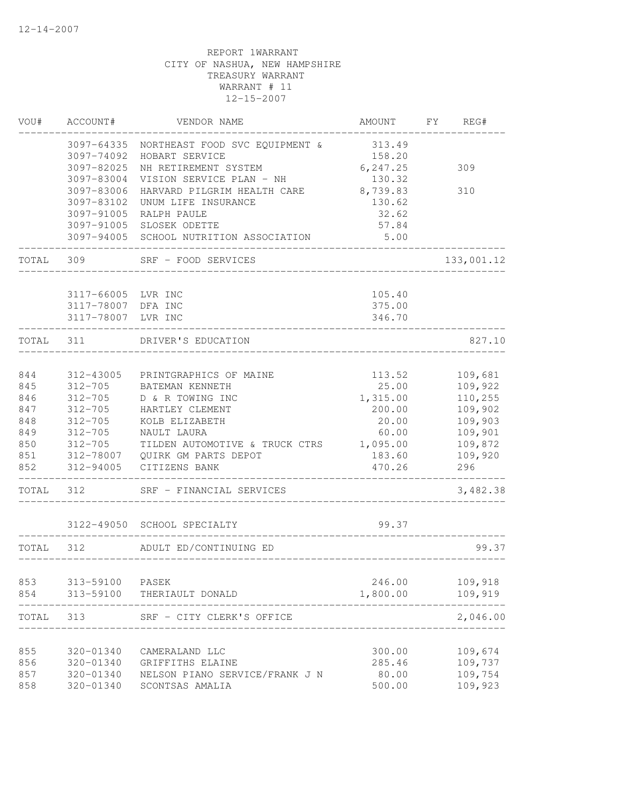| VOU#  | ACCOUNT#           | VENDOR NAME                             | AMOUNT                      | FY | REG#       |
|-------|--------------------|-----------------------------------------|-----------------------------|----|------------|
|       | 3097-64335         | NORTHEAST FOOD SVC EQUIPMENT &          | 313.49                      |    |            |
|       | 3097-74092         | HOBART SERVICE                          | 158.20                      |    |            |
|       | 3097-82025         | NH RETIREMENT SYSTEM                    | 6, 247.25                   |    | 309        |
|       | 3097-83004         | VISION SERVICE PLAN - NH                | 130.32                      |    |            |
|       | 3097-83006         | HARVARD PILGRIM HEALTH CARE 8,739.83    |                             |    | 310        |
|       | 3097-83102         | UNUM LIFE INSURANCE                     | 130.62                      |    |            |
|       | 3097-91005         | RALPH PAULE                             | 32.62                       |    |            |
|       |                    | 3097-91005 SLOSEK ODETTE                | 57.84                       |    |            |
|       |                    | 3097-94005 SCHOOL NUTRITION ASSOCIATION | 5.00                        |    |            |
| TOTAL | 309                | SRF - FOOD SERVICES                     |                             |    | 133,001.12 |
|       | 3117-66005         | LVR INC                                 | 105.40                      |    |            |
|       | 3117-78007 DFA INC |                                         | 375.00                      |    |            |
|       | 3117-78007 LVR INC |                                         | 346.70                      |    |            |
| TOTAL | 311                | DRIVER'S EDUCATION                      |                             |    | 827.10     |
|       |                    |                                         |                             |    |            |
| 844   | 312-43005          | PRINTGRAPHICS OF MAINE                  | 113.52                      |    | 109,681    |
| 845   | $312 - 705$        | BATEMAN KENNETH                         | 25.00                       |    | 109,922    |
| 846   | $312 - 705$        | D & R TOWING INC                        | 1,315.00                    |    | 110,255    |
| 847   | $312 - 705$        | HARTLEY CLEMENT                         | 200.00                      |    | 109,902    |
| 848   | $312 - 705$        | KOLB ELIZABETH                          | 20.00                       |    | 109,903    |
| 849   | $312 - 705$        | NAULT LAURA                             | 60.00                       |    | 109,901    |
| 850   | $312 - 705$        | TILDEN AUTOMOTIVE & TRUCK CTRS          | 1,095.00                    |    | 109,872    |
| 851   | 312-78007          | QUIRK GM PARTS DEPOT                    | 183.60                      |    | 109,920    |
| 852   | 312-94005          | CITIZENS BANK                           | 470.26                      |    | 296        |
| TOTAL | 312                | SRF - FINANCIAL SERVICES                |                             |    | 3,482.38   |
|       |                    | 3122-49050 SCHOOL SPECIALTY             | 99.37                       |    |            |
| TOTAL | 312                | ADULT ED/CONTINUING ED                  |                             |    | 99.37      |
|       |                    |                                         | ___________________________ |    |            |
| 853   | 313-59100          | PASEK                                   | 246.00                      |    | 109,918    |
| 854   | 313-59100          | THERIAULT DONALD                        | 1,800.00                    |    | 109,919    |
| TOTAL | 313                | SRF - CITY CLERK'S OFFICE               |                             |    | 2,046.00   |
| 855   | 320-01340          | CAMERALAND LLC                          | 300.00                      |    | 109,674    |
| 856   | 320-01340          | GRIFFITHS ELAINE                        | 285.46                      |    | 109,737    |
| 857   | 320-01340          | NELSON PIANO SERVICE/FRANK J N          | 80.00                       |    | 109,754    |
| 858   | 320-01340          | SCONTSAS AMALIA                         | 500.00                      |    | 109,923    |
|       |                    |                                         |                             |    |            |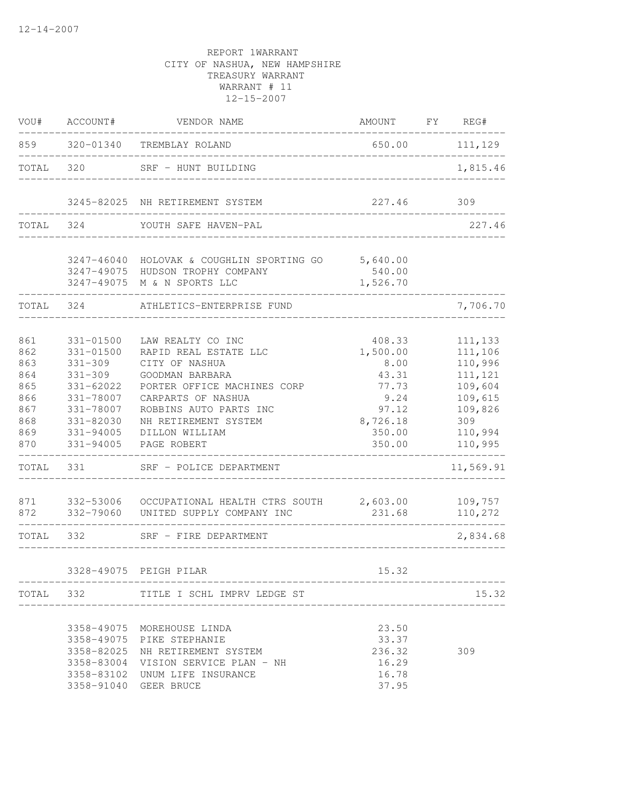| VOU#                                                                                      | ACCOUNT#                                                                                                                                      | VENDOR NAME                                                                                                                                                                                                                                                                               | AMOUNT                                                                                                                                 | FY | REG#                                                                                                                           |
|-------------------------------------------------------------------------------------------|-----------------------------------------------------------------------------------------------------------------------------------------------|-------------------------------------------------------------------------------------------------------------------------------------------------------------------------------------------------------------------------------------------------------------------------------------------|----------------------------------------------------------------------------------------------------------------------------------------|----|--------------------------------------------------------------------------------------------------------------------------------|
| 859                                                                                       | 320-01340                                                                                                                                     | TREMBLAY ROLAND                                                                                                                                                                                                                                                                           | 650.00                                                                                                                                 |    | 111,129                                                                                                                        |
| TOTAL                                                                                     | 320                                                                                                                                           | SRF - HUNT BUILDING                                                                                                                                                                                                                                                                       |                                                                                                                                        |    | 1,815.46                                                                                                                       |
|                                                                                           |                                                                                                                                               | 3245-82025 NH RETIREMENT SYSTEM                                                                                                                                                                                                                                                           | 227.46                                                                                                                                 |    | 309                                                                                                                            |
| TOTAL                                                                                     | 324                                                                                                                                           | YOUTH SAFE HAVEN-PAL                                                                                                                                                                                                                                                                      |                                                                                                                                        |    | 227.46                                                                                                                         |
|                                                                                           |                                                                                                                                               | 3247-46040 HOLOVAK & COUGHLIN SPORTING GO<br>3247-49075 HUDSON TROPHY COMPANY<br>3247-49075 M & N SPORTS LLC                                                                                                                                                                              | 5,640.00<br>540.00<br>1,526.70                                                                                                         |    |                                                                                                                                |
| TOTAL                                                                                     | 324                                                                                                                                           | ATHLETICS-ENTERPRISE FUND                                                                                                                                                                                                                                                                 |                                                                                                                                        |    | 7,706.70                                                                                                                       |
| 861<br>862<br>863<br>864<br>865<br>866<br>867<br>868<br>869<br>870<br>TOTAL<br>871<br>872 | 331-01500<br>$331 - 01500$<br>$331 - 309$<br>$331 - 309$<br>331-62022<br>331-78007<br>331-78007<br>331-82030<br>331-94005<br>331-94005<br>331 | LAW REALTY CO INC<br>RAPID REAL ESTATE LLC<br>CITY OF NASHUA<br>GOODMAN BARBARA<br>PORTER OFFICE MACHINES CORP<br>CARPARTS OF NASHUA<br>ROBBINS AUTO PARTS INC<br>NH RETIREMENT SYSTEM<br>DILLON WILLIAM<br>PAGE ROBERT<br>SRF - POLICE DEPARTMENT<br>332-79060 UNITED SUPPLY COMPANY INC | 408.33<br>1,500.00<br>8.00<br>43.31<br>77.73<br>9.24<br>97.12<br>8,726.18<br>350.00<br>350.00<br>231.68<br>. _ _ _ _ _ _ _ _ _ _ _ _ _ |    | 111,133<br>111,106<br>110,996<br>111,121<br>109,604<br>109,615<br>109,826<br>309<br>110,994<br>110,995<br>11,569.91<br>110,272 |
| TOTAL 332                                                                                 |                                                                                                                                               | SRF - FIRE DEPARTMENT                                                                                                                                                                                                                                                                     |                                                                                                                                        |    | 2,834.68                                                                                                                       |
|                                                                                           |                                                                                                                                               | 3328-49075 PEIGH PILAR                                                                                                                                                                                                                                                                    | 15.32                                                                                                                                  |    |                                                                                                                                |
|                                                                                           |                                                                                                                                               | TOTAL 332 TITLE I SCHL IMPRV LEDGE ST                                                                                                                                                                                                                                                     | _________________________________                                                                                                      |    | 15.32                                                                                                                          |
|                                                                                           | 3358-82025                                                                                                                                    | 3358-49075 MOREHOUSE LINDA<br>3358-49075 PIKE STEPHANIE<br>NH RETIREMENT SYSTEM<br>3358-83004 VISION SERVICE PLAN - NH<br>3358-83102 UNUM LIFE INSURANCE<br>3358-91040 GEER BRUCE                                                                                                         | 23.50<br>33.37<br>236.32<br>16.29<br>16.78<br>37.95                                                                                    |    | 309                                                                                                                            |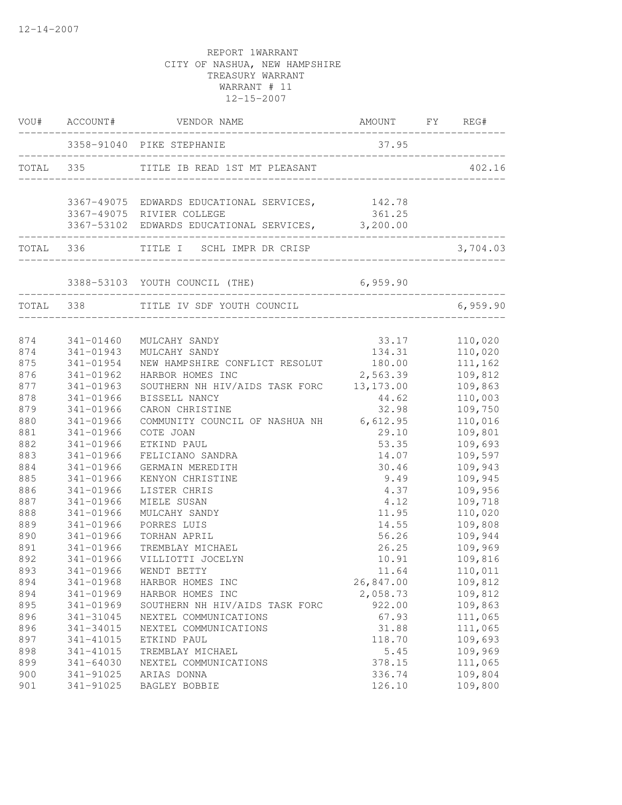| 3358-91040 PIKE STEPHANIE<br>37.95<br>TOTAL 335 TITLE IB READ 1ST MT PLEASANT<br>402.16<br>________________________________<br>3367-49075 EDWARDS EDUCATIONAL SERVICES, 142.78<br>361.25<br>3367-49075 RIVIER COLLEGE<br>3367-53102 EDWARDS EDUCATIONAL SERVICES, 3,200.00<br>TOTAL 336 TITLE I SCHL IMPR DR CRISP<br>3,704.03<br>6,959.90<br>_____________________<br>6,959.90<br>TOTAL 338 TITLE IV SDF YOUTH COUNCIL<br>$33.17$ $110,020$<br>$134.31$ $110,020$<br>874<br>341-01460<br>MULCAHY SANDY<br>874<br>341-01943<br>MULCAHY SANDY<br>180.00<br>NEW HAMPSHIRE CONFLICT RESOLUT<br>875<br>111,162<br>341-01954<br>2,563.39<br>876<br>109,812<br>341-01962<br>HARBOR HOMES INC<br>SOUTHERN NH HIV/AIDS TASK FORC 13,173.00<br>877<br>109,863<br>341-01963<br>878<br>341-01966<br>BISSELL NANCY<br>44.62<br>110,003<br>879<br>32.98<br>109,750<br>341-01966<br>CARON CHRISTINE<br>880<br>COMMUNITY COUNCIL OF NASHUA NH 6,612.95<br>110,016<br>341-01966<br>881<br>109,801<br>341-01966<br>COTE JOAN<br>29.10<br>882<br>53.35<br>109,693<br>341-01966<br>ETKIND PAUL<br>109,597<br>883<br>341-01966<br>FELICIANO SANDRA<br>14.07<br>30.46<br>109,943<br>884<br>341-01966<br>GERMAIN MEREDITH<br>9.49<br>885<br>109,945<br>341-01966<br>KENYON CHRISTINE<br>886<br>4.37<br>109,956<br>341-01966<br>LISTER CHRIS<br>887<br>341-01966<br>MIELE SUSAN<br>4.12<br>109,718<br>888<br>341-01966<br>11.95<br>110,020<br>MULCAHY SANDY<br>889<br>14.55<br>109,808<br>341-01966<br>PORRES LUIS<br>56.26<br>109,944<br>890<br>341-01966<br>TORHAN APRIL<br>109,969<br>891<br>26.25<br>341-01966<br>TREMBLAY MICHAEL<br>892<br>109,816<br>341-01966<br>VILLIOTTI JOCELYN<br>10.91<br>893<br>341-01966<br>WENDT BETTY<br>11.64<br>110,011<br>894<br>341-01968<br>109,812<br>HARBOR HOMES INC<br>26,847.00<br>894<br>341-01969<br>2,058.73<br>109,812<br>HARBOR HOMES INC<br>895<br>341-01969<br>SOUTHERN NH HIV/AIDS TASK FORC<br>922.00<br>109,863<br>896<br>NEXTEL COMMUNICATIONS<br>67.93<br>111,065<br>341-31045<br>896<br>NEXTEL COMMUNICATIONS<br>31.88<br>111,065<br>341-34015<br>897<br>109,693<br>341-41015<br>118.70<br>ETKIND PAUL<br>109,969<br>898<br>341-41015<br>TREMBLAY MICHAEL<br>5.45<br>899<br>$341 - 64030$<br>378.15<br>111,065<br>NEXTEL COMMUNICATIONS<br>109,804<br>900<br>341-91025<br>336.74<br>ARIAS DONNA<br>109,800<br>901<br>341-91025<br>126.10<br>BAGLEY BOBBIE | VOU# ACCOUNT# | VENDOR NAME | AMOUNT FY REG# |  |
|--------------------------------------------------------------------------------------------------------------------------------------------------------------------------------------------------------------------------------------------------------------------------------------------------------------------------------------------------------------------------------------------------------------------------------------------------------------------------------------------------------------------------------------------------------------------------------------------------------------------------------------------------------------------------------------------------------------------------------------------------------------------------------------------------------------------------------------------------------------------------------------------------------------------------------------------------------------------------------------------------------------------------------------------------------------------------------------------------------------------------------------------------------------------------------------------------------------------------------------------------------------------------------------------------------------------------------------------------------------------------------------------------------------------------------------------------------------------------------------------------------------------------------------------------------------------------------------------------------------------------------------------------------------------------------------------------------------------------------------------------------------------------------------------------------------------------------------------------------------------------------------------------------------------------------------------------------------------------------------------------------------------------------------------------------------------------------------------------------------------------------------------------------------------------------------------------------------------------------------------------------------------------------------------------------------------------------------------------------------------------------------------|---------------|-------------|----------------|--|
|                                                                                                                                                                                                                                                                                                                                                                                                                                                                                                                                                                                                                                                                                                                                                                                                                                                                                                                                                                                                                                                                                                                                                                                                                                                                                                                                                                                                                                                                                                                                                                                                                                                                                                                                                                                                                                                                                                                                                                                                                                                                                                                                                                                                                                                                                                                                                                                            |               |             |                |  |
|                                                                                                                                                                                                                                                                                                                                                                                                                                                                                                                                                                                                                                                                                                                                                                                                                                                                                                                                                                                                                                                                                                                                                                                                                                                                                                                                                                                                                                                                                                                                                                                                                                                                                                                                                                                                                                                                                                                                                                                                                                                                                                                                                                                                                                                                                                                                                                                            |               |             |                |  |
|                                                                                                                                                                                                                                                                                                                                                                                                                                                                                                                                                                                                                                                                                                                                                                                                                                                                                                                                                                                                                                                                                                                                                                                                                                                                                                                                                                                                                                                                                                                                                                                                                                                                                                                                                                                                                                                                                                                                                                                                                                                                                                                                                                                                                                                                                                                                                                                            |               |             |                |  |
|                                                                                                                                                                                                                                                                                                                                                                                                                                                                                                                                                                                                                                                                                                                                                                                                                                                                                                                                                                                                                                                                                                                                                                                                                                                                                                                                                                                                                                                                                                                                                                                                                                                                                                                                                                                                                                                                                                                                                                                                                                                                                                                                                                                                                                                                                                                                                                                            |               |             |                |  |
|                                                                                                                                                                                                                                                                                                                                                                                                                                                                                                                                                                                                                                                                                                                                                                                                                                                                                                                                                                                                                                                                                                                                                                                                                                                                                                                                                                                                                                                                                                                                                                                                                                                                                                                                                                                                                                                                                                                                                                                                                                                                                                                                                                                                                                                                                                                                                                                            |               |             |                |  |
|                                                                                                                                                                                                                                                                                                                                                                                                                                                                                                                                                                                                                                                                                                                                                                                                                                                                                                                                                                                                                                                                                                                                                                                                                                                                                                                                                                                                                                                                                                                                                                                                                                                                                                                                                                                                                                                                                                                                                                                                                                                                                                                                                                                                                                                                                                                                                                                            |               |             |                |  |
|                                                                                                                                                                                                                                                                                                                                                                                                                                                                                                                                                                                                                                                                                                                                                                                                                                                                                                                                                                                                                                                                                                                                                                                                                                                                                                                                                                                                                                                                                                                                                                                                                                                                                                                                                                                                                                                                                                                                                                                                                                                                                                                                                                                                                                                                                                                                                                                            |               |             |                |  |
|                                                                                                                                                                                                                                                                                                                                                                                                                                                                                                                                                                                                                                                                                                                                                                                                                                                                                                                                                                                                                                                                                                                                                                                                                                                                                                                                                                                                                                                                                                                                                                                                                                                                                                                                                                                                                                                                                                                                                                                                                                                                                                                                                                                                                                                                                                                                                                                            |               |             |                |  |
|                                                                                                                                                                                                                                                                                                                                                                                                                                                                                                                                                                                                                                                                                                                                                                                                                                                                                                                                                                                                                                                                                                                                                                                                                                                                                                                                                                                                                                                                                                                                                                                                                                                                                                                                                                                                                                                                                                                                                                                                                                                                                                                                                                                                                                                                                                                                                                                            |               |             |                |  |
|                                                                                                                                                                                                                                                                                                                                                                                                                                                                                                                                                                                                                                                                                                                                                                                                                                                                                                                                                                                                                                                                                                                                                                                                                                                                                                                                                                                                                                                                                                                                                                                                                                                                                                                                                                                                                                                                                                                                                                                                                                                                                                                                                                                                                                                                                                                                                                                            |               |             |                |  |
|                                                                                                                                                                                                                                                                                                                                                                                                                                                                                                                                                                                                                                                                                                                                                                                                                                                                                                                                                                                                                                                                                                                                                                                                                                                                                                                                                                                                                                                                                                                                                                                                                                                                                                                                                                                                                                                                                                                                                                                                                                                                                                                                                                                                                                                                                                                                                                                            |               |             |                |  |
|                                                                                                                                                                                                                                                                                                                                                                                                                                                                                                                                                                                                                                                                                                                                                                                                                                                                                                                                                                                                                                                                                                                                                                                                                                                                                                                                                                                                                                                                                                                                                                                                                                                                                                                                                                                                                                                                                                                                                                                                                                                                                                                                                                                                                                                                                                                                                                                            |               |             |                |  |
|                                                                                                                                                                                                                                                                                                                                                                                                                                                                                                                                                                                                                                                                                                                                                                                                                                                                                                                                                                                                                                                                                                                                                                                                                                                                                                                                                                                                                                                                                                                                                                                                                                                                                                                                                                                                                                                                                                                                                                                                                                                                                                                                                                                                                                                                                                                                                                                            |               |             |                |  |
|                                                                                                                                                                                                                                                                                                                                                                                                                                                                                                                                                                                                                                                                                                                                                                                                                                                                                                                                                                                                                                                                                                                                                                                                                                                                                                                                                                                                                                                                                                                                                                                                                                                                                                                                                                                                                                                                                                                                                                                                                                                                                                                                                                                                                                                                                                                                                                                            |               |             |                |  |
|                                                                                                                                                                                                                                                                                                                                                                                                                                                                                                                                                                                                                                                                                                                                                                                                                                                                                                                                                                                                                                                                                                                                                                                                                                                                                                                                                                                                                                                                                                                                                                                                                                                                                                                                                                                                                                                                                                                                                                                                                                                                                                                                                                                                                                                                                                                                                                                            |               |             |                |  |
|                                                                                                                                                                                                                                                                                                                                                                                                                                                                                                                                                                                                                                                                                                                                                                                                                                                                                                                                                                                                                                                                                                                                                                                                                                                                                                                                                                                                                                                                                                                                                                                                                                                                                                                                                                                                                                                                                                                                                                                                                                                                                                                                                                                                                                                                                                                                                                                            |               |             |                |  |
|                                                                                                                                                                                                                                                                                                                                                                                                                                                                                                                                                                                                                                                                                                                                                                                                                                                                                                                                                                                                                                                                                                                                                                                                                                                                                                                                                                                                                                                                                                                                                                                                                                                                                                                                                                                                                                                                                                                                                                                                                                                                                                                                                                                                                                                                                                                                                                                            |               |             |                |  |
|                                                                                                                                                                                                                                                                                                                                                                                                                                                                                                                                                                                                                                                                                                                                                                                                                                                                                                                                                                                                                                                                                                                                                                                                                                                                                                                                                                                                                                                                                                                                                                                                                                                                                                                                                                                                                                                                                                                                                                                                                                                                                                                                                                                                                                                                                                                                                                                            |               |             |                |  |
|                                                                                                                                                                                                                                                                                                                                                                                                                                                                                                                                                                                                                                                                                                                                                                                                                                                                                                                                                                                                                                                                                                                                                                                                                                                                                                                                                                                                                                                                                                                                                                                                                                                                                                                                                                                                                                                                                                                                                                                                                                                                                                                                                                                                                                                                                                                                                                                            |               |             |                |  |
|                                                                                                                                                                                                                                                                                                                                                                                                                                                                                                                                                                                                                                                                                                                                                                                                                                                                                                                                                                                                                                                                                                                                                                                                                                                                                                                                                                                                                                                                                                                                                                                                                                                                                                                                                                                                                                                                                                                                                                                                                                                                                                                                                                                                                                                                                                                                                                                            |               |             |                |  |
|                                                                                                                                                                                                                                                                                                                                                                                                                                                                                                                                                                                                                                                                                                                                                                                                                                                                                                                                                                                                                                                                                                                                                                                                                                                                                                                                                                                                                                                                                                                                                                                                                                                                                                                                                                                                                                                                                                                                                                                                                                                                                                                                                                                                                                                                                                                                                                                            |               |             |                |  |
|                                                                                                                                                                                                                                                                                                                                                                                                                                                                                                                                                                                                                                                                                                                                                                                                                                                                                                                                                                                                                                                                                                                                                                                                                                                                                                                                                                                                                                                                                                                                                                                                                                                                                                                                                                                                                                                                                                                                                                                                                                                                                                                                                                                                                                                                                                                                                                                            |               |             |                |  |
|                                                                                                                                                                                                                                                                                                                                                                                                                                                                                                                                                                                                                                                                                                                                                                                                                                                                                                                                                                                                                                                                                                                                                                                                                                                                                                                                                                                                                                                                                                                                                                                                                                                                                                                                                                                                                                                                                                                                                                                                                                                                                                                                                                                                                                                                                                                                                                                            |               |             |                |  |
|                                                                                                                                                                                                                                                                                                                                                                                                                                                                                                                                                                                                                                                                                                                                                                                                                                                                                                                                                                                                                                                                                                                                                                                                                                                                                                                                                                                                                                                                                                                                                                                                                                                                                                                                                                                                                                                                                                                                                                                                                                                                                                                                                                                                                                                                                                                                                                                            |               |             |                |  |
|                                                                                                                                                                                                                                                                                                                                                                                                                                                                                                                                                                                                                                                                                                                                                                                                                                                                                                                                                                                                                                                                                                                                                                                                                                                                                                                                                                                                                                                                                                                                                                                                                                                                                                                                                                                                                                                                                                                                                                                                                                                                                                                                                                                                                                                                                                                                                                                            |               |             |                |  |
|                                                                                                                                                                                                                                                                                                                                                                                                                                                                                                                                                                                                                                                                                                                                                                                                                                                                                                                                                                                                                                                                                                                                                                                                                                                                                                                                                                                                                                                                                                                                                                                                                                                                                                                                                                                                                                                                                                                                                                                                                                                                                                                                                                                                                                                                                                                                                                                            |               |             |                |  |
|                                                                                                                                                                                                                                                                                                                                                                                                                                                                                                                                                                                                                                                                                                                                                                                                                                                                                                                                                                                                                                                                                                                                                                                                                                                                                                                                                                                                                                                                                                                                                                                                                                                                                                                                                                                                                                                                                                                                                                                                                                                                                                                                                                                                                                                                                                                                                                                            |               |             |                |  |
|                                                                                                                                                                                                                                                                                                                                                                                                                                                                                                                                                                                                                                                                                                                                                                                                                                                                                                                                                                                                                                                                                                                                                                                                                                                                                                                                                                                                                                                                                                                                                                                                                                                                                                                                                                                                                                                                                                                                                                                                                                                                                                                                                                                                                                                                                                                                                                                            |               |             |                |  |
|                                                                                                                                                                                                                                                                                                                                                                                                                                                                                                                                                                                                                                                                                                                                                                                                                                                                                                                                                                                                                                                                                                                                                                                                                                                                                                                                                                                                                                                                                                                                                                                                                                                                                                                                                                                                                                                                                                                                                                                                                                                                                                                                                                                                                                                                                                                                                                                            |               |             |                |  |
|                                                                                                                                                                                                                                                                                                                                                                                                                                                                                                                                                                                                                                                                                                                                                                                                                                                                                                                                                                                                                                                                                                                                                                                                                                                                                                                                                                                                                                                                                                                                                                                                                                                                                                                                                                                                                                                                                                                                                                                                                                                                                                                                                                                                                                                                                                                                                                                            |               |             |                |  |
|                                                                                                                                                                                                                                                                                                                                                                                                                                                                                                                                                                                                                                                                                                                                                                                                                                                                                                                                                                                                                                                                                                                                                                                                                                                                                                                                                                                                                                                                                                                                                                                                                                                                                                                                                                                                                                                                                                                                                                                                                                                                                                                                                                                                                                                                                                                                                                                            |               |             |                |  |
|                                                                                                                                                                                                                                                                                                                                                                                                                                                                                                                                                                                                                                                                                                                                                                                                                                                                                                                                                                                                                                                                                                                                                                                                                                                                                                                                                                                                                                                                                                                                                                                                                                                                                                                                                                                                                                                                                                                                                                                                                                                                                                                                                                                                                                                                                                                                                                                            |               |             |                |  |
|                                                                                                                                                                                                                                                                                                                                                                                                                                                                                                                                                                                                                                                                                                                                                                                                                                                                                                                                                                                                                                                                                                                                                                                                                                                                                                                                                                                                                                                                                                                                                                                                                                                                                                                                                                                                                                                                                                                                                                                                                                                                                                                                                                                                                                                                                                                                                                                            |               |             |                |  |
|                                                                                                                                                                                                                                                                                                                                                                                                                                                                                                                                                                                                                                                                                                                                                                                                                                                                                                                                                                                                                                                                                                                                                                                                                                                                                                                                                                                                                                                                                                                                                                                                                                                                                                                                                                                                                                                                                                                                                                                                                                                                                                                                                                                                                                                                                                                                                                                            |               |             |                |  |
|                                                                                                                                                                                                                                                                                                                                                                                                                                                                                                                                                                                                                                                                                                                                                                                                                                                                                                                                                                                                                                                                                                                                                                                                                                                                                                                                                                                                                                                                                                                                                                                                                                                                                                                                                                                                                                                                                                                                                                                                                                                                                                                                                                                                                                                                                                                                                                                            |               |             |                |  |
|                                                                                                                                                                                                                                                                                                                                                                                                                                                                                                                                                                                                                                                                                                                                                                                                                                                                                                                                                                                                                                                                                                                                                                                                                                                                                                                                                                                                                                                                                                                                                                                                                                                                                                                                                                                                                                                                                                                                                                                                                                                                                                                                                                                                                                                                                                                                                                                            |               |             |                |  |
|                                                                                                                                                                                                                                                                                                                                                                                                                                                                                                                                                                                                                                                                                                                                                                                                                                                                                                                                                                                                                                                                                                                                                                                                                                                                                                                                                                                                                                                                                                                                                                                                                                                                                                                                                                                                                                                                                                                                                                                                                                                                                                                                                                                                                                                                                                                                                                                            |               |             |                |  |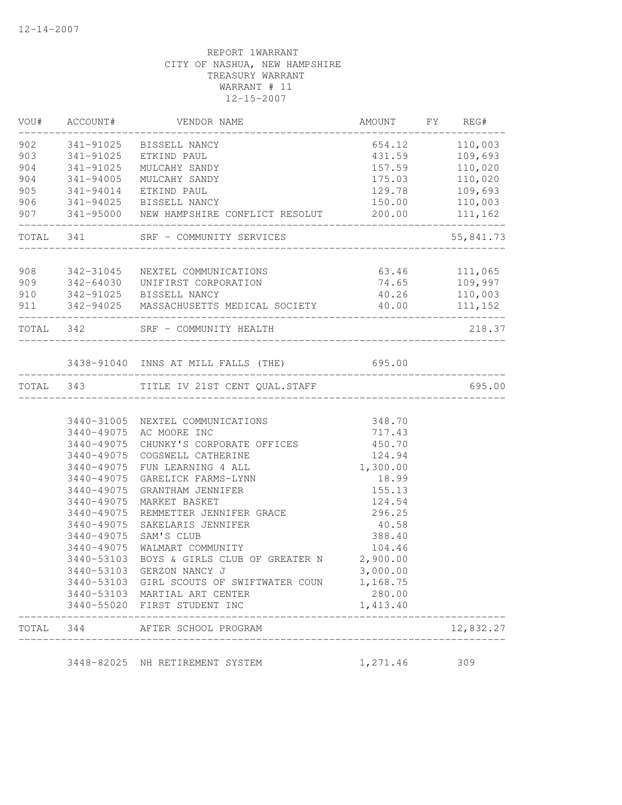| VOU# ACCOUNT#       | VENDOR NAME                                                                                                                                                                                         | AMOUNT FY REG#               |                |
|---------------------|-----------------------------------------------------------------------------------------------------------------------------------------------------------------------------------------------------|------------------------------|----------------|
|                     | 902 341-91025 BISSELL NANCY                                                                                                                                                                         |                              | 654.12 110,003 |
|                     | 903 341-91025 ETKIND PAUL                                                                                                                                                                           |                              | 431.59 109,693 |
|                     | 904 341-91025 MULCAHY SANDY                                                                                                                                                                         |                              | 157.59 110,020 |
|                     |                                                                                                                                                                                                     |                              |                |
|                     |                                                                                                                                                                                                     |                              |                |
|                     |                                                                                                                                                                                                     |                              |                |
| ------------------- | 904 341-94005 MULCAHY SANDY 175.03 110,020<br>905 341-94014 ETKIND PAUL 129.78 109,693<br>906 341-94025 BISSELL NANCY 150.00 110,003<br>907 341-95000 NEW HAMPSHIRE CONFLICT RESOLUT 200.00 111,162 |                              |                |
|                     | TOTAL 341 SRF - COMMUNITY SERVICES                                                                                                                                                                  | ____________________________ | 55,841.73      |
|                     |                                                                                                                                                                                                     |                              |                |
|                     | 908 342-31045 NEXTEL COMMUNICATIONS                                                                                                                                                                 | 63.46 111,065                |                |
|                     |                                                                                                                                                                                                     |                              |                |
|                     | 909 342-64030 UNIFIRST CORPORATION 74.65 109,997<br>910 342-91025 BISSELL NANCY 40.26 110,003<br>911 342-94025 MASSACHUSETTS MEDICAL SOCIETY 40.00 111,152                                          |                              |                |
|                     | TOTAL 342 SRF - COMMUNITY HEALTH                                                                                                                                                                    |                              | 218.37         |
|                     | 3438-91040 INNS AT MILL FALLS (THE) 695.00                                                                                                                                                          |                              |                |
|                     |                                                                                                                                                                                                     |                              |                |
|                     | TOTAL 343 TITLE IV 21ST CENT QUAL.STAFF                                                                                                                                                             |                              | 695.00         |
|                     |                                                                                                                                                                                                     |                              |                |
|                     | 3440-31005 NEXTEL COMMUNICATIONS                                                                                                                                                                    | 348.70<br>717.43             |                |
|                     | 3440-49075 AC MOORE INC                                                                                                                                                                             |                              |                |
| 3440-49075          | CHUNKY'S CORPORATE OFFICES 450.70                                                                                                                                                                   |                              |                |
| 3440-49075          | COGSWELL CATHERINE                                                                                                                                                                                  | 124.94                       |                |
| 3440-49075          | FUN LEARNING 4 ALL                                                                                                                                                                                  | 1,300.00                     |                |
| 3440-49075          | GARELICK FARMS-LYNN                                                                                                                                                                                 | 18.99                        |                |
| 3440-49075          | GRANTHAM JENNIFER                                                                                                                                                                                   | 155.13                       |                |
| 3440-49075          | MARKET BASKET                                                                                                                                                                                       | 124.54                       |                |
| 3440-49075          | REMMETTER JENNIFER GRACE                                                                                                                                                                            | 296.25                       |                |
| 3440-49075          | SAKELARIS JENNIFER                                                                                                                                                                                  | 40.58                        |                |
| 3440-49075          | SAM'S CLUB                                                                                                                                                                                          | 388.40                       |                |
| 3440-49075          | WALMART COMMUNITY                                                                                                                                                                                   | 104.46                       |                |
| 3440-53103          | BOYS & GIRLS CLUB OF GREATER N 2,900.00                                                                                                                                                             |                              |                |
| 3440-53103          | GERZON NANCY J                                                                                                                                                                                      | 3,000.00                     |                |
|                     | 3440-53103 GIRL SCOUTS OF SWIFTWATER COUN 1,168.75                                                                                                                                                  |                              |                |
|                     | 3440-53103 MARTIAL ART CENTER                                                                                                                                                                       | 280.00                       |                |
|                     | 3440-55020 FIRST STUDENT INC                                                                                                                                                                        | 1,413.40                     |                |
|                     | TOTAL 344 AFTER SCHOOL PROGRAM                                                                                                                                                                      |                              | 12,832.27      |
|                     | 3448-82025 NH RETIREMENT SYSTEM                                                                                                                                                                     | 1,271.46                     | 309            |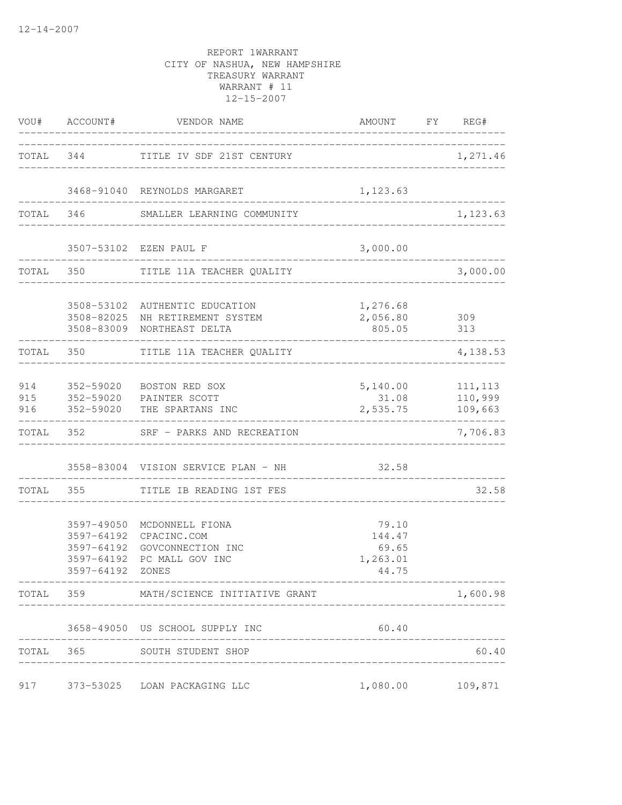|       |                          | VOU# ACCOUNT# VENDOR NAME<br>___________________________                                                         | AMOUNT FY REG#                                |                    |
|-------|--------------------------|------------------------------------------------------------------------------------------------------------------|-----------------------------------------------|--------------------|
|       |                          | TOTAL 344 TITLE IV SDF 21ST CENTURY                                                                              | __________________________________            | 1,271.46           |
|       |                          | 3468-91040 REYNOLDS MARGARET<br>--------------------------                                                       | 1,123.63                                      |                    |
|       |                          | TOTAL 346 SMALLER LEARNING COMMUNITY                                                                             |                                               | 1,123.63           |
|       |                          | 3507-53102 EZEN PAUL F                                                                                           | 3,000.00                                      |                    |
|       |                          | TOTAL 350 TITLE 11A TEACHER QUALITY                                                                              |                                               | 3,000.00           |
|       |                          | 3508-53102 AUTHENTIC EDUCATION<br>3508-82025 NH RETIREMENT SYSTEM<br>3508-83009 NORTHEAST DELTA                  | 1,276.68<br>2,056.80 309<br>805.05 313        |                    |
|       |                          | TOTAL 350 TITLE 11A TEACHER QUALITY                                                                              | _______________________                       | 4,138.53           |
|       |                          | 914 352-59020 BOSTON RED SOX<br>915 352-59020 PAINTER SCOTT<br>916 352-59020 THE SPARTANS INC                    | 5, 140.00 111, 113<br>31.08<br>2,535.75       | 110,999<br>109,663 |
|       |                          | TOTAL 352 SRF - PARKS AND RECREATION                                                                             | _________________________________             | 7,706.83           |
|       |                          | 3558-83004 VISION SERVICE PLAN - NH 32.58                                                                        |                                               |                    |
|       |                          | TOTAL 355 TITLE IB READING 1ST FES<br>_________________________________                                          |                                               | 32.58              |
|       | 3597-64192<br>3597-64192 | 3597-49050 MCDONNELL FIONA<br>CPACINC.COM<br>3597-64192 GOVCONNECTION INC<br>PC MALL GOV INC<br>3597-64192 ZONES | 79.10<br>144.47<br>69.65<br>1,263.01<br>44.75 |                    |
|       |                          | TOTAL 359 MATH/SCIENCE INITIATIVE GRANT                                                                          |                                               | 1,600.98           |
|       |                          | 3658-49050 US SCHOOL SUPPLY INC                                                                                  | 60.40                                         |                    |
| TOTAL |                          | 365 SOUTH STUDENT SHOP                                                                                           |                                               | 60.40              |
|       |                          | 917 373-53025 LOAN PACKAGING LLC                                                                                 | 1,080.00 109,871                              |                    |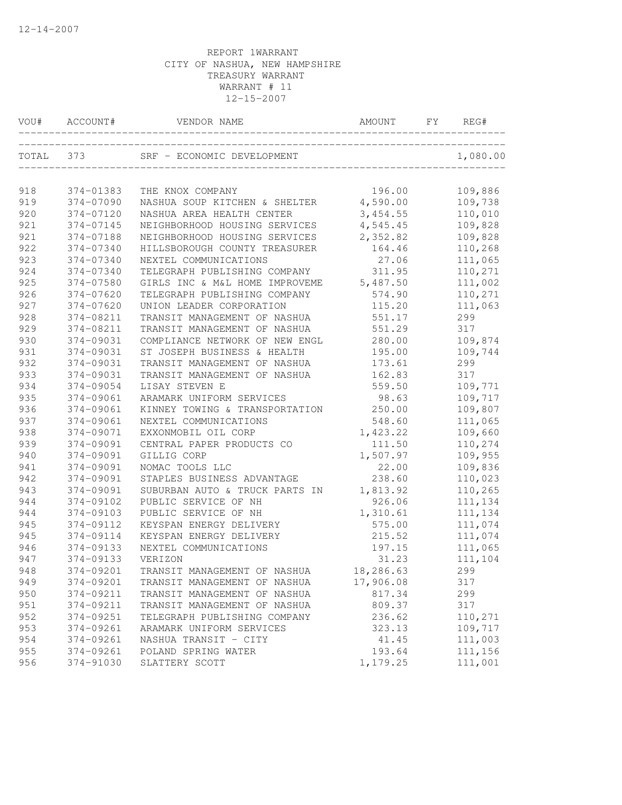| VOU#      | ACCOUNT#  | VENDOR NAME                    | AMOUNT             | FY | REG#     |
|-----------|-----------|--------------------------------|--------------------|----|----------|
| TOTAL 373 |           | SRF - ECONOMIC DEVELOPMENT     | ------------------ |    | 1,080.00 |
| 918       | 374-01383 | THE KNOX COMPANY               | 196.00             |    | 109,886  |
| 919       | 374-07090 | NASHUA SOUP KITCHEN & SHELTER  | 4,590.00           |    | 109,738  |
| 920       | 374-07120 | NASHUA AREA HEALTH CENTER      | 3,454.55           |    | 110,010  |
| 921       | 374-07145 | NEIGHBORHOOD HOUSING SERVICES  | 4,545.45           |    | 109,828  |
| 921       | 374-07188 | NEIGHBORHOOD HOUSING SERVICES  | 2,352.82           |    | 109,828  |
| 922       | 374-07340 | HILLSBOROUGH COUNTY TREASURER  | 164.46             |    | 110,268  |
| 923       | 374-07340 | NEXTEL COMMUNICATIONS          | 27.06              |    | 111,065  |
| 924       | 374-07340 | TELEGRAPH PUBLISHING COMPANY   | 311.95             |    | 110,271  |
| 925       | 374-07580 | GIRLS INC & M&L HOME IMPROVEME | 5,487.50           |    | 111,002  |
| 926       | 374-07620 | TELEGRAPH PUBLISHING COMPANY   | 574.90             |    | 110,271  |
| 927       | 374-07620 | UNION LEADER CORPORATION       | 115.20             |    | 111,063  |
| 928       | 374-08211 | TRANSIT MANAGEMENT OF NASHUA   | 551.17             |    | 299      |
| 929       | 374-08211 | TRANSIT MANAGEMENT OF NASHUA   | 551.29             |    | 317      |
| 930       | 374-09031 | COMPLIANCE NETWORK OF NEW ENGL | 280.00             |    | 109,874  |
| 931       | 374-09031 | ST JOSEPH BUSINESS & HEALTH    | 195.00             |    | 109,744  |
| 932       | 374-09031 | TRANSIT MANAGEMENT OF NASHUA   | 173.61             |    | 299      |
| 933       | 374-09031 | TRANSIT MANAGEMENT OF NASHUA   | 162.83             |    | 317      |
| 934       | 374-09054 | LISAY STEVEN E                 | 559.50             |    | 109,771  |
| 935       | 374-09061 | ARAMARK UNIFORM SERVICES       | 98.63              |    | 109,717  |
| 936       | 374-09061 | KINNEY TOWING & TRANSPORTATION | 250.00             |    | 109,807  |
| 937       | 374-09061 | NEXTEL COMMUNICATIONS          | 548.60             |    | 111,065  |
| 938       | 374-09071 | EXXONMOBIL OIL CORP            | 1,423.22           |    | 109,660  |
| 939       | 374-09091 | CENTRAL PAPER PRODUCTS CO      | 111.50             |    | 110,274  |
| 940       | 374-09091 | GILLIG CORP                    | 1,507.97           |    | 109,955  |
| 941       | 374-09091 | NOMAC TOOLS LLC                | 22.00              |    | 109,836  |
| 942       | 374-09091 | STAPLES BUSINESS ADVANTAGE     | 238.60             |    | 110,023  |
| 943       | 374-09091 | SUBURBAN AUTO & TRUCK PARTS IN | 1,813.92           |    | 110,265  |
| 944       | 374-09102 | PUBLIC SERVICE OF NH           | 926.06             |    | 111,134  |
| 944       | 374-09103 | PUBLIC SERVICE OF NH           | 1,310.61           |    | 111,134  |
| 945       | 374-09112 | KEYSPAN ENERGY DELIVERY        | 575.00             |    | 111,074  |
| 945       | 374-09114 | KEYSPAN ENERGY DELIVERY        | 215.52             |    | 111,074  |
| 946       | 374-09133 | NEXTEL COMMUNICATIONS          | 197.15             |    | 111,065  |
| 947       | 374-09133 | VERIZON                        | 31.23              |    | 111,104  |
| 948       | 374-09201 | TRANSIT MANAGEMENT OF NASHUA   | 18,286.63          |    | 299      |
| 949       | 374-09201 | TRANSIT MANAGEMENT OF NASHUA   | 17,906.08          |    | 317      |
| 950       | 374-09211 | TRANSIT MANAGEMENT OF NASHUA   | 817.34             |    | 299      |
| 951       | 374-09211 | TRANSIT MANAGEMENT OF NASHUA   | 809.37             |    | 317      |
| 952       | 374-09251 | TELEGRAPH PUBLISHING COMPANY   | 236.62             |    | 110,271  |
| 953       | 374-09261 | ARAMARK UNIFORM SERVICES       | 323.13             |    | 109,717  |
| 954       | 374-09261 | NASHUA TRANSIT - CITY          | 41.45              |    | 111,003  |
| 955       | 374-09261 | POLAND SPRING WATER            | 193.64             |    | 111,156  |
| 956       | 374-91030 | SLATTERY SCOTT                 | 1,179.25           |    | 111,001  |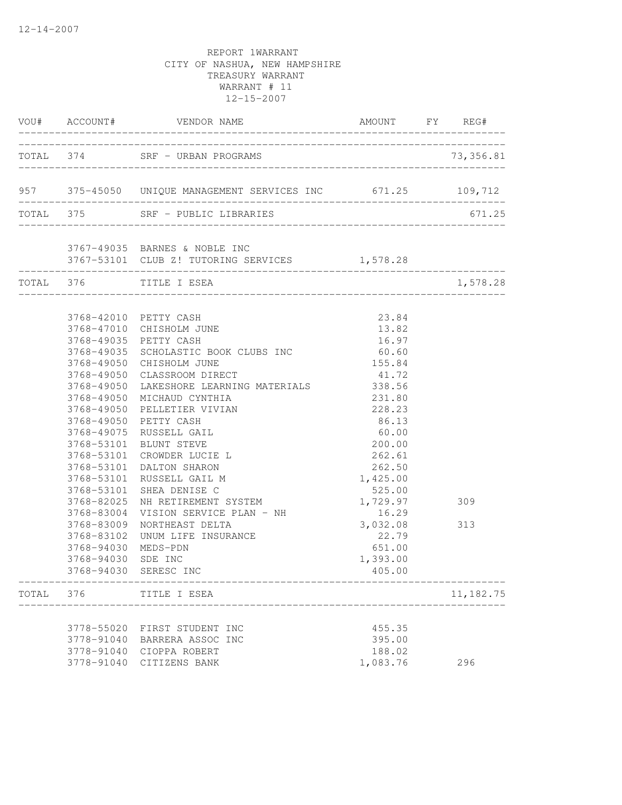|       |                                                                                                                                                                               | VOU# ACCOUNT# VENDOR NAME                                                                                                                                                                                                                                                                                                                                                                                                                                                                                                                              | AMOUNT FY REG#                                                                                                                                                                                                                    |            |
|-------|-------------------------------------------------------------------------------------------------------------------------------------------------------------------------------|--------------------------------------------------------------------------------------------------------------------------------------------------------------------------------------------------------------------------------------------------------------------------------------------------------------------------------------------------------------------------------------------------------------------------------------------------------------------------------------------------------------------------------------------------------|-----------------------------------------------------------------------------------------------------------------------------------------------------------------------------------------------------------------------------------|------------|
|       |                                                                                                                                                                               | TOTAL 374 SRF - URBAN PROGRAMS                                                                                                                                                                                                                                                                                                                                                                                                                                                                                                                         |                                                                                                                                                                                                                                   |            |
|       |                                                                                                                                                                               | 957 375-45050 UNIQUE MANAGEMENT SERVICES INC 671.25 109,712                                                                                                                                                                                                                                                                                                                                                                                                                                                                                            |                                                                                                                                                                                                                                   |            |
|       |                                                                                                                                                                               | TOTAL 375 SRF - PUBLIC LIBRARIES                                                                                                                                                                                                                                                                                                                                                                                                                                                                                                                       |                                                                                                                                                                                                                                   | 671.25     |
|       |                                                                                                                                                                               | 3767-49035 BARNES & NOBLE INC<br>3767-53101 CLUB Z! TUTORING SERVICES 1,578.28                                                                                                                                                                                                                                                                                                                                                                                                                                                                         |                                                                                                                                                                                                                                   |            |
|       |                                                                                                                                                                               | TOTAL 376 TITLE I ESEA                                                                                                                                                                                                                                                                                                                                                                                                                                                                                                                                 |                                                                                                                                                                                                                                   | 1,578.28   |
|       | 3768-49050<br>3768-49050<br>3768-49050<br>3768-49050<br>3768-49050<br>3768-53101<br>3768-82025<br>3768-83004<br>3768-83009<br>3768-83102<br>3768-94030 MEDS-PDN<br>3768-94030 | 3768-42010 PETTY CASH<br>3768-47010 CHISHOLM JUNE<br>3768-49035 PETTY CASH<br>3768-49035 SCHOLASTIC BOOK CLUBS INC<br>3768-49050 CHISHOLM JUNE<br>CLASSROOM DIRECT<br>LAKESHORE LEARNING MATERIALS<br>MICHAUD CYNTHIA<br>PELLETIER VIVIAN<br>PETTY CASH<br>3768-49075 RUSSELL GAIL<br>3768-53101 BLUNT STEVE<br>CROWDER LUCIE L<br>3768-53101 DALTON SHARON<br>3768-53101 RUSSELL GAIL M<br>3768-53101 SHEA DENISE C<br>NH RETIREMENT SYSTEM<br>VISION SERVICE PLAN - NH<br>NORTHEAST DELTA<br>UNUM LIFE INSURANCE<br>SDE INC<br>3768-94030 SERESC INC | 23.84<br>13.82<br>16.97<br>60.60<br>155.84<br>41.72<br>338.56<br>231.80<br>228.23<br>86.13<br>60.00<br>200.00<br>262.61<br>262.50<br>1,425.00<br>525.00<br>1,729.97<br>16.29<br>3,032.08<br>22.79<br>651.00<br>1,393.00<br>405.00 | 309<br>313 |
| TOTAL | 376                                                                                                                                                                           | TITLE I ESEA                                                                                                                                                                                                                                                                                                                                                                                                                                                                                                                                           |                                                                                                                                                                                                                                   | 11,182.75  |
|       | 3778-91040                                                                                                                                                                    | 3778-55020 FIRST STUDENT INC<br>3778-91040 BARRERA ASSOC INC<br>CIOPPA ROBERT<br>3778-91040 CITIZENS BANK                                                                                                                                                                                                                                                                                                                                                                                                                                              | 455.35<br>395.00<br>188.02<br>1,083.76                                                                                                                                                                                            | 296        |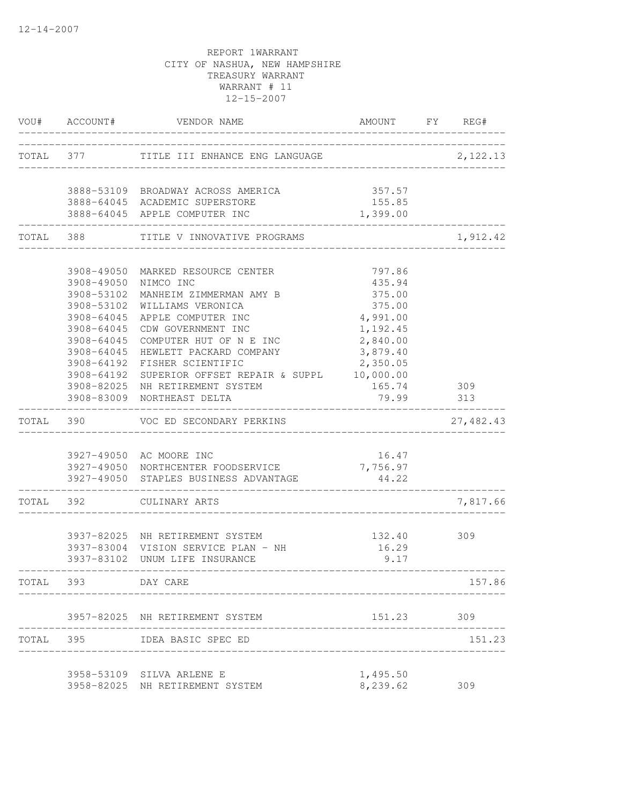|       | VOU# ACCOUNT#        | VENDOR NAME                                                     | AMOUNT FY REG#     |            |
|-------|----------------------|-----------------------------------------------------------------|--------------------|------------|
|       |                      | TOTAL 377 TITLE III ENHANCE ENG LANGUAGE                        | 2,122.13           |            |
|       |                      | 3888-53109 BROADWAY ACROSS AMERICA                              | 357.57             |            |
|       |                      | 3888-64045 ACADEMIC SUPERSTORE<br>3888-64045 APPLE COMPUTER INC | 155.85<br>1,399.00 |            |
|       | TOTAL 388            | TITLE V INNOVATIVE PROGRAMS                                     |                    | 1,912.42   |
|       |                      | 3908-49050 MARKED RESOURCE CENTER                               | 797.86             |            |
|       | 3908-49050 NIMCO INC |                                                                 | 435.94             |            |
|       | 3908-53102           | MANHEIM ZIMMERMAN AMY B                                         | 375.00             |            |
|       | 3908-53102           | WILLIAMS VERONICA                                               | 375.00             |            |
|       | 3908-64045           | APPLE COMPUTER INC                                              | 4,991.00           |            |
|       | 3908-64045           | CDW GOVERNMENT INC                                              | 1,192.45           |            |
|       | 3908-64045           | COMPUTER HUT OF N E INC                                         | 2,840.00           |            |
|       | 3908-64045           | HEWLETT PACKARD COMPANY                                         | 3,879.40           |            |
|       | 3908-64192           | FISHER SCIENTIFIC                                               | 2,350.05           |            |
|       | 3908-64192           | SUPERIOR OFFSET REPAIR & SUPPL 10,000.00                        |                    |            |
|       |                      | 3908-82025 NH RETIREMENT SYSTEM<br>3908-83009 NORTHEAST DELTA   | 165.74<br>79.99    | 309<br>313 |
|       |                      | TOTAL 390 VOC ED SECONDARY PERKINS                              |                    | 27,482.43  |
|       |                      |                                                                 |                    |            |
|       |                      | 3927-49050 AC MOORE INC                                         | 16.47              |            |
|       |                      | 3927-49050 NORTHCENTER FOODSERVICE                              | 7,756.97           |            |
|       |                      | 3927-49050 STAPLES BUSINESS ADVANTAGE                           | 44.22              |            |
|       |                      | TOTAL 392 CULINARY ARTS                                         |                    | 7,817.66   |
|       |                      |                                                                 |                    |            |
|       |                      | 3937-82025 NH RETIREMENT SYSTEM                                 | 132.40             | 309        |
|       |                      | 3937-83004 VISION SERVICE PLAN - NH                             | 16.29              |            |
|       |                      | 3937-83102 UNUM LIFE INSURANCE                                  | 9.17               |            |
|       | TOTAL 393            | DAY CARE                                                        |                    | 157.86     |
|       |                      | 3957-82025 NH RETIREMENT SYSTEM                                 | 151.23             | 309        |
| TOTAL | 395                  | IDEA BASIC SPEC ED                                              |                    | 151.23     |
|       |                      |                                                                 |                    |            |
|       |                      | 3958-53109 SILVA ARLENE E                                       | 1,495.50           |            |
|       |                      | 3958-82025 NH RETIREMENT SYSTEM                                 | 8,239.62           | 309        |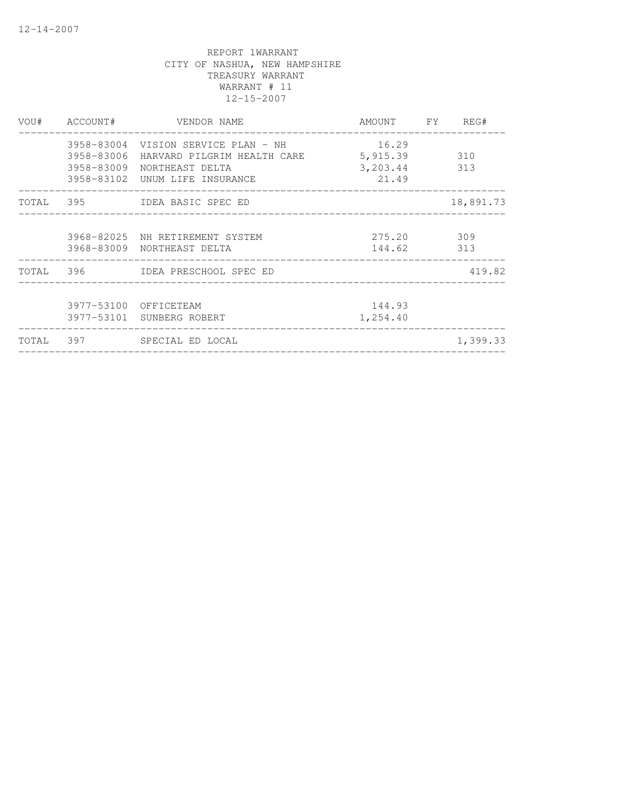|  | VOU# ACCOUNT# VENDOR NAME                           | AMOUNT FY REG# |           |
|--|-----------------------------------------------------|----------------|-----------|
|  | 3958-83004 VISION SERVICE PLAN - NH 16.29           |                |           |
|  | 3958-83006 HARVARD PILGRIM HEALTH CARE 5,915.39 310 |                |           |
|  | 3958-83009 NORTHEAST DELTA                          | 3, 203.44 313  |           |
|  | 3958-83102 UNUM LIFE INSURANCE                      | 21.49          |           |
|  | TOTAL 395 IDEA BASIC SPEC ED                        |                | 18,891.73 |
|  | 3968-82025 NH RETIREMENT SYSTEM                     | 275.20 309     |           |
|  | 3968-83009 NORTHEAST DELTA                          | 144.62 313     |           |
|  | TOTAL 396 IDEA PRESCHOOL SPEC ED                    |                | 419.82    |
|  | 3977-53100 OFFICETEAM                               | 144.93         |           |
|  | 3977-53101 SUNBERG ROBERT                           | 1,254.40       |           |
|  | TOTAL 397 SPECIAL ED LOCAL                          |                | 1,399.33  |
|  |                                                     |                |           |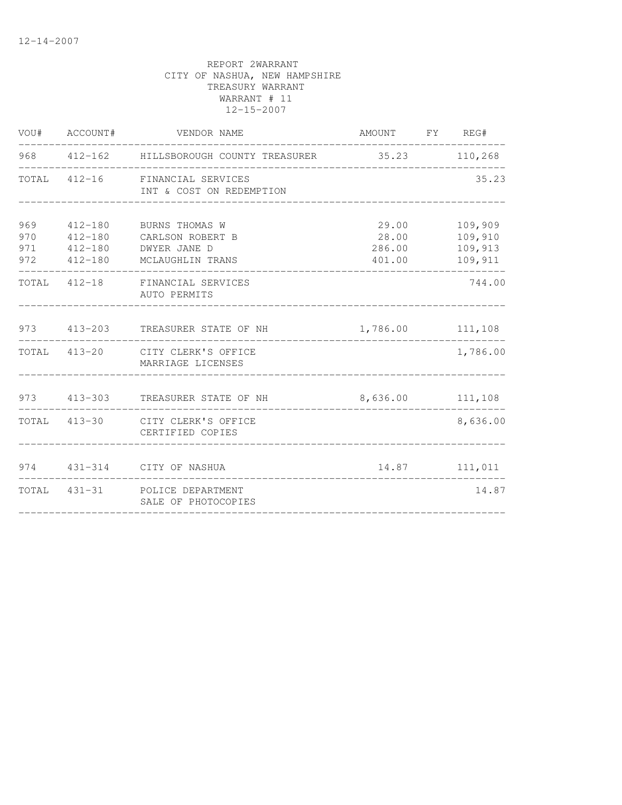|                          | VOU# ACCOUNT#                                    | VENDOR NAME                                                            | AMOUNT FY REG#                     |                                          |
|--------------------------|--------------------------------------------------|------------------------------------------------------------------------|------------------------------------|------------------------------------------|
|                          |                                                  | 968 412-162 HILLSBOROUGH COUNTY TREASURER                              | 35.23 110,268                      |                                          |
|                          |                                                  | TOTAL 412-16 FINANCIAL SERVICES<br>INT & COST ON REDEMPTION            |                                    | 35.23                                    |
| 969<br>970<br>971<br>972 | 412-180<br>$412 - 180$<br>412-180<br>$412 - 180$ | BURNS THOMAS W<br>CARLSON ROBERT B<br>DWYER JANE D<br>MCLAUGHLIN TRANS | 29.00<br>28.00<br>286.00<br>401.00 | 109,909<br>109,910<br>109,913<br>109,911 |
|                          |                                                  | TOTAL 412-18 FINANCIAL SERVICES<br>AUTO PERMITS                        |                                    | 744.00                                   |
|                          |                                                  | 973 413-203 TREASURER STATE OF NH                                      | 1,786.00 111,108                   |                                          |
|                          |                                                  | TOTAL 413-20 CITY CLERK'S OFFICE<br>MARRIAGE LICENSES                  |                                    | 1,786.00                                 |
|                          |                                                  | 973 413-303 TREASURER STATE OF NH                                      | 8,636.00 111,108                   |                                          |
|                          |                                                  | TOTAL 413-30 CITY CLERK'S OFFICE<br>CERTIFIED COPIES                   |                                    | 8,636.00                                 |
|                          |                                                  | 974   431-314   CITY OF NASHUA                                         |                                    | 14.87 111,011                            |
|                          |                                                  | TOTAL 431-31 POLICE DEPARTMENT<br>SALE OF PHOTOCOPIES                  |                                    | 14.87                                    |
|                          |                                                  |                                                                        |                                    |                                          |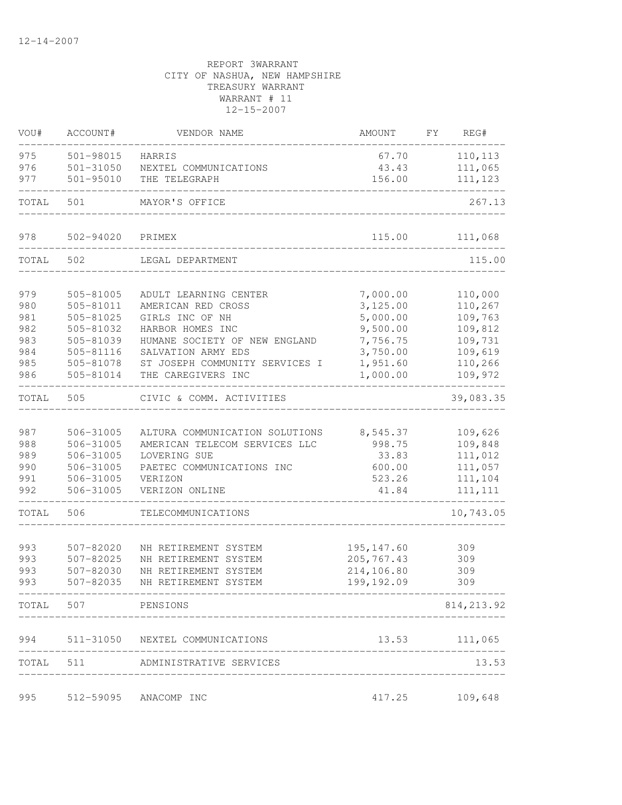| VOU#       | ACCOUNT#               | VENDOR NAME                                   | AMOUNT                    | FY<br>REG#         |
|------------|------------------------|-----------------------------------------------|---------------------------|--------------------|
| 975        | 501-98015              | HARRIS                                        | 67.70                     | 110,113            |
| 976        | $501 - 31050$          | NEXTEL COMMUNICATIONS                         | 43.43                     | 111,065            |
| 977        | 501-95010              | THE TELEGRAPH                                 | 156.00                    | 111,123            |
| TOTAL      | 501                    | MAYOR'S OFFICE                                |                           | 267.13             |
| 978        | 502-94020              | PRIMEX                                        | 115.00                    | 111,068            |
| TOTAL      | 502                    | LEGAL DEPARTMENT                              |                           | 115.00             |
|            |                        |                                               |                           |                    |
| 979        | 505-81005              | ADULT LEARNING CENTER                         | 7,000.00                  | 110,000            |
| 980<br>981 | 505-81011<br>505-81025 | AMERICAN RED CROSS<br>GIRLS INC OF NH         | 3,125.00<br>5,000.00      | 110,267<br>109,763 |
| 982        | 505-81032              | HARBOR HOMES INC                              | 9,500.00                  | 109,812            |
| 983        | 505-81039              | HUMANE SOCIETY OF NEW ENGLAND                 | 7,756.75                  | 109,731            |
| 984        | 505-81116              | SALVATION ARMY EDS                            | 3,750.00                  | 109,619            |
| 985        | 505-81078              | ST JOSEPH COMMUNITY SERVICES I                | 1,951.60                  | 110,266            |
| 986        | 505-81014              | THE CAREGIVERS INC                            | 1,000.00                  | 109,972            |
| TOTAL      | 505                    | CIVIC & COMM. ACTIVITIES                      |                           | 39,083.35          |
|            |                        |                                               |                           |                    |
| 987        | 506-31005              | ALTURA COMMUNICATION SOLUTIONS                | 8,545.37                  | 109,626            |
| 988<br>989 | 506-31005<br>506-31005 | AMERICAN TELECOM SERVICES LLC<br>LOVERING SUE | 998.75<br>33.83           | 109,848<br>111,012 |
| 990        | 506-31005              | PAETEC COMMUNICATIONS INC                     | 600.00                    | 111,057            |
| 991        | 506-31005              | VERIZON                                       | 523.26                    | 111,104            |
| 992        | 506-31005              | VERIZON ONLINE                                | 41.84                     | 111, 111           |
| TOTAL      | 506                    | TELECOMMUNICATIONS                            |                           | 10,743.05          |
|            |                        |                                               |                           |                    |
| 993        | 507-82020              | NH RETIREMENT SYSTEM                          | 195, 147.60               | 309                |
| 993        | 507-82025              | NH RETIREMENT SYSTEM                          | 205,767.43                | 309                |
| 993<br>993 | 507-82030<br>507-82035 | NH RETIREMENT SYSTEM<br>NH RETIREMENT SYSTEM  | 214,106.80<br>199, 192.09 | 309<br>309         |
|            |                        |                                               |                           |                    |
|            | TOTAL 507 PENSIONS     |                                               |                           | 814, 213.92        |
| 994        |                        | 511-31050 NEXTEL COMMUNICATIONS               |                           | 13.53 111,065      |
| TOTAL 511  |                        | ADMINISTRATIVE SERVICES                       |                           | 13.53              |
|            |                        |                                               |                           |                    |
| 995        |                        | 512-59095 ANACOMP INC                         | 417.25                    | 109,648            |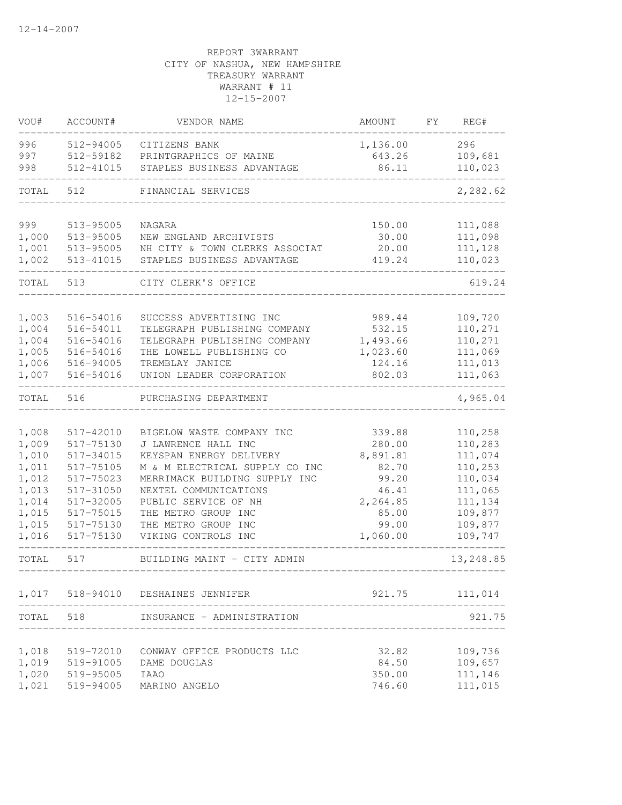| VOU#           | ACCOUNT#               | VENDOR NAME                                | AMOUNT            | FY. | REG#               |
|----------------|------------------------|--------------------------------------------|-------------------|-----|--------------------|
| 996            | 512-94005              | CITIZENS BANK                              | 1,136.00          |     | 296                |
| 997            | 512-59182              | PRINTGRAPHICS OF MAINE                     | 643.26            |     | 109,681            |
| 998            | 512-41015              | STAPLES BUSINESS ADVANTAGE                 | 86.11             |     | 110,023            |
| TOTAL          | 512                    | FINANCIAL SERVICES                         |                   |     | 2,282.62           |
|                |                        |                                            |                   |     |                    |
| 999            | 513-95005              | NAGARA                                     | 150.00            |     | 111,088            |
| 1,000          | 513-95005              | NEW ENGLAND ARCHIVISTS                     | 30.00             |     | 111,098            |
| 1,001          | 513-95005              | NH CITY & TOWN CLERKS ASSOCIAT             | 20.00             |     | 111,128            |
| 1,002          | 513-41015              | STAPLES BUSINESS ADVANTAGE                 | 419.24            |     | 110,023            |
| TOTAL          | 513                    | CITY CLERK'S OFFICE                        |                   |     | 619.24             |
|                |                        |                                            |                   |     |                    |
| 1,003          | 516-54016              | SUCCESS ADVERTISING INC                    | 989.44            |     | 109,720            |
| 1,004          | 516-54011              | TELEGRAPH PUBLISHING COMPANY               | 532.15            |     | 110,271            |
| 1,004          | 516-54016              | TELEGRAPH PUBLISHING COMPANY               | 1,493.66          |     | 110,271            |
| 1,005          | 516-54016              | THE LOWELL PUBLISHING CO                   | 1,023.60          |     | 111,069            |
| 1,006          | 516-94005              | TREMBLAY JANICE                            | 124.16            |     | 111,013            |
| 1,007          | 516-54016              | UNION LEADER CORPORATION                   | 802.03            |     | 111,063            |
| TOTAL          | 516                    | PURCHASING DEPARTMENT                      |                   |     | 4,965.04           |
|                |                        |                                            |                   |     |                    |
| 1,008          | 517-42010              | BIGELOW WASTE COMPANY INC                  | 339.88            |     | 110,258            |
| 1,009          | 517-75130              | J LAWRENCE HALL INC                        | 280.00            |     | 110,283            |
| 1,010          | 517-34015              | KEYSPAN ENERGY DELIVERY                    | 8,891.81          |     | 111,074            |
| 1,011          | 517-75105              | M & M ELECTRICAL SUPPLY CO INC             | 82.70             |     | 110,253            |
| 1,012          | 517-75023              | MERRIMACK BUILDING SUPPLY INC              | 99.20             |     | 110,034            |
| 1,013          | 517-31050              | NEXTEL COMMUNICATIONS                      | 46.41             |     | 111,065            |
| 1,014          | 517-32005              | PUBLIC SERVICE OF NH                       | 2,264.85          |     | 111,134            |
| 1,015          | 517-75015              | THE METRO GROUP INC                        | 85.00             |     | 109,877            |
| 1,015<br>1,016 | 517-75130<br>517-75130 | THE METRO GROUP INC<br>VIKING CONTROLS INC | 99.00<br>1,060.00 |     | 109,877<br>109,747 |
| TOTAL          | 517                    | BUILDING MAINT - CITY ADMIN                |                   |     | 13,248.85          |
|                |                        |                                            |                   |     |                    |
|                |                        | 1,017 518-94010 DESHAINES JENNIFER         | 921.75            |     | 111,014            |
| TOTAL          | 518                    | INSURANCE - ADMINISTRATION                 |                   |     | 921.75             |
|                |                        |                                            |                   |     |                    |
| 1,018          | 519-72010              | CONWAY OFFICE PRODUCTS LLC                 | 32.82             |     | 109,736            |
| 1,019          | 519-91005              | DAME DOUGLAS                               | 84.50             |     | 109,657            |
| 1,020          | 519-95005              | IAAO                                       | 350.00            |     | 111,146            |
| 1,021          | 519-94005              | MARINO ANGELO                              | 746.60            |     | 111,015            |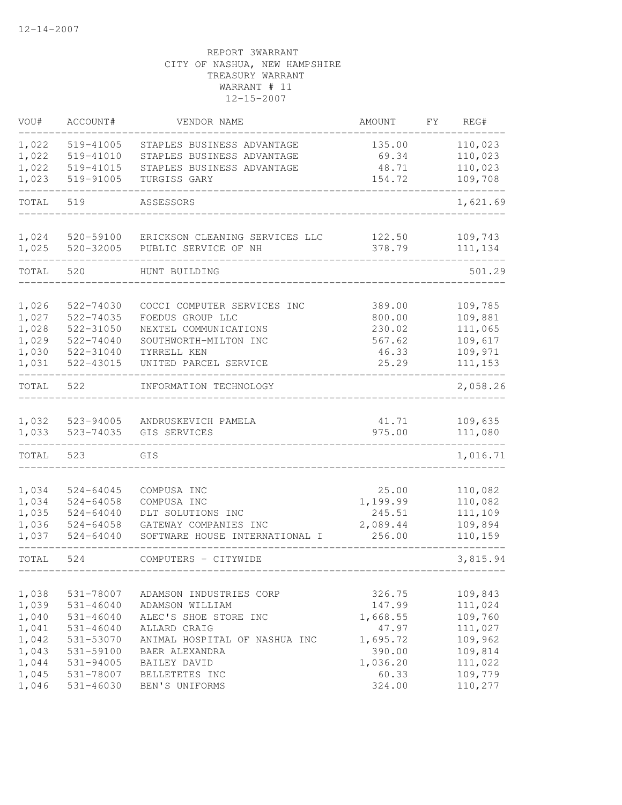| VOU#           | ACCOUNT#               | VENDOR NAME                         | <b>AMOUNT</b>   | FΥ | REG#               |
|----------------|------------------------|-------------------------------------|-----------------|----|--------------------|
| 1,022          | 519-41005              | STAPLES BUSINESS ADVANTAGE          | 135.00          |    | 110,023            |
| 1,022          | 519-41010              | STAPLES BUSINESS ADVANTAGE          | 69.34           |    | 110,023            |
| 1,022          | 519-41015              | STAPLES BUSINESS ADVANTAGE          | 48.71           |    | 110,023            |
| 1,023          | 519-91005              | TURGISS GARY                        | 154.72          |    | 109,708            |
| TOTAL          | 519                    | ASSESSORS                           |                 |    | 1,621.69           |
| 1,024          | 520-59100              | ERICKSON CLEANING SERVICES LLC      | 122.50          |    | 109,743            |
| 1,025          | $520 - 32005$          | PUBLIC SERVICE OF NH                | 378.79          |    | 111,134            |
| TOTAL          | 520                    | HUNT BUILDING                       |                 |    | 501.29             |
| 1,026          | 522-74030              | COCCI COMPUTER SERVICES INC         | 389.00          |    | 109,785            |
| 1,027          | $522 - 74035$          | FOEDUS GROUP LLC                    | 800.00          |    | 109,881            |
| 1,028          | 522-31050              | NEXTEL COMMUNICATIONS               | 230.02          |    | 111,065            |
| 1,029          | 522-74040              | SOUTHWORTH-MILTON INC               | 567.62          |    | 109,617            |
| 1,030          | 522-31040              | TYRRELL KEN                         | 46.33           |    | 109,971            |
| 1,031          | 522-43015              | UNITED PARCEL SERVICE               | 25.29           |    | 111,153            |
| TOTAL          | 522                    | INFORMATION TECHNOLOGY              |                 |    | 2,058.26           |
|                |                        |                                     |                 |    |                    |
| 1,032<br>1,033 | 523-94005<br>523-74035 | ANDRUSKEVICH PAMELA<br>GIS SERVICES | 41.71<br>975.00 |    | 109,635<br>111,080 |
|                |                        |                                     |                 |    |                    |
| TOTAL          | 523                    | GIS                                 |                 |    | 1,016.71           |
| 1,034          | $524 - 64045$          | COMPUSA INC                         | 25.00           |    | 110,082            |
| 1,034          | $524 - 64058$          | COMPUSA INC                         | 1,199.99        |    | 110,082            |
| 1,035          | $524 - 64040$          | DLT SOLUTIONS INC                   | 245.51          |    | 111,109            |
| 1,036          | $524 - 64058$          | GATEWAY COMPANIES INC               | 2,089.44        |    | 109,894            |
| 1,037          | $524 - 64040$          | SOFTWARE HOUSE INTERNATIONAL I      | 256.00          |    | 110,159            |
| TOTAL          | 524                    | COMPUTERS - CITYWIDE                |                 |    | 3,815.94           |
|                |                        |                                     |                 |    |                    |
| 1,038          | 531-78007              | ADAMSON INDUSTRIES CORP             | 326.75          |    | 109,843            |
| 1,039          | 531-46040              | ADAMSON WILLIAM                     | 147.99          |    | 111,024            |
| 1,040          | 531-46040              | ALEC'S SHOE STORE INC               | 1,668.55        |    | 109,760            |
| 1,041          | $531 - 46040$          | ALLARD CRAIG                        | 47.97           |    | 111,027            |
| 1,042          | 531-53070              | ANIMAL HOSPITAL OF NASHUA INC       | 1,695.72        |    | 109,962            |
| 1,043          | 531-59100              | BAER ALEXANDRA                      | 390.00          |    | 109,814            |
| 1,044          | 531-94005              | BAILEY DAVID                        | 1,036.20        |    | 111,022            |
| 1,045          | 531-78007              | BELLETETES INC                      | 60.33           |    | 109,779            |
| 1,046          | 531-46030              | BEN'S UNIFORMS                      | 324.00          |    | 110,277            |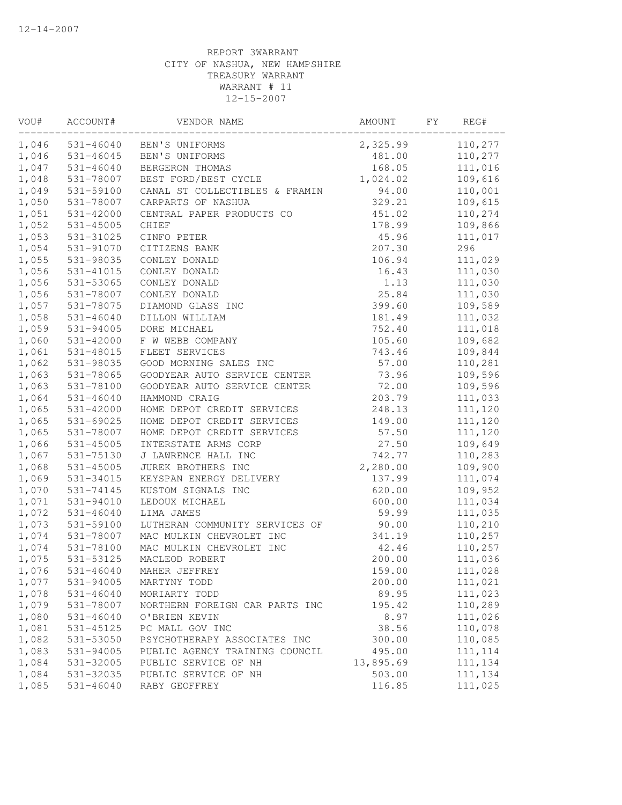| $531 - 46040$<br>2,325.99<br>110,277<br>BEN'S UNIFORMS<br>$531 - 46045$<br>BEN'S UNIFORMS<br>481.00<br>110,277<br>$531 - 46040$<br>BERGERON THOMAS<br>168.05<br>111,016<br>531-78007<br>BEST FORD/BEST CYCLE<br>1,024.02<br>109,616<br>531-59100<br>CANAL ST COLLECTIBLES & FRAMIN<br>94.00<br>110,001<br>531-78007<br>329.21<br>109,615<br>CARPARTS OF NASHUA<br>110,274<br>531-42000<br>CENTRAL PAPER PRODUCTS CO<br>451.02<br>109,866<br>$531 - 45005$<br>178.99<br>CHIEF<br>45.96<br>111,017<br>531-31025<br>CINFO PETER<br>296<br>531-91070<br>CITIZENS BANK<br>207.30<br>531-98035<br>CONLEY DONALD<br>106.94<br>111,029<br>531-41015<br>111,030<br>CONLEY DONALD<br>16.43<br>531-53065<br>CONLEY DONALD<br>1.13<br>111,030<br>111,030<br>531-78007<br>CONLEY DONALD<br>25.84<br>109,589<br>399.60<br>531-78075<br>DIAMOND GLASS INC<br>1,058<br>111,032<br>$531 - 46040$<br>DILLON WILLIAM<br>181.49<br>111,018<br>531-94005<br>DORE MICHAEL<br>752.40<br>109,682<br>1,060<br>531-42000<br>F W WEBB COMPANY<br>105.60<br>1,061<br>FLEET SERVICES<br>109,844<br>531-48015<br>743.46<br>1,062<br>531-98035<br>GOOD MORNING SALES INC<br>57.00<br>110,281<br>1,063<br>531-78065<br>GOODYEAR AUTO SERVICE CENTER<br>73.96<br>109,596<br>1,063<br>531-78100<br>GOODYEAR AUTO SERVICE CENTER<br>72.00<br>109,596<br>1,064<br>$531 - 46040$<br>HAMMOND CRAIG<br>203.79<br>111,033<br>1,065<br>111,120<br>531-42000<br>HOME DEPOT CREDIT SERVICES<br>248.13<br>1,065<br>111,120<br>531-69025<br>HOME DEPOT CREDIT SERVICES<br>149.00<br>111,120<br>1,065<br>531-78007<br>HOME DEPOT CREDIT SERVICES<br>57.50<br>109,649<br>1,066<br>$531 - 45005$<br>INTERSTATE ARMS CORP<br>27.50<br>1,067<br>531-75130<br>J LAWRENCE HALL INC<br>742.77<br>110,283<br>109,900<br>1,068<br>$531 - 45005$<br>JUREK BROTHERS INC<br>2,280.00<br>1,069<br>531-34015<br>KEYSPAN ENERGY DELIVERY<br>137.99<br>111,074<br>109,952<br>1,070<br>531-74145<br>KUSTOM SIGNALS INC<br>620.00<br>111,034<br>1,071<br>531-94010<br>LEDOUX MICHAEL<br>600.00<br>111,035<br>1,072<br>$531 - 46040$<br>LIMA JAMES<br>59.99<br>1,073<br>110,210<br>531-59100<br>LUTHERAN COMMUNITY SERVICES OF<br>90.00<br>1,074<br>110,257<br>531-78007<br>MAC MULKIN CHEVROLET INC<br>341.19<br>1,074<br>110,257<br>531-78100<br>MAC MULKIN CHEVROLET INC<br>42.46<br>1,075<br>531-53125<br>MACLEOD ROBERT<br>200.00<br>111,036<br>$531 - 46040$<br>159.00<br>1,076<br>MAHER JEFFREY<br>111,028<br>531-94005<br>200.00<br>111,021<br>1,077<br>MARTYNY TODD<br>111,023<br>1,078<br>$531 - 46040$<br>89.95<br>MORIARTY TODD<br>1,079<br>110,289<br>531-78007<br>195.42<br>NORTHERN FOREIGN CAR PARTS INC<br>1,080<br>$531 - 46040$<br>O'BRIEN KEVIN<br>8.97<br>111,026<br>1,081<br>110,078<br>531-45125<br>PC MALL GOV INC<br>38.56<br>1,082<br>531-53050<br>PSYCHOTHERAPY ASSOCIATES INC<br>300.00<br>110,085<br>1,083<br>531-94005<br>PUBLIC AGENCY TRAINING COUNCIL<br>495.00<br>111, 114<br>1,084<br>531-32005<br>PUBLIC SERVICE OF NH<br>13,895.69<br>111,134<br>1,084<br>531-32035<br>PUBLIC SERVICE OF NH<br>503.00<br>111,134<br>$531 - 46040$<br>111,025<br>RABY GEOFFREY<br>116.85 | VOU#  | ACCOUNT# | VENDOR NAME | AMOUNT | FΥ | REG# |
|---------------------------------------------------------------------------------------------------------------------------------------------------------------------------------------------------------------------------------------------------------------------------------------------------------------------------------------------------------------------------------------------------------------------------------------------------------------------------------------------------------------------------------------------------------------------------------------------------------------------------------------------------------------------------------------------------------------------------------------------------------------------------------------------------------------------------------------------------------------------------------------------------------------------------------------------------------------------------------------------------------------------------------------------------------------------------------------------------------------------------------------------------------------------------------------------------------------------------------------------------------------------------------------------------------------------------------------------------------------------------------------------------------------------------------------------------------------------------------------------------------------------------------------------------------------------------------------------------------------------------------------------------------------------------------------------------------------------------------------------------------------------------------------------------------------------------------------------------------------------------------------------------------------------------------------------------------------------------------------------------------------------------------------------------------------------------------------------------------------------------------------------------------------------------------------------------------------------------------------------------------------------------------------------------------------------------------------------------------------------------------------------------------------------------------------------------------------------------------------------------------------------------------------------------------------------------------------------------------------------------------------------------------------------------------------------------------------------------------------------------------------------------------------------------------------------------------------------------------------------------------------------------------------------------------------------------------------------------------------------------------------------------------------------------------------------------------------------------------------------------------------------|-------|----------|-------------|--------|----|------|
|                                                                                                                                                                                                                                                                                                                                                                                                                                                                                                                                                                                                                                                                                                                                                                                                                                                                                                                                                                                                                                                                                                                                                                                                                                                                                                                                                                                                                                                                                                                                                                                                                                                                                                                                                                                                                                                                                                                                                                                                                                                                                                                                                                                                                                                                                                                                                                                                                                                                                                                                                                                                                                                                                                                                                                                                                                                                                                                                                                                                                                                                                                                                             | 1,046 |          |             |        |    |      |
|                                                                                                                                                                                                                                                                                                                                                                                                                                                                                                                                                                                                                                                                                                                                                                                                                                                                                                                                                                                                                                                                                                                                                                                                                                                                                                                                                                                                                                                                                                                                                                                                                                                                                                                                                                                                                                                                                                                                                                                                                                                                                                                                                                                                                                                                                                                                                                                                                                                                                                                                                                                                                                                                                                                                                                                                                                                                                                                                                                                                                                                                                                                                             | 1,046 |          |             |        |    |      |
|                                                                                                                                                                                                                                                                                                                                                                                                                                                                                                                                                                                                                                                                                                                                                                                                                                                                                                                                                                                                                                                                                                                                                                                                                                                                                                                                                                                                                                                                                                                                                                                                                                                                                                                                                                                                                                                                                                                                                                                                                                                                                                                                                                                                                                                                                                                                                                                                                                                                                                                                                                                                                                                                                                                                                                                                                                                                                                                                                                                                                                                                                                                                             | 1,047 |          |             |        |    |      |
|                                                                                                                                                                                                                                                                                                                                                                                                                                                                                                                                                                                                                                                                                                                                                                                                                                                                                                                                                                                                                                                                                                                                                                                                                                                                                                                                                                                                                                                                                                                                                                                                                                                                                                                                                                                                                                                                                                                                                                                                                                                                                                                                                                                                                                                                                                                                                                                                                                                                                                                                                                                                                                                                                                                                                                                                                                                                                                                                                                                                                                                                                                                                             | 1,048 |          |             |        |    |      |
|                                                                                                                                                                                                                                                                                                                                                                                                                                                                                                                                                                                                                                                                                                                                                                                                                                                                                                                                                                                                                                                                                                                                                                                                                                                                                                                                                                                                                                                                                                                                                                                                                                                                                                                                                                                                                                                                                                                                                                                                                                                                                                                                                                                                                                                                                                                                                                                                                                                                                                                                                                                                                                                                                                                                                                                                                                                                                                                                                                                                                                                                                                                                             | 1,049 |          |             |        |    |      |
|                                                                                                                                                                                                                                                                                                                                                                                                                                                                                                                                                                                                                                                                                                                                                                                                                                                                                                                                                                                                                                                                                                                                                                                                                                                                                                                                                                                                                                                                                                                                                                                                                                                                                                                                                                                                                                                                                                                                                                                                                                                                                                                                                                                                                                                                                                                                                                                                                                                                                                                                                                                                                                                                                                                                                                                                                                                                                                                                                                                                                                                                                                                                             | 1,050 |          |             |        |    |      |
|                                                                                                                                                                                                                                                                                                                                                                                                                                                                                                                                                                                                                                                                                                                                                                                                                                                                                                                                                                                                                                                                                                                                                                                                                                                                                                                                                                                                                                                                                                                                                                                                                                                                                                                                                                                                                                                                                                                                                                                                                                                                                                                                                                                                                                                                                                                                                                                                                                                                                                                                                                                                                                                                                                                                                                                                                                                                                                                                                                                                                                                                                                                                             | 1,051 |          |             |        |    |      |
|                                                                                                                                                                                                                                                                                                                                                                                                                                                                                                                                                                                                                                                                                                                                                                                                                                                                                                                                                                                                                                                                                                                                                                                                                                                                                                                                                                                                                                                                                                                                                                                                                                                                                                                                                                                                                                                                                                                                                                                                                                                                                                                                                                                                                                                                                                                                                                                                                                                                                                                                                                                                                                                                                                                                                                                                                                                                                                                                                                                                                                                                                                                                             | 1,052 |          |             |        |    |      |
|                                                                                                                                                                                                                                                                                                                                                                                                                                                                                                                                                                                                                                                                                                                                                                                                                                                                                                                                                                                                                                                                                                                                                                                                                                                                                                                                                                                                                                                                                                                                                                                                                                                                                                                                                                                                                                                                                                                                                                                                                                                                                                                                                                                                                                                                                                                                                                                                                                                                                                                                                                                                                                                                                                                                                                                                                                                                                                                                                                                                                                                                                                                                             | 1,053 |          |             |        |    |      |
|                                                                                                                                                                                                                                                                                                                                                                                                                                                                                                                                                                                                                                                                                                                                                                                                                                                                                                                                                                                                                                                                                                                                                                                                                                                                                                                                                                                                                                                                                                                                                                                                                                                                                                                                                                                                                                                                                                                                                                                                                                                                                                                                                                                                                                                                                                                                                                                                                                                                                                                                                                                                                                                                                                                                                                                                                                                                                                                                                                                                                                                                                                                                             | 1,054 |          |             |        |    |      |
|                                                                                                                                                                                                                                                                                                                                                                                                                                                                                                                                                                                                                                                                                                                                                                                                                                                                                                                                                                                                                                                                                                                                                                                                                                                                                                                                                                                                                                                                                                                                                                                                                                                                                                                                                                                                                                                                                                                                                                                                                                                                                                                                                                                                                                                                                                                                                                                                                                                                                                                                                                                                                                                                                                                                                                                                                                                                                                                                                                                                                                                                                                                                             | 1,055 |          |             |        |    |      |
|                                                                                                                                                                                                                                                                                                                                                                                                                                                                                                                                                                                                                                                                                                                                                                                                                                                                                                                                                                                                                                                                                                                                                                                                                                                                                                                                                                                                                                                                                                                                                                                                                                                                                                                                                                                                                                                                                                                                                                                                                                                                                                                                                                                                                                                                                                                                                                                                                                                                                                                                                                                                                                                                                                                                                                                                                                                                                                                                                                                                                                                                                                                                             | 1,056 |          |             |        |    |      |
|                                                                                                                                                                                                                                                                                                                                                                                                                                                                                                                                                                                                                                                                                                                                                                                                                                                                                                                                                                                                                                                                                                                                                                                                                                                                                                                                                                                                                                                                                                                                                                                                                                                                                                                                                                                                                                                                                                                                                                                                                                                                                                                                                                                                                                                                                                                                                                                                                                                                                                                                                                                                                                                                                                                                                                                                                                                                                                                                                                                                                                                                                                                                             | 1,056 |          |             |        |    |      |
|                                                                                                                                                                                                                                                                                                                                                                                                                                                                                                                                                                                                                                                                                                                                                                                                                                                                                                                                                                                                                                                                                                                                                                                                                                                                                                                                                                                                                                                                                                                                                                                                                                                                                                                                                                                                                                                                                                                                                                                                                                                                                                                                                                                                                                                                                                                                                                                                                                                                                                                                                                                                                                                                                                                                                                                                                                                                                                                                                                                                                                                                                                                                             | 1,056 |          |             |        |    |      |
|                                                                                                                                                                                                                                                                                                                                                                                                                                                                                                                                                                                                                                                                                                                                                                                                                                                                                                                                                                                                                                                                                                                                                                                                                                                                                                                                                                                                                                                                                                                                                                                                                                                                                                                                                                                                                                                                                                                                                                                                                                                                                                                                                                                                                                                                                                                                                                                                                                                                                                                                                                                                                                                                                                                                                                                                                                                                                                                                                                                                                                                                                                                                             | 1,057 |          |             |        |    |      |
|                                                                                                                                                                                                                                                                                                                                                                                                                                                                                                                                                                                                                                                                                                                                                                                                                                                                                                                                                                                                                                                                                                                                                                                                                                                                                                                                                                                                                                                                                                                                                                                                                                                                                                                                                                                                                                                                                                                                                                                                                                                                                                                                                                                                                                                                                                                                                                                                                                                                                                                                                                                                                                                                                                                                                                                                                                                                                                                                                                                                                                                                                                                                             |       |          |             |        |    |      |
|                                                                                                                                                                                                                                                                                                                                                                                                                                                                                                                                                                                                                                                                                                                                                                                                                                                                                                                                                                                                                                                                                                                                                                                                                                                                                                                                                                                                                                                                                                                                                                                                                                                                                                                                                                                                                                                                                                                                                                                                                                                                                                                                                                                                                                                                                                                                                                                                                                                                                                                                                                                                                                                                                                                                                                                                                                                                                                                                                                                                                                                                                                                                             | 1,059 |          |             |        |    |      |
|                                                                                                                                                                                                                                                                                                                                                                                                                                                                                                                                                                                                                                                                                                                                                                                                                                                                                                                                                                                                                                                                                                                                                                                                                                                                                                                                                                                                                                                                                                                                                                                                                                                                                                                                                                                                                                                                                                                                                                                                                                                                                                                                                                                                                                                                                                                                                                                                                                                                                                                                                                                                                                                                                                                                                                                                                                                                                                                                                                                                                                                                                                                                             |       |          |             |        |    |      |
|                                                                                                                                                                                                                                                                                                                                                                                                                                                                                                                                                                                                                                                                                                                                                                                                                                                                                                                                                                                                                                                                                                                                                                                                                                                                                                                                                                                                                                                                                                                                                                                                                                                                                                                                                                                                                                                                                                                                                                                                                                                                                                                                                                                                                                                                                                                                                                                                                                                                                                                                                                                                                                                                                                                                                                                                                                                                                                                                                                                                                                                                                                                                             |       |          |             |        |    |      |
|                                                                                                                                                                                                                                                                                                                                                                                                                                                                                                                                                                                                                                                                                                                                                                                                                                                                                                                                                                                                                                                                                                                                                                                                                                                                                                                                                                                                                                                                                                                                                                                                                                                                                                                                                                                                                                                                                                                                                                                                                                                                                                                                                                                                                                                                                                                                                                                                                                                                                                                                                                                                                                                                                                                                                                                                                                                                                                                                                                                                                                                                                                                                             |       |          |             |        |    |      |
|                                                                                                                                                                                                                                                                                                                                                                                                                                                                                                                                                                                                                                                                                                                                                                                                                                                                                                                                                                                                                                                                                                                                                                                                                                                                                                                                                                                                                                                                                                                                                                                                                                                                                                                                                                                                                                                                                                                                                                                                                                                                                                                                                                                                                                                                                                                                                                                                                                                                                                                                                                                                                                                                                                                                                                                                                                                                                                                                                                                                                                                                                                                                             |       |          |             |        |    |      |
|                                                                                                                                                                                                                                                                                                                                                                                                                                                                                                                                                                                                                                                                                                                                                                                                                                                                                                                                                                                                                                                                                                                                                                                                                                                                                                                                                                                                                                                                                                                                                                                                                                                                                                                                                                                                                                                                                                                                                                                                                                                                                                                                                                                                                                                                                                                                                                                                                                                                                                                                                                                                                                                                                                                                                                                                                                                                                                                                                                                                                                                                                                                                             |       |          |             |        |    |      |
|                                                                                                                                                                                                                                                                                                                                                                                                                                                                                                                                                                                                                                                                                                                                                                                                                                                                                                                                                                                                                                                                                                                                                                                                                                                                                                                                                                                                                                                                                                                                                                                                                                                                                                                                                                                                                                                                                                                                                                                                                                                                                                                                                                                                                                                                                                                                                                                                                                                                                                                                                                                                                                                                                                                                                                                                                                                                                                                                                                                                                                                                                                                                             |       |          |             |        |    |      |
|                                                                                                                                                                                                                                                                                                                                                                                                                                                                                                                                                                                                                                                                                                                                                                                                                                                                                                                                                                                                                                                                                                                                                                                                                                                                                                                                                                                                                                                                                                                                                                                                                                                                                                                                                                                                                                                                                                                                                                                                                                                                                                                                                                                                                                                                                                                                                                                                                                                                                                                                                                                                                                                                                                                                                                                                                                                                                                                                                                                                                                                                                                                                             |       |          |             |        |    |      |
|                                                                                                                                                                                                                                                                                                                                                                                                                                                                                                                                                                                                                                                                                                                                                                                                                                                                                                                                                                                                                                                                                                                                                                                                                                                                                                                                                                                                                                                                                                                                                                                                                                                                                                                                                                                                                                                                                                                                                                                                                                                                                                                                                                                                                                                                                                                                                                                                                                                                                                                                                                                                                                                                                                                                                                                                                                                                                                                                                                                                                                                                                                                                             |       |          |             |        |    |      |
|                                                                                                                                                                                                                                                                                                                                                                                                                                                                                                                                                                                                                                                                                                                                                                                                                                                                                                                                                                                                                                                                                                                                                                                                                                                                                                                                                                                                                                                                                                                                                                                                                                                                                                                                                                                                                                                                                                                                                                                                                                                                                                                                                                                                                                                                                                                                                                                                                                                                                                                                                                                                                                                                                                                                                                                                                                                                                                                                                                                                                                                                                                                                             |       |          |             |        |    |      |
|                                                                                                                                                                                                                                                                                                                                                                                                                                                                                                                                                                                                                                                                                                                                                                                                                                                                                                                                                                                                                                                                                                                                                                                                                                                                                                                                                                                                                                                                                                                                                                                                                                                                                                                                                                                                                                                                                                                                                                                                                                                                                                                                                                                                                                                                                                                                                                                                                                                                                                                                                                                                                                                                                                                                                                                                                                                                                                                                                                                                                                                                                                                                             |       |          |             |        |    |      |
|                                                                                                                                                                                                                                                                                                                                                                                                                                                                                                                                                                                                                                                                                                                                                                                                                                                                                                                                                                                                                                                                                                                                                                                                                                                                                                                                                                                                                                                                                                                                                                                                                                                                                                                                                                                                                                                                                                                                                                                                                                                                                                                                                                                                                                                                                                                                                                                                                                                                                                                                                                                                                                                                                                                                                                                                                                                                                                                                                                                                                                                                                                                                             |       |          |             |        |    |      |
|                                                                                                                                                                                                                                                                                                                                                                                                                                                                                                                                                                                                                                                                                                                                                                                                                                                                                                                                                                                                                                                                                                                                                                                                                                                                                                                                                                                                                                                                                                                                                                                                                                                                                                                                                                                                                                                                                                                                                                                                                                                                                                                                                                                                                                                                                                                                                                                                                                                                                                                                                                                                                                                                                                                                                                                                                                                                                                                                                                                                                                                                                                                                             |       |          |             |        |    |      |
|                                                                                                                                                                                                                                                                                                                                                                                                                                                                                                                                                                                                                                                                                                                                                                                                                                                                                                                                                                                                                                                                                                                                                                                                                                                                                                                                                                                                                                                                                                                                                                                                                                                                                                                                                                                                                                                                                                                                                                                                                                                                                                                                                                                                                                                                                                                                                                                                                                                                                                                                                                                                                                                                                                                                                                                                                                                                                                                                                                                                                                                                                                                                             |       |          |             |        |    |      |
|                                                                                                                                                                                                                                                                                                                                                                                                                                                                                                                                                                                                                                                                                                                                                                                                                                                                                                                                                                                                                                                                                                                                                                                                                                                                                                                                                                                                                                                                                                                                                                                                                                                                                                                                                                                                                                                                                                                                                                                                                                                                                                                                                                                                                                                                                                                                                                                                                                                                                                                                                                                                                                                                                                                                                                                                                                                                                                                                                                                                                                                                                                                                             |       |          |             |        |    |      |
|                                                                                                                                                                                                                                                                                                                                                                                                                                                                                                                                                                                                                                                                                                                                                                                                                                                                                                                                                                                                                                                                                                                                                                                                                                                                                                                                                                                                                                                                                                                                                                                                                                                                                                                                                                                                                                                                                                                                                                                                                                                                                                                                                                                                                                                                                                                                                                                                                                                                                                                                                                                                                                                                                                                                                                                                                                                                                                                                                                                                                                                                                                                                             |       |          |             |        |    |      |
|                                                                                                                                                                                                                                                                                                                                                                                                                                                                                                                                                                                                                                                                                                                                                                                                                                                                                                                                                                                                                                                                                                                                                                                                                                                                                                                                                                                                                                                                                                                                                                                                                                                                                                                                                                                                                                                                                                                                                                                                                                                                                                                                                                                                                                                                                                                                                                                                                                                                                                                                                                                                                                                                                                                                                                                                                                                                                                                                                                                                                                                                                                                                             |       |          |             |        |    |      |
|                                                                                                                                                                                                                                                                                                                                                                                                                                                                                                                                                                                                                                                                                                                                                                                                                                                                                                                                                                                                                                                                                                                                                                                                                                                                                                                                                                                                                                                                                                                                                                                                                                                                                                                                                                                                                                                                                                                                                                                                                                                                                                                                                                                                                                                                                                                                                                                                                                                                                                                                                                                                                                                                                                                                                                                                                                                                                                                                                                                                                                                                                                                                             |       |          |             |        |    |      |
|                                                                                                                                                                                                                                                                                                                                                                                                                                                                                                                                                                                                                                                                                                                                                                                                                                                                                                                                                                                                                                                                                                                                                                                                                                                                                                                                                                                                                                                                                                                                                                                                                                                                                                                                                                                                                                                                                                                                                                                                                                                                                                                                                                                                                                                                                                                                                                                                                                                                                                                                                                                                                                                                                                                                                                                                                                                                                                                                                                                                                                                                                                                                             |       |          |             |        |    |      |
|                                                                                                                                                                                                                                                                                                                                                                                                                                                                                                                                                                                                                                                                                                                                                                                                                                                                                                                                                                                                                                                                                                                                                                                                                                                                                                                                                                                                                                                                                                                                                                                                                                                                                                                                                                                                                                                                                                                                                                                                                                                                                                                                                                                                                                                                                                                                                                                                                                                                                                                                                                                                                                                                                                                                                                                                                                                                                                                                                                                                                                                                                                                                             |       |          |             |        |    |      |
|                                                                                                                                                                                                                                                                                                                                                                                                                                                                                                                                                                                                                                                                                                                                                                                                                                                                                                                                                                                                                                                                                                                                                                                                                                                                                                                                                                                                                                                                                                                                                                                                                                                                                                                                                                                                                                                                                                                                                                                                                                                                                                                                                                                                                                                                                                                                                                                                                                                                                                                                                                                                                                                                                                                                                                                                                                                                                                                                                                                                                                                                                                                                             |       |          |             |        |    |      |
|                                                                                                                                                                                                                                                                                                                                                                                                                                                                                                                                                                                                                                                                                                                                                                                                                                                                                                                                                                                                                                                                                                                                                                                                                                                                                                                                                                                                                                                                                                                                                                                                                                                                                                                                                                                                                                                                                                                                                                                                                                                                                                                                                                                                                                                                                                                                                                                                                                                                                                                                                                                                                                                                                                                                                                                                                                                                                                                                                                                                                                                                                                                                             |       |          |             |        |    |      |
|                                                                                                                                                                                                                                                                                                                                                                                                                                                                                                                                                                                                                                                                                                                                                                                                                                                                                                                                                                                                                                                                                                                                                                                                                                                                                                                                                                                                                                                                                                                                                                                                                                                                                                                                                                                                                                                                                                                                                                                                                                                                                                                                                                                                                                                                                                                                                                                                                                                                                                                                                                                                                                                                                                                                                                                                                                                                                                                                                                                                                                                                                                                                             |       |          |             |        |    |      |
|                                                                                                                                                                                                                                                                                                                                                                                                                                                                                                                                                                                                                                                                                                                                                                                                                                                                                                                                                                                                                                                                                                                                                                                                                                                                                                                                                                                                                                                                                                                                                                                                                                                                                                                                                                                                                                                                                                                                                                                                                                                                                                                                                                                                                                                                                                                                                                                                                                                                                                                                                                                                                                                                                                                                                                                                                                                                                                                                                                                                                                                                                                                                             |       |          |             |        |    |      |
|                                                                                                                                                                                                                                                                                                                                                                                                                                                                                                                                                                                                                                                                                                                                                                                                                                                                                                                                                                                                                                                                                                                                                                                                                                                                                                                                                                                                                                                                                                                                                                                                                                                                                                                                                                                                                                                                                                                                                                                                                                                                                                                                                                                                                                                                                                                                                                                                                                                                                                                                                                                                                                                                                                                                                                                                                                                                                                                                                                                                                                                                                                                                             |       |          |             |        |    |      |
|                                                                                                                                                                                                                                                                                                                                                                                                                                                                                                                                                                                                                                                                                                                                                                                                                                                                                                                                                                                                                                                                                                                                                                                                                                                                                                                                                                                                                                                                                                                                                                                                                                                                                                                                                                                                                                                                                                                                                                                                                                                                                                                                                                                                                                                                                                                                                                                                                                                                                                                                                                                                                                                                                                                                                                                                                                                                                                                                                                                                                                                                                                                                             |       |          |             |        |    |      |
|                                                                                                                                                                                                                                                                                                                                                                                                                                                                                                                                                                                                                                                                                                                                                                                                                                                                                                                                                                                                                                                                                                                                                                                                                                                                                                                                                                                                                                                                                                                                                                                                                                                                                                                                                                                                                                                                                                                                                                                                                                                                                                                                                                                                                                                                                                                                                                                                                                                                                                                                                                                                                                                                                                                                                                                                                                                                                                                                                                                                                                                                                                                                             |       |          |             |        |    |      |
|                                                                                                                                                                                                                                                                                                                                                                                                                                                                                                                                                                                                                                                                                                                                                                                                                                                                                                                                                                                                                                                                                                                                                                                                                                                                                                                                                                                                                                                                                                                                                                                                                                                                                                                                                                                                                                                                                                                                                                                                                                                                                                                                                                                                                                                                                                                                                                                                                                                                                                                                                                                                                                                                                                                                                                                                                                                                                                                                                                                                                                                                                                                                             |       |          |             |        |    |      |
|                                                                                                                                                                                                                                                                                                                                                                                                                                                                                                                                                                                                                                                                                                                                                                                                                                                                                                                                                                                                                                                                                                                                                                                                                                                                                                                                                                                                                                                                                                                                                                                                                                                                                                                                                                                                                                                                                                                                                                                                                                                                                                                                                                                                                                                                                                                                                                                                                                                                                                                                                                                                                                                                                                                                                                                                                                                                                                                                                                                                                                                                                                                                             |       |          |             |        |    |      |
|                                                                                                                                                                                                                                                                                                                                                                                                                                                                                                                                                                                                                                                                                                                                                                                                                                                                                                                                                                                                                                                                                                                                                                                                                                                                                                                                                                                                                                                                                                                                                                                                                                                                                                                                                                                                                                                                                                                                                                                                                                                                                                                                                                                                                                                                                                                                                                                                                                                                                                                                                                                                                                                                                                                                                                                                                                                                                                                                                                                                                                                                                                                                             |       |          |             |        |    |      |
|                                                                                                                                                                                                                                                                                                                                                                                                                                                                                                                                                                                                                                                                                                                                                                                                                                                                                                                                                                                                                                                                                                                                                                                                                                                                                                                                                                                                                                                                                                                                                                                                                                                                                                                                                                                                                                                                                                                                                                                                                                                                                                                                                                                                                                                                                                                                                                                                                                                                                                                                                                                                                                                                                                                                                                                                                                                                                                                                                                                                                                                                                                                                             |       |          |             |        |    |      |
|                                                                                                                                                                                                                                                                                                                                                                                                                                                                                                                                                                                                                                                                                                                                                                                                                                                                                                                                                                                                                                                                                                                                                                                                                                                                                                                                                                                                                                                                                                                                                                                                                                                                                                                                                                                                                                                                                                                                                                                                                                                                                                                                                                                                                                                                                                                                                                                                                                                                                                                                                                                                                                                                                                                                                                                                                                                                                                                                                                                                                                                                                                                                             | 1,085 |          |             |        |    |      |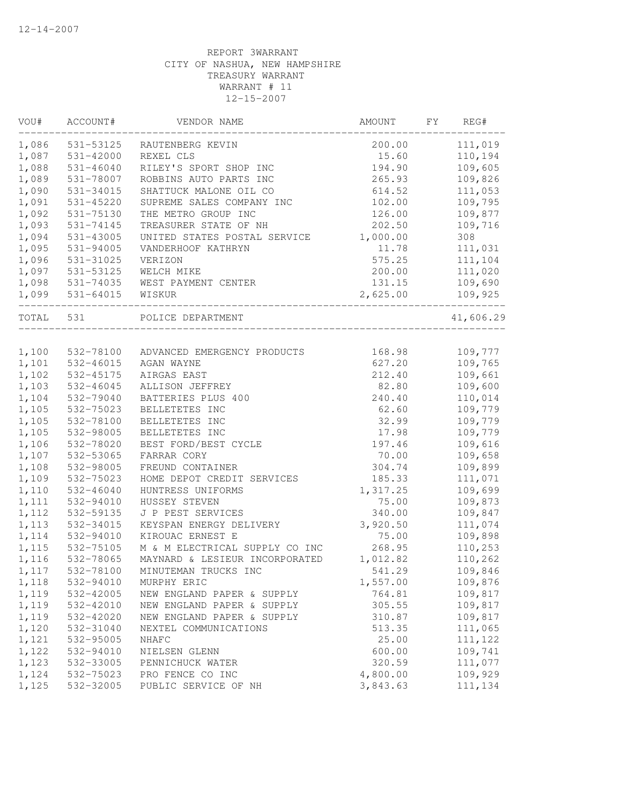| VOU#  | ACCOUNT#      | VENDOR NAME                          | AMOUNT   | FΥ | REG#      |
|-------|---------------|--------------------------------------|----------|----|-----------|
| 1,086 | 531-53125     | RAUTENBERG KEVIN                     | 200.00   |    | 111,019   |
| 1,087 | 531-42000     | REXEL CLS                            | 15.60    |    | 110,194   |
| 1,088 | $531 - 46040$ | RILEY'S SPORT SHOP INC               | 194.90   |    | 109,605   |
| 1,089 | 531-78007     | ROBBINS AUTO PARTS INC               | 265.93   |    | 109,826   |
| 1,090 | 531-34015     | SHATTUCK MALONE OIL CO               | 614.52   |    | 111,053   |
| 1,091 | $531 - 45220$ | SUPREME SALES COMPANY INC            | 102.00   |    | 109,795   |
| 1,092 | 531-75130     | THE METRO GROUP INC                  | 126.00   |    | 109,877   |
| 1,093 | 531-74145     | TREASURER STATE OF NH                | 202.50   |    | 109,716   |
| 1,094 | 531-43005     | UNITED STATES POSTAL SERVICE         | 1,000.00 |    | 308       |
| 1,095 | 531-94005     | VANDERHOOF KATHRYN                   | 11.78    |    | 111,031   |
| 1,096 | 531-31025     | VERIZON                              | 575.25   |    | 111,104   |
| 1,097 | 531-53125     | WELCH MIKE                           | 200.00   |    | 111,020   |
| 1,098 | 531-74035     | WEST PAYMENT CENTER                  | 131.15   |    | 109,690   |
| 1,099 | 531-64015     | WISKUR                               | 2,625.00 |    | 109,925   |
| TOTAL | 531           | POLICE DEPARTMENT                    |          |    | 41,606.29 |
|       |               |                                      |          |    |           |
| 1,100 | 532-78100     | ADVANCED EMERGENCY PRODUCTS          | 168.98   |    | 109,777   |
| 1,101 | 532-46015     | AGAN WAYNE                           | 627.20   |    | 109,765   |
| 1,102 | 532-45175     | AIRGAS EAST                          | 212.40   |    | 109,661   |
| 1,103 | 532-46045     | ALLISON JEFFREY                      | 82.80    |    | 109,600   |
| 1,104 | 532-79040     | BATTERIES PLUS 400                   | 240.40   |    | 110,014   |
| 1,105 | 532-75023     | BELLETETES INC                       | 62.60    |    | 109,779   |
| 1,105 | 532-78100     | BELLETETES INC                       | 32.99    |    | 109,779   |
| 1,105 | 532-98005     | BELLETETES INC                       | 17.98    |    | 109,779   |
| 1,106 | 532-78020     | BEST FORD/BEST CYCLE                 | 197.46   |    | 109,616   |
| 1,107 | 532-53065     | FARRAR CORY                          | 70.00    |    | 109,658   |
| 1,108 | 532-98005     | FREUND CONTAINER                     | 304.74   |    | 109,899   |
| 1,109 | 532-75023     | HOME DEPOT CREDIT SERVICES           | 185.33   |    | 111,071   |
| 1,110 | 532-46040     | HUNTRESS UNIFORMS                    | 1,317.25 |    | 109,699   |
| 1,111 | 532-94010     | HUSSEY STEVEN                        | 75.00    |    | 109,873   |
| 1,112 | 532-59135     | J P PEST SERVICES                    | 340.00   |    | 109,847   |
| 1,113 | 532-34015     | KEYSPAN ENERGY DELIVERY              | 3,920.50 |    | 111,074   |
| 1,114 | 532-94010     | KIROUAC ERNEST E                     | 75.00    |    | 109,898   |
| 1,115 | 532-75105     | M & M ELECTRICAL SUPPLY CO INC       | 268.95   |    | 110,253   |
| 1,116 | 532-78065     | MAYNARD & LESIEUR INCORPORATED       | 1,012.82 |    | 110,262   |
| 1,117 | 532-78100     | MINUTEMAN TRUCKS INC                 | 541.29   |    | 109,846   |
| 1,118 | 532-94010     | MURPHY ERIC                          | 1,557.00 |    | 109,876   |
| 1,119 | 532-42005     | NEW ENGLAND PAPER & SUPPLY           | 764.81   |    | 109,817   |
| 1,119 | 532-42010     | NEW ENGLAND PAPER & SUPPLY           | 305.55   |    | 109,817   |
| 1,119 | 532-42020     | NEW ENGLAND PAPER & SUPPLY           | 310.87   |    | 109,817   |
| 1,120 | 532-31040     | NEXTEL COMMUNICATIONS                | 513.35   |    | 111,065   |
| 1,121 | 532-95005     | NHAFC                                | 25.00    |    | 111,122   |
| 1,122 | 532-94010     | NIELSEN GLENN                        | 600.00   |    | 109,741   |
| 1,123 | 532-33005     |                                      | 320.59   |    | 111,077   |
| 1,124 | 532-75023     | PENNICHUCK WATER<br>PRO FENCE CO INC | 4,800.00 |    | 109,929   |
| 1,125 | 532-32005     | PUBLIC SERVICE OF NH                 | 3,843.63 |    | 111,134   |
|       |               |                                      |          |    |           |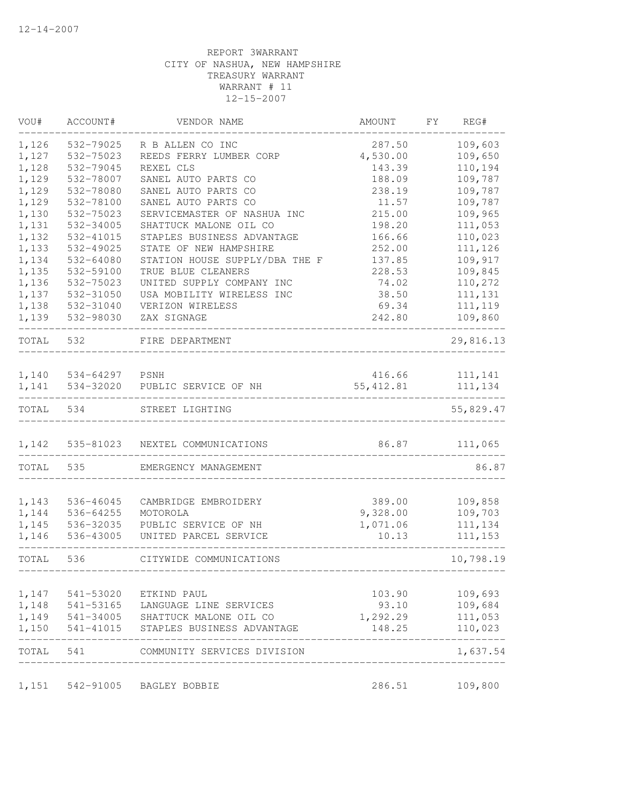| VOU#           | ACCOUNT#               | VENDOR NAME                            | AMOUNT             | FY | REG#               |
|----------------|------------------------|----------------------------------------|--------------------|----|--------------------|
| 1,126          | 532-79025              | R B ALLEN CO INC                       | 287.50             |    | 109,603            |
| 1,127          | 532-75023              | REEDS FERRY LUMBER CORP                | 4,530.00           |    | 109,650            |
| 1,128          | 532-79045              | REXEL CLS                              | 143.39             |    | 110,194            |
| 1,129          | 532-78007              | SANEL AUTO PARTS CO                    | 188.09             |    | 109,787            |
| 1,129          | 532-78080              | SANEL AUTO PARTS CO                    | 238.19             |    | 109,787            |
| 1,129          | 532-78100              | SANEL AUTO PARTS CO                    | 11.57              |    | 109,787            |
| 1,130          | 532-75023              | SERVICEMASTER OF NASHUA INC            | 215.00             |    | 109,965            |
| 1,131          | 532-34005              | SHATTUCK MALONE OIL CO                 | 198.20             |    | 111,053            |
| 1,132          | 532-41015              | STAPLES BUSINESS ADVANTAGE             | 166.66             |    | 110,023            |
| 1,133          | 532-49025              | STATE OF NEW HAMPSHIRE                 | 252.00             |    | 111,126            |
| 1,134          | 532-64080              | STATION HOUSE SUPPLY/DBA THE F         | 137.85             |    | 109,917            |
| 1,135          | 532-59100              | TRUE BLUE CLEANERS                     | 228.53             |    | 109,845            |
| 1,136          | 532-75023              | UNITED SUPPLY COMPANY INC              | 74.02              |    | 110,272            |
| 1,137          | 532-31050              | USA MOBILITY WIRELESS INC              | 38.50              |    | 111, 131           |
| 1,138          | 532-31040              | VERIZON WIRELESS                       | 69.34              |    | 111, 119           |
| 1,139          | 532-98030              | ZAX SIGNAGE                            | 242.80             |    | 109,860            |
| TOTAL          | 532                    | FIRE DEPARTMENT                        |                    |    | 29,816.13          |
| 1,140          | 534-64297              | PSNH                                   | 416.66             |    | 111,141            |
| 1,141          | 534-32020              | PUBLIC SERVICE OF NH                   | 55, 412.81         |    | 111,134            |
| TOTAL          | 534                    | STREET LIGHTING                        |                    |    | 55,829.47          |
| 1,142          | 535-81023              | NEXTEL COMMUNICATIONS                  | 86.87              |    | 111,065            |
| TOTAL          | 535                    | EMERGENCY MANAGEMENT                   |                    |    | 86.87              |
|                |                        |                                        |                    |    |                    |
| 1,143<br>1,144 | 536-46045<br>536-64255 | CAMBRIDGE EMBROIDERY<br>MOTOROLA       | 389.00<br>9,328.00 |    | 109,858<br>109,703 |
| 1,145          | 536-32035              | PUBLIC SERVICE OF NH                   | 1,071.06           |    | 111,134            |
| 1,146          | 536-43005              | UNITED PARCEL SERVICE                  | 10.13              |    | 111, 153           |
| TOTAL          | 536                    | CITYWIDE COMMUNICATIONS                |                    |    | 10,798.19          |
|                | 1,147 541-53020        | ETKIND PAUL                            | 103.90             |    | 109,693            |
|                |                        | 1,148 541-53165 LANGUAGE LINE SERVICES | 93.10              |    | 109,684            |
|                |                        | 1,149 541-34005 SHATTUCK MALONE OIL CO | 1,292.29           |    | 111,053            |
| 1,150          |                        | 541-41015 STAPLES BUSINESS ADVANTAGE   | 148.25             |    | 110,023            |
| TOTAL 541      |                        | COMMUNITY SERVICES DIVISION            |                    |    | 1,637.54           |
|                |                        | 1,151 542-91005 BAGLEY BOBBIE          | 286.51             |    | 109,800            |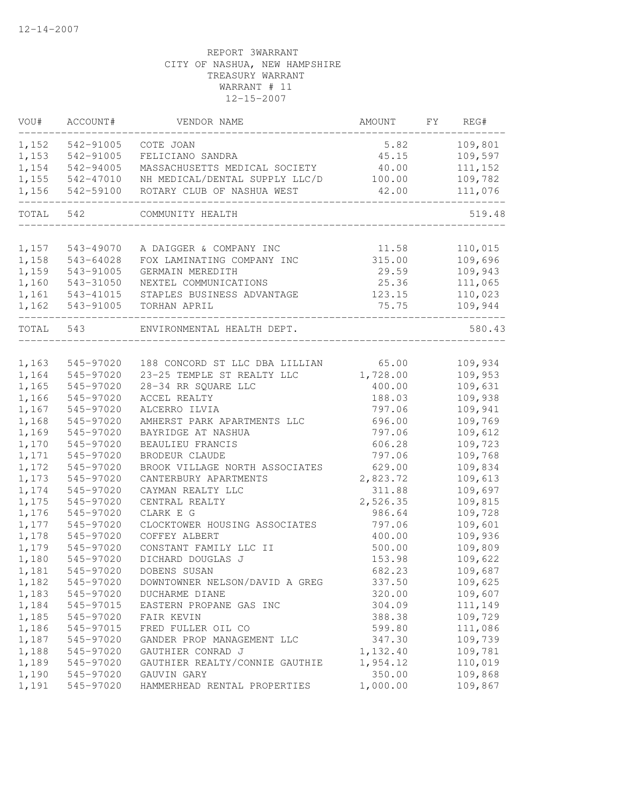| VOU#           | ACCOUNT#               | VENDOR NAME                                         | AMOUNT          | FY | REG#               |
|----------------|------------------------|-----------------------------------------------------|-----------------|----|--------------------|
| 1,152          | 542-91005              | COTE JOAN                                           | 5.82            |    | 109,801            |
| 1,153          | 542-91005              | FELICIANO SANDRA                                    | 45.15           |    | 109,597            |
| 1,154          | 542-94005              | MASSACHUSETTS MEDICAL SOCIETY                       | 40.00           |    | 111,152            |
| 1,155          | 542-47010              | NH MEDICAL/DENTAL SUPPLY LLC/D                      | 100.00          |    | 109,782            |
| 1,156          | 542-59100              | ROTARY CLUB OF NASHUA WEST                          | 42.00           |    | 111,076            |
| TOTAL 542      |                        | COMMUNITY HEALTH                                    |                 |    | 519.48             |
|                |                        |                                                     |                 |    |                    |
| 1,157          | 543-49070              | A DAIGGER & COMPANY INC                             | 11.58           |    | 110,015            |
| 1,158          | 543-64028              | FOX LAMINATING COMPANY INC                          | 315.00          |    | 109,696            |
| 1,159<br>1,160 | 543-91005              | GERMAIN MEREDITH                                    | 29.59           |    | 109,943            |
| 1,161          | 543-31050<br>543-41015 | NEXTEL COMMUNICATIONS<br>STAPLES BUSINESS ADVANTAGE | 25.36<br>123.15 |    | 111,065<br>110,023 |
| 1,162          | 543-91005              | TORHAN APRIL                                        | 75.75           |    | 109,944            |
| TOTAL 543      |                        | ENVIRONMENTAL HEALTH DEPT.                          |                 |    | 580.43             |
|                |                        |                                                     |                 |    |                    |
| 1,163          | 545-97020              | 188 CONCORD ST LLC DBA LILLIAN                      | 65.00           |    | 109,934            |
| 1,164          | 545-97020              | 23-25 TEMPLE ST REALTY LLC                          | 1,728.00        |    | 109,953            |
| 1,165          | 545-97020              | 28-34 RR SQUARE LLC                                 | 400.00          |    | 109,631            |
| 1,166          | 545-97020              | ACCEL REALTY                                        | 188.03          |    | 109,938            |
| 1,167          | 545-97020              | ALCERRO ILVIA                                       | 797.06          |    | 109,941            |
| 1,168          | 545-97020              | AMHERST PARK APARTMENTS LLC                         | 696.00          |    | 109,769            |
| 1,169          | 545-97020              | BAYRIDGE AT NASHUA                                  | 797.06          |    | 109,612            |
| 1,170          | 545-97020              | BEAULIEU FRANCIS                                    | 606.28          |    | 109,723            |
| 1,171          | 545-97020              | BRODEUR CLAUDE                                      | 797.06          |    | 109,768            |
| 1,172          | 545-97020              | BROOK VILLAGE NORTH ASSOCIATES                      | 629.00          |    | 109,834            |
| 1,173          | 545-97020              | CANTERBURY APARTMENTS                               | 2,823.72        |    | 109,613            |
| 1,174          | 545-97020              | CAYMAN REALTY LLC                                   | 311.88          |    | 109,697            |
| 1,175          | 545-97020              | CENTRAL REALTY                                      | 2,526.35        |    | 109,815            |
| 1,176          | 545-97020              | CLARK E G                                           | 986.64          |    | 109,728            |
| 1,177          | 545-97020              | CLOCKTOWER HOUSING ASSOCIATES                       | 797.06          |    | 109,601            |
| 1,178          | 545-97020              | COFFEY ALBERT                                       | 400.00          |    | 109,936            |
| 1,179          | 545-97020              | CONSTANT FAMILY LLC II                              | 500.00          |    | 109,809            |
| 1,180          | 545-97020              | DICHARD DOUGLAS J                                   | 153.98          |    | 109,622            |
| 1,181          | 545-97020              | DOBENS SUSAN                                        | 682.23          |    | 109,687            |
| 1,182          | 545-97020              | DOWNTOWNER NELSON/DAVID A GREG                      | 337.50          |    | 109,625            |
| 1,183          | 545-97020              | DUCHARME DIANE                                      | 320.00          |    | 109,607            |
| 1,184          | 545-97015              | EASTERN PROPANE GAS INC                             | 304.09          |    | 111,149            |
| 1,185          | 545-97020              | FAIR KEVIN                                          | 388.38          |    | 109,729            |
| 1,186          | 545-97015              | FRED FULLER OIL CO                                  | 599.80          |    | 111,086            |
| 1,187          | 545-97020              | GANDER PROP MANAGEMENT LLC                          | 347.30          |    | 109,739            |
| 1,188          | 545-97020              | GAUTHIER CONRAD J                                   | 1,132.40        |    | 109,781            |
| 1,189          | 545-97020              | GAUTHIER REALTY/CONNIE GAUTHIE                      | 1,954.12        |    | 110,019            |
| 1,190          | 545-97020              | GAUVIN GARY                                         | 350.00          |    | 109,868            |
| 1,191          | 545-97020              | HAMMERHEAD RENTAL PROPERTIES                        | 1,000.00        |    | 109,867            |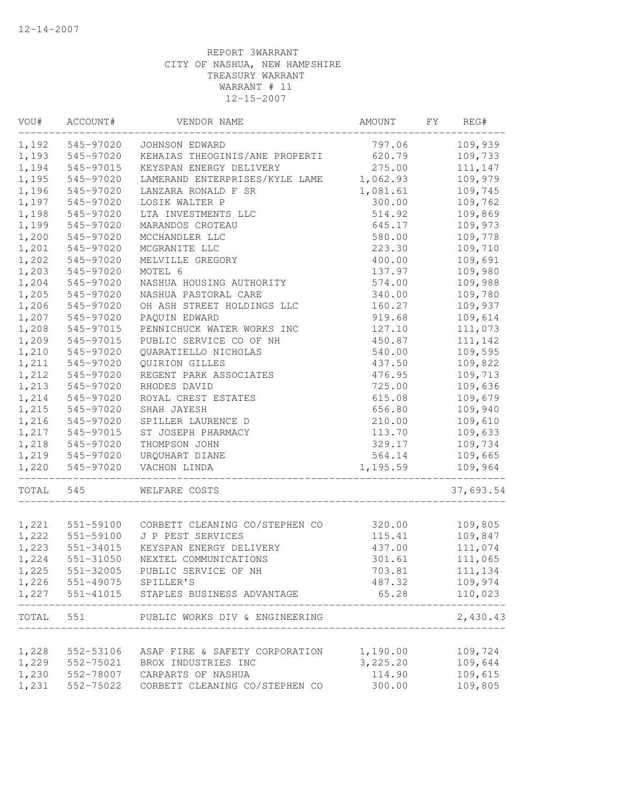| VOU#  | ACCOUNT#                  | VENDOR NAME                          | AMOUNT   | FY | REG#      |
|-------|---------------------------|--------------------------------------|----------|----|-----------|
| 1,192 | 545-97020                 | JOHNSON EDWARD                       | 797.06   |    | 109,939   |
| 1,193 | 545-97020                 | KEHAIAS THEOGINIS/ANE PROPERTI       | 620.79   |    | 109,733   |
| 1,194 | 545-97015                 | KEYSPAN ENERGY DELIVERY              | 275.00   |    | 111,147   |
| 1,195 | 545-97020                 | LAMERAND ENTERPRISES/KYLE LAME       | 1,062.93 |    | 109,979   |
| 1,196 | 545-97020                 | LANZARA RONALD F SR                  | 1,081.61 |    | 109,745   |
| 1,197 | 545-97020                 | LOSIK WALTER P                       | 300.00   |    | 109,762   |
| 1,198 | 545-97020                 | LTA INVESTMENTS LLC                  | 514.92   |    | 109,869   |
| 1,199 | 545-97020                 | MARANDOS CROTEAU                     | 645.17   |    | 109,973   |
| 1,200 | 545-97020                 | MCCHANDLER LLC                       | 580.00   |    | 109,778   |
| 1,201 | 545-97020                 | MCGRANITE LLC                        | 223.30   |    | 109,710   |
| 1,202 | 545-97020                 | MELVILLE GREGORY                     | 400.00   |    | 109,691   |
| 1,203 | 545-97020                 | MOTEL 6                              | 137.97   |    | 109,980   |
| 1,204 | 545-97020                 | NASHUA HOUSING AUTHORITY             | 574.00   |    | 109,988   |
| 1,205 | 545-97020                 | NASHUA PASTORAL CARE                 | 340.00   |    | 109,780   |
| 1,206 | 545-97020                 | OH ASH STREET HOLDINGS LLC           | 160.27   |    | 109,937   |
| 1,207 | 545-97020                 | PAQUIN EDWARD                        | 919.68   |    | 109,614   |
| 1,208 | 545-97015                 | PENNICHUCK WATER WORKS INC           | 127.10   |    | 111,073   |
| 1,209 | 545-97015                 | PUBLIC SERVICE CO OF NH              | 450.87   |    | 111,142   |
| 1,210 | 545-97020                 | QUARATIELLO NICHOLAS                 | 540.00   |    | 109,595   |
| 1,211 | 545-97020                 | QUIRION GILLES                       | 437.50   |    | 109,822   |
| 1,212 | 545-97020                 | REGENT PARK ASSOCIATES               | 476.95   |    | 109,713   |
| 1,213 | 545-97020                 | RHODES DAVID                         | 725.00   |    | 109,636   |
| 1,214 | 545-97020                 | ROYAL CREST ESTATES                  | 615.08   |    | 109,679   |
| 1,215 | 545-97020                 | SHAH JAYESH                          | 656.80   |    | 109,940   |
| 1,216 | 545-97020                 | SPILLER LAURENCE D                   | 210.00   |    | 109,610   |
| 1,217 | 545-97015                 | ST JOSEPH PHARMACY                   | 113.70   |    | 109,633   |
| 1,218 | 545-97020                 | THOMPSON JOHN                        | 329.17   |    | 109,734   |
|       | 1,219 545-97020           | URQUHART DIANE                       | 564.14   |    | 109,665   |
| 1,220 | 545-97020                 | VACHON LINDA                         | 1,195.59 |    | 109,964   |
| TOTAL | 545                       | WELFARE COSTS                        |          |    | 37,693.54 |
|       |                           |                                      |          |    |           |
| 1,221 | 551-59100                 | CORBETT CLEANING CO/STEPHEN CO       | 320.00   |    | 109,805   |
| 1,222 | 551-59100                 | J P PEST SERVICES                    | 115.41   |    | 109,847   |
| 1,223 | 551-34015                 | KEYSPAN ENERGY DELIVERY              | 437.00   |    | 111,074   |
| 1,224 | 551-31050                 | NEXTEL COMMUNICATIONS                | 301.61   |    | 111,065   |
| 1,225 | 551-32005                 | PUBLIC SERVICE OF NH                 | 703.81   |    | 111,134   |
|       | 1,226 551-49075 SPILLER'S |                                      | 487.32   |    | 109,974   |
| 1,227 |                           | 551-41015 STAPLES BUSINESS ADVANTAGE | 65.28    |    | 110,023   |
| TOTAL |                           | 551 PUBLIC WORKS DIV & ENGINEERING   |          |    | 2,430.43  |
| 1,228 | 552-53106                 | ASAP FIRE & SAFETY CORPORATION       | 1,190.00 |    | 109,724   |
| 1,229 | 552-75021                 | BROX INDUSTRIES INC                  | 3,225.20 |    | 109,644   |
| 1,230 | 552-78007                 | CARPARTS OF NASHUA                   | 114.90   |    | 109,615   |
| 1,231 | 552-75022                 | CORBETT CLEANING CO/STEPHEN CO       | 300.00   |    | 109,805   |
|       |                           |                                      |          |    |           |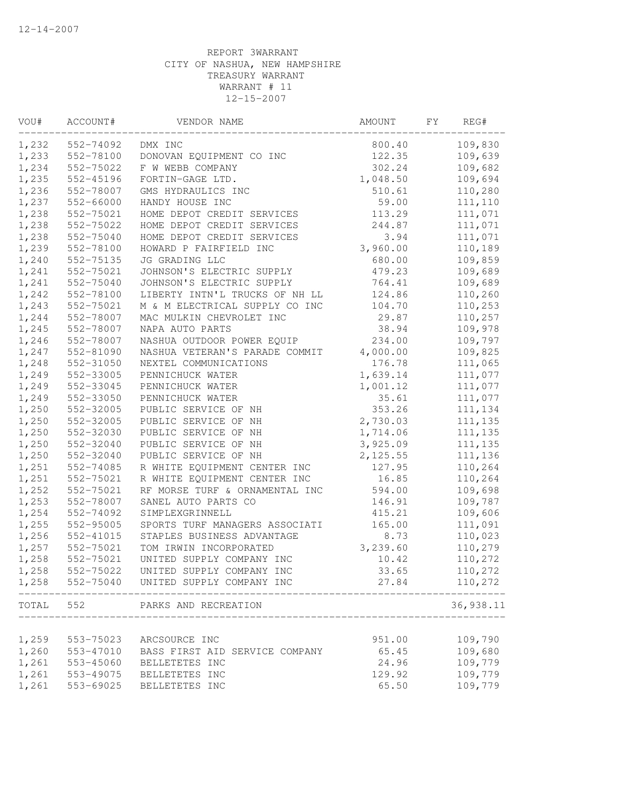| VOU#           | ACCOUNT#               | VENDOR NAME                    | AMOUNT   | FY | REG#      |
|----------------|------------------------|--------------------------------|----------|----|-----------|
| 1,232          | 552-74092              | DMX INC                        | 800.40   |    | 109,830   |
| 1,233          | 552-78100              | DONOVAN EQUIPMENT CO INC       | 122.35   |    | 109,639   |
| 1,234          | 552-75022              | F W WEBB COMPANY               | 302.24   |    | 109,682   |
| 1,235          | 552-45196              | FORTIN-GAGE LTD.               | 1,048.50 |    | 109,694   |
| 1,236          | 552-78007              | GMS HYDRAULICS INC             | 510.61   |    | 110,280   |
| 1,237          | 552-66000              | HANDY HOUSE INC                | 59.00    |    | 111,110   |
| 1,238          | 552-75021              | HOME DEPOT CREDIT SERVICES     | 113.29   |    | 111,071   |
| 1,238          | 552-75022              | HOME DEPOT CREDIT SERVICES     | 244.87   |    | 111,071   |
| 1,238          | 552-75040              | HOME DEPOT CREDIT SERVICES     | 3.94     |    | 111,071   |
| 1,239          | 552-78100              | HOWARD P FAIRFIELD INC         | 3,960.00 |    | 110,189   |
| 1,240          | 552-75135              | JG GRADING LLC                 | 680.00   |    | 109,859   |
| 1,241          | 552-75021              | JOHNSON'S ELECTRIC SUPPLY      | 479.23   |    | 109,689   |
| 1,241          | 552-75040              | JOHNSON'S ELECTRIC SUPPLY      | 764.41   |    | 109,689   |
| 1,242          | 552-78100              | LIBERTY INTN'L TRUCKS OF NH LL | 124.86   |    | 110,260   |
| 1,243          | 552-75021              | M & M ELECTRICAL SUPPLY CO INC | 104.70   |    | 110,253   |
| 1,244          | 552-78007              | MAC MULKIN CHEVROLET INC       | 29.87    |    | 110,257   |
| 1,245          | 552-78007              | NAPA AUTO PARTS                | 38.94    |    | 109,978   |
| 1,246          | 552-78007              | NASHUA OUTDOOR POWER EQUIP     | 234.00   |    | 109,797   |
| 1,247          | 552-81090              | NASHUA VETERAN'S PARADE COMMIT | 4,000.00 |    | 109,825   |
| 1,248          | 552-31050              | NEXTEL COMMUNICATIONS          | 176.78   |    | 111,065   |
| 1,249          | 552-33005              | PENNICHUCK WATER               | 1,639.14 |    | 111,077   |
| 1,249          | 552-33045              | PENNICHUCK WATER               | 1,001.12 |    | 111,077   |
| 1,249          | 552-33050              | PENNICHUCK WATER               | 35.61    |    | 111,077   |
| 1,250          | 552-32005              | PUBLIC SERVICE OF NH           | 353.26   |    | 111,134   |
| 1,250          | 552-32005              | PUBLIC SERVICE OF NH           | 2,730.03 |    | 111, 135  |
| 1,250          | 552-32030              | PUBLIC SERVICE OF NH           | 1,714.06 |    | 111, 135  |
| 1,250          | 552-32040              | PUBLIC SERVICE OF NH           | 3,925.09 |    | 111, 135  |
| 1,250          | 552-32040              | PUBLIC SERVICE OF NH           | 2,125.55 |    | 111,136   |
| 1,251          | 552-74085              | R WHITE EQUIPMENT CENTER INC   | 127.95   |    | 110,264   |
| 1,251          | 552-75021              | R WHITE EQUIPMENT CENTER INC   | 16.85    |    | 110,264   |
| 1,252          | 552-75021              | RF MORSE TURF & ORNAMENTAL INC | 594.00   |    | 109,698   |
| 1,253          | 552-78007              | SANEL AUTO PARTS CO            | 146.91   |    | 109,787   |
| 1,254          | 552-74092              | SIMPLEXGRINNELL                | 415.21   |    | 109,606   |
| 1,255          | 552-95005              | SPORTS TURF MANAGERS ASSOCIATI | 165.00   |    | 111,091   |
| 1,256          | 552-41015              | STAPLES BUSINESS ADVANTAGE     | 8.73     |    | 110,023   |
| 1,257          | 552-75021              | TOM IRWIN INCORPORATED         | 3,239.60 |    | 110,279   |
| 1,258          | 552-75021              | UNITED SUPPLY COMPANY INC      | 10.42    |    | 110,272   |
| 1,258          | 552-75022              | UNITED SUPPLY COMPANY INC      | 33.65    |    | 110,272   |
| 1,258          | 552-75040              | UNITED SUPPLY COMPANY INC      | 27.84    |    | 110,272   |
| TOTAL          | 552                    | PARKS AND RECREATION           |          |    | 36,938.11 |
|                |                        |                                |          |    | 109,790   |
| 1,259<br>1,260 | 553-75023<br>553-47010 | ARCSOURCE INC                  | 951.00   |    |           |
| 1,261          |                        | BASS FIRST AID SERVICE COMPANY | 65.45    |    | 109,680   |
| 1,261          | 553-45060              | BELLETETES INC                 | 24.96    |    | 109,779   |
|                | 553-49075              | BELLETETES INC                 | 129.92   |    | 109,779   |
| 1,261          | 553-69025              | BELLETETES INC                 | 65.50    |    | 109,779   |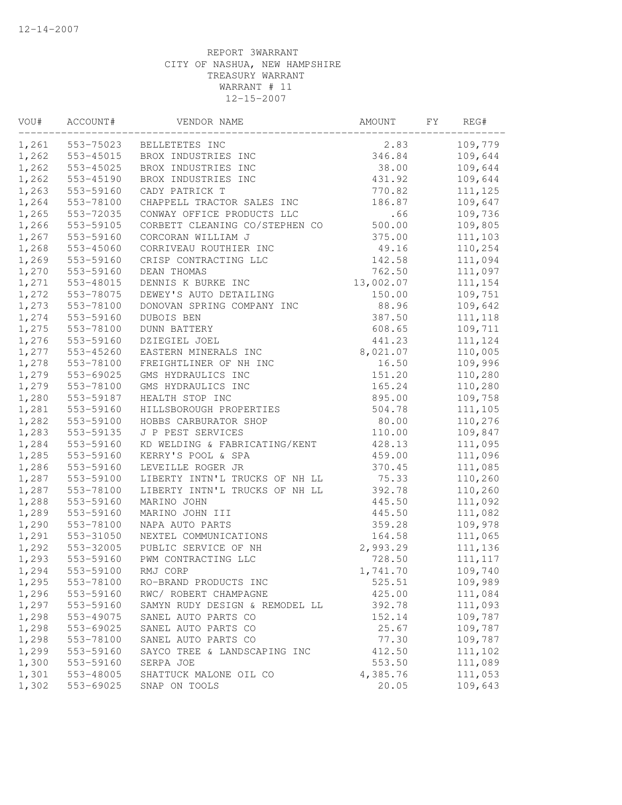| VOU#  | ACCOUNT#  | VENDOR NAME                    | AMOUNT    | FY | REG#     |
|-------|-----------|--------------------------------|-----------|----|----------|
| 1,261 | 553-75023 | BELLETETES INC                 | 2.83      |    | 109,779  |
| 1,262 | 553-45015 | BROX INDUSTRIES INC            | 346.84    |    | 109,644  |
| 1,262 | 553-45025 | BROX INDUSTRIES INC            | 38.00     |    | 109,644  |
| 1,262 | 553-45190 | BROX INDUSTRIES INC            | 431.92    |    | 109,644  |
| 1,263 | 553-59160 | CADY PATRICK T                 | 770.82    |    | 111,125  |
| 1,264 | 553-78100 | CHAPPELL TRACTOR SALES INC     | 186.87    |    | 109,647  |
| 1,265 | 553-72035 | CONWAY OFFICE PRODUCTS LLC     | .66       |    | 109,736  |
| 1,266 | 553-59105 | CORBETT CLEANING CO/STEPHEN CO | 500.00    |    | 109,805  |
| 1,267 | 553-59160 | CORCORAN WILLIAM J             | 375.00    |    | 111,103  |
| 1,268 | 553-45060 | CORRIVEAU ROUTHIER INC         | 49.16     |    | 110,254  |
| 1,269 | 553-59160 | CRISP CONTRACTING LLC          | 142.58    |    | 111,094  |
| 1,270 | 553-59160 | DEAN THOMAS                    | 762.50    |    | 111,097  |
| 1,271 | 553-48015 | DENNIS K BURKE INC             | 13,002.07 |    | 111,154  |
| 1,272 | 553-78075 | DEWEY'S AUTO DETAILING         | 150.00    |    | 109,751  |
| 1,273 | 553-78100 | DONOVAN SPRING COMPANY INC     | 88.96     |    | 109,642  |
| 1,274 | 553-59160 | DUBOIS BEN                     | 387.50    |    | 111, 118 |
| 1,275 | 553-78100 | <b>DUNN BATTERY</b>            | 608.65    |    | 109,711  |
| 1,276 | 553-59160 | DZIEGIEL JOEL                  | 441.23    |    | 111,124  |
| 1,277 | 553-45260 | EASTERN MINERALS INC           | 8,021.07  |    | 110,005  |
| 1,278 | 553-78100 | FREIGHTLINER OF NH INC         | 16.50     |    | 109,996  |
| 1,279 | 553-69025 | GMS HYDRAULICS INC             | 151.20    |    | 110,280  |
| 1,279 | 553-78100 | GMS HYDRAULICS INC             | 165.24    |    | 110,280  |
| 1,280 | 553-59187 | HEALTH STOP INC                | 895.00    |    | 109,758  |
| 1,281 | 553-59160 | HILLSBOROUGH PROPERTIES        | 504.78    |    | 111,105  |
| 1,282 | 553-59100 | HOBBS CARBURATOR SHOP          | 80.00     |    | 110,276  |
| 1,283 | 553-59135 | J P PEST SERVICES              | 110.00    |    | 109,847  |
| 1,284 | 553-59160 | KD WELDING & FABRICATING/KENT  | 428.13    |    | 111,095  |
| 1,285 | 553-59160 | KERRY'S POOL & SPA             | 459.00    |    | 111,096  |
| 1,286 | 553-59160 | LEVEILLE ROGER JR              | 370.45    |    | 111,085  |
| 1,287 | 553-59100 | LIBERTY INTN'L TRUCKS OF NH LL | 75.33     |    | 110,260  |
| 1,287 | 553-78100 | LIBERTY INTN'L TRUCKS OF NH LL | 392.78    |    | 110,260  |
| 1,288 | 553-59160 | MARINO JOHN                    | 445.50    |    | 111,092  |
| 1,289 | 553-59160 | MARINO JOHN III                | 445.50    |    | 111,082  |
| 1,290 | 553-78100 | NAPA AUTO PARTS                | 359.28    |    | 109,978  |
| 1,291 | 553-31050 | NEXTEL COMMUNICATIONS          | 164.58    |    | 111,065  |
| 1,292 | 553-32005 | PUBLIC SERVICE OF NH           | 2,993.29  |    | 111,136  |
| 1,293 | 553-59160 | PWM CONTRACTING LLC            | 728.50    |    | 111, 117 |
| 1,294 | 553-59100 | RMJ CORP                       | 1,741.70  |    | 109,740  |
| 1,295 | 553-78100 | RO-BRAND PRODUCTS INC          | 525.51    |    | 109,989  |
| 1,296 | 553-59160 | RWC/ ROBERT CHAMPAGNE          | 425.00    |    | 111,084  |
| 1,297 | 553-59160 | SAMYN RUDY DESIGN & REMODEL LL | 392.78    |    | 111,093  |
| 1,298 | 553-49075 | SANEL AUTO PARTS CO            | 152.14    |    | 109,787  |
| 1,298 | 553-69025 | SANEL AUTO PARTS CO            | 25.67     |    | 109,787  |
| 1,298 | 553-78100 | SANEL AUTO PARTS CO            | 77.30     |    | 109,787  |
| 1,299 | 553-59160 | SAYCO TREE & LANDSCAPING INC   | 412.50    |    | 111,102  |
| 1,300 | 553-59160 | SERPA JOE                      | 553.50    |    | 111,089  |
| 1,301 | 553-48005 | SHATTUCK MALONE OIL CO         | 4,385.76  |    | 111,053  |
| 1,302 | 553-69025 | SNAP ON TOOLS                  | 20.05     |    | 109,643  |
|       |           |                                |           |    |          |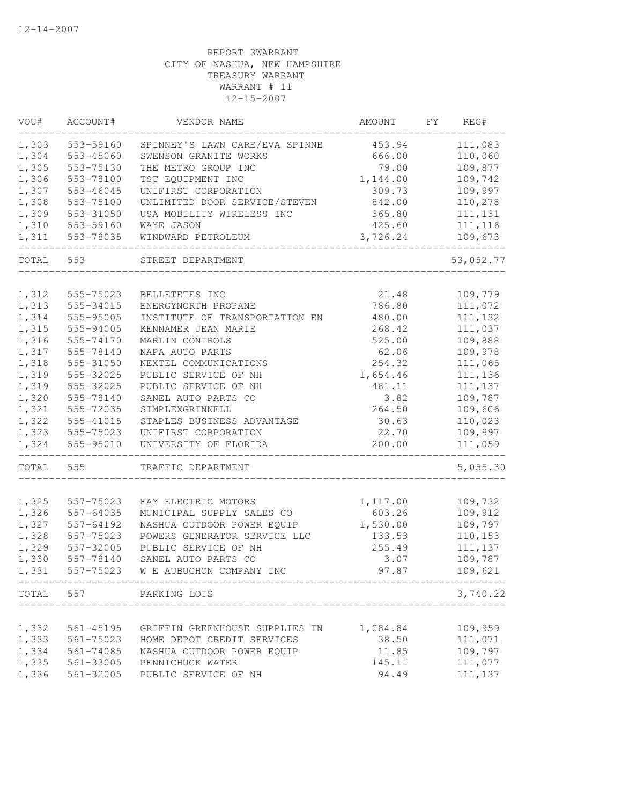| VOU#  | ACCOUNT#  | VENDOR NAME                                 | AMOUNT           | FY | REG#      |
|-------|-----------|---------------------------------------------|------------------|----|-----------|
| 1,303 | 553-59160 | SPINNEY'S LAWN CARE/EVA SPINNE              | 453.94           |    | 111,083   |
| 1,304 | 553-45060 | SWENSON GRANITE WORKS                       | 666.00           |    | 110,060   |
| 1,305 | 553-75130 | THE METRO GROUP INC                         | 79.00            |    | 109,877   |
| 1,306 | 553-78100 | TST EQUIPMENT INC                           | 1,144.00         |    | 109,742   |
| 1,307 | 553-46045 | UNIFIRST CORPORATION                        | 309.73           |    | 109,997   |
| 1,308 | 553-75100 | UNLIMITED DOOR SERVICE/STEVEN               | 842.00           |    | 110,278   |
| 1,309 | 553-31050 | USA MOBILITY WIRELESS INC                   | 365.80           |    | 111, 131  |
| 1,310 | 553-59160 | WAYE JASON                                  | 425.60           |    | 111, 116  |
| 1,311 | 553-78035 | WINDWARD PETROLEUM                          | 3,726.24         |    | 109,673   |
| TOTAL | 553       | STREET DEPARTMENT                           |                  |    | 53,052.77 |
| 1,312 | 555-75023 | BELLETETES INC                              | 21.48            |    | 109,779   |
| 1,313 | 555-34015 | ENERGYNORTH PROPANE                         | 786.80           |    | 111,072   |
| 1,314 | 555-95005 | INSTITUTE OF TRANSPORTATION EN              | 480.00           |    | 111,132   |
| 1,315 | 555-94005 | KENNAMER JEAN MARIE                         | 268.42           |    | 111,037   |
| 1,316 | 555-74170 | MARLIN CONTROLS                             | 525.00           |    | 109,888   |
| 1,317 | 555-78140 | NAPA AUTO PARTS                             | 62.06            |    | 109,978   |
| 1,318 | 555-31050 | NEXTEL COMMUNICATIONS                       | 254.32           |    | 111,065   |
| 1,319 | 555-32025 | PUBLIC SERVICE OF NH                        | 1,654.46         |    | 111,136   |
| 1,319 | 555-32025 | PUBLIC SERVICE OF NH                        | 481.11           |    | 111, 137  |
| 1,320 | 555-78140 | SANEL AUTO PARTS CO                         | 3.82             |    | 109,787   |
| 1,321 | 555-72035 | SIMPLEXGRINNELL                             | 264.50           |    | 109,606   |
| 1,322 | 555-41015 | STAPLES BUSINESS ADVANTAGE                  | 30.63            |    | 110,023   |
| 1,323 | 555-75023 | UNIFIRST CORPORATION                        | 22.70            |    | 109,997   |
| 1,324 | 555-95010 | UNIVERSITY OF FLORIDA                       | 200.00           |    | 111,059   |
| TOTAL | 555       | TRAFFIC DEPARTMENT                          |                  |    | 5,055.30  |
|       |           |                                             |                  |    |           |
| 1,325 | 557-75023 | FAY ELECTRIC MOTORS                         | 1,117.00         |    | 109,732   |
| 1,326 | 557-64035 | MUNICIPAL SUPPLY SALES CO                   | 603.26           |    | 109,912   |
| 1,327 | 557-64192 | NASHUA OUTDOOR POWER EQUIP                  | 1,530.00         |    | 109,797   |
| 1,328 | 557-75023 | POWERS GENERATOR SERVICE LLC                | 133.53<br>255.49 |    | 110,153   |
| 1,329 | 557-32005 | PUBLIC SERVICE OF NH<br>SANEL AUTO PARTS CO |                  |    | 111,137   |
| 1,330 | 557-78140 |                                             | 3.07<br>97.87    |    | 109,787   |
| 1,331 | 557-75023 | W E AUBUCHON COMPANY INC                    |                  |    | 109,621   |
|       |           | TOTAL 557 PARKING LOTS                      |                  |    | 3,740.22  |
|       |           |                                             |                  |    |           |
| 1,332 | 561-45195 | GRIFFIN GREENHOUSE SUPPLIES IN              | 1,084.84         |    | 109,959   |
| 1,333 | 561-75023 | HOME DEPOT CREDIT SERVICES                  | 38.50            |    | 111,071   |
| 1,334 | 561-74085 | NASHUA OUTDOOR POWER EQUIP                  | 11.85            |    | 109,797   |
| 1,335 | 561-33005 | PENNICHUCK WATER                            | 145.11           |    | 111,077   |
| 1,336 | 561-32005 | PUBLIC SERVICE OF NH                        | 94.49            |    | 111,137   |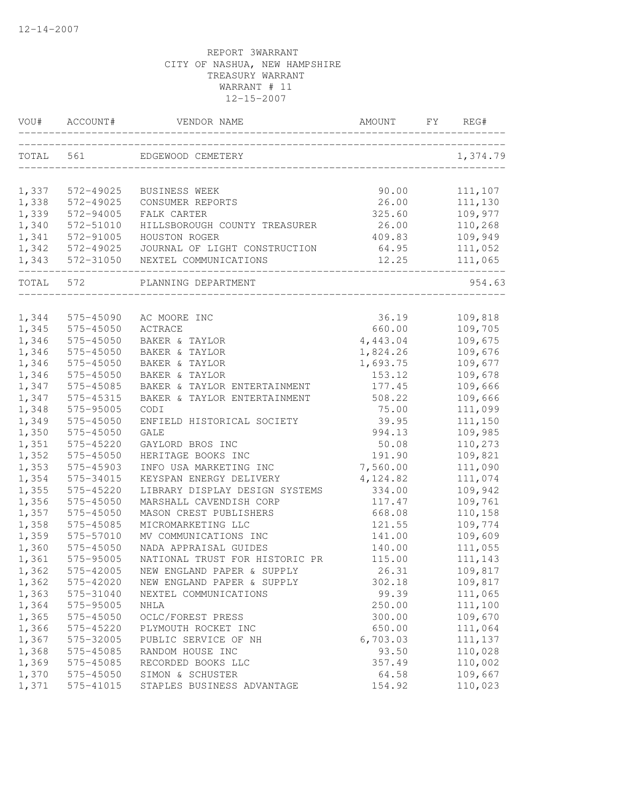| VOU#           | ACCOUNT#               | VENDOR NAME                    | AMOUNT          | FΥ | REG#               |
|----------------|------------------------|--------------------------------|-----------------|----|--------------------|
| TOTAL          | 561                    | EDGEWOOD CEMETERY              |                 |    | 1,374.79           |
| 1,337          | 572-49025              | <b>BUSINESS WEEK</b>           | 90.00           |    | 111,107            |
| 1,338          | 572-49025              | CONSUMER REPORTS               | 26.00           |    | 111,130            |
| 1,339          | 572-94005              | FALK CARTER                    | 325.60          |    | 109,977            |
| 1,340          | 572-51010              | HILLSBOROUGH COUNTY TREASURER  | 26.00           |    | 110,268            |
| 1,341          | 572-91005              | HOUSTON ROGER                  | 409.83          |    | 109,949            |
| 1,342          | 572-49025              | JOURNAL OF LIGHT CONSTRUCTION  | 64.95           |    | 111,052            |
| 1,343          | 572-31050              | NEXTEL COMMUNICATIONS          | 12.25           |    | 111,065            |
| TOTAL          | 572                    | PLANNING DEPARTMENT            |                 |    | 954.63             |
|                |                        |                                |                 |    |                    |
| 1,344<br>1,345 | 575-45090<br>575-45050 | AC MOORE INC<br><b>ACTRACE</b> | 36.19<br>660.00 |    | 109,818<br>109,705 |
| 1,346          | 575-45050              | BAKER & TAYLOR                 | 4,443.04        |    | 109,675            |
| 1,346          | 575-45050              | BAKER & TAYLOR                 | 1,824.26        |    | 109,676            |
| 1,346          | 575-45050              | BAKER & TAYLOR                 | 1,693.75        |    | 109,677            |
| 1,346          | 575-45050              | BAKER & TAYLOR                 | 153.12          |    | 109,678            |
| 1,347          | 575-45085              | BAKER & TAYLOR ENTERTAINMENT   | 177.45          |    | 109,666            |
| 1,347          | 575-45315              | BAKER & TAYLOR ENTERTAINMENT   | 508.22          |    | 109,666            |
| 1,348          | 575-95005              | CODI                           | 75.00           |    | 111,099            |
| 1,349          | 575-45050              | ENFIELD HISTORICAL SOCIETY     | 39.95           |    | 111,150            |
| 1,350          | 575-45050              | <b>GALE</b>                    | 994.13          |    | 109,985            |
| 1,351          | 575-45220              | GAYLORD BROS INC               | 50.08           |    | 110,273            |
| 1,352          | 575-45050              | HERITAGE BOOKS INC             | 191.90          |    | 109,821            |
| 1,353          | 575-45903              | INFO USA MARKETING INC         | 7,560.00        |    | 111,090            |
| 1,354          | 575-34015              | KEYSPAN ENERGY DELIVERY        | 4,124.82        |    | 111,074            |
| 1,355          | 575-45220              | LIBRARY DISPLAY DESIGN SYSTEMS | 334.00          |    | 109,942            |
| 1,356          | 575-45050              | MARSHALL CAVENDISH CORP        | 117.47          |    | 109,761            |
| 1,357          | 575-45050              | MASON CREST PUBLISHERS         | 668.08          |    | 110,158            |
| 1,358          | 575-45085              | MICROMARKETING LLC             | 121.55          |    | 109,774            |
| 1,359          | 575-57010              | MV COMMUNICATIONS INC          | 141.00          |    | 109,609            |
| 1,360          | 575-45050              | NADA APPRAISAL GUIDES          | 140.00          |    | 111,055            |
| 1,361          | 575-95005              | NATIONAL TRUST FOR HISTORIC PR | 115.00          |    | 111,143            |
| 1,362          | 575-42005              | NEW ENGLAND PAPER & SUPPLY     | 26.31           |    | 109,817            |
| 1,362          | 575-42020              | NEW ENGLAND PAPER & SUPPLY     | 302.18          |    | 109,817            |
| 1,363          | 575-31040              | NEXTEL COMMUNICATIONS          | 99.39           |    | 111,065            |
| 1,364          | 575-95005              | NHLA                           | 250.00          |    | 111,100            |
| 1,365          | 575-45050              | OCLC/FOREST PRESS              | 300.00          |    | 109,670            |
| 1,366          | 575-45220              | PLYMOUTH ROCKET INC            | 650.00          |    | 111,064            |
| 1,367          | 575-32005              | PUBLIC SERVICE OF NH           | 6,703.03        |    | 111,137            |
| 1,368          | 575-45085              | RANDOM HOUSE INC               | 93.50           |    | 110,028            |
| 1,369          | 575-45085              | RECORDED BOOKS LLC             | 357.49          |    | 110,002            |
| 1,370          | 575-45050              | SIMON & SCHUSTER               | 64.58           |    | 109,667            |
| 1,371          | 575-41015              | STAPLES BUSINESS ADVANTAGE     | 154.92          |    | 110,023            |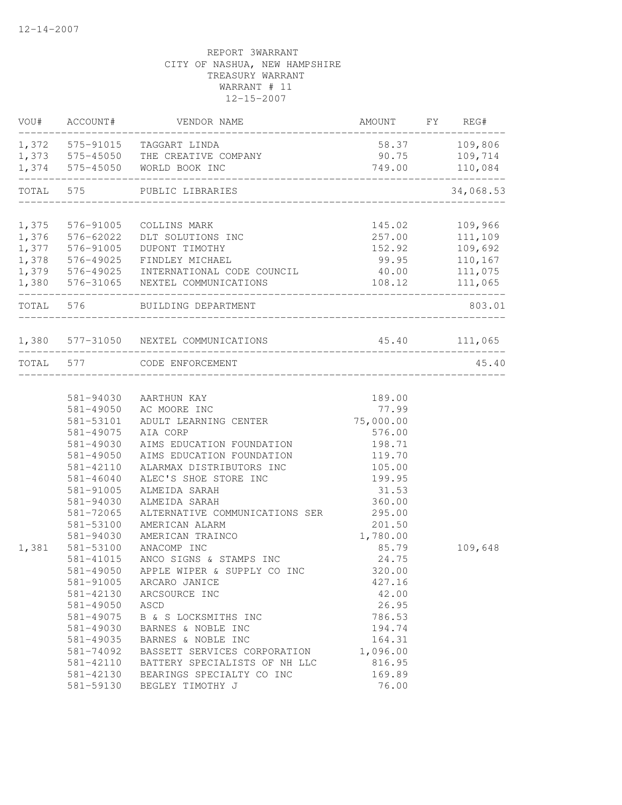|                                                                                                                                                                                                                                                                                                                   |                                                                                                                                                                                                                                                                                                                                                                                                                                                                     |                                                                                                                                                                                                                                                                                                                                                                                                                                                                                                                       |                                                                                                                                                  | 34,068.53                                                                                                                                                                                                                                |
|-------------------------------------------------------------------------------------------------------------------------------------------------------------------------------------------------------------------------------------------------------------------------------------------------------------------|---------------------------------------------------------------------------------------------------------------------------------------------------------------------------------------------------------------------------------------------------------------------------------------------------------------------------------------------------------------------------------------------------------------------------------------------------------------------|-----------------------------------------------------------------------------------------------------------------------------------------------------------------------------------------------------------------------------------------------------------------------------------------------------------------------------------------------------------------------------------------------------------------------------------------------------------------------------------------------------------------------|--------------------------------------------------------------------------------------------------------------------------------------------------|------------------------------------------------------------------------------------------------------------------------------------------------------------------------------------------------------------------------------------------|
|                                                                                                                                                                                                                                                                                                                   |                                                                                                                                                                                                                                                                                                                                                                                                                                                                     |                                                                                                                                                                                                                                                                                                                                                                                                                                                                                                                       |                                                                                                                                                  |                                                                                                                                                                                                                                          |
|                                                                                                                                                                                                                                                                                                                   |                                                                                                                                                                                                                                                                                                                                                                                                                                                                     |                                                                                                                                                                                                                                                                                                                                                                                                                                                                                                                       |                                                                                                                                                  |                                                                                                                                                                                                                                          |
|                                                                                                                                                                                                                                                                                                                   |                                                                                                                                                                                                                                                                                                                                                                                                                                                                     |                                                                                                                                                                                                                                                                                                                                                                                                                                                                                                                       |                                                                                                                                                  |                                                                                                                                                                                                                                          |
|                                                                                                                                                                                                                                                                                                                   |                                                                                                                                                                                                                                                                                                                                                                                                                                                                     |                                                                                                                                                                                                                                                                                                                                                                                                                                                                                                                       |                                                                                                                                                  |                                                                                                                                                                                                                                          |
|                                                                                                                                                                                                                                                                                                                   |                                                                                                                                                                                                                                                                                                                                                                                                                                                                     |                                                                                                                                                                                                                                                                                                                                                                                                                                                                                                                       |                                                                                                                                                  |                                                                                                                                                                                                                                          |
|                                                                                                                                                                                                                                                                                                                   |                                                                                                                                                                                                                                                                                                                                                                                                                                                                     |                                                                                                                                                                                                                                                                                                                                                                                                                                                                                                                       |                                                                                                                                                  |                                                                                                                                                                                                                                          |
|                                                                                                                                                                                                                                                                                                                   |                                                                                                                                                                                                                                                                                                                                                                                                                                                                     |                                                                                                                                                                                                                                                                                                                                                                                                                                                                                                                       |                                                                                                                                                  | 803.01                                                                                                                                                                                                                                   |
|                                                                                                                                                                                                                                                                                                                   |                                                                                                                                                                                                                                                                                                                                                                                                                                                                     |                                                                                                                                                                                                                                                                                                                                                                                                                                                                                                                       |                                                                                                                                                  |                                                                                                                                                                                                                                          |
|                                                                                                                                                                                                                                                                                                                   |                                                                                                                                                                                                                                                                                                                                                                                                                                                                     |                                                                                                                                                                                                                                                                                                                                                                                                                                                                                                                       |                                                                                                                                                  | _______________<br>45.40                                                                                                                                                                                                                 |
| 581-53101<br>581-49075<br>581-49030<br>581-49050<br>581-42110<br>$581 - 46040$<br>581-91005<br>581-94030<br>581-72065<br>581-53100<br>581-94030<br>1,381 581-53100<br>581-41015<br>581-49050<br>581-91005<br>581-42130<br>581-49050<br>581-49075<br>581-49030<br>581-49035<br>581-74092<br>581-42110<br>581-42130 | AC MOORE INC<br>ADULT LEARNING CENTER<br>AIA CORP<br>ALARMAX DISTRIBUTORS INC<br>ALEC'S SHOE STORE INC<br>ALMEIDA SARAH<br>ALMEIDA SARAH<br>AMERICAN ALARM<br>AMERICAN TRAINCO<br>ANACOMP INC<br>ANCO SIGNS & STAMPS INC<br>APPLE WIPER & SUPPLY CO INC<br>ARCARO JANICE<br>ARCSOURCE INC<br>ASCD<br>B & S LOCKSMITHS INC<br>BARNES & NOBLE INC<br>BARNES & NOBLE INC<br>BASSETT SERVICES CORPORATION<br>BATTERY SPECIALISTS OF NH LLC<br>BEARINGS SPECIALTY CO INC | 189.00<br>77.99<br>576.00<br>198.71<br>119.70<br>105.00<br>199.95<br>31.53<br>360.00<br>295.00<br>201.50<br>1,780.00<br>85.79<br>24.75<br>320.00<br>427.16<br>42.00<br>26.95<br>786.53<br>194.74<br>164.31<br>1,096.00<br>816.95<br>169.89                                                                                                                                                                                                                                                                            |                                                                                                                                                  | 109,648                                                                                                                                                                                                                                  |
|                                                                                                                                                                                                                                                                                                                   | 581-59130                                                                                                                                                                                                                                                                                                                                                                                                                                                           | ACCOUNT# VENDOR NAME<br>1,372 575-91015 TAGGART LINDA<br>1,373 575-45050 THE CREATIVE COMPANY<br>1,374 575-45050 WORLD BOOK INC<br>TOTAL 575 PUBLIC LIBRARIES<br>1,375 576-91005<br>COLLINS MARK<br>576-62022<br>DLT SOLUTIONS INC<br>1,377 576-91005<br>DUPONT TIMOTHY<br>1,378 576-49025 FINDLEY MICHAEL<br>1,380 576-31065 NEXTEL COMMUNICATIONS<br>TOTAL 576 BUILDING DEPARTMENT<br>1,380 577-31050 NEXTEL COMMUNICATIONS<br>TOTAL 577 CODE ENFORCEMENT<br>581-94030 AARTHUN KAY<br>581-49050<br>BEGLEY TIMOTHY J | ______________________________<br>75,000.00<br>AIMS EDUCATION FOUNDATION<br>AIMS EDUCATION FOUNDATION<br>ALTERNATIVE COMMUNICATIONS SER<br>76.00 | AMOUNT FY REG#<br>58.37 109,806<br>90.75 109,714<br>749.00 110,084<br>145.02 109,966<br>257.00 111,109<br>152.92 109,692<br>99.95 110,167<br>1,379 576-49025 INTERNATIONAL CODE COUNCIL 40.00 111,075<br>108.12 111,065<br>45.40 111,065 |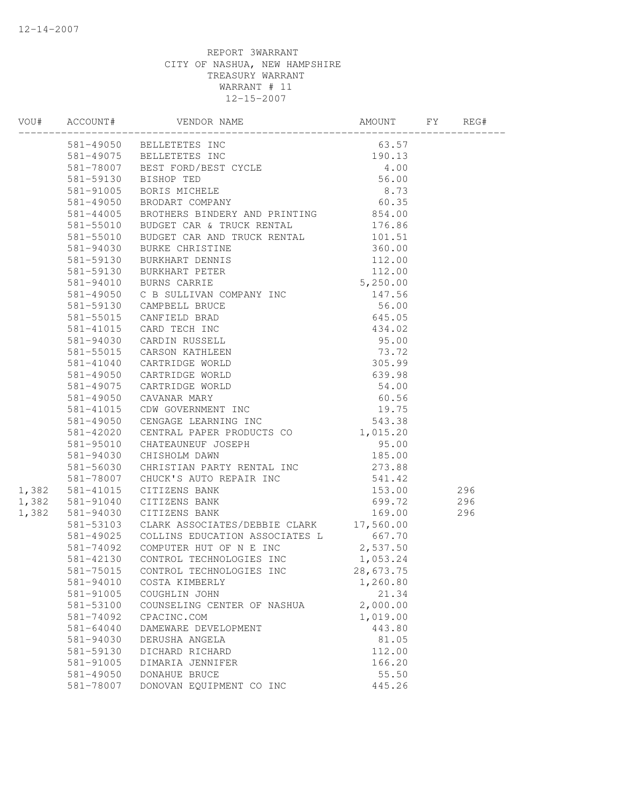|       |           | VOOH ACCOUNT# VENDOR NAME<br>1903 - 1905 BELLETETES INC 63.57<br>1910.13<br>1910.13<br>1910.13<br>1910.13<br>1910.13<br>1910.13<br>1910.13<br>1910.13<br>1910.13<br>1910.13<br>1910.13<br>1910.13<br>1910.13<br>1910.19<br>1910.19<br>1910.19<br>1910.19<br>1910.19<br> |          |  |
|-------|-----------|-------------------------------------------------------------------------------------------------------------------------------------------------------------------------------------------------------------------------------------------------------------------------|----------|--|
|       |           |                                                                                                                                                                                                                                                                         |          |  |
|       |           |                                                                                                                                                                                                                                                                         |          |  |
|       |           |                                                                                                                                                                                                                                                                         |          |  |
|       |           |                                                                                                                                                                                                                                                                         |          |  |
|       |           |                                                                                                                                                                                                                                                                         |          |  |
|       |           |                                                                                                                                                                                                                                                                         |          |  |
|       |           |                                                                                                                                                                                                                                                                         |          |  |
|       |           |                                                                                                                                                                                                                                                                         |          |  |
|       |           |                                                                                                                                                                                                                                                                         |          |  |
|       |           |                                                                                                                                                                                                                                                                         |          |  |
|       |           |                                                                                                                                                                                                                                                                         |          |  |
|       |           |                                                                                                                                                                                                                                                                         |          |  |
|       |           |                                                                                                                                                                                                                                                                         |          |  |
|       |           |                                                                                                                                                                                                                                                                         |          |  |
|       |           |                                                                                                                                                                                                                                                                         |          |  |
|       |           |                                                                                                                                                                                                                                                                         |          |  |
|       |           |                                                                                                                                                                                                                                                                         |          |  |
|       |           |                                                                                                                                                                                                                                                                         |          |  |
|       |           |                                                                                                                                                                                                                                                                         |          |  |
|       |           |                                                                                                                                                                                                                                                                         |          |  |
|       |           |                                                                                                                                                                                                                                                                         |          |  |
|       |           |                                                                                                                                                                                                                                                                         |          |  |
|       |           |                                                                                                                                                                                                                                                                         |          |  |
|       |           |                                                                                                                                                                                                                                                                         |          |  |
|       |           |                                                                                                                                                                                                                                                                         |          |  |
|       |           |                                                                                                                                                                                                                                                                         |          |  |
|       |           |                                                                                                                                                                                                                                                                         |          |  |
|       |           |                                                                                                                                                                                                                                                                         |          |  |
|       |           |                                                                                                                                                                                                                                                                         |          |  |
|       |           | 1,382 581-41015 CITIZENS BANK                                                                                                                                                                                                                                           |          |  |
|       |           | 1,382 581-91040 CITIZENS BANK                                                                                                                                                                                                                                           |          |  |
| 1,382 |           | 581–94030 CHISHOLM DAWN<br>581–56030 CHRISTIAN PARTY RENTAL INC 273.88<br>581–78007 CHUCK'S AUTO REPAIR INC 541.42<br>581–41015 CITIZENS BANK 153.00 296<br>581–91040 CITIZENS BANK 699.72 296<br>581–94030 CITIZENS BANK 169.00 296<br>78                              |          |  |
|       |           | 581-53103 CLARK ASSOCIATES/DEBBIE CLARK 17,560.00                                                                                                                                                                                                                       |          |  |
|       |           |                                                                                                                                                                                                                                                                         |          |  |
|       |           |                                                                                                                                                                                                                                                                         |          |  |
|       |           | 581-49025 COLLINS EDUCATION ASSOCIATES L 667.70<br>581-74092 COMPUTER HUT OF N E INC 2,537.50<br>581-42130 CONTROL TECHNOLOGIES INC 1,053.24                                                                                                                            |          |  |
|       |           | 581-75015 CONTROL TECHNOLOGIES INC 28,673.75                                                                                                                                                                                                                            |          |  |
|       | 581-94010 | COSTA KIMBERLY                                                                                                                                                                                                                                                          | 1,260.80 |  |
|       | 581-91005 | COUGHLIN JOHN                                                                                                                                                                                                                                                           | 21.34    |  |
|       | 581-53100 | COUNSELING CENTER OF NASHUA                                                                                                                                                                                                                                             | 2,000.00 |  |
|       | 581-74092 | CPACINC.COM                                                                                                                                                                                                                                                             | 1,019.00 |  |
|       | 581-64040 | DAMEWARE DEVELOPMENT                                                                                                                                                                                                                                                    | 443.80   |  |
|       | 581-94030 | DERUSHA ANGELA                                                                                                                                                                                                                                                          | 81.05    |  |
|       | 581-59130 | DICHARD RICHARD                                                                                                                                                                                                                                                         | 112.00   |  |
|       | 581-91005 | DIMARIA JENNIFER                                                                                                                                                                                                                                                        | 166.20   |  |
|       | 581-49050 | DONAHUE BRUCE                                                                                                                                                                                                                                                           | 55.50    |  |
|       | 581-78007 | DONOVAN EQUIPMENT CO INC                                                                                                                                                                                                                                                | 445.26   |  |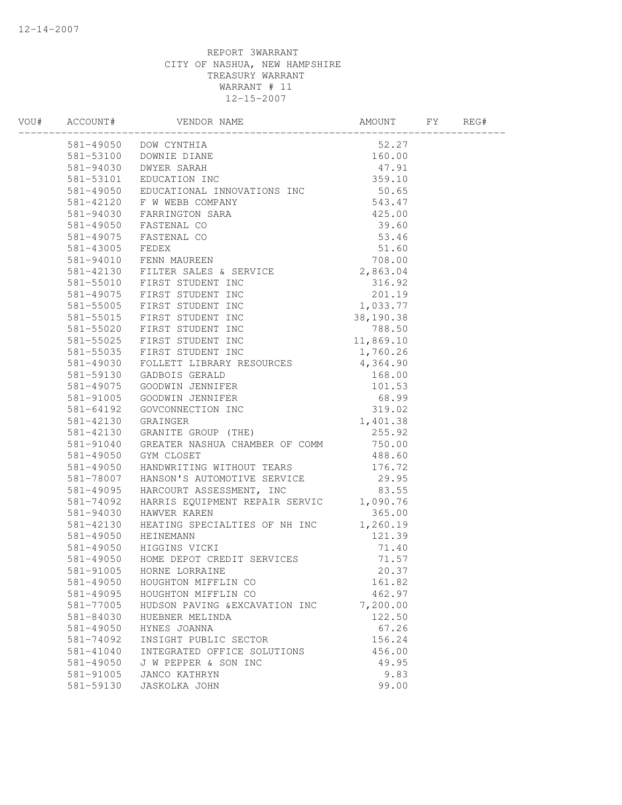| 301-42130 GREATER NASHUA CHAMBER OF COMM 750.00<br>581-49050 GYM CLOSET 488.60<br>581-49050 HANDWRITING WITHOUT TEARS 176.72<br>581-49050 HANDWRITING WITHOUT TEARS 176.72<br>581-49095 HARCOURT ASSESSMENT, INC 83.55<br>581-49095 HARC |  |
|------------------------------------------------------------------------------------------------------------------------------------------------------------------------------------------------------------------------------------------|--|
|                                                                                                                                                                                                                                          |  |
|                                                                                                                                                                                                                                          |  |
|                                                                                                                                                                                                                                          |  |
|                                                                                                                                                                                                                                          |  |
|                                                                                                                                                                                                                                          |  |
|                                                                                                                                                                                                                                          |  |
|                                                                                                                                                                                                                                          |  |
|                                                                                                                                                                                                                                          |  |
|                                                                                                                                                                                                                                          |  |
|                                                                                                                                                                                                                                          |  |
|                                                                                                                                                                                                                                          |  |
|                                                                                                                                                                                                                                          |  |
|                                                                                                                                                                                                                                          |  |
|                                                                                                                                                                                                                                          |  |
|                                                                                                                                                                                                                                          |  |
|                                                                                                                                                                                                                                          |  |
|                                                                                                                                                                                                                                          |  |
|                                                                                                                                                                                                                                          |  |
|                                                                                                                                                                                                                                          |  |
|                                                                                                                                                                                                                                          |  |
|                                                                                                                                                                                                                                          |  |
|                                                                                                                                                                                                                                          |  |
|                                                                                                                                                                                                                                          |  |
|                                                                                                                                                                                                                                          |  |
|                                                                                                                                                                                                                                          |  |
|                                                                                                                                                                                                                                          |  |
|                                                                                                                                                                                                                                          |  |
|                                                                                                                                                                                                                                          |  |
|                                                                                                                                                                                                                                          |  |
|                                                                                                                                                                                                                                          |  |
|                                                                                                                                                                                                                                          |  |
|                                                                                                                                                                                                                                          |  |
|                                                                                                                                                                                                                                          |  |
| 581-42130 HEATING SPECIALTIES OF NH INC 1,260.19<br>581-49050 HEINEMANN 121.39<br>581-49050 HIGGINS VICKI 71.40<br>581-49050 HOME DEPOT CREDIT SERVICES 71.57<br>581-91005 HORNE LORRAINE 20.37                                          |  |
|                                                                                                                                                                                                                                          |  |
|                                                                                                                                                                                                                                          |  |
|                                                                                                                                                                                                                                          |  |
|                                                                                                                                                                                                                                          |  |
| 581-49050<br>161.82<br>HOUGHTON MIFFLIN CO                                                                                                                                                                                               |  |
| 462.97<br>581-49095<br>HOUGHTON MIFFLIN CO                                                                                                                                                                                               |  |
| 7,200.00<br>581-77005<br>HUDSON PAVING & EXCAVATION INC                                                                                                                                                                                  |  |
| 122.50<br>581-84030<br>HUEBNER MELINDA                                                                                                                                                                                                   |  |
| 67.26<br>581-49050<br>HYNES JOANNA                                                                                                                                                                                                       |  |
| 156.24<br>581-74092<br>INSIGHT PUBLIC SECTOR                                                                                                                                                                                             |  |
| 456.00<br>581-41040<br>INTEGRATED OFFICE SOLUTIONS                                                                                                                                                                                       |  |
| 581-49050<br>J W PEPPER & SON INC<br>49.95                                                                                                                                                                                               |  |
| 9.83<br>581-91005<br><b>JANCO KATHRYN</b>                                                                                                                                                                                                |  |
| 581-59130<br>99.00<br><b>JASKOLKA JOHN</b>                                                                                                                                                                                               |  |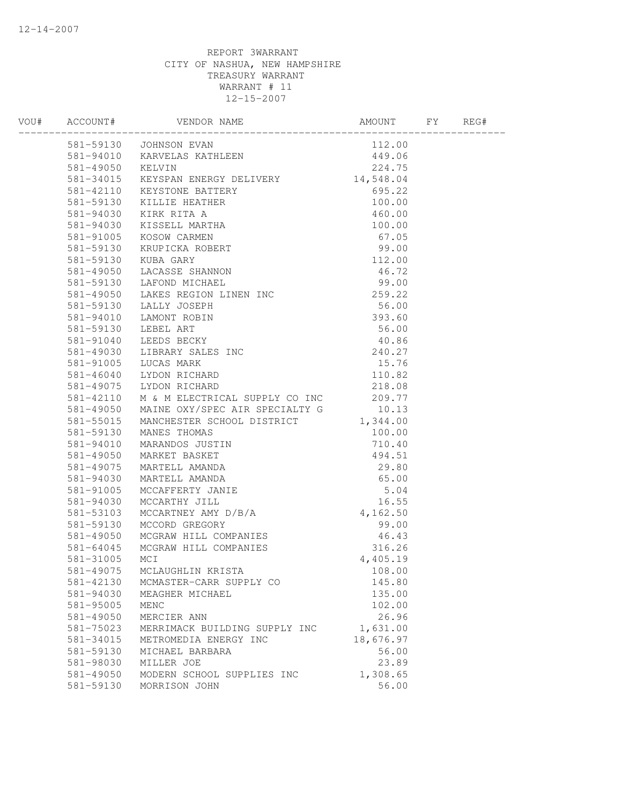| 581-42130 | MCMASTER-CARR SUPPLY CO       | 145.80    |  |
|-----------|-------------------------------|-----------|--|
| 581-94030 | MEAGHER MICHAEL               | 135.00    |  |
| 581-95005 | MENC                          | 102.00    |  |
| 581-49050 | MERCIER ANN                   | 26.96     |  |
| 581-75023 | MERRIMACK BUILDING SUPPLY INC | 1,631.00  |  |
| 581-34015 | METROMEDIA ENERGY INC         | 18,676.97 |  |
| 581-59130 | MICHAEL BARBARA               | 56.00     |  |
| 581-98030 | MILLER JOE                    | 23.89     |  |
| 581-49050 | MODERN SCHOOL SUPPLIES INC    | 1,308.65  |  |
| 581-59130 | MORRISON JOHN                 | 56.00     |  |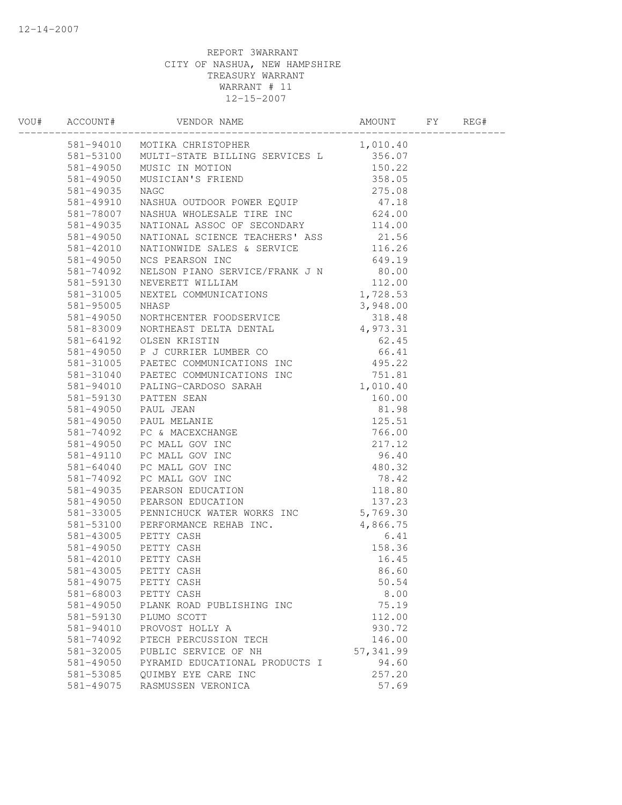|           | 581-94010 MOTIKA CHRISTOPHER 1,010.40<br>581-53100 MULTI-STATE BILLING SERVICES L 356.07<br>581-49050 MUSIC IN MOTION 150.22<br>581-49050 MUSICIAN'S FRIEND 358.05<br>581-49050 MASHUA OUTDOOR POWER EQUIP 47.18<br>581-78007 NASHUA WHO   |            |  |
|-----------|--------------------------------------------------------------------------------------------------------------------------------------------------------------------------------------------------------------------------------------------|------------|--|
|           |                                                                                                                                                                                                                                            |            |  |
|           |                                                                                                                                                                                                                                            |            |  |
|           |                                                                                                                                                                                                                                            |            |  |
|           |                                                                                                                                                                                                                                            |            |  |
|           |                                                                                                                                                                                                                                            |            |  |
|           |                                                                                                                                                                                                                                            |            |  |
|           |                                                                                                                                                                                                                                            |            |  |
|           |                                                                                                                                                                                                                                            |            |  |
|           |                                                                                                                                                                                                                                            |            |  |
|           |                                                                                                                                                                                                                                            |            |  |
|           |                                                                                                                                                                                                                                            |            |  |
|           |                                                                                                                                                                                                                                            |            |  |
|           |                                                                                                                                                                                                                                            |            |  |
|           |                                                                                                                                                                                                                                            |            |  |
|           |                                                                                                                                                                                                                                            |            |  |
|           |                                                                                                                                                                                                                                            |            |  |
|           |                                                                                                                                                                                                                                            |            |  |
|           | 581-49050 NCS PEARSON INC<br>581-74092 NELSON PIANO SERVICE/FRANK J N 80.00<br>581-59130 NEVERETT WILLIAM 112.00<br>581-31005 NEXTEL COMMUNICATIONS 1,728.53<br>581-95005 NHASP 3,948.00<br>581-49050 NORTHEAST DELTA DENTAL 4,973.31<br>5 |            |  |
|           |                                                                                                                                                                                                                                            |            |  |
|           |                                                                                                                                                                                                                                            |            |  |
|           |                                                                                                                                                                                                                                            |            |  |
|           |                                                                                                                                                                                                                                            |            |  |
|           |                                                                                                                                                                                                                                            |            |  |
|           |                                                                                                                                                                                                                                            |            |  |
|           |                                                                                                                                                                                                                                            |            |  |
|           |                                                                                                                                                                                                                                            |            |  |
|           |                                                                                                                                                                                                                                            |            |  |
|           |                                                                                                                                                                                                                                            |            |  |
|           |                                                                                                                                                                                                                                            |            |  |
|           |                                                                                                                                                                                                                                            |            |  |
|           |                                                                                                                                                                                                                                            |            |  |
|           |                                                                                                                                                                                                                                            |            |  |
|           |                                                                                                                                                                                                                                            |            |  |
|           |                                                                                                                                                                                                                                            |            |  |
|           |                                                                                                                                                                                                                                            |            |  |
|           |                                                                                                                                                                                                                                            |            |  |
|           |                                                                                                                                                                                                                                            |            |  |
|           |                                                                                                                                                                                                                                            |            |  |
| 581-49075 | PETTY CASH                                                                                                                                                                                                                                 | 50.54      |  |
| 581-68003 | PETTY CASH                                                                                                                                                                                                                                 | 8.00       |  |
| 581-49050 | PLANK ROAD PUBLISHING INC                                                                                                                                                                                                                  | 75.19      |  |
| 581-59130 | PLUMO SCOTT                                                                                                                                                                                                                                | 112.00     |  |
| 581-94010 | PROVOST HOLLY A                                                                                                                                                                                                                            | 930.72     |  |
| 581-74092 | PTECH PERCUSSION TECH                                                                                                                                                                                                                      | 146.00     |  |
| 581-32005 | PUBLIC SERVICE OF NH                                                                                                                                                                                                                       | 57, 341.99 |  |
| 581-49050 | PYRAMID EDUCATIONAL PRODUCTS I                                                                                                                                                                                                             | 94.60      |  |
| 581-53085 | QUIMBY EYE CARE INC                                                                                                                                                                                                                        | 257.20     |  |
| 581-49075 | RASMUSSEN VERONICA                                                                                                                                                                                                                         | 57.69      |  |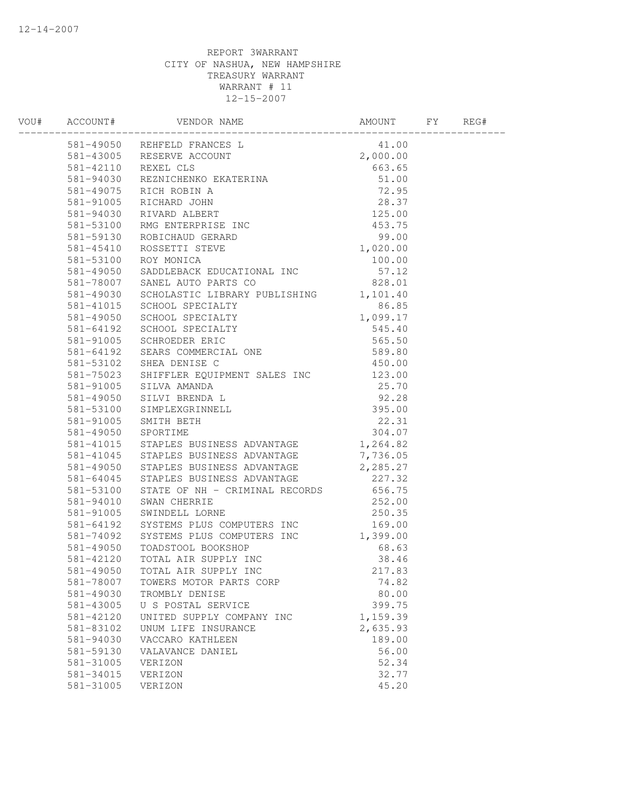|           | 004 ACCOUNT WEBDON RAMES<br>1005 S11-49050 REHEELD FRANCES L 41.00<br>581-49105 REHEELD FRANCES L 41.00<br>581-49110 REXELT ELS<br>581-49110 REXELT LES<br>581-94030 REVAICEMENT (12.95<br>581-491075 RICH ROBIN A 51.00<br>581-491075 RICH |          |  |
|-----------|---------------------------------------------------------------------------------------------------------------------------------------------------------------------------------------------------------------------------------------------|----------|--|
|           |                                                                                                                                                                                                                                             |          |  |
|           |                                                                                                                                                                                                                                             |          |  |
|           |                                                                                                                                                                                                                                             |          |  |
|           |                                                                                                                                                                                                                                             |          |  |
|           |                                                                                                                                                                                                                                             |          |  |
|           |                                                                                                                                                                                                                                             |          |  |
|           |                                                                                                                                                                                                                                             |          |  |
|           |                                                                                                                                                                                                                                             |          |  |
|           |                                                                                                                                                                                                                                             |          |  |
|           |                                                                                                                                                                                                                                             |          |  |
|           |                                                                                                                                                                                                                                             |          |  |
|           |                                                                                                                                                                                                                                             |          |  |
|           |                                                                                                                                                                                                                                             |          |  |
|           |                                                                                                                                                                                                                                             |          |  |
|           |                                                                                                                                                                                                                                             |          |  |
|           |                                                                                                                                                                                                                                             |          |  |
|           |                                                                                                                                                                                                                                             |          |  |
|           |                                                                                                                                                                                                                                             |          |  |
|           |                                                                                                                                                                                                                                             |          |  |
|           |                                                                                                                                                                                                                                             |          |  |
|           |                                                                                                                                                                                                                                             |          |  |
|           |                                                                                                                                                                                                                                             |          |  |
|           |                                                                                                                                                                                                                                             |          |  |
|           |                                                                                                                                                                                                                                             |          |  |
|           |                                                                                                                                                                                                                                             |          |  |
|           |                                                                                                                                                                                                                                             |          |  |
|           | 581-41045 STAPLES BUSINESS ADVANTAGE 7,736.05                                                                                                                                                                                               |          |  |
|           | 581-49050 STAPLES BUSINESS ADVANTAGE 2,285.27                                                                                                                                                                                               |          |  |
|           |                                                                                                                                                                                                                                             |          |  |
|           |                                                                                                                                                                                                                                             |          |  |
|           |                                                                                                                                                                                                                                             |          |  |
|           |                                                                                                                                                                                                                                             |          |  |
|           |                                                                                                                                                                                                                                             |          |  |
|           | 381–49050 STAPLES BUSINESS ADVANTAGE<br>581–64045 STAPLES BUSINESS ADVANTAGE<br>581–53100 STATE OF NH – CRIMINAL RECORDS<br>581–94010 SWAN CHERRIE<br>581–94010 SWAN CHERRIE<br>581–91005 SWINDELL LORNE<br>581–64192 SYSTEMS PLUS COMPUTE  |          |  |
|           |                                                                                                                                                                                                                                             |          |  |
|           |                                                                                                                                                                                                                                             |          |  |
|           |                                                                                                                                                                                                                                             |          |  |
| 581-78007 | TOWERS MOTOR PARTS CORP                                                                                                                                                                                                                     | 74.82    |  |
| 581-49030 | TROMBLY DENISE                                                                                                                                                                                                                              | 80.00    |  |
| 581-43005 | U S POSTAL SERVICE                                                                                                                                                                                                                          | 399.75   |  |
| 581-42120 | UNITED SUPPLY COMPANY INC                                                                                                                                                                                                                   | 1,159.39 |  |
| 581-83102 | UNUM LIFE INSURANCE                                                                                                                                                                                                                         | 2,635.93 |  |
| 581-94030 | VACCARO KATHLEEN                                                                                                                                                                                                                            | 189.00   |  |
| 581-59130 | VALAVANCE DANIEL                                                                                                                                                                                                                            | 56.00    |  |
| 581-31005 | VERIZON                                                                                                                                                                                                                                     | 52.34    |  |
| 581-34015 | VERIZON                                                                                                                                                                                                                                     | 32.77    |  |
| 581-31005 | VERIZON                                                                                                                                                                                                                                     | 45.20    |  |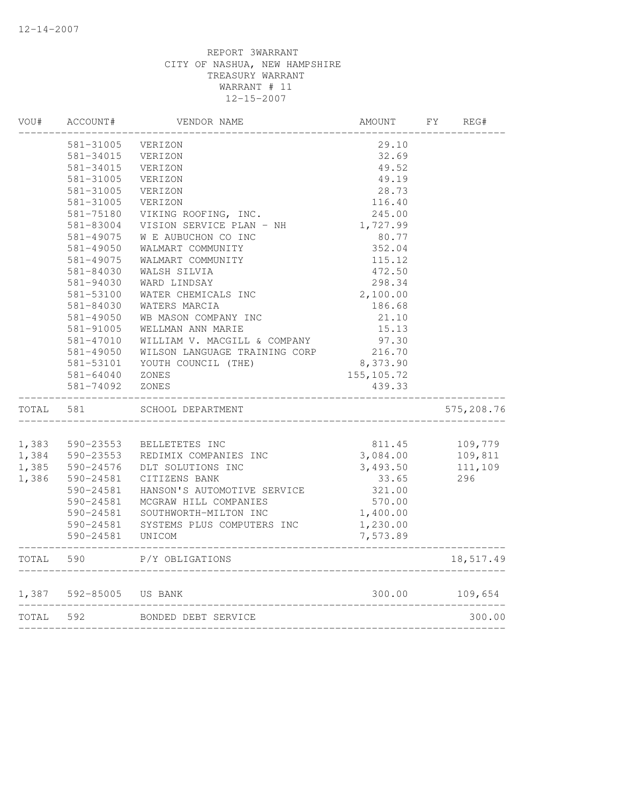| VOU#      | ACCOUNT#                | VENDOR NAME                   | AMOUNT                        | FY | REG#       |
|-----------|-------------------------|-------------------------------|-------------------------------|----|------------|
|           | 581-31005               | VERIZON                       | 29.10                         |    |            |
|           | 581-34015               | VERIZON                       | 32.69                         |    |            |
|           | 581-34015               | VERIZON                       | 49.52                         |    |            |
|           | 581-31005               | VERIZON                       | 49.19                         |    |            |
|           | 581-31005               | VERIZON                       | 28.73                         |    |            |
|           | 581-31005               | VERIZON                       | 116.40                        |    |            |
|           | 581-75180               | VIKING ROOFING, INC.          | 245.00                        |    |            |
|           | 581-83004               | VISION SERVICE PLAN - NH      | 1,727.99                      |    |            |
|           | 581-49075               | W E AUBUCHON CO INC           | 80.77                         |    |            |
|           | 581-49050               | WALMART COMMUNITY             | 352.04                        |    |            |
|           | 581-49075               | WALMART COMMUNITY             | 115.12                        |    |            |
|           | 581-84030               | WALSH SILVIA                  | 472.50                        |    |            |
|           | 581-94030               | WARD LINDSAY                  | 298.34                        |    |            |
|           | 581-53100               | WATER CHEMICALS INC           | 2,100.00                      |    |            |
|           | 581-84030               | WATERS MARCIA                 | 186.68                        |    |            |
|           | 581-49050               | WB MASON COMPANY INC          | 21.10                         |    |            |
|           | 581-91005               | WELLMAN ANN MARIE             | 15.13                         |    |            |
|           | 581-47010               | WILLIAM V. MACGILL & COMPANY  | 97.30                         |    |            |
|           | 581-49050               | WILSON LANGUAGE TRAINING CORP | 216.70                        |    |            |
|           | 581-53101               | YOUTH COUNCIL (THE)           | 8,373.90                      |    |            |
|           | 581-64040               | ZONES                         | 155, 105.72                   |    |            |
|           | 581-74092               | ZONES                         | 439.33                        |    |            |
| TOTAL     | 581                     | SCHOOL DEPARTMENT             |                               |    | 575,208.76 |
|           |                         |                               |                               |    |            |
| 1,383     | 590-23553               | BELLETETES INC                | 811.45                        |    | 109,779    |
| 1,384     | 590-23553               | REDIMIX COMPANIES INC         | 3,084.00                      |    | 109,811    |
| 1,385     | 590-24576               | DLT SOLUTIONS INC             | 3,493.50                      |    | 111,109    |
| 1,386     | 590-24581               | CITIZENS BANK                 | 33.65                         |    | 296        |
|           | 590-24581               | HANSON'S AUTOMOTIVE SERVICE   | 321.00                        |    |            |
|           | 590-24581               | MCGRAW HILL COMPANIES         | 570.00                        |    |            |
|           | 590-24581               | SOUTHWORTH-MILTON INC         | 1,400.00                      |    |            |
|           | 590-24581               | SYSTEMS PLUS COMPUTERS INC    | 1,230.00                      |    |            |
|           | 590-24581               | UNICOM                        | 7,573.89                      |    |            |
| TOTAL     | 590                     | P/Y OBLIGATIONS               |                               |    | 18,517.49  |
|           | 1,387 592-85005 US BANK |                               | 300.00                        |    | 109,654    |
| TOTAL 592 |                         | BONDED DEBT SERVICE           |                               |    | 300.00     |
|           |                         |                               | ----------------------------- |    |            |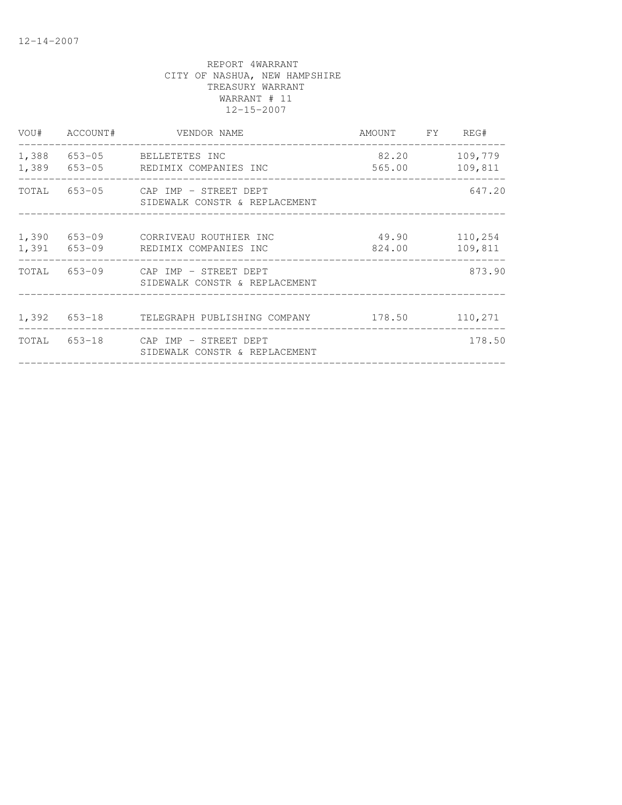|                | VOU# ACCOUNT# | VENDOR NAME                                                         | AMOUNT FY REG#                        |                    |
|----------------|---------------|---------------------------------------------------------------------|---------------------------------------|--------------------|
| 1,388<br>1,389 |               | 653-05 BELLETETES INC<br>653-05 REDIMIX COMPANIES INC               | 82.20<br>565.00                       | 109,779<br>109,811 |
|                |               | TOTAL 653-05 CAP IMP - STREET DEPT<br>SIDEWALK CONSTR & REPLACEMENT | _____________________________________ | 647.20             |
| 1,390<br>1,391 |               | 653-09 CORRIVEAU ROUTHIER INC<br>653-09 REDIMIX COMPANIES INC       | 49.90<br>824.00                       | 110,254<br>109,811 |
|                |               | TOTAL 653-09 CAP IMP - STREET DEPT<br>SIDEWALK CONSTR & REPLACEMENT |                                       | 873.90             |
|                |               | 1,392 653-18 TELEGRAPH PUBLISHING COMPANY                           | ____________________________          | 178.50 110,271     |
|                |               | TOTAL 653-18 CAP IMP - STREET DEPT<br>SIDEWALK CONSTR & REPLACEMENT |                                       | 178.50             |
|                |               |                                                                     |                                       |                    |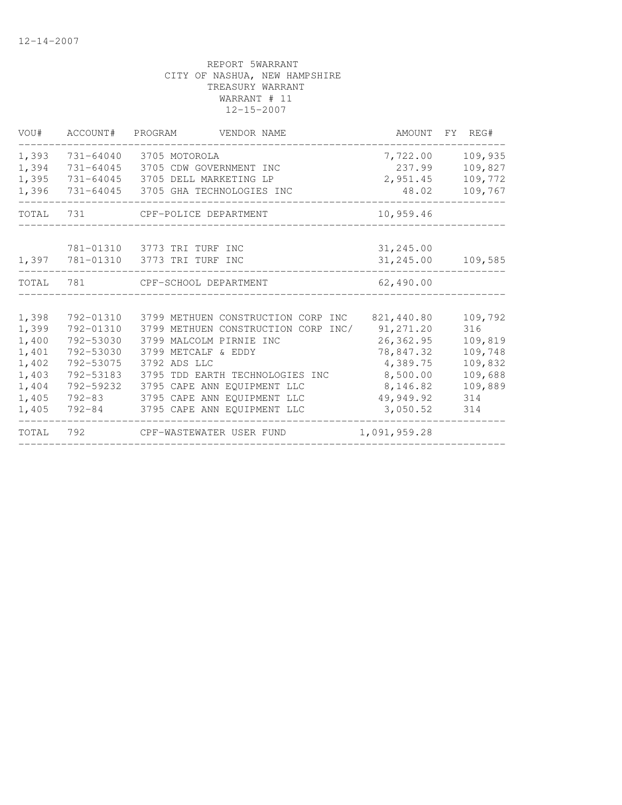| VOU#  | ACCOUNT#      | PROGRAM<br>VENDOR NAME              | AMOUNT       | FY REG# |
|-------|---------------|-------------------------------------|--------------|---------|
| 1,393 | 731-64040     | 3705 MOTOROLA                       | 7,722.00     | 109,935 |
| 1,394 | $731 - 64045$ | 3705 CDW GOVERNMENT INC             | 237.99       | 109,827 |
| 1,395 | 731-64045     | 3705 DELL MARKETING LP              | 2,951.45     | 109,772 |
| 1,396 | 731-64045     | 3705 GHA TECHNOLOGIES INC           | 48.02        | 109,767 |
| TOTAL | 731           | CPF-POLICE DEPARTMENT               | 10,959.46    |         |
|       |               | 781-01310 3773 TRI TURF INC         | 31,245.00    |         |
| 1,397 |               | 781-01310 3773 TRI TURF INC         | 31,245.00    | 109,585 |
| TOTAL | 781           | CPF-SCHOOL DEPARTMENT               | 62,490.00    |         |
|       |               |                                     |              |         |
| 1,398 | 792-01310     | 3799 METHUEN CONSTRUCTION CORP INC  | 821,440.80   | 109,792 |
| 1,399 | 792-01310     | 3799 METHUEN CONSTRUCTION CORP INC/ | 91, 271.20   | 316     |
| 1,400 | 792-53030     | 3799 MALCOLM PIRNIE INC             | 26,362.95    | 109,819 |
| 1,401 | 792-53030     | 3799 METCALF & EDDY                 | 78,847.32    | 109,748 |
| 1,402 | 792-53075     | 3792 ADS LLC                        | 4,389.75     | 109,832 |
| 1,403 | 792-53183     | 3795 TDD EARTH TECHNOLOGIES INC     | 8,500.00     | 109,688 |
| 1,404 | 792-59232     | 3795 CAPE ANN EQUIPMENT LLC         | 8,146.82     | 109,889 |
| 1,405 | $792 - 83$    | 3795 CAPE ANN EOUIPMENT LLC         | 49,949.92    | 314     |
| 1,405 | 792-84        | 3795 CAPE ANN EQUIPMENT LLC         | 3,050.52     | 314     |
| TOTAL | 792           | CPF-WASTEWATER USER FUND            | 1,091,959.28 |         |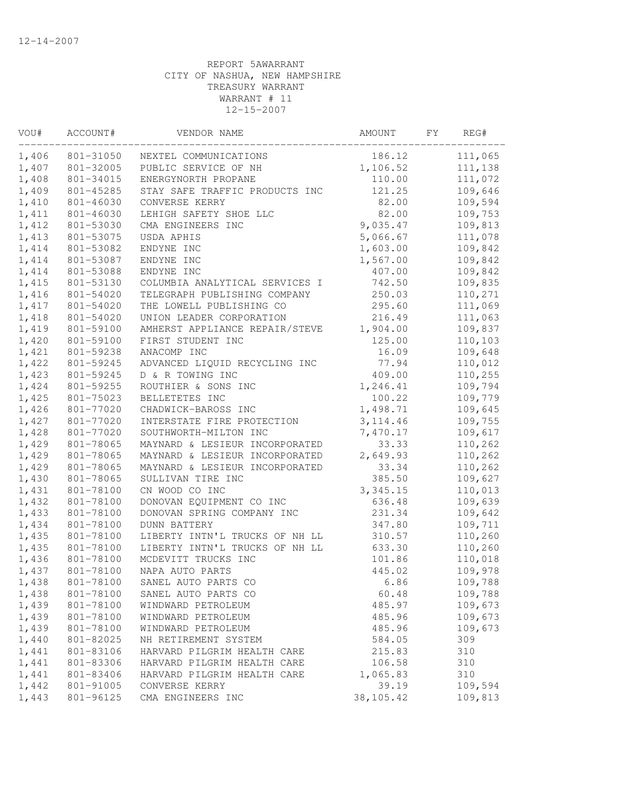| VOU#  | ACCOUNT#  | VENDOR NAME                    | AMOUNT     | FY | REG#    |
|-------|-----------|--------------------------------|------------|----|---------|
| 1,406 | 801-31050 | NEXTEL COMMUNICATIONS          | 186.12     |    | 111,065 |
| 1,407 | 801-32005 | PUBLIC SERVICE OF NH           | 1,106.52   |    | 111,138 |
| 1,408 | 801-34015 | ENERGYNORTH PROPANE            | 110.00     |    | 111,072 |
| 1,409 | 801-45285 | STAY SAFE TRAFFIC PRODUCTS INC | 121.25     |    | 109,646 |
| 1,410 | 801-46030 | CONVERSE KERRY                 | 82.00      |    | 109,594 |
| 1,411 | 801-46030 | LEHIGH SAFETY SHOE LLC         | 82.00      |    | 109,753 |
| 1,412 | 801-53030 | CMA ENGINEERS INC              | 9,035.47   |    | 109,813 |
| 1,413 | 801-53075 | USDA APHIS                     | 5,066.67   |    | 111,078 |
| 1,414 | 801-53082 | ENDYNE INC                     | 1,603.00   |    | 109,842 |
| 1,414 | 801-53087 | ENDYNE INC                     | 1,567.00   |    | 109,842 |
| 1,414 | 801-53088 | ENDYNE INC                     | 407.00     |    | 109,842 |
| 1,415 | 801-53130 | COLUMBIA ANALYTICAL SERVICES I | 742.50     |    | 109,835 |
| 1,416 | 801-54020 | TELEGRAPH PUBLISHING COMPANY   | 250.03     |    | 110,271 |
| 1,417 | 801-54020 | THE LOWELL PUBLISHING CO       | 295.60     |    | 111,069 |
| 1,418 | 801-54020 | UNION LEADER CORPORATION       | 216.49     |    | 111,063 |
| 1,419 | 801-59100 | AMHERST APPLIANCE REPAIR/STEVE | 1,904.00   |    | 109,837 |
| 1,420 | 801-59100 | FIRST STUDENT INC              | 125.00     |    | 110,103 |
| 1,421 | 801-59238 | ANACOMP INC                    | 16.09      |    | 109,648 |
| 1,422 | 801-59245 | ADVANCED LIQUID RECYCLING INC  | 77.94      |    | 110,012 |
| 1,423 | 801-59245 | D & R TOWING INC               | 409.00     |    | 110,255 |
| 1,424 | 801-59255 | ROUTHIER & SONS INC            | 1,246.41   |    | 109,794 |
| 1,425 | 801-75023 | BELLETETES INC                 | 100.22     |    | 109,779 |
| 1,426 | 801-77020 | CHADWICK-BAROSS INC            | 1,498.71   |    | 109,645 |
| 1,427 | 801-77020 | INTERSTATE FIRE PROTECTION     | 3, 114.46  |    | 109,755 |
| 1,428 | 801-77020 | SOUTHWORTH-MILTON INC          | 7,470.17   |    | 109,617 |
| 1,429 | 801-78065 | MAYNARD & LESIEUR INCORPORATED | 33.33      |    | 110,262 |
| 1,429 | 801-78065 | MAYNARD & LESIEUR INCORPORATED | 2,649.93   |    | 110,262 |
| 1,429 | 801-78065 | MAYNARD & LESIEUR INCORPORATED | 33.34      |    | 110,262 |
| 1,430 | 801-78065 | SULLIVAN TIRE INC              | 385.50     |    | 109,627 |
| 1,431 | 801-78100 | CN WOOD CO INC                 | 3,345.15   |    | 110,013 |
| 1,432 | 801-78100 | DONOVAN EQUIPMENT CO INC       | 636.48     |    | 109,639 |
| 1,433 | 801-78100 | DONOVAN SPRING COMPANY INC     | 231.34     |    | 109,642 |
| 1,434 | 801-78100 | <b>DUNN BATTERY</b>            | 347.80     |    | 109,711 |
| 1,435 | 801-78100 | LIBERTY INTN'L TRUCKS OF NH LL | 310.57     |    | 110,260 |
| 1,435 | 801-78100 | LIBERTY INTN'L TRUCKS OF NH LL | 633.30     |    | 110,260 |
| 1,436 | 801-78100 | MCDEVITT TRUCKS INC            | 101.86     |    | 110,018 |
| 1,437 | 801-78100 | NAPA AUTO PARTS                | 445.02     |    | 109,978 |
| 1,438 | 801-78100 | SANEL AUTO PARTS CO            | 6.86       |    | 109,788 |
| 1,438 | 801-78100 | SANEL AUTO PARTS CO            | 60.48      |    | 109,788 |
| 1,439 | 801-78100 | WINDWARD PETROLEUM             | 485.97     |    | 109,673 |
| 1,439 | 801-78100 | WINDWARD PETROLEUM             | 485.96     |    | 109,673 |
| 1,439 | 801-78100 | WINDWARD PETROLEUM             | 485.96     |    | 109,673 |
| 1,440 | 801-82025 | NH RETIREMENT SYSTEM           | 584.05     |    | 309     |
| 1,441 | 801-83106 | HARVARD PILGRIM HEALTH CARE    | 215.83     |    | 310     |
| 1,441 | 801-83306 | HARVARD PILGRIM HEALTH CARE    | 106.58     |    | 310     |
| 1,441 | 801-83406 | HARVARD PILGRIM HEALTH CARE    | 1,065.83   |    | 310     |
| 1,442 | 801-91005 | CONVERSE KERRY                 | 39.19      |    | 109,594 |
| 1,443 | 801-96125 | CMA ENGINEERS INC              | 38, 105.42 |    | 109,813 |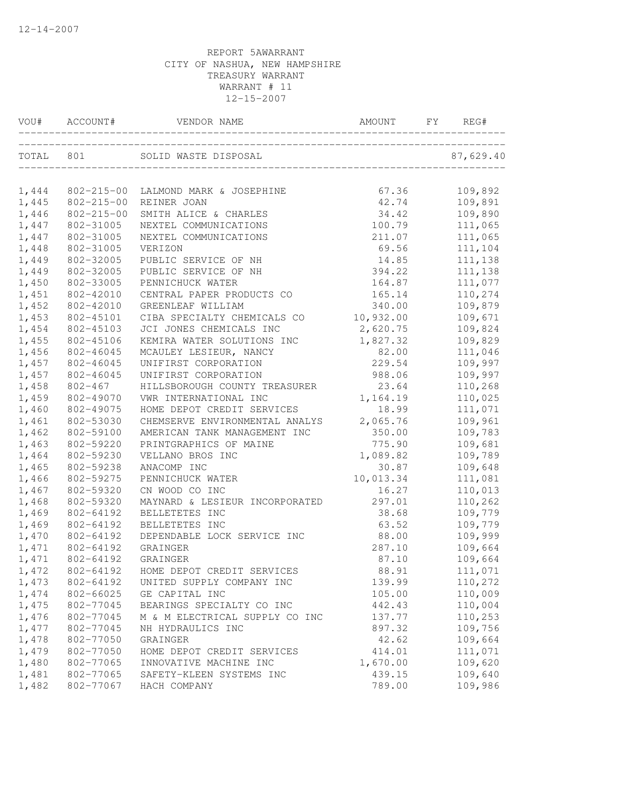|       | VOU# ACCOUNT#    | J# ACCOUNT# VENDOR NAME AMOUNT FY REG |           | REG#    |
|-------|------------------|---------------------------------------|-----------|---------|
|       |                  |                                       |           |         |
|       |                  |                                       |           |         |
| 1,444 | 802-215-00       | LALMOND MARK & JOSEPHINE              | 67.36     | 109,892 |
| 1,445 | $802 - 215 - 00$ | REINER JOAN                           | 42.74     | 109,891 |
| 1,446 | $802 - 215 - 00$ | SMITH ALICE & CHARLES                 | 34.42     | 109,890 |
| 1,447 | 802-31005        | NEXTEL COMMUNICATIONS                 | 100.79    | 111,065 |
| 1,447 | 802-31005        | NEXTEL COMMUNICATIONS                 | 211.07    | 111,065 |
| 1,448 | 802-31005        | VERIZON                               | 69.56     | 111,104 |
| 1,449 | 802-32005        | PUBLIC SERVICE OF NH                  | 14.85     | 111,138 |
| 1,449 | 802-32005        | PUBLIC SERVICE OF NH                  | 394.22    | 111,138 |
| 1,450 | 802-33005        | PENNICHUCK WATER                      | 164.87    | 111,077 |
| 1,451 | 802-42010        | CENTRAL PAPER PRODUCTS CO             | 165.14    | 110,274 |
| 1,452 | 802-42010        | GREENLEAF WILLIAM                     | 340.00    | 109,879 |
| 1,453 | 802-45101        | CIBA SPECIALTY CHEMICALS CO           | 10,932.00 | 109,671 |
| 1,454 | 802-45103        | JCI JONES CHEMICALS INC               | 2,620.75  | 109,824 |
| 1,455 | 802-45106        | KEMIRA WATER SOLUTIONS INC            | 1,827.32  | 109,829 |
| 1,456 | 802-46045        | MCAULEY LESIEUR, NANCY                | 82.00     | 111,046 |
| 1,457 | 802-46045        | UNIFIRST CORPORATION                  | 229.54    | 109,997 |
| 1,457 | 802-46045        | UNIFIRST CORPORATION                  | 988.06    | 109,997 |
| 1,458 | 802-467          | HILLSBOROUGH COUNTY TREASURER         | 23.64     | 110,268 |
| 1,459 | 802-49070        | VWR INTERNATIONAL INC                 | 1,164.19  | 110,025 |
| 1,460 | 802-49075        | HOME DEPOT CREDIT SERVICES            | 18.99     | 111,071 |
| 1,461 | 802-53030        | CHEMSERVE ENVIRONMENTAL ANALYS        | 2,065.76  | 109,961 |
| 1,462 | 802-59100        | AMERICAN TANK MANAGEMENT INC          | 350.00    | 109,783 |
| 1,463 | 802-59220        | PRINTGRAPHICS OF MAINE                | 775.90    | 109,681 |
| 1,464 | 802-59230        | VELLANO BROS INC                      | 1,089.82  | 109,789 |
| 1,465 | 802-59238        | ANACOMP INC                           | 30.87     | 109,648 |
| 1,466 | 802-59275        | PENNICHUCK WATER                      | 10,013.34 | 111,081 |
| 1,467 | 802-59320        | CN WOOD CO INC                        | 16.27     | 110,013 |
| 1,468 | 802-59320        | MAYNARD & LESIEUR INCORPORATED        | 297.01    | 110,262 |
| 1,469 | 802-64192        | BELLETETES INC                        | 38.68     | 109,779 |
| 1,469 | 802-64192        | BELLETETES INC                        | 63.52     | 109,779 |
| 1,470 | 802-64192        | DEPENDABLE LOCK SERVICE INC           | 88.00     | 109,999 |
| 1,471 | 802-64192        | GRAINGER                              | 287.10    | 109,664 |
| 1,471 | 802-64192        | GRAINGER                              | 87.10     | 109,664 |
| 1,472 | 802-64192        | HOME DEPOT CREDIT SERVICES            | 88.91     | 111,071 |
| 1,473 | 802-64192        | UNITED SUPPLY COMPANY INC             | 139.99    | 110,272 |
| 1,474 | 802-66025        | GE CAPITAL INC                        | 105.00    | 110,009 |
| 1,475 | 802-77045        | BEARINGS SPECIALTY CO INC             | 442.43    | 110,004 |
| 1,476 | 802-77045        | M & M ELECTRICAL SUPPLY CO INC        | 137.77    | 110,253 |
| 1,477 | 802-77045        | NH HYDRAULICS INC                     | 897.32    | 109,756 |
| 1,478 | 802-77050        | GRAINGER                              | 42.62     | 109,664 |
| 1,479 | 802-77050        | HOME DEPOT CREDIT SERVICES            | 414.01    | 111,071 |
| 1,480 | 802-77065        | INNOVATIVE MACHINE INC                | 1,670.00  | 109,620 |
| 1,481 | 802-77065        | SAFETY-KLEEN SYSTEMS INC              | 439.15    | 109,640 |
| 1,482 | 802-77067        | HACH COMPANY                          | 789.00    | 109,986 |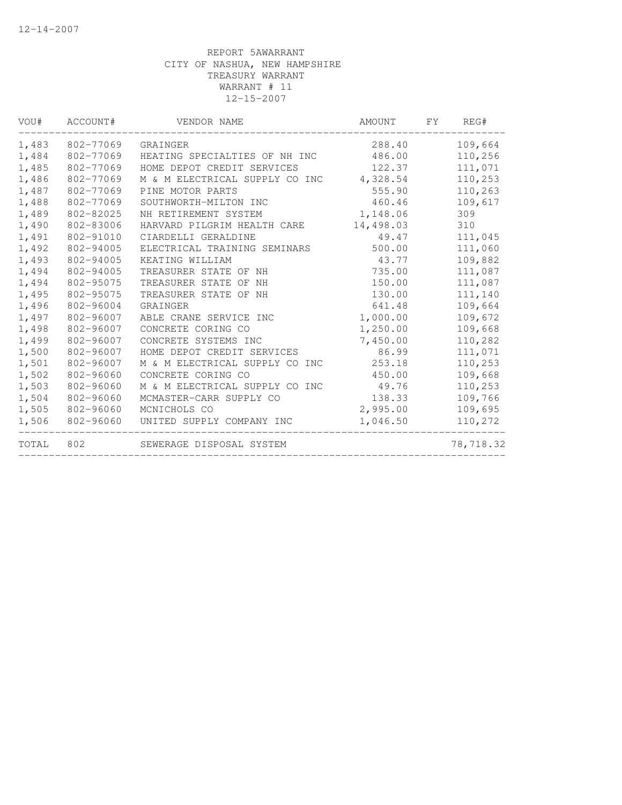| VOU#  | ACCOUNT#  | VENDOR NAME                    | AMOUNT    | FY | REG#      |
|-------|-----------|--------------------------------|-----------|----|-----------|
| 1,483 | 802-77069 | GRAINGER                       | 288.40    |    | 109,664   |
| 1,484 | 802-77069 | HEATING SPECIALTIES OF NH INC  | 486.00    |    | 110,256   |
| 1,485 | 802-77069 | HOME DEPOT CREDIT SERVICES     | 122.37    |    | 111,071   |
| 1,486 | 802-77069 | M & M ELECTRICAL SUPPLY CO INC | 4,328.54  |    | 110,253   |
| 1,487 | 802-77069 | PINE MOTOR PARTS               | 555.90    |    | 110,263   |
| 1,488 | 802-77069 | SOUTHWORTH-MILTON INC          | 460.46    |    | 109,617   |
| 1,489 | 802-82025 | NH RETIREMENT SYSTEM           | 1,148.06  |    | 309       |
| 1,490 | 802-83006 | HARVARD PILGRIM HEALTH CARE    | 14,498.03 |    | 310       |
| 1,491 | 802-91010 | CIARDELLI GERALDINE            | 49.47     |    | 111,045   |
| 1,492 | 802-94005 | ELECTRICAL TRAINING SEMINARS   | 500.00    |    | 111,060   |
| 1,493 | 802-94005 | KEATING WILLIAM                | 43.77     |    | 109,882   |
| 1,494 | 802-94005 | TREASURER STATE OF NH          | 735.00    |    | 111,087   |
| 1,494 | 802-95075 | TREASURER STATE OF NH          | 150.00    |    | 111,087   |
| 1,495 | 802-95075 | TREASURER STATE OF NH          | 130.00    |    | 111,140   |
| 1,496 | 802-96004 | GRAINGER                       | 641.48    |    | 109,664   |
| 1,497 | 802-96007 | ABLE CRANE SERVICE INC         | 1,000.00  |    | 109,672   |
| 1,498 | 802-96007 | CONCRETE CORING CO             | 1,250.00  |    | 109,668   |
| 1,499 | 802-96007 | CONCRETE SYSTEMS INC           | 7,450.00  |    | 110,282   |
| 1,500 | 802-96007 | HOME DEPOT CREDIT SERVICES     | 86.99     |    | 111,071   |
| 1,501 | 802-96007 | M & M ELECTRICAL SUPPLY CO INC | 253.18    |    | 110,253   |
| 1,502 | 802-96060 | CONCRETE CORING CO             | 450.00    |    | 109,668   |
| 1,503 | 802-96060 | M & M ELECTRICAL SUPPLY CO INC | 49.76     |    | 110,253   |
| 1,504 | 802-96060 | MCMASTER-CARR SUPPLY CO        | 138.33    |    | 109,766   |
| 1,505 | 802-96060 | MCNICHOLS CO                   | 2,995.00  |    | 109,695   |
| 1,506 | 802-96060 | UNITED SUPPLY COMPANY INC      | 1,046.50  |    | 110,272   |
| TOTAL | 802       | SEWERAGE DISPOSAL SYSTEM       |           |    | 78,718.32 |
|       |           |                                |           |    |           |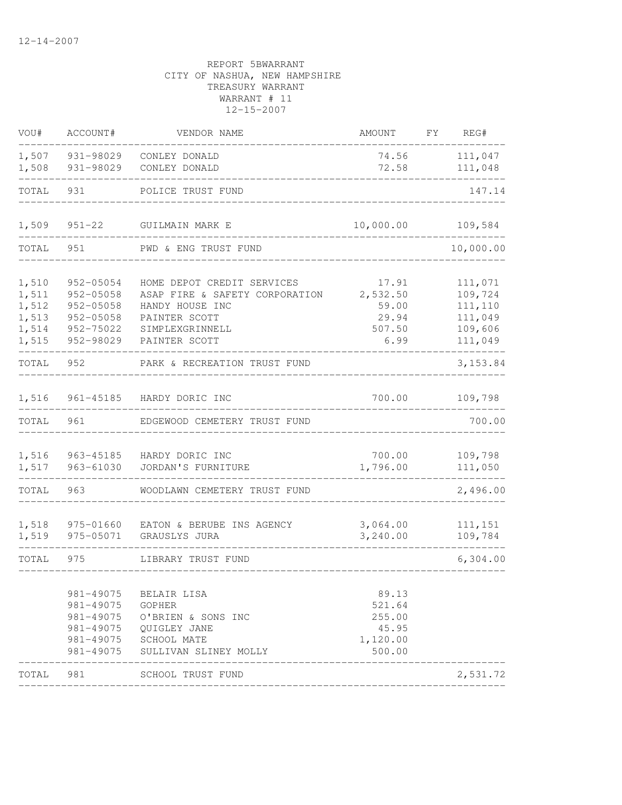| VOU#                                               | ACCOUNT#                                                                           | VENDOR NAME                                                                                                                          |                                                          | FY     | REG#                                                           |
|----------------------------------------------------|------------------------------------------------------------------------------------|--------------------------------------------------------------------------------------------------------------------------------------|----------------------------------------------------------|--------|----------------------------------------------------------------|
| 1,507<br>1,508                                     | 931-98029<br>931-98029                                                             | CONLEY DONALD<br>CONLEY DONALD                                                                                                       | 74.56<br>72.58                                           |        | 111,047<br>111,048                                             |
| TOTAL                                              | 931                                                                                | POLICE TRUST FUND                                                                                                                    |                                                          | 147.14 |                                                                |
| 1,509                                              | $951 - 22$                                                                         | GUILMAIN MARK E                                                                                                                      | 10,000.00                                                |        | 109,584                                                        |
| TOTAL                                              | 951                                                                                | PWD & ENG TRUST FUND                                                                                                                 |                                                          |        | 10,000.00                                                      |
| 1,510<br>1,511<br>1,512<br>1,513<br>1,514<br>1,515 | 952-05054<br>952-05058<br>$952 - 05058$<br>$952 - 05058$<br>952-75022<br>952-98029 | HOME DEPOT CREDIT SERVICES<br>ASAP FIRE & SAFETY CORPORATION<br>HANDY HOUSE INC<br>PAINTER SCOTT<br>SIMPLEXGRINNELL<br>PAINTER SCOTT | 17.91<br>2,532.50<br>59.00<br>29.94<br>507.50<br>6.99    |        | 111,071<br>109,724<br>111,110<br>111,049<br>109,606<br>111,049 |
| TOTAL                                              | 952                                                                                | PARK & RECREATION TRUST FUND                                                                                                         |                                                          |        | 3, 153.84                                                      |
| 1,516                                              | 961-45185                                                                          | HARDY DORIC INC                                                                                                                      | 700.00                                                   |        | 109,798                                                        |
| TOTAL                                              | 961                                                                                | EDGEWOOD CEMETERY TRUST FUND                                                                                                         |                                                          |        | 700.00                                                         |
| 1,516<br>1,517                                     | 963-45185<br>963-61030                                                             | HARDY DORIC INC<br>JORDAN'S FURNITURE                                                                                                | 700.00<br>1,796.00                                       |        | 109,798<br>111,050                                             |
| TOTAL                                              | 963                                                                                | WOODLAWN CEMETERY TRUST FUND                                                                                                         |                                                          |        | 2,496.00                                                       |
| 1,518<br>1,519                                     | 975-01660<br>975-05071                                                             | EATON & BERUBE INS AGENCY<br>GRAUSLYS JURA                                                                                           | 3,064.00<br>3,240.00                                     |        | 111,151<br>109,784                                             |
| TOTAL                                              | 975                                                                                | LIBRARY TRUST FUND                                                                                                                   |                                                          |        | 6,304.00                                                       |
|                                                    | 981-49075<br>981-49075<br>981-49075<br>981-49075<br>981-49075                      | BELAIR LISA<br>GOPHER<br>981-49075 O'BRIEN & SONS INC<br>QUIGLEY JANE<br>SCHOOL MATE<br>SULLIVAN SLINEY MOLLY                        | 89.13<br>521.64<br>255.00<br>45.95<br>1,120.00<br>500.00 |        |                                                                |
| TOTAL                                              | 981                                                                                | SCHOOL TRUST FUND<br>. _ _ _ _ _ _ _ _ _ _ _ _ _ _                                                                                   |                                                          |        | 2,531.72                                                       |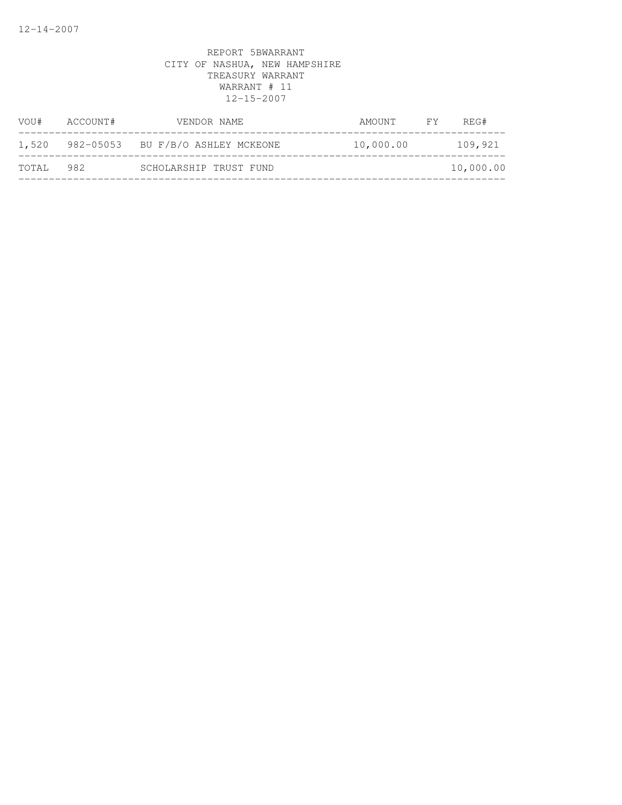| VOU#  | ACCOUNT# | VENDOR NAME                       | AMOUNT    | <b>FY</b> | REG#      |
|-------|----------|-----------------------------------|-----------|-----------|-----------|
| 1,520 |          | 982-05053 BU F/B/O ASHLEY MCKEONE | 10,000.00 |           | 109,921   |
| TOTAL | 982      | SCHOLARSHIP TRUST FUND            |           |           | 10,000.00 |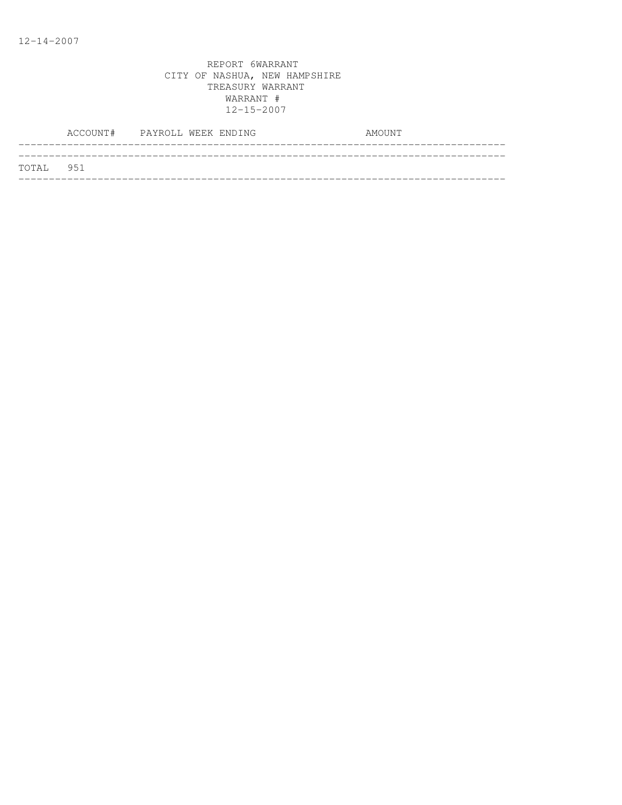|           | ACCOUNT# PAYROLL WEEK ENDING |  |  | AMOUNT |  |
|-----------|------------------------------|--|--|--------|--|
|           |                              |  |  |        |  |
| TOTAL 951 |                              |  |  |        |  |
|           |                              |  |  |        |  |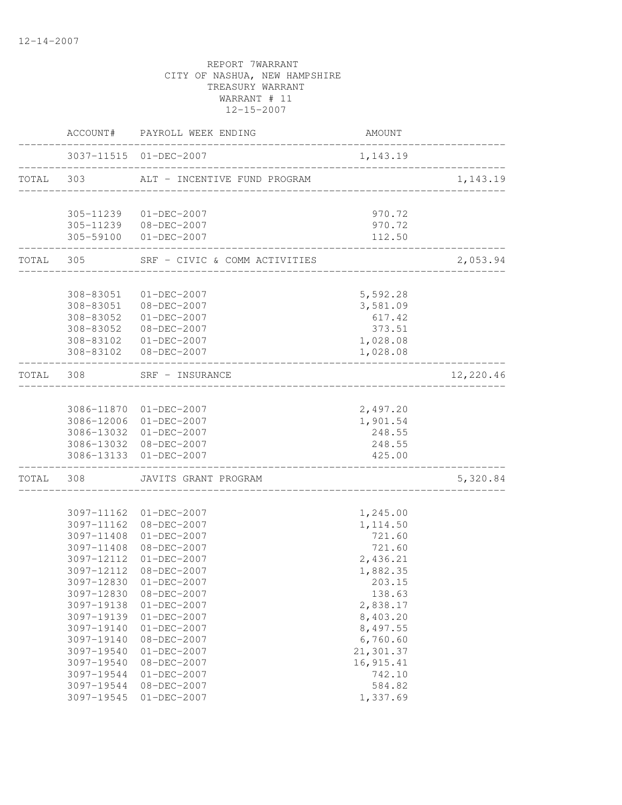|           |                        | ACCOUNT# PAYROLL WEEK ENDING           | AMOUNT                |           |
|-----------|------------------------|----------------------------------------|-----------------------|-----------|
|           |                        | 3037-11515 01-DEC-2007                 | 1,143.19              |           |
|           | TOTAL 303              | ALT - INCENTIVE FUND PROGRAM           |                       | 1,143.19  |
|           |                        |                                        |                       |           |
|           |                        | 305-11239 01-DEC-2007                  | 970.72                |           |
|           | 305-59100              | 305-11239 08-DEC-2007<br>$01-DEC-2007$ | 970.72<br>112.50      |           |
| TOTAL     | 305                    | SRF - CIVIC & COMM ACTIVITIES          |                       | 2,053.94  |
|           |                        |                                        |                       |           |
|           | 308-83051              | 01-DEC-2007                            | 5,592.28              |           |
|           |                        | 308-83051 08-DEC-2007                  | 3,581.09              |           |
|           | 308-83052              | $01 - DEC - 2007$                      | 617.42                |           |
|           | 308-83052              | 08-DEC-2007                            | 373.51                |           |
|           | 308-83102<br>308-83102 | $01 - DEC - 2007$<br>08-DEC-2007       | 1,028.08<br>1,028.08  |           |
| TOTAL 308 |                        | SRF - INSURANCE                        |                       | 12,220.46 |
|           |                        | _________________                      |                       |           |
|           |                        | 3086-11870 01-DEC-2007                 | 2,497.20              |           |
|           |                        | 3086-12006 01-DEC-2007                 | 1,901.54              |           |
|           |                        | 3086-13032 01-DEC-2007                 | 248.55                |           |
|           |                        | 3086-13032 08-DEC-2007                 | 248.55                |           |
|           |                        | 3086-13133 01-DEC-2007                 | 425.00                |           |
| TOTAL     | 308                    | JAVITS GRANT PROGRAM                   |                       | 5,320.84  |
|           | 3097-11162             |                                        |                       |           |
|           | 3097-11162             | $01 - DEC - 2007$<br>08-DEC-2007       | 1,245.00<br>1, 114.50 |           |
|           | 3097-11408             | $01 - DEC - 2007$                      | 721.60                |           |
|           | 3097-11408             | 08-DEC-2007                            | 721.60                |           |
|           | 3097-12112             | $01 - DEC - 2007$                      | 2,436.21              |           |
|           | 3097-12112             | 08-DEC-2007                            | 1,882.35              |           |
|           |                        | 3097-12830 01-DEC-2007                 | 203.15                |           |
|           | 3097-12830             | 08-DEC-2007                            | 138.63                |           |
|           | 3097-19138             | $01 - DEC - 2007$                      | 2,838.17              |           |
|           | 3097-19139             | $01 - DEC - 2007$                      | 8,403.20              |           |
|           | 3097-19140             | $01 - DEC - 2007$                      | 8,497.55              |           |
|           | 3097-19140             | 08-DEC-2007                            | 6,760.60              |           |
|           | 3097-19540             | $01 - DEC - 2007$                      | 21,301.37             |           |
|           | 3097-19540             | $08 - DEC - 2007$                      | 16, 915.41            |           |
|           | 3097-19544             | $01 - DEC - 2007$                      | 742.10                |           |
|           | 3097-19544             | 08-DEC-2007                            | 584.82                |           |
|           | 3097-19545             | $01 - DEC - 2007$                      | 1,337.69              |           |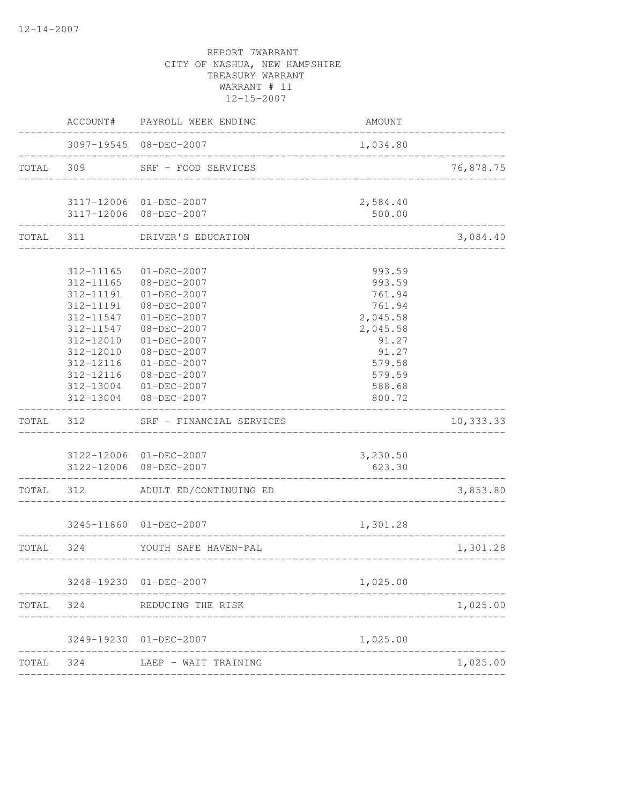|           | ACCOUNT#                                                                                | PAYROLL WEEK ENDING                                                                                                 | AMOUNT                                                             |           |
|-----------|-----------------------------------------------------------------------------------------|---------------------------------------------------------------------------------------------------------------------|--------------------------------------------------------------------|-----------|
|           |                                                                                         | 3097-19545 08-DEC-2007                                                                                              | 1,034.80                                                           |           |
| TOTAL 309 |                                                                                         | SRF - FOOD SERVICES                                                                                                 |                                                                    | 76,878.75 |
|           |                                                                                         | 3117-12006 01-DEC-2007<br>3117-12006 08-DEC-2007                                                                    | 2,584.40<br>500.00                                                 |           |
| TOTAL     | 311                                                                                     | DRIVER'S EDUCATION                                                                                                  |                                                                    | 3,084.40  |
|           |                                                                                         |                                                                                                                     |                                                                    |           |
|           | 312-11165<br>312-11165<br>312-11191<br>312-11191<br>312-11547                           | $01 - DEC - 2007$<br>08-DEC-2007<br>01-DEC-2007<br>08-DEC-2007<br>01-DEC-2007                                       | 993.59<br>993.59<br>761.94<br>761.94<br>2,045.58                   |           |
|           | 312-11547<br>312-12010<br>312-12010<br>312-12116<br>312-12116<br>312-13004<br>312-13004 | 08-DEC-2007<br>$01 - DEC - 2007$<br>08-DEC-2007<br>$01-DEC-2007$<br>08-DEC-2007<br>$01 - DEC - 2007$<br>08-DEC-2007 | 2,045.58<br>91.27<br>91.27<br>579.58<br>579.59<br>588.68<br>800.72 |           |
| TOTAL     | 312                                                                                     | SRF - FINANCIAL SERVICES                                                                                            |                                                                    | 10,333.33 |
|           | 3122-12006                                                                              | 3122-12006 01-DEC-2007<br>$08 - DEC - 2007$                                                                         | 3,230.50<br>623.30                                                 |           |
| TOTAL 312 |                                                                                         | ADULT ED/CONTINUING ED                                                                                              |                                                                    | 3,853.80  |
|           |                                                                                         | 3245-11860 01-DEC-2007                                                                                              | 1,301.28                                                           |           |
| TOTAL     | 324                                                                                     | YOUTH SAFE HAVEN-PAL                                                                                                |                                                                    | 1,301.28  |
|           |                                                                                         | 3248-19230 01-DEC-2007                                                                                              | 1,025.00                                                           |           |
| TOTAL     | 324                                                                                     | . <u>_ _ _ _ _ _ _ _ _ _ _ _ _ _ _ _ _</u> _ _ _<br>REDUCING THE RISK                                               |                                                                    | 1,025.00  |
|           |                                                                                         | 3249-19230 01-DEC-2007                                                                                              | 1,025.00                                                           |           |
| TOTAL     | 324                                                                                     | LAEP - WAIT TRAINING                                                                                                |                                                                    | 1,025.00  |
|           |                                                                                         |                                                                                                                     |                                                                    |           |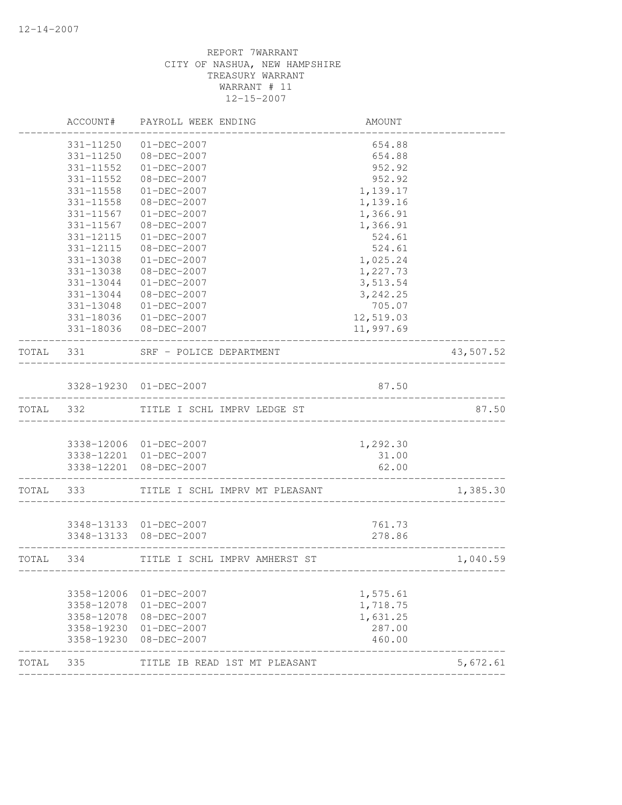|           | ACCOUNT#                 | PAYROLL WEEK ENDING                           | AMOUNT                              |           |
|-----------|--------------------------|-----------------------------------------------|-------------------------------------|-----------|
|           | 331-11250                | $01 - DEC - 2007$                             | 654.88                              |           |
|           | 331-11250                | $08 - DEC - 2007$                             | 654.88                              |           |
|           | 331-11552                | $01 - DEC - 2007$                             | 952.92                              |           |
|           | 331-11552                | 08-DEC-2007                                   | 952.92                              |           |
|           | 331-11558                | $01 - DEC - 2007$                             | 1,139.17                            |           |
|           | 331-11558                | 08-DEC-2007                                   | 1,139.16                            |           |
|           | 331-11567                | $01 - DEC - 2007$                             | 1,366.91                            |           |
|           | 331-11567                | 08-DEC-2007                                   | 1,366.91                            |           |
|           | 331-12115                | $01 - DEC - 2007$                             | 524.61                              |           |
|           | 331-12115                | 08-DEC-2007                                   | 524.61                              |           |
|           | 331-13038                | $01 - DEC - 2007$                             | 1,025.24                            |           |
|           | 331-13038                | 08-DEC-2007                                   | 1,227.73                            |           |
|           | 331-13044                | $01 - DEC - 2007$                             | 3,513.54                            |           |
|           | 331-13044                | 08-DEC-2007                                   | 3, 242.25                           |           |
|           | 331-13048                | $01 - DEC - 2007$                             | 705.07                              |           |
|           |                          | 331-18036 01-DEC-2007                         | 12,519.03                           |           |
|           |                          | 331-18036 08-DEC-2007                         | 11,997.69                           |           |
| TOTAL 331 |                          | SRF - POLICE DEPARTMENT<br>__________________ |                                     | 43,507.52 |
|           |                          |                                               |                                     |           |
|           |                          | 3328-19230 01-DEC-2007                        | 87.50                               |           |
| TOTAL 332 |                          | TITLE I SCHL IMPRV LEDGE ST                   |                                     | 87.50     |
|           |                          |                                               |                                     |           |
|           |                          | 3338-12006 01-DEC-2007                        | 1,292.30                            |           |
|           |                          | 3338-12201 01-DEC-2007                        | 31.00                               |           |
|           |                          | 3338-12201 08-DEC-2007                        | 62.00<br>------------               |           |
| TOTAL     | 333                      | TITLE I SCHL IMPRV MT PLEASANT                |                                     | 1,385.30  |
|           |                          |                                               |                                     |           |
|           |                          | 3348-13133 01-DEC-2007                        | 761.73                              |           |
|           |                          | 3348-13133 08-DEC-2007                        | 278.86                              |           |
| TOTAL 334 | -----------              | TITLE I SCHL IMPRV AMHERST ST                 | ___________________________________ | 1,040.59  |
|           |                          |                                               |                                     |           |
|           | 3358-12006               | $01 - DEC - 2007$                             | 1,575.61                            |           |
|           | 3358-12078               | $01 - DEC - 2007$                             | 1,718.75                            |           |
|           | 3358-12078               | 08-DEC-2007                                   | 1,631.25                            |           |
|           | 3358-19230<br>3358-19230 | $01 - DEC - 2007$<br>08-DEC-2007              | 287.00<br>460.00                    |           |
| TOTAL     | 335                      | TITLE IB READ 1ST MT PLEASANT                 |                                     | 5,672.61  |
|           |                          |                                               |                                     |           |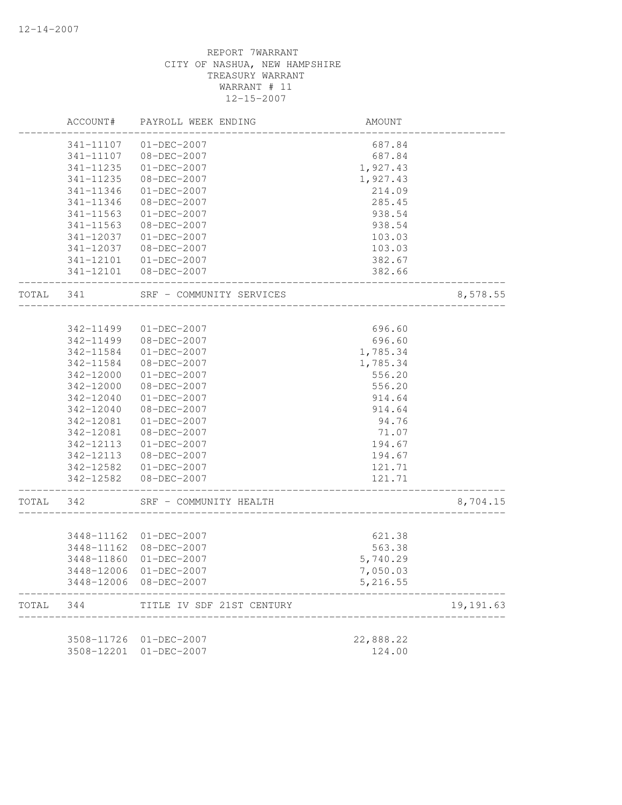|           | ACCOUNT#                 | PAYROLL WEEK ENDING              | AMOUNT               |           |
|-----------|--------------------------|----------------------------------|----------------------|-----------|
|           | 341-11107                | $01 - DEC - 2007$                | 687.84               |           |
|           | 341-11107                | 08-DEC-2007                      | 687.84               |           |
|           | 341-11235                | $01 - DEC - 2007$                | 1,927.43             |           |
|           | 341-11235                | 08-DEC-2007                      | 1,927.43             |           |
|           | 341-11346                | $01 - DEC - 2007$                | 214.09               |           |
|           | 341-11346                | 08-DEC-2007                      | 285.45               |           |
|           | 341-11563                | $01 - DEC - 2007$                | 938.54               |           |
|           | $341 - 11563$            | $08 - DEC - 2007$                | 938.54               |           |
|           | 341-12037                | $01 - DEC - 2007$                | 103.03               |           |
|           | 341-12037                | $08 - DEC - 2007$                | 103.03               |           |
|           |                          | 341-12101  01-DEC-2007           | 382.67               |           |
|           |                          | 341-12101 08-DEC-2007            | 382.66               |           |
| TOTAL 341 |                          | SRF - COMMUNITY SERVICES         |                      | 8,578.55  |
|           | 342-11499                | 01-DEC-2007                      | 696.60               |           |
|           | 342-11499                | 08-DEC-2007                      | 696.60               |           |
|           | 342-11584                | $01 - DEC - 2007$                | 1,785.34             |           |
|           | 342-11584                | 08-DEC-2007                      | 1,785.34             |           |
|           | 342-12000                | $01 - DEC - 2007$                | 556.20               |           |
|           | 342-12000                | 08-DEC-2007                      | 556.20               |           |
|           | 342-12040                | $01 - DEC - 2007$                | 914.64               |           |
|           | 342-12040                | 08-DEC-2007                      | 914.64               |           |
|           | 342-12081                | $01 - DEC - 2007$                | 94.76                |           |
|           | 342-12081                | 08-DEC-2007                      | 71.07                |           |
|           | 342-12113                | $01 - DEC - 2007$                | 194.67               |           |
|           | 342-12113                | 08-DEC-2007                      | 194.67               |           |
|           |                          | 342-12582 01-DEC-2007            | 121.71               |           |
|           |                          | 342-12582  08-DEC-2007           | 121.71               |           |
| TOTAL     | 342                      | SRF - COMMUNITY HEALTH           |                      | 8,704.15  |
|           |                          |                                  |                      |           |
|           |                          | 3448-11162 01-DEC-2007           | 621.38               |           |
|           | 3448-11162<br>3448-11860 | 08-DEC-2007<br>$01 - DEC - 2007$ | 563.38               |           |
|           |                          |                                  | 5,740.29             |           |
|           | 3448-12006<br>3448-12006 | $01-DEC-2007$<br>08-DEC-2007     | 7,050.03<br>5,216.55 |           |
| TOTAL     | 344                      | TITLE IV SDF 21ST CENTURY        |                      | 19,191.63 |
|           |                          |                                  |                      |           |
|           | 3508-11726               | $01-DEC-2007$                    | 22,888.22            |           |
|           | 3508-12201               | $01-DEC-2007$                    | 124.00               |           |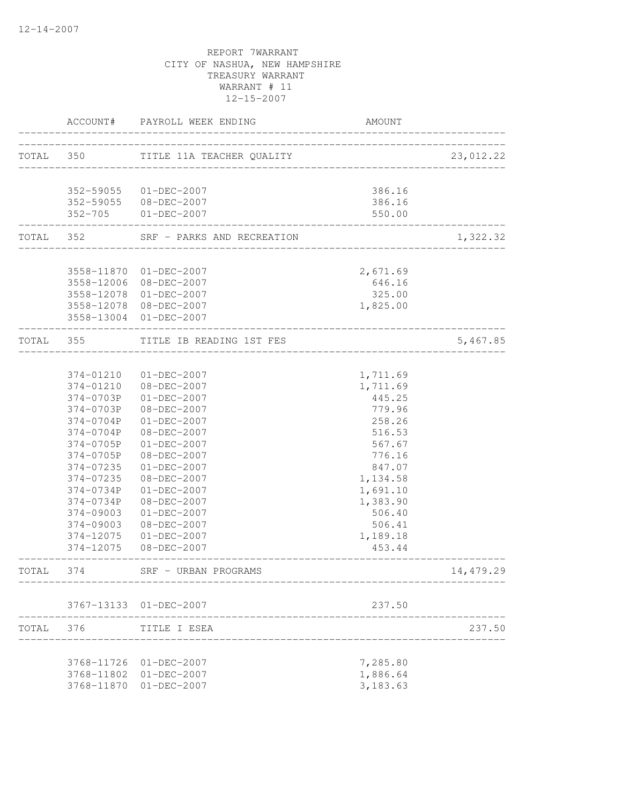|           | ACCOUNT#      | PAYROLL WEEK ENDING                              | AMOUNT                     |           |
|-----------|---------------|--------------------------------------------------|----------------------------|-----------|
| TOTAL 350 |               | TITLE 11A TEACHER QUALITY                        |                            | 23,012.22 |
|           |               |                                                  |                            |           |
|           |               | 352-59055 01-DEC-2007                            | 386.16                     |           |
|           |               | 352-59055 08-DEC-2007                            | 386.16                     |           |
|           | $352 - 705$   | $01 - DEC - 2007$                                | 550.00<br>________________ |           |
|           |               | TOTAL 352 SRF - PARKS AND RECREATION             |                            | 1,322.32  |
|           |               |                                                  |                            |           |
|           |               | 3558-11870 01-DEC-2007                           | 2,671.69                   |           |
|           |               | 3558-12006 08-DEC-2007                           | 646.16                     |           |
|           |               | 3558-12078 01-DEC-2007                           | 325.00                     |           |
|           |               | 3558-12078 08-DEC-2007<br>3558-13004 01-DEC-2007 | 1,825.00                   |           |
| TOTAL 355 |               | TITLE IB READING 1ST FES                         |                            | 5,467.85  |
|           |               |                                                  | _______________________    |           |
|           | 374-01210     | 01-DEC-2007                                      | 1,711.69                   |           |
|           | 374-01210     | 08-DEC-2007                                      | 1,711.69                   |           |
|           | 374-0703P     | $01 - DEC - 2007$                                | 445.25                     |           |
|           | 374-0703P     | 08-DEC-2007                                      | 779.96                     |           |
|           | 374-0704P     | $01-DEC-2007$                                    | 258.26                     |           |
|           | 374-0704P     | 08-DEC-2007                                      | 516.53                     |           |
|           | 374-0705P     | $01 - DEC - 2007$                                | 567.67                     |           |
|           | 374-0705P     | 08-DEC-2007                                      | 776.16                     |           |
|           | 374-07235     | $01 - DEC - 2007$                                | 847.07                     |           |
|           | 374-07235     | 08-DEC-2007                                      | 1,134.58                   |           |
|           | 374-0734P     | $01 - DEC - 2007$                                | 1,691.10                   |           |
|           | 374-0734P     | 08-DEC-2007                                      | 1,383.90                   |           |
|           | 374-09003     | $01 - DEC - 2007$                                | 506.40                     |           |
|           | $374 - 09003$ | $08 - DEC - 2007$                                | 506.41                     |           |
|           | 374-12075     | $01 - DEC - 2007$                                | 1,189.18                   |           |
|           | 374-12075     | $08 - DEC - 2007$                                | 453.44                     |           |
| TOTAL     | 374           | SRF - URBAN PROGRAMS                             |                            | 14,479.29 |
|           |               | 3767-13133 01-DEC-2007                           | 237.50                     |           |
| TOTAL     | 376           | TITLE I ESEA                                     |                            | 237.50    |
|           |               |                                                  |                            |           |
|           | 3768-11726    | 01-DEC-2007                                      | 7,285.80                   |           |
|           | 3768-11802    | 01-DEC-2007                                      | 1,886.64                   |           |
|           | 3768-11870    | $01 - DEC - 2007$                                | 3,183.63                   |           |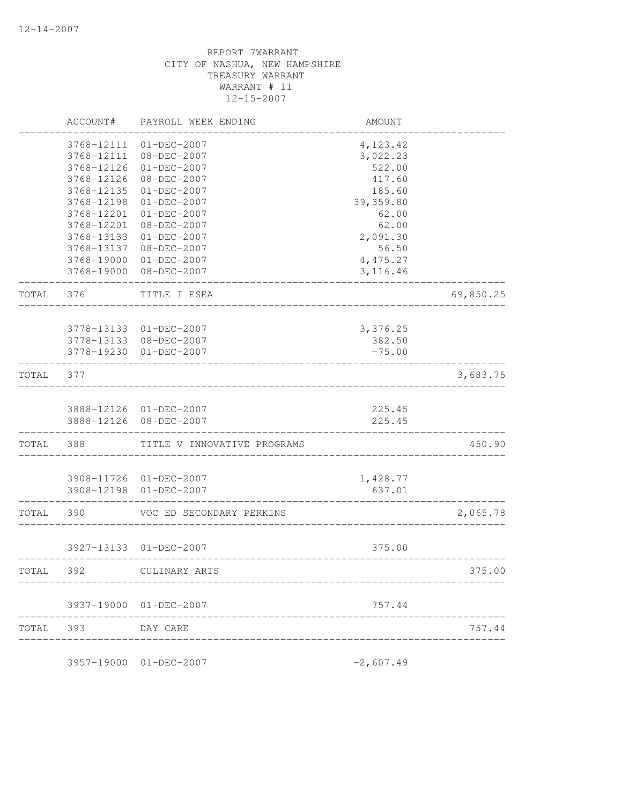| ACCOUNT#   | PAYROLL WEEK ENDING                    | AMOUNT                                                                                                                                                                                                                                                                                                                                      |                                                                                                                                          |
|------------|----------------------------------------|---------------------------------------------------------------------------------------------------------------------------------------------------------------------------------------------------------------------------------------------------------------------------------------------------------------------------------------------|------------------------------------------------------------------------------------------------------------------------------------------|
| 3768-12111 | $01 - DEC - 2007$                      |                                                                                                                                                                                                                                                                                                                                             |                                                                                                                                          |
| 3768-12111 | $08 - DEC - 2007$                      | 3,022.23                                                                                                                                                                                                                                                                                                                                    |                                                                                                                                          |
| 3768-12126 | $01 - DEC - 2007$                      | 522.00                                                                                                                                                                                                                                                                                                                                      |                                                                                                                                          |
| 3768-12126 | 08-DEC-2007                            | 417.60                                                                                                                                                                                                                                                                                                                                      |                                                                                                                                          |
| 3768-12135 | $01 - DEC - 2007$                      | 185.60                                                                                                                                                                                                                                                                                                                                      |                                                                                                                                          |
| 3768-12198 | $01 - DEC - 2007$                      | 39,359.80                                                                                                                                                                                                                                                                                                                                   |                                                                                                                                          |
| 3768-12201 | $01 - DEC - 2007$                      | 62.00                                                                                                                                                                                                                                                                                                                                       |                                                                                                                                          |
| 3768-12201 |                                        |                                                                                                                                                                                                                                                                                                                                             |                                                                                                                                          |
| 3768-13133 | $01 - DEC - 2007$                      |                                                                                                                                                                                                                                                                                                                                             |                                                                                                                                          |
|            | $08 - DEC - 2007$                      |                                                                                                                                                                                                                                                                                                                                             |                                                                                                                                          |
|            |                                        |                                                                                                                                                                                                                                                                                                                                             |                                                                                                                                          |
| 3768-19000 | 08-DEC-2007                            | 3, 116.46                                                                                                                                                                                                                                                                                                                                   |                                                                                                                                          |
| 376        | TITLE I ESEA                           |                                                                                                                                                                                                                                                                                                                                             | 69,850.25                                                                                                                                |
|            |                                        |                                                                                                                                                                                                                                                                                                                                             |                                                                                                                                          |
|            |                                        |                                                                                                                                                                                                                                                                                                                                             |                                                                                                                                          |
|            |                                        |                                                                                                                                                                                                                                                                                                                                             |                                                                                                                                          |
|            |                                        |                                                                                                                                                                                                                                                                                                                                             |                                                                                                                                          |
| 377        |                                        |                                                                                                                                                                                                                                                                                                                                             | 3,683.75                                                                                                                                 |
|            |                                        |                                                                                                                                                                                                                                                                                                                                             |                                                                                                                                          |
|            |                                        |                                                                                                                                                                                                                                                                                                                                             |                                                                                                                                          |
|            |                                        |                                                                                                                                                                                                                                                                                                                                             |                                                                                                                                          |
|            |                                        |                                                                                                                                                                                                                                                                                                                                             | 450.90                                                                                                                                   |
|            |                                        |                                                                                                                                                                                                                                                                                                                                             |                                                                                                                                          |
|            |                                        |                                                                                                                                                                                                                                                                                                                                             |                                                                                                                                          |
|            |                                        |                                                                                                                                                                                                                                                                                                                                             |                                                                                                                                          |
| 390        | VOC ED SECONDARY PERKINS               |                                                                                                                                                                                                                                                                                                                                             | 2,065.78                                                                                                                                 |
|            |                                        |                                                                                                                                                                                                                                                                                                                                             |                                                                                                                                          |
|            |                                        |                                                                                                                                                                                                                                                                                                                                             |                                                                                                                                          |
|            |                                        |                                                                                                                                                                                                                                                                                                                                             | 375.00                                                                                                                                   |
|            |                                        | 757.44                                                                                                                                                                                                                                                                                                                                      |                                                                                                                                          |
|            |                                        |                                                                                                                                                                                                                                                                                                                                             |                                                                                                                                          |
|            | 3768-13137<br>3768-19000<br>388<br>392 | $08 - DEC - 2007$<br>$01-DEC-2007$<br>3778-13133 01-DEC-2007<br>3778-13133<br>08-DEC-2007<br>3778-19230<br>$01 - DEC - 2007$<br>3888-12126 01-DEC-2007<br>3888-12126<br>08-DEC-2007<br>TITLE V INNOVATIVE PROGRAMS<br>3908-11726 01-DEC-2007<br>3908-12198 01-DEC-2007<br>3927-13133 01-DEC-2007<br>CULINARY ARTS<br>3937-19000 01-DEC-2007 | 4,123.42<br>62.00<br>2,091.30<br>56.50<br>4,475.27<br>3,376.25<br>382.50<br>$-75.00$<br>225.45<br>225.45<br>1,428.77<br>637.01<br>375.00 |

3957-19000 01-DEC-2007 -2,607.49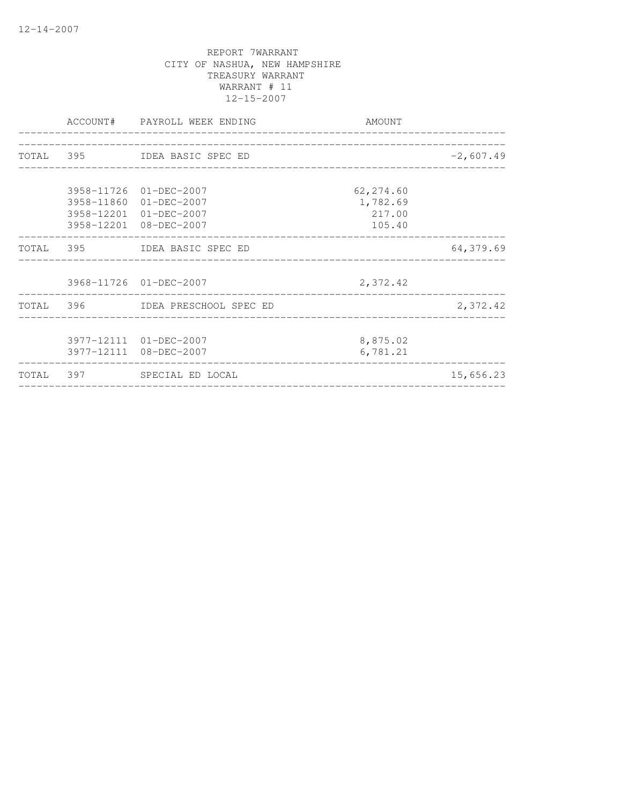|  | ACCOUNT# PAYROLL WEEK ENDING                                                                         | AMOUNT<br>____________________________    | _________________ |
|--|------------------------------------------------------------------------------------------------------|-------------------------------------------|-------------------|
|  | TOTAL 395 IDEA BASIC SPEC ED                                                                         |                                           | $-2,607.49$       |
|  | 3958-11726 01-DEC-2007<br>3958-11860 01-DEC-2007<br>3958-12201 01-DEC-2007<br>3958-12201 08-DEC-2007 | 62,274.60<br>1,782.69<br>217.00<br>105.40 |                   |
|  | TOTAL 395 IDEA BASIC SPEC ED                                                                         |                                           | 64,379.69         |
|  | 3968-11726 01-DEC-2007                                                                               | 2,372.42                                  |                   |
|  | TOTAL 396 IDEA PRESCHOOL SPEC ED                                                                     |                                           | 2,372.42          |
|  | 3977-12111 01-DEC-2007<br>3977-12111 08-DEC-2007                                                     | 8,875.02<br>6,781.21                      |                   |
|  | TOTAL 397 SPECIAL ED LOCAL                                                                           |                                           | 15,656.23         |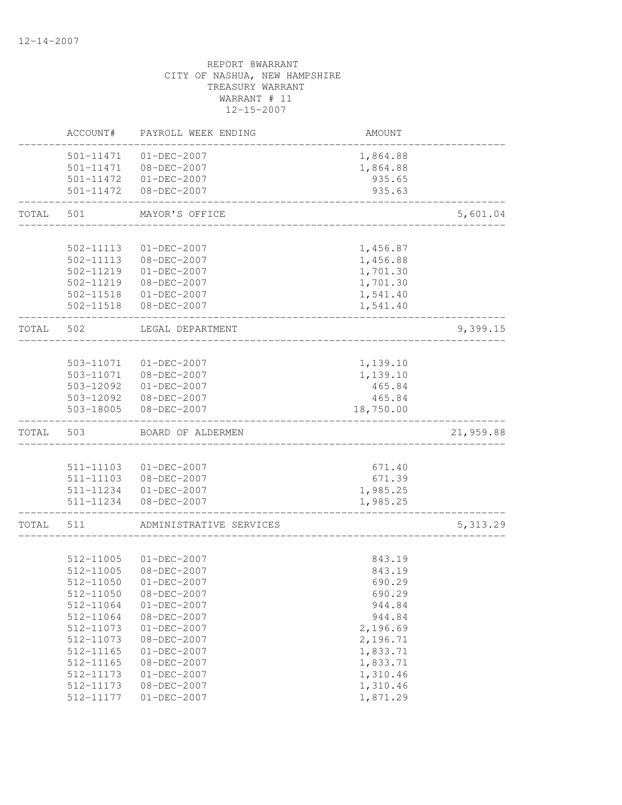|       | ACCOUNT#                            | PAYROLL WEEK ENDING                             | AMOUNT                         |           |
|-------|-------------------------------------|-------------------------------------------------|--------------------------------|-----------|
|       | 501-11471<br>501-11471<br>501-11472 | 01-DEC-2007<br>08-DEC-2007<br>$01 - DEC - 2007$ | 1,864.88<br>1,864.88<br>935.65 |           |
|       | 501-11472                           | $08 - DEC - 2007$                               | 935.63                         |           |
| TOTAL | 501                                 | MAYOR'S OFFICE                                  |                                | 5,601.04  |
|       | 502-11113                           | $01 - DEC - 2007$                               | 1,456.87                       |           |
|       | 502-11113                           | 08-DEC-2007                                     | 1,456.88                       |           |
|       | 502-11219                           | $01-DEC-2007$                                   | 1,701.30                       |           |
|       | 502-11219                           | 08-DEC-2007                                     | 1,701.30                       |           |
|       | 502-11518<br>502-11518              | 01-DEC-2007<br>08-DEC-2007                      | 1,541.40<br>1,541.40           |           |
| TOTAL | 502                                 | LEGAL DEPARTMENT                                |                                | 9,399.15  |
|       |                                     |                                                 |                                |           |
|       | 503-11071                           | $01 - DEC - 2007$                               | 1,139.10                       |           |
|       | 503-11071                           | $08 - DEC - 2007$                               | 1,139.10                       |           |
|       | 503-12092                           | $01 - DEC - 2007$                               | 465.84                         |           |
|       | 503-12092                           | $08 - DEC - 2007$                               | 465.84                         |           |
|       | 503-18005                           | $08 - DEC - 2007$                               | 18,750.00                      |           |
| TOTAL | 503                                 | BOARD OF ALDERMEN                               |                                | 21,959.88 |
|       |                                     |                                                 |                                |           |
|       | 511-11103                           | 01-DEC-2007                                     | 671.40                         |           |
|       | 511-11103<br>511-11234              | 08-DEC-2007<br>$01 - DEC - 2007$                | 671.39<br>1,985.25             |           |
|       | 511-11234                           | 08-DEC-2007                                     | 1,985.25                       |           |
|       |                                     |                                                 |                                |           |
| TOTAL | 511                                 | ADMINISTRATIVE SERVICES                         |                                | 5, 313.29 |
|       |                                     |                                                 |                                |           |
|       | 512-11005<br>512-11005              | $01 - DEC - 2007$<br>$08 - DEC - 2007$          | 843.19<br>843.19               |           |
|       | 512-11050                           | $01-DEC-2007$                                   | 690.29                         |           |
|       | 512-11050                           | 08-DEC-2007                                     | 690.29                         |           |
|       | 512-11064                           | $01 - DEC - 2007$                               | 944.84                         |           |
|       | 512-11064                           | 08-DEC-2007                                     | 944.84                         |           |
|       | 512-11073                           | $01 - DEC - 2007$                               | 2,196.69                       |           |
|       | 512-11073                           | $08 - DEC - 2007$                               | 2,196.71                       |           |
|       | 512-11165                           | $01 - DEC - 2007$                               | 1,833.71                       |           |
|       | 512-11165                           | $08 - DEC - 2007$                               | 1,833.71                       |           |
|       | 512-11173                           | $01 - DEC - 2007$                               | 1,310.46                       |           |
|       | 512-11173                           | 08-DEC-2007                                     | 1,310.46                       |           |
|       | 512-11177                           | $01 - DEC - 2007$                               | 1,871.29                       |           |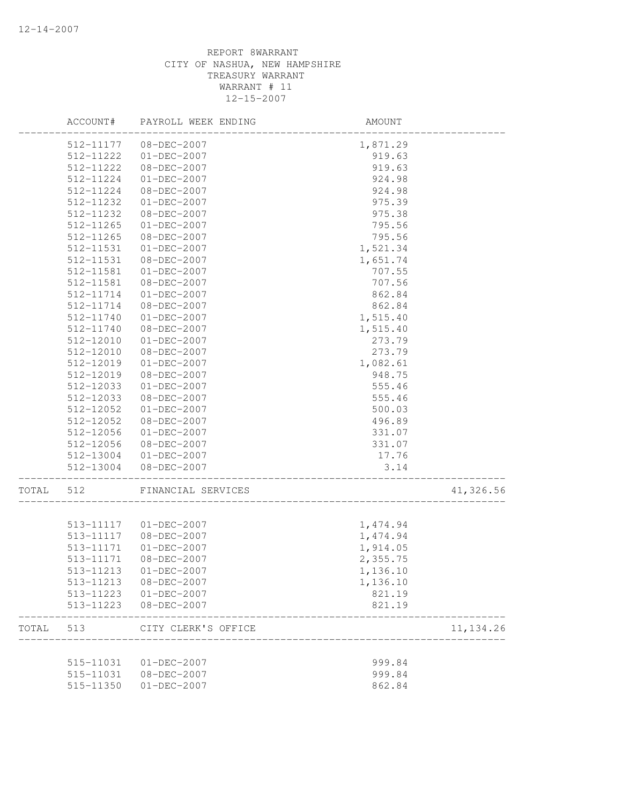|       | ACCOUNT#  | PAYROLL WEEK ENDING    | AMOUNT   |            |
|-------|-----------|------------------------|----------|------------|
|       | 512-11177 | 08-DEC-2007            | 1,871.29 |            |
|       | 512-11222 | 01-DEC-2007            | 919.63   |            |
|       | 512-11222 | 08-DEC-2007            | 919.63   |            |
|       | 512-11224 | $01 - DEC - 2007$      | 924.98   |            |
|       | 512-11224 | 08-DEC-2007            | 924.98   |            |
|       | 512-11232 | $01 - DEC - 2007$      | 975.39   |            |
|       | 512-11232 | 08-DEC-2007            | 975.38   |            |
|       | 512-11265 | $01 - DEC - 2007$      | 795.56   |            |
|       | 512-11265 | 08-DEC-2007            | 795.56   |            |
|       | 512-11531 | $01 - DEC - 2007$      | 1,521.34 |            |
|       | 512-11531 | 08-DEC-2007            | 1,651.74 |            |
|       | 512-11581 | $01 - DEC - 2007$      | 707.55   |            |
|       | 512-11581 | 08-DEC-2007            | 707.56   |            |
|       | 512-11714 | 01-DEC-2007            | 862.84   |            |
|       | 512-11714 | 08-DEC-2007            | 862.84   |            |
|       | 512-11740 | $01 - DEC - 2007$      | 1,515.40 |            |
|       | 512-11740 | 08-DEC-2007            | 1,515.40 |            |
|       | 512-12010 | $01 - DEC - 2007$      | 273.79   |            |
|       | 512-12010 | 08-DEC-2007            | 273.79   |            |
|       | 512-12019 | $01 - DEC - 2007$      | 1,082.61 |            |
|       | 512-12019 | 08-DEC-2007            | 948.75   |            |
|       | 512-12033 | $01 - DEC - 2007$      | 555.46   |            |
|       | 512-12033 | 08-DEC-2007            | 555.46   |            |
|       | 512-12052 | $01 - DEC - 2007$      | 500.03   |            |
|       | 512-12052 | 08-DEC-2007            | 496.89   |            |
|       | 512-12056 | $01 - DEC - 2007$      | 331.07   |            |
|       | 512-12056 | 08-DEC-2007            | 331.07   |            |
|       | 512-13004 | 01-DEC-2007            | 17.76    |            |
|       | 512-13004 | 08-DEC-2007            | 3.14     |            |
|       |           |                        |          |            |
| TOTAL | 512       | FINANCIAL SERVICES     |          | 41,326.56  |
|       |           |                        |          |            |
|       |           | 513-11117  01-DEC-2007 | 1,474.94 |            |
|       | 513-11117 | 08-DEC-2007            | 1,474.94 |            |
|       | 513-11171 | $01-DEC-2007$          | 1,914.05 |            |
|       | 513-11171 | 08-DEC-2007            | 2,355.75 |            |
|       |           | 513-11213 01-DEC-2007  | 1,136.10 |            |
|       | 513-11213 | 08-DEC-2007            | 1,136.10 |            |
|       | 513-11223 | $01 - DEC - 2007$      | 821.19   |            |
|       | 513-11223 | 08-DEC-2007            | 821.19   |            |
| TOTAL | 513       | CITY CLERK'S OFFICE    |          | 11, 134.26 |
|       |           |                        |          |            |
|       | 515-11031 | 01-DEC-2007            | 999.84   |            |
|       | 515-11031 | 08-DEC-2007            | 999.84   |            |
|       | 515-11350 | $01 - DEC - 2007$      | 862.84   |            |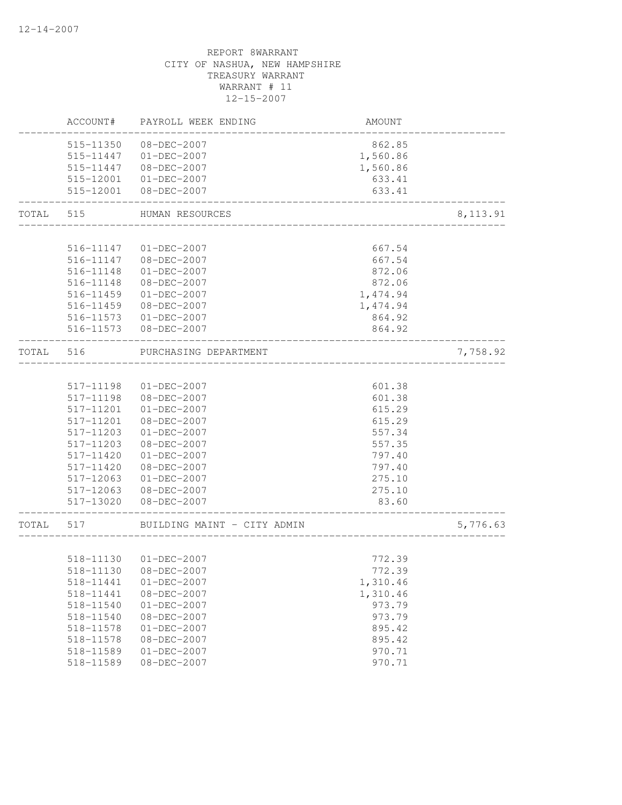|           | ACCOUNT#  | PAYROLL WEEK ENDING                      | AMOUNT   |           |
|-----------|-----------|------------------------------------------|----------|-----------|
|           | 515-11350 | 08-DEC-2007                              | 862.85   |           |
|           | 515-11447 | 01-DEC-2007                              | 1,560.86 |           |
|           | 515-11447 | 08-DEC-2007                              | 1,560.86 |           |
|           |           | 515-12001 01-DEC-2007                    | 633.41   |           |
|           | 515-12001 | 08-DEC-2007                              | 633.41   |           |
| TOTAL     | 515       | HUMAN RESOURCES                          |          | 8, 113.91 |
|           |           |                                          |          |           |
|           | 516-11147 | $01 - DEC - 2007$                        | 667.54   |           |
|           | 516-11147 | 08-DEC-2007                              | 667.54   |           |
|           | 516-11148 | $01 - DEC - 2007$                        | 872.06   |           |
|           | 516-11148 | 08-DEC-2007                              | 872.06   |           |
|           | 516-11459 | $01 - DEC - 2007$                        | 1,474.94 |           |
|           | 516-11459 | 08-DEC-2007                              | 1,474.94 |           |
|           | 516-11573 | $01 - DEC - 2007$                        | 864.92   |           |
|           | 516-11573 | 08-DEC-2007                              | 864.92   |           |
| TOTAL     | 516       | PURCHASING DEPARTMENT<br>_______________ |          | 7,758.92  |
|           |           |                                          |          |           |
|           | 517-11198 | $01 - DEC - 2007$                        | 601.38   |           |
|           | 517-11198 | 08-DEC-2007                              | 601.38   |           |
|           | 517-11201 | $01 - DEC - 2007$                        | 615.29   |           |
|           | 517-11201 | 08-DEC-2007                              | 615.29   |           |
|           | 517-11203 | $01 - DEC - 2007$                        | 557.34   |           |
|           | 517-11203 | 08-DEC-2007                              | 557.35   |           |
|           | 517-11420 | $01 - DEC - 2007$                        | 797.40   |           |
|           | 517-11420 | 08-DEC-2007                              | 797.40   |           |
|           | 517-12063 | $01 - DEC - 2007$                        | 275.10   |           |
|           | 517-12063 | 08-DEC-2007                              | 275.10   |           |
|           | 517-13020 | 08-DEC-2007                              | 83.60    |           |
| TOTAL 517 |           | BUILDING MAINT - CITY ADMIN              |          | 5,776.63  |
|           |           |                                          |          |           |
|           |           | 518-11130 01-DEC-2007                    | 772.39   |           |
|           |           | 518-11130 08-DEC-2007                    | 772.39   |           |
|           | 518-11441 | $01 - DEC - 2007$                        | 1,310.46 |           |
|           | 518-11441 | 08-DEC-2007                              | 1,310.46 |           |
|           | 518-11540 | $01 - DEC - 2007$                        | 973.79   |           |
|           | 518-11540 | $08 - DEC - 2007$                        | 973.79   |           |
|           | 518-11578 | $01 - DEC - 2007$                        | 895.42   |           |
|           | 518-11578 | $08 - DEC - 2007$                        | 895.42   |           |
|           | 518-11589 | $01 - DEC - 2007$                        | 970.71   |           |
|           | 518-11589 | $08 - DEC - 2007$                        | 970.71   |           |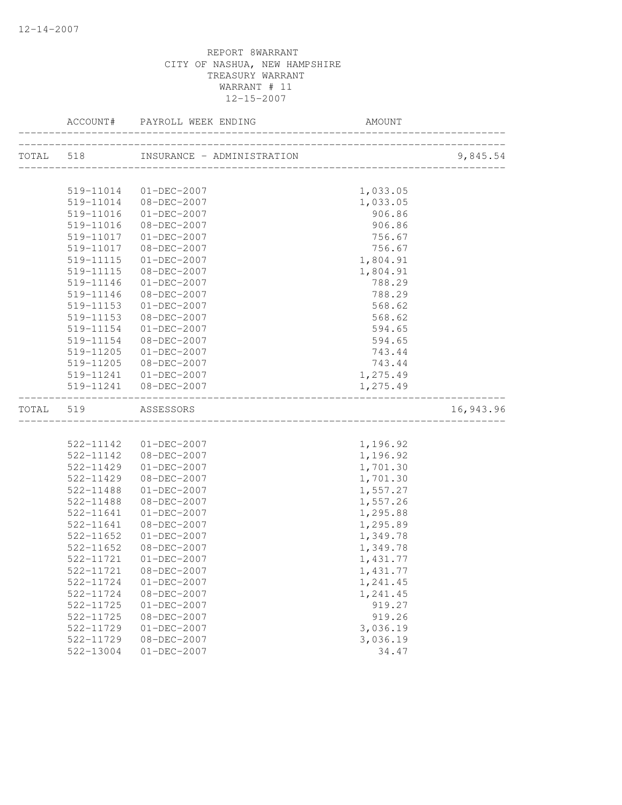|           |                        | ACCOUNT# PAYROLL WEEK ENDING     |                    |           |
|-----------|------------------------|----------------------------------|--------------------|-----------|
|           |                        |                                  |                    | 9,845.54  |
|           |                        |                                  |                    |           |
|           | 519-11014              | 01-DEC-2007                      | 1,033.05           |           |
|           |                        | 519-11014 08-DEC-2007            | 1,033.05           |           |
|           | 519-11016              | $01 - DEC - 2007$                | 906.86             |           |
|           | 519-11016<br>519-11017 | 08-DEC-2007<br>$01 - DEC - 2007$ | 906.86             |           |
|           |                        |                                  | 756.67             |           |
|           | 519-11017              | 08-DEC-2007                      | 756.67             |           |
|           | 519-11115<br>519-11115 | $01 - DEC - 2007$<br>08-DEC-2007 | 1,804.91           |           |
|           | 519-11146              | $01 - DEC - 2007$                | 1,804.91<br>788.29 |           |
|           | 519-11146              | 08-DEC-2007                      | 788.29             |           |
|           | 519-11153              | $01 - DEC - 2007$                | 568.62             |           |
|           | 519-11153              | 08-DEC-2007                      | 568.62             |           |
|           | 519-11154              | $01 - DEC - 2007$                | 594.65             |           |
|           | 519-11154              | 08-DEC-2007                      | 594.65             |           |
|           | 519-11205              | $01 - DEC - 2007$                | 743.44             |           |
|           | 519-11205              | 08-DEC-2007                      | 743.44             |           |
|           |                        | 519-11241  01-DEC-2007           | 1,275.49           |           |
|           |                        | 519-11241 08-DEC-2007            | 1,275.49           |           |
|           |                        |                                  |                    |           |
| TOTAL 519 |                        | ASSESSORS                        |                    | 16,943.96 |
|           |                        |                                  |                    |           |
|           |                        | 522-11142  01-DEC-2007           | 1,196.92           |           |
|           | 522-11142              | 08-DEC-2007                      | 1,196.92           |           |
|           | 522-11429              | $01 - DEC - 2007$                | 1,701.30           |           |
|           | 522-11429              | 08-DEC-2007                      | 1,701.30           |           |
|           | 522-11488              | $01-DEC-2007$                    | 1,557.27           |           |
|           | 522-11488              | 08-DEC-2007                      | 1,557.26           |           |
|           | 522-11641              | $01-DEC-2007$                    | 1,295.88           |           |
|           | 522-11641              | $08 - DEC - 2007$                | 1,295.89           |           |
|           | 522-11652              | $01 - DEC - 2007$                | 1,349.78           |           |
|           | 522-11652              | 08-DEC-2007                      | 1,349.78           |           |
|           | 522-11721              | $01 - DEC - 2007$                | 1,431.77           |           |
|           |                        | 522-11721 08-DEC-2007            | 1,431.77           |           |
|           | 522-11724              | $01 - DEC - 2007$                | 1,241.45           |           |
|           | 522-11724              | $08 - DEC - 2007$                | 1,241.45           |           |
|           | 522-11725              | $01 - DEC - 2007$                | 919.27             |           |
|           | 522-11725              | 08-DEC-2007                      | 919.26             |           |
|           | 522-11729              | $01 - DEC - 2007$                | 3,036.19           |           |
|           | 522-11729              | 08-DEC-2007                      | 3,036.19           |           |
|           | 522-13004              | $01 - DEC - 2007$                | 34.47              |           |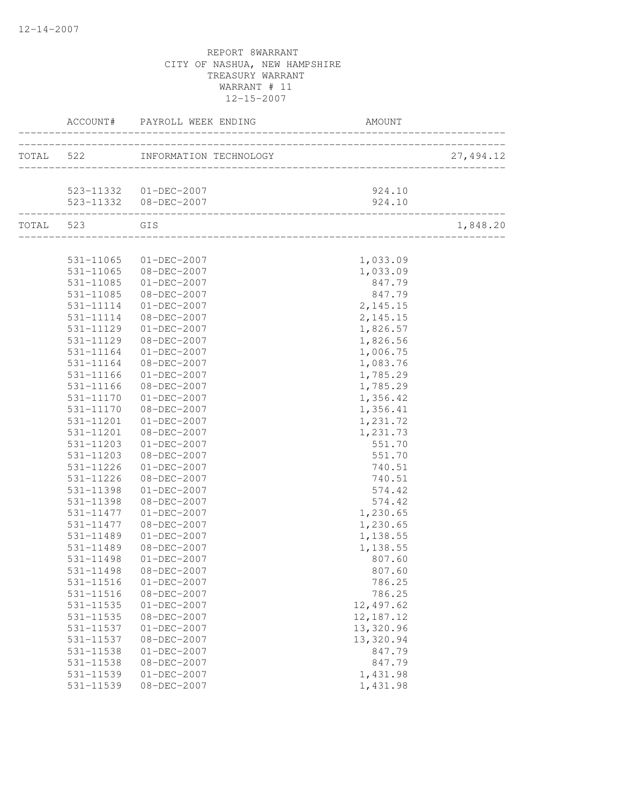|                        | ACCOUNT# PAYROLL WEEK ENDING     | AMOUNT                           |            |
|------------------------|----------------------------------|----------------------------------|------------|
|                        | TOTAL 522 INFORMATION TECHNOLOGY | ________________________________ | 27, 494.12 |
|                        | 523-11332  01-DEC-2007           | 924.10                           |            |
|                        | 523-11332  08-DEC-2007           | 924.10                           |            |
| TOTAL 523 GIS          |                                  |                                  | 1,848.20   |
|                        |                                  |                                  |            |
|                        | 531-11065 01-DEC-2007            | 1,033.09                         |            |
| 531-11065<br>531-11085 | 08-DEC-2007<br>$01 - DEC - 2007$ | 1,033.09<br>847.79               |            |
| 531-11085              | 08-DEC-2007                      | 847.79                           |            |
| 531-11114              | $01 - DEC - 2007$                | 2, 145.15                        |            |
| 531-11114              | $08 - DEC - 2007$                | 2,145.15                         |            |
| 531-11129              | $01 - DEC - 2007$                | 1,826.57                         |            |
| 531-11129              | $08 - DEC - 2007$                | 1,826.56                         |            |
| 531-11164              | $01 - DEC - 2007$                | 1,006.75                         |            |
| 531-11164              | 08-DEC-2007                      | 1,083.76                         |            |
| 531-11166              | $01 - DEC - 2007$                | 1,785.29                         |            |
| 531-11166              | 08-DEC-2007                      | 1,785.29                         |            |
| 531-11170              | 01-DEC-2007                      | 1,356.42                         |            |
| 531-11170              | 08-DEC-2007                      | 1,356.41                         |            |
| 531-11201              | $01 - DEC - 2007$                | 1,231.72                         |            |
| 531-11201              | 08-DEC-2007                      | 1,231.73                         |            |
| 531-11203              | $01 - DEC - 2007$                | 551.70                           |            |
| 531-11203              | 08-DEC-2007                      | 551.70                           |            |
| 531-11226              | $01 - DEC - 2007$                | 740.51                           |            |
| 531-11226              | 08-DEC-2007                      | 740.51                           |            |
| 531-11398              | 01-DEC-2007                      | 574.42                           |            |
| 531-11398              | 08-DEC-2007                      | 574.42                           |            |
| 531-11477              | 01-DEC-2007                      | 1,230.65                         |            |
| 531-11477              | 08-DEC-2007                      | 1,230.65                         |            |
| 531-11489              | $01 - DEC - 2007$                | 1,138.55                         |            |
| 531-11489              | 08-DEC-2007                      | 1,138.55                         |            |
| 531-11498              | $01 - DEC - 2007$                | 807.60                           |            |
| 531-11498              | 08-DEC-2007                      | 807.60                           |            |
| 531-11516              | $01 - DEC - 2007$                | 786.25                           |            |
| 531-11516              | 08-DEC-2007                      | 786.25                           |            |
| 531-11535              | $01 - DEC - 2007$                | 12,497.62<br>12, 187. 12         |            |
| 531-11535<br>531-11537 | 08-DEC-2007<br>$01 - DEC - 2007$ | 13,320.96                        |            |
| 531-11537              | 08-DEC-2007                      | 13,320.94                        |            |
| 531-11538              | $01 - DEC - 2007$                | 847.79                           |            |
| 531-11538              | 08-DEC-2007                      | 847.79                           |            |
| 531-11539              | $01 - DEC - 2007$                | 1,431.98                         |            |
| 531-11539              | 08-DEC-2007                      | 1,431.98                         |            |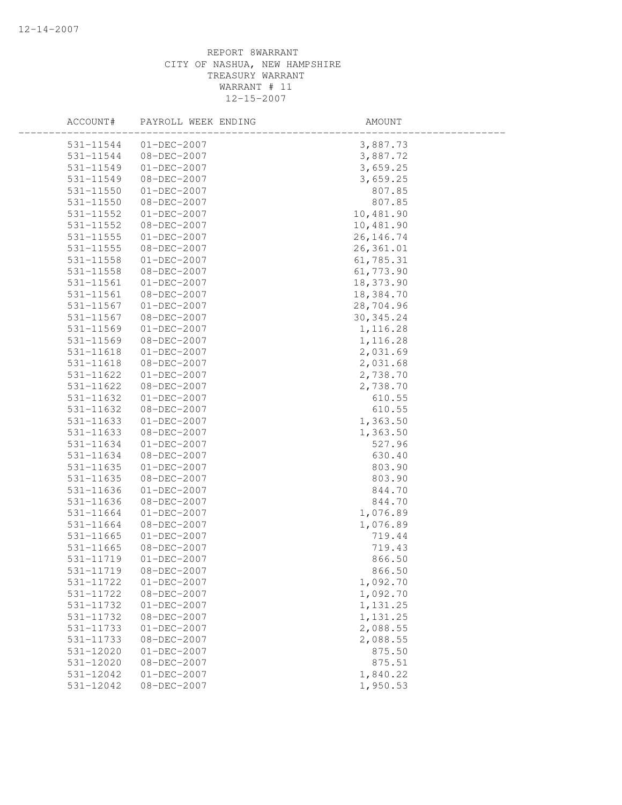| ACCOUNT#      | PAYROLL WEEK ENDING | AMOUNT     |  |
|---------------|---------------------|------------|--|
| 531-11544     | $01 - DEC - 2007$   | 3,887.73   |  |
| 531-11544     | 08-DEC-2007         | 3,887.72   |  |
| 531-11549     | $01 - DEC - 2007$   | 3,659.25   |  |
| 531-11549     | 08-DEC-2007         | 3,659.25   |  |
| $531 - 11550$ | $01-DEC-2007$       | 807.85     |  |
| 531-11550     | 08-DEC-2007         | 807.85     |  |
| 531-11552     | $01 - DEC - 2007$   | 10,481.90  |  |
| 531-11552     | 08-DEC-2007         | 10,481.90  |  |
| 531-11555     | $01 - DEC - 2007$   | 26, 146.74 |  |
| 531-11555     | 08-DEC-2007         | 26, 361.01 |  |
| 531-11558     | $01 - DEC - 2007$   | 61,785.31  |  |
| $531 - 11558$ | $08 - DEC - 2007$   | 61,773.90  |  |
| 531-11561     | $01 - DEC - 2007$   | 18,373.90  |  |
| 531-11561     | 08-DEC-2007         | 18,384.70  |  |
| 531-11567     | $01 - DEC - 2007$   | 28,704.96  |  |
| 531-11567     | 08-DEC-2007         | 30, 345.24 |  |
| 531-11569     | $01 - DEC - 2007$   | 1,116.28   |  |
| 531-11569     | 08-DEC-2007         | 1,116.28   |  |
| 531-11618     | $01 - DEC - 2007$   | 2,031.69   |  |
| 531-11618     | 08-DEC-2007         | 2,031.68   |  |
| 531-11622     | $01 - DEC - 2007$   | 2,738.70   |  |
| 531-11622     | 08-DEC-2007         | 2,738.70   |  |
| 531-11632     | 01-DEC-2007         | 610.55     |  |
| 531-11632     | 08-DEC-2007         | 610.55     |  |
| 531-11633     | $01 - DEC - 2007$   | 1,363.50   |  |
| 531-11633     | 08-DEC-2007         | 1,363.50   |  |
| 531-11634     | $01 - DEC - 2007$   | 527.96     |  |
| 531-11634     | $08 - DEC - 2007$   | 630.40     |  |
| 531-11635     | $01 - DEC - 2007$   | 803.90     |  |
| 531-11635     | 08-DEC-2007         | 803.90     |  |
| 531-11636     | $01-DEC-2007$       | 844.70     |  |
| 531-11636     | 08-DEC-2007         | 844.70     |  |
| 531-11664     | $01-DEC-2007$       | 1,076.89   |  |
| 531-11664     | 08-DEC-2007         | 1,076.89   |  |
| 531-11665     | $01 - DEC - 2007$   | 719.44     |  |
| 531-11665     | 08-DEC-2007         | 719.43     |  |
| 531-11719     | $01 - DEC - 2007$   | 866.50     |  |
| 531-11719     | 08-DEC-2007         | 866.50     |  |
| 531-11722     | $01 - DEC - 2007$   | 1,092.70   |  |
| 531-11722     | 08-DEC-2007         | 1,092.70   |  |
| 531-11732     | $01 - DEC - 2007$   | 1,131.25   |  |
| 531-11732     | 08-DEC-2007         | 1,131.25   |  |
| 531-11733     | $01 - DEC - 2007$   | 2,088.55   |  |
| 531-11733     | $08 - DEC - 2007$   | 2,088.55   |  |
| 531-12020     | $01 - DEC - 2007$   | 875.50     |  |
| 531-12020     | $08 - DEC - 2007$   | 875.51     |  |
| 531-12042     | $01 - DEC - 2007$   | 1,840.22   |  |
| 531-12042     | $08 - DEC - 2007$   | 1,950.53   |  |
|               |                     |            |  |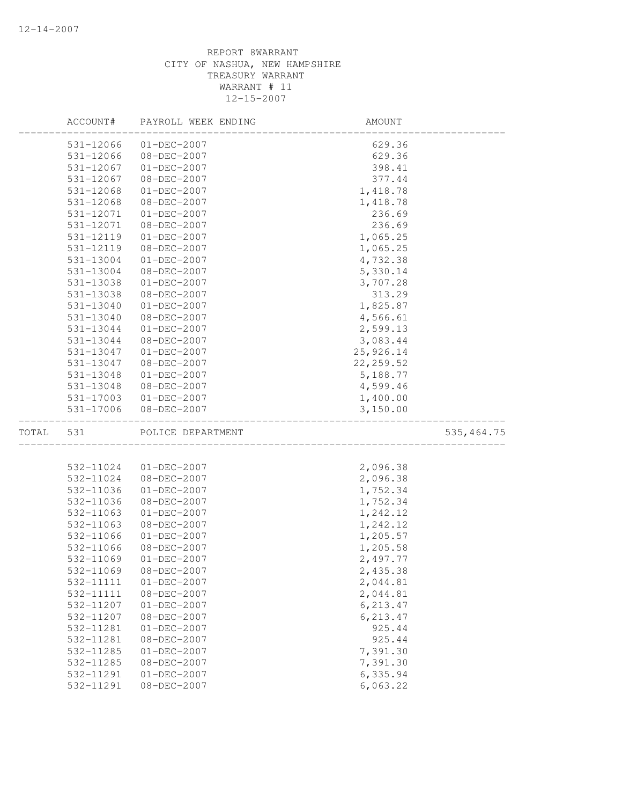|       | ACCOUNT#      | PAYROLL WEEK ENDING | AMOUNT     |             |
|-------|---------------|---------------------|------------|-------------|
|       | 531-12066     | $01 - DEC - 2007$   | 629.36     |             |
|       | 531-12066     | 08-DEC-2007         | 629.36     |             |
|       | 531-12067     | $01-DEC-2007$       | 398.41     |             |
|       | 531-12067     | 08-DEC-2007         | 377.44     |             |
|       | 531-12068     | $01 - DEC - 2007$   | 1,418.78   |             |
|       | 531-12068     | 08-DEC-2007         | 1,418.78   |             |
|       | 531-12071     | $01 - DEC - 2007$   | 236.69     |             |
|       | 531-12071     | 08-DEC-2007         | 236.69     |             |
|       | 531-12119     | $01 - DEC - 2007$   | 1,065.25   |             |
|       | 531-12119     | 08-DEC-2007         | 1,065.25   |             |
|       | 531-13004     | $01 - DEC - 2007$   | 4,732.38   |             |
|       | 531-13004     | 08-DEC-2007         | 5,330.14   |             |
|       | 531-13038     | $01 - DEC - 2007$   | 3,707.28   |             |
|       | 531-13038     | 08-DEC-2007         | 313.29     |             |
|       | 531-13040     | $01 - DEC - 2007$   | 1,825.87   |             |
|       | 531-13040     | $08 - DEC - 2007$   | 4,566.61   |             |
|       | 531-13044     | $01 - DEC - 2007$   | 2,599.13   |             |
|       | 531-13044     | 08-DEC-2007         | 3,083.44   |             |
|       | 531-13047     | $01 - DEC - 2007$   | 25,926.14  |             |
|       | 531-13047     | 08-DEC-2007         | 22, 259.52 |             |
|       | 531-13048     | $01 - DEC - 2007$   | 5,188.77   |             |
|       | 531-13048     | $08 - DEC - 2007$   | 4,599.46   |             |
|       | 531-17003     | $01 - DEC - 2007$   | 1,400.00   |             |
|       | $531 - 17006$ | $08 - DEC - 2007$   | 3,150.00   |             |
| TOTAL | 531           | POLICE DEPARTMENT   |            | 535, 464.75 |
|       |               |                     |            |             |
|       | 532-11024     | $01 - DEC - 2007$   | 2,096.38   |             |
|       | 532-11024     | 08-DEC-2007         | 2,096.38   |             |
|       | 532-11036     | $01 - DEC - 2007$   | 1,752.34   |             |
|       | 532-11036     | 08-DEC-2007         | 1,752.34   |             |
|       | 532-11063     | $01-DEC-2007$       | 1,242.12   |             |
|       | 532-11063     | 08-DEC-2007         | 1,242.12   |             |
|       | 532-11066     | $01 - DEC - 2007$   | 1,205.57   |             |
|       | 532-11066     | 08-DEC-2007         | 1,205.58   |             |
|       | 532-11069     | $01 - DEC - 2007$   | 2,497.77   |             |
|       | 532-11069     | $08 - DEC - 2007$   | 2,435.38   |             |
|       | 532-11111     | $01 - DEC - 2007$   | 2,044.81   |             |
|       | 532-11111     | 08-DEC-2007         | 2,044.81   |             |
|       | 532-11207     | $01 - DEC - 2007$   | 6,213.47   |             |
|       | 532-11207     | 08-DEC-2007         | 6,213.47   |             |
|       | 532-11281     | $01 - DEC - 2007$   | 925.44     |             |
|       | 532-11281     | $08 - DEC - 2007$   | 925.44     |             |
|       | 532-11285     | $01 - DEC - 2007$   | 7,391.30   |             |
|       | 532-11285     | $08 - DEC - 2007$   | 7,391.30   |             |
|       | 532-11291     | $01 - DEC - 2007$   | 6,335.94   |             |
|       | 532-11291     | 08-DEC-2007         | 6,063.22   |             |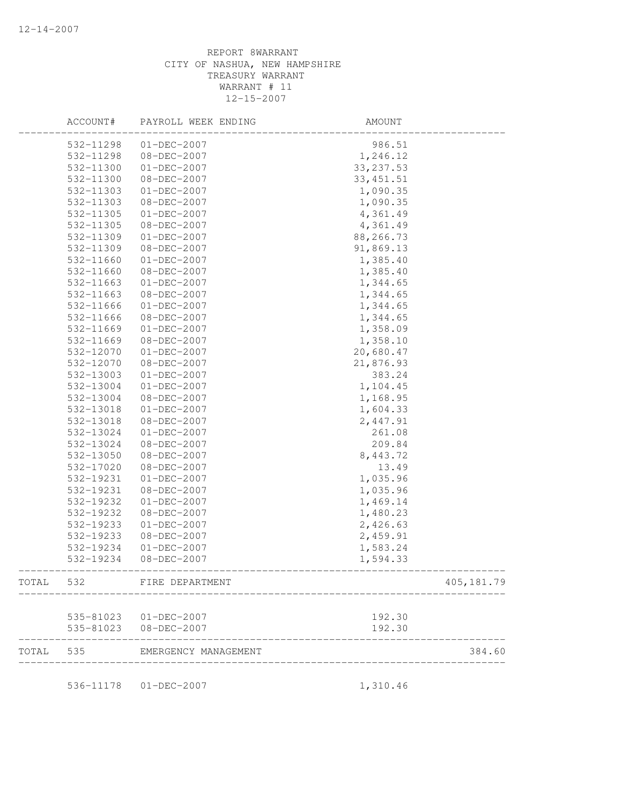|       | ACCOUNT#  | PAYROLL WEEK ENDING    | AMOUNT     |             |
|-------|-----------|------------------------|------------|-------------|
|       | 532-11298 | $01-DEC-2007$          | 986.51     |             |
|       | 532-11298 | 08-DEC-2007            | 1,246.12   |             |
|       | 532-11300 | $01-DEC-2007$          | 33, 237.53 |             |
|       | 532-11300 | 08-DEC-2007            | 33, 451.51 |             |
|       | 532-11303 | $01 - DEC - 2007$      | 1,090.35   |             |
|       | 532-11303 | 08-DEC-2007            | 1,090.35   |             |
|       | 532-11305 | $01 - DEC - 2007$      | 4,361.49   |             |
|       | 532-11305 | 08-DEC-2007            | 4,361.49   |             |
|       | 532-11309 | $01-DEC-2007$          | 88,266.73  |             |
|       | 532-11309 | 08-DEC-2007            | 91,869.13  |             |
|       | 532-11660 | $01-DEC-2007$          | 1,385.40   |             |
|       | 532-11660 | 08-DEC-2007            | 1,385.40   |             |
|       | 532-11663 | $01 - DEC - 2007$      | 1,344.65   |             |
|       | 532-11663 | 08-DEC-2007            | 1,344.65   |             |
|       | 532-11666 | $01 - DEC - 2007$      | 1,344.65   |             |
|       | 532-11666 | 08-DEC-2007            | 1,344.65   |             |
|       | 532-11669 | $01 - DEC - 2007$      | 1,358.09   |             |
|       | 532-11669 | 08-DEC-2007            | 1,358.10   |             |
|       | 532-12070 | $01 - DEC - 2007$      | 20,680.47  |             |
|       | 532-12070 | 08-DEC-2007            | 21,876.93  |             |
|       | 532-13003 | $01-DEC-2007$          | 383.24     |             |
|       | 532-13004 | $01 - DEC - 2007$      | 1,104.45   |             |
|       | 532-13004 | 08-DEC-2007            | 1,168.95   |             |
|       | 532-13018 | $01 - DEC - 2007$      | 1,604.33   |             |
|       | 532-13018 | 08-DEC-2007            | 2,447.91   |             |
|       | 532-13024 | $01 - DEC - 2007$      | 261.08     |             |
|       | 532-13024 | 08-DEC-2007            | 209.84     |             |
|       | 532-13050 | 08-DEC-2007            | 8,443.72   |             |
|       | 532-17020 | 08-DEC-2007            | 13.49      |             |
|       | 532-19231 | $01 - DEC - 2007$      | 1,035.96   |             |
|       | 532-19231 | 08-DEC-2007            | 1,035.96   |             |
|       | 532-19232 | $01 - DEC - 2007$      | 1,469.14   |             |
|       | 532-19232 | 08-DEC-2007            | 1,480.23   |             |
|       | 532-19233 | $01 - DEC - 2007$      | 2,426.63   |             |
|       | 532-19233 | 08-DEC-2007            | 2,459.91   |             |
|       | 532-19234 | $01-DEC-2007$          | 1,583.24   |             |
|       | 532-19234 | 08-DEC-2007            | 1,594.33   |             |
| TOTAL | 532       | FIRE DEPARTMENT        |            | 405, 181.79 |
|       |           |                        |            |             |
|       |           | 535-81023  01-DEC-2007 | 192.30     |             |
|       |           | 535-81023 08-DEC-2007  | 192.30     |             |
| TOTAL | 535       | EMERGENCY MANAGEMENT   |            | 384.60      |
|       |           | 536-11178  01-DEC-2007 | 1,310.46   |             |
|       |           |                        |            |             |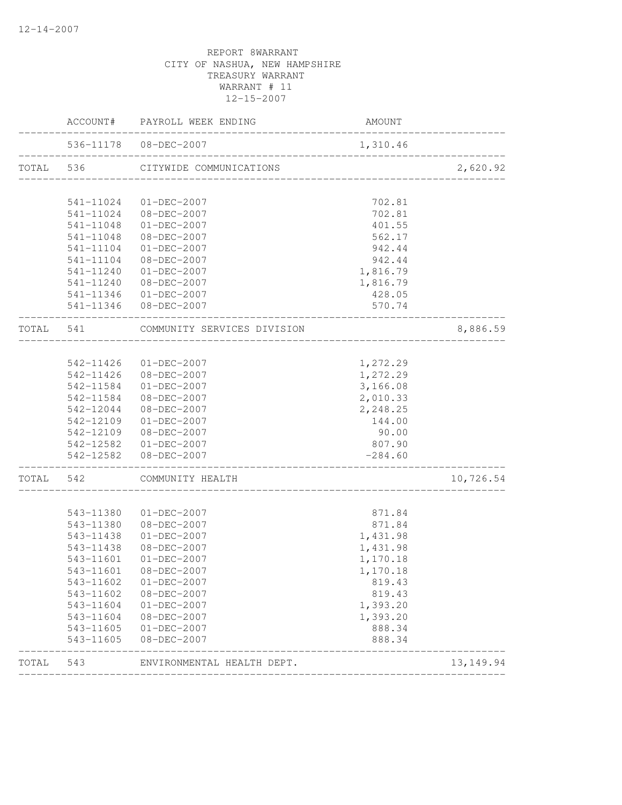|             | AMOUNT    | ACCOUNT# PAYROLL WEEK ENDING                          |           |           |
|-------------|-----------|-------------------------------------------------------|-----------|-----------|
| ___________ | 1,310.46  | 536-11178  08-DEC-2007<br>___________________________ |           |           |
| 2,620.92    |           | CITYWIDE COMMUNICATIONS                               |           | TOTAL 536 |
|             | 702.81    | 01-DEC-2007                                           | 541-11024 |           |
|             | 702.81    | 08-DEC-2007                                           | 541-11024 |           |
|             | 401.55    | $01 - DEC - 2007$                                     | 541-11048 |           |
|             | 562.17    | $08 - DEC - 2007$                                     | 541-11048 |           |
|             | 942.44    | 01-DEC-2007                                           | 541-11104 |           |
|             | 942.44    | 08-DEC-2007                                           | 541-11104 |           |
|             | 1,816.79  | 01-DEC-2007                                           | 541-11240 |           |
|             | 1,816.79  | 08-DEC-2007                                           | 541-11240 |           |
|             | 428.05    | $01 - DEC - 2007$                                     | 541-11346 |           |
|             | 570.74    | 541-11346 08-DEC-2007                                 |           |           |
| 8,886.59    |           | COMMUNITY SERVICES DIVISION                           |           | TOTAL 541 |
|             |           |                                                       |           |           |
|             | 1,272.29  | 01-DEC-2007                                           | 542-11426 |           |
|             | 1,272.29  | 542-11426 08-DEC-2007                                 |           |           |
|             | 3,166.08  | $01 - DEC - 2007$                                     | 542-11584 |           |
|             | 2,010.33  | 08-DEC-2007                                           | 542-11584 |           |
|             | 2,248.25  | 08-DEC-2007                                           | 542-12044 |           |
|             | 144.00    | $01 - DEC - 2007$                                     | 542-12109 |           |
|             | 90.00     | 08-DEC-2007                                           | 542-12109 |           |
|             | 807.90    | 542-12582 01-DEC-2007                                 |           |           |
|             | $-284.60$ | 542-12582 08-DEC-2007                                 |           |           |
| 10,726.54   |           | COMMUNITY HEALTH                                      | 542       | TOTAL     |
|             | 871.84    | 01-DEC-2007                                           | 543-11380 |           |
|             | 871.84    | 08-DEC-2007                                           | 543-11380 |           |
|             | 1,431.98  | $01 - DEC - 2007$                                     | 543-11438 |           |
|             | 1,431.98  | $08 - DEC - 2007$                                     | 543-11438 |           |
|             | 1,170.18  | $01 - DEC - 2007$                                     | 543-11601 |           |
|             | 1,170.18  | $08 - DEC - 2007$                                     | 543-11601 |           |
|             | 819.43    | $01 - DEC - 2007$                                     | 543-11602 |           |
|             | 819.43    | $08 - DEC - 2007$                                     | 543-11602 |           |
|             | 1,393.20  | $01 - DEC - 2007$                                     | 543-11604 |           |
|             | 1,393.20  | 08-DEC-2007                                           | 543-11604 |           |
|             | 888.34    | $01 - DEC - 2007$                                     | 543-11605 |           |
|             | 888.34    | $08 - DEC - 2007$                                     | 543-11605 |           |
| 13, 149. 94 |           | ENVIRONMENTAL HEALTH DEPT.                            | 543       | TOTAL     |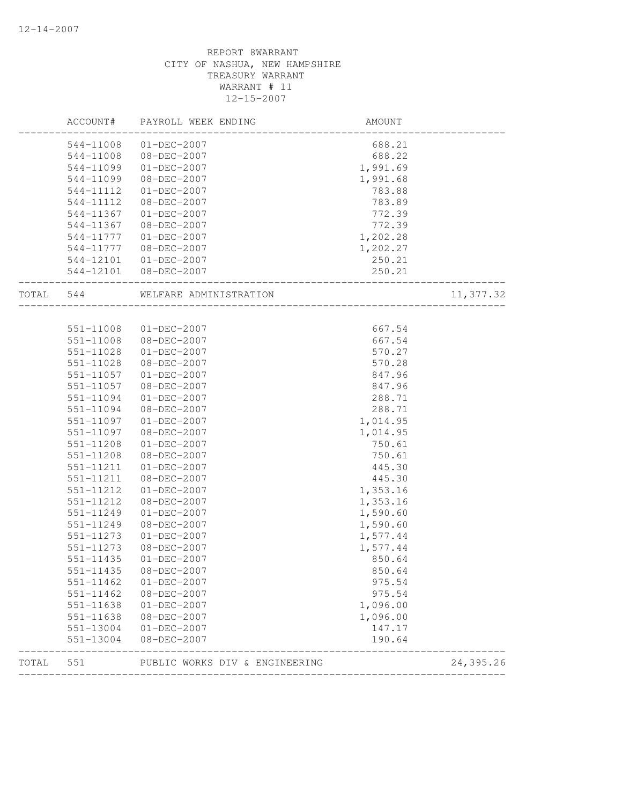|       | ACCOUNT#      | PAYROLL WEEK ENDING            | AMOUNT   |           |
|-------|---------------|--------------------------------|----------|-----------|
|       | 544-11008     | $01 - DEC - 2007$              | 688.21   |           |
|       | 544-11008     | 08-DEC-2007                    | 688.22   |           |
|       | 544-11099     | $01 - DEC - 2007$              | 1,991.69 |           |
|       | 544-11099     | $08 - DEC - 2007$              | 1,991.68 |           |
|       | 544-11112     | $01 - DEC - 2007$              | 783.88   |           |
|       | 544-11112     | $08 - DEC - 2007$              | 783.89   |           |
|       | 544-11367     | $01 - DEC - 2007$              | 772.39   |           |
|       | 544-11367     | 08-DEC-2007                    | 772.39   |           |
|       | 544-11777     | $01 - DEC - 2007$              | 1,202.28 |           |
|       | 544-11777     | $08 - DEC - 2007$              | 1,202.27 |           |
|       | 544-12101     | 01-DEC-2007                    | 250.21   |           |
|       | 544-12101     | $08 - DEC - 2007$              | 250.21   |           |
| TOTAL | 544           | WELFARE ADMINISTRATION         |          | 11,377.32 |
|       |               |                                |          |           |
|       | 551-11008     | 01-DEC-2007                    | 667.54   |           |
|       | 551-11008     | 08-DEC-2007                    | 667.54   |           |
|       | 551-11028     | $01 - DEC - 2007$              | 570.27   |           |
|       | 551-11028     | 08-DEC-2007                    | 570.28   |           |
|       | 551-11057     | $01-DEC-2007$                  | 847.96   |           |
|       | 551-11057     | 08-DEC-2007                    | 847.96   |           |
|       | 551-11094     | $01 - DEC - 2007$              | 288.71   |           |
|       | 551-11094     | $08 - DEC - 2007$              | 288.71   |           |
|       | 551-11097     | $01 - DEC - 2007$              | 1,014.95 |           |
|       | 551-11097     | 08-DEC-2007                    | 1,014.95 |           |
|       | 551-11208     | $01 - DEC - 2007$              | 750.61   |           |
|       | 551-11208     | $08 - DEC - 2007$              | 750.61   |           |
|       | 551-11211     | $01 - DEC - 2007$              | 445.30   |           |
|       | 551-11211     | 08-DEC-2007                    | 445.30   |           |
|       | 551-11212     | $01 - DEC - 2007$              | 1,353.16 |           |
|       | 551-11212     | 08-DEC-2007                    | 1,353.16 |           |
|       | 551-11249     | $01-DEC-2007$                  | 1,590.60 |           |
|       | 551-11249     | $08 - DEC - 2007$              | 1,590.60 |           |
|       | 551-11273     | $01 - DEC - 2007$              | 1,577.44 |           |
|       | 551-11273     | 08-DEC-2007                    | 1,577.44 |           |
|       | $551 - 11435$ | $01 - DEC - 2007$              | 850.64   |           |
|       | 551-11435     | 08-DEC-2007                    | 850.64   |           |
|       | 551-11462     | $01 - DEC - 2007$              | 975.54   |           |
|       | 551-11462     | 08-DEC-2007                    | 975.54   |           |
|       | 551-11638     | $01 - DEC - 2007$              | 1,096.00 |           |
|       | 551-11638     | $08 - DEC - 2007$              | 1,096.00 |           |
|       | 551-13004     | $01 - DEC - 2007$              | 147.17   |           |
|       | 551-13004     | 08-DEC-2007                    | 190.64   |           |
| TOTAL | 551           | PUBLIC WORKS DIV & ENGINEERING |          | 24,395.26 |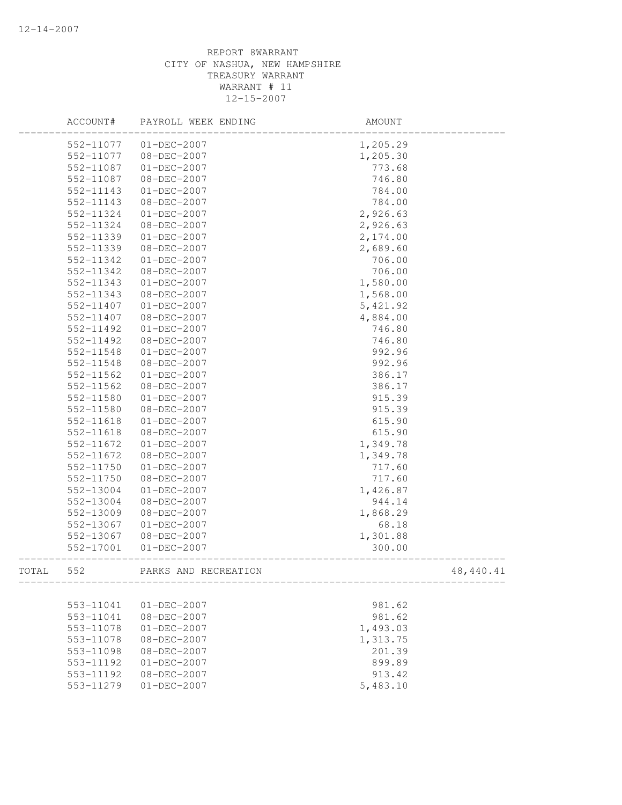|       | ACCOUNT#  | PAYROLL WEEK ENDING  | AMOUNT    |           |
|-------|-----------|----------------------|-----------|-----------|
|       | 552-11077 | 01-DEC-2007          | 1,205.29  |           |
|       | 552-11077 | 08-DEC-2007          | 1,205.30  |           |
|       | 552-11087 | $01-DEC-2007$        | 773.68    |           |
|       | 552-11087 | 08-DEC-2007          | 746.80    |           |
|       | 552-11143 | $01 - DEC - 2007$    | 784.00    |           |
|       | 552-11143 | 08-DEC-2007          | 784.00    |           |
|       | 552-11324 | $01 - DEC - 2007$    | 2,926.63  |           |
|       | 552-11324 | 08-DEC-2007          | 2,926.63  |           |
|       | 552-11339 | $01 - DEC - 2007$    | 2,174.00  |           |
|       | 552-11339 | 08-DEC-2007          | 2,689.60  |           |
|       | 552-11342 | $01 - DEC - 2007$    | 706.00    |           |
|       | 552-11342 | 08-DEC-2007          | 706.00    |           |
|       | 552-11343 | $01 - DEC - 2007$    | 1,580.00  |           |
|       | 552-11343 | 08-DEC-2007          | 1,568.00  |           |
|       | 552-11407 | $01 - DEC - 2007$    | 5, 421.92 |           |
|       | 552-11407 | $08 - DEC - 2007$    | 4,884.00  |           |
|       | 552-11492 | $01-DEC-2007$        | 746.80    |           |
|       | 552-11492 | 08-DEC-2007          | 746.80    |           |
|       | 552-11548 | $01-DEC-2007$        | 992.96    |           |
|       | 552-11548 | 08-DEC-2007          | 992.96    |           |
|       | 552-11562 | $01-DEC-2007$        | 386.17    |           |
|       | 552-11562 | $08 - DEC - 2007$    | 386.17    |           |
|       | 552-11580 | $01 - DEC - 2007$    | 915.39    |           |
|       | 552-11580 | 08-DEC-2007          | 915.39    |           |
|       | 552-11618 | $01 - DEC - 2007$    | 615.90    |           |
|       | 552-11618 | 08-DEC-2007          | 615.90    |           |
|       | 552-11672 | 01-DEC-2007          | 1,349.78  |           |
|       | 552-11672 | 08-DEC-2007          | 1,349.78  |           |
|       | 552-11750 | $01 - DEC - 2007$    | 717.60    |           |
|       | 552-11750 | 08-DEC-2007          | 717.60    |           |
|       | 552-13004 | $01 - DEC - 2007$    | 1,426.87  |           |
|       | 552-13004 | 08-DEC-2007          | 944.14    |           |
|       | 552-13009 | 08-DEC-2007          | 1,868.29  |           |
|       | 552-13067 | $01 - DEC - 2007$    | 68.18     |           |
|       | 552-13067 | 08-DEC-2007          | 1,301.88  |           |
|       | 552-17001 | $01-DEC-2007$        | 300.00    |           |
| TOTAL | 552       | PARKS AND RECREATION |           | 48,440.41 |
|       |           |                      |           |           |
|       | 553-11041 | $01 - DEC - 2007$    | 981.62    |           |
|       | 553-11041 | $08 - DEC - 2007$    | 981.62    |           |
|       | 553-11078 | $01-DEC-2007$        | 1,493.03  |           |
|       | 553-11078 | $08 - DEC - 2007$    | 1,313.75  |           |
|       | 553-11098 | $08 - DEC - 2007$    | 201.39    |           |
|       | 553-11192 | $01 - DEC - 2007$    | 899.89    |           |
|       | 553-11192 | 08-DEC-2007          | 913.42    |           |
|       | 553-11279 | $01 - DEC - 2007$    | 5,483.10  |           |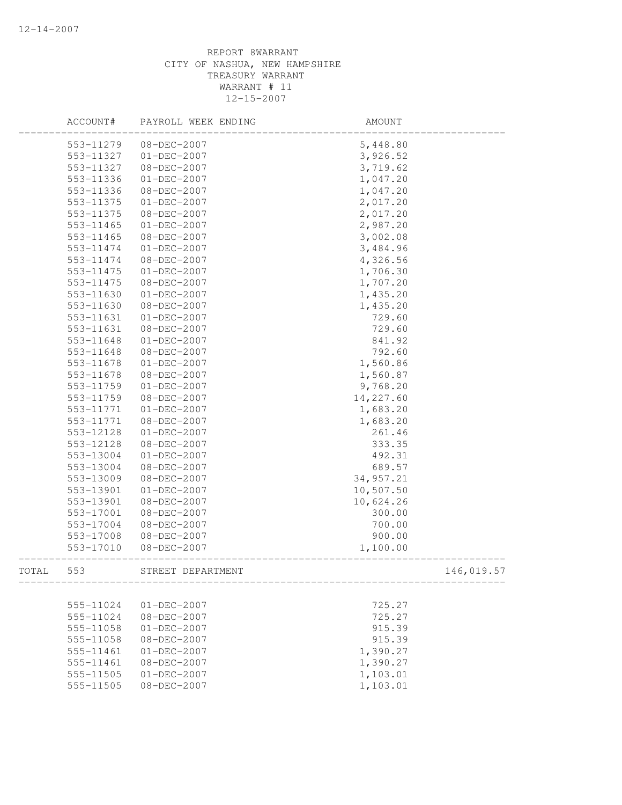|       | ACCOUNT#  | PAYROLL WEEK ENDING | AMOUNT    |            |
|-------|-----------|---------------------|-----------|------------|
|       | 553-11279 | 08-DEC-2007         | 5,448.80  |            |
|       | 553-11327 | 01-DEC-2007         | 3,926.52  |            |
|       | 553-11327 | 08-DEC-2007         | 3,719.62  |            |
|       | 553-11336 | $01 - DEC - 2007$   | 1,047.20  |            |
|       | 553-11336 | 08-DEC-2007         | 1,047.20  |            |
|       | 553-11375 | $01 - DEC - 2007$   | 2,017.20  |            |
|       | 553-11375 | 08-DEC-2007         | 2,017.20  |            |
|       | 553-11465 | $01 - DEC - 2007$   | 2,987.20  |            |
|       | 553-11465 | 08-DEC-2007         | 3,002.08  |            |
|       | 553-11474 | $01 - DEC - 2007$   | 3,484.96  |            |
|       | 553-11474 | 08-DEC-2007         | 4,326.56  |            |
|       | 553-11475 | $01-DEC-2007$       | 1,706.30  |            |
|       | 553-11475 | 08-DEC-2007         | 1,707.20  |            |
|       | 553-11630 | 01-DEC-2007         | 1,435.20  |            |
|       | 553-11630 | 08-DEC-2007         | 1,435.20  |            |
|       | 553-11631 | $01 - DEC - 2007$   | 729.60    |            |
|       | 553-11631 | 08-DEC-2007         | 729.60    |            |
|       | 553-11648 | $01-DEC-2007$       | 841.92    |            |
|       | 553-11648 | 08-DEC-2007         | 792.60    |            |
|       | 553-11678 | $01 - DEC - 2007$   | 1,560.86  |            |
|       | 553-11678 | 08-DEC-2007         | 1,560.87  |            |
|       | 553-11759 | $01 - DEC - 2007$   | 9,768.20  |            |
|       | 553-11759 | 08-DEC-2007         | 14,227.60 |            |
|       | 553-11771 | $01-DEC-2007$       | 1,683.20  |            |
|       | 553-11771 | 08-DEC-2007         | 1,683.20  |            |
|       | 553-12128 | $01 - DEC - 2007$   | 261.46    |            |
|       | 553-12128 | 08-DEC-2007         | 333.35    |            |
|       | 553-13004 | $01 - DEC - 2007$   | 492.31    |            |
|       | 553-13004 | 08-DEC-2007         | 689.57    |            |
|       | 553-13009 | 08-DEC-2007         | 34,957.21 |            |
|       | 553-13901 | $01 - DEC - 2007$   | 10,507.50 |            |
|       | 553-13901 | 08-DEC-2007         | 10,624.26 |            |
|       | 553-17001 | 08-DEC-2007         | 300.00    |            |
|       | 553-17004 | 08-DEC-2007         | 700.00    |            |
|       | 553-17008 | 08-DEC-2007         | 900.00    |            |
|       | 553-17010 | 08-DEC-2007         | 1,100.00  |            |
| TOTAL | 553       | STREET DEPARTMENT   |           | 146,019.57 |
|       |           |                     |           |            |
|       | 555-11024 | $01 - DEC - 2007$   | 725.27    |            |
|       | 555-11024 | $08 - DEC - 2007$   | 725.27    |            |
|       | 555-11058 | $01 - DEC - 2007$   | 915.39    |            |
|       | 555-11058 | $08 - DEC - 2007$   | 915.39    |            |
|       | 555-11461 | $01-DEC-2007$       | 1,390.27  |            |
|       | 555-11461 | $08 - DEC - 2007$   | 1,390.27  |            |
|       | 555-11505 | $01 - DEC - 2007$   | 1,103.01  |            |
|       | 555-11505 | $08 - DEC - 2007$   | 1,103.01  |            |
|       |           |                     |           |            |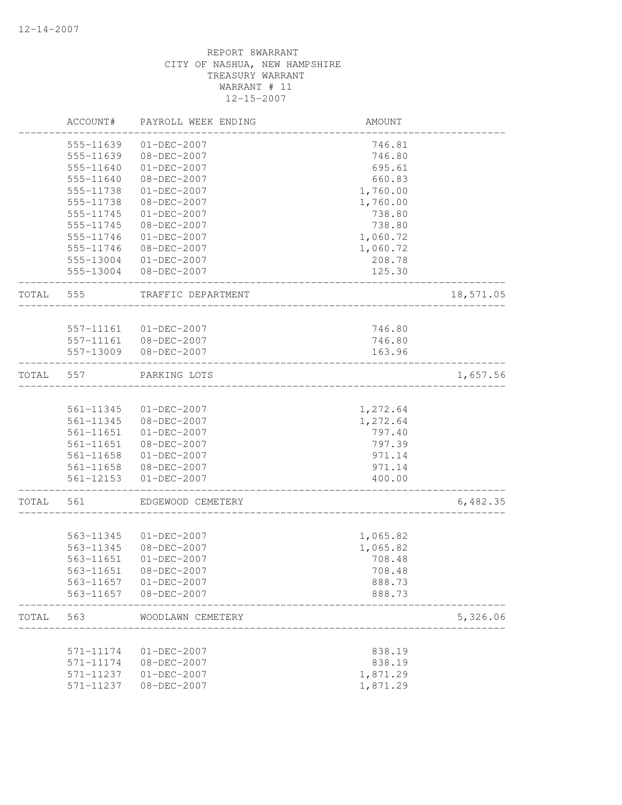|       | ACCOUNT#  | PAYROLL WEEK ENDING   | AMOUNT               |           |
|-------|-----------|-----------------------|----------------------|-----------|
|       | 555-11639 | $01 - DEC - 2007$     | 746.81               |           |
|       | 555-11639 | 08-DEC-2007           | 746.80               |           |
|       | 555-11640 | $01 - DEC - 2007$     | 695.61               |           |
|       | 555-11640 | 08-DEC-2007           | 660.83               |           |
|       | 555-11738 | $01 - DEC - 2007$     | 1,760.00             |           |
|       | 555-11738 | 08-DEC-2007           | 1,760.00             |           |
|       | 555-11745 | $01 - DEC - 2007$     | 738.80               |           |
|       | 555-11745 | 08-DEC-2007           | 738.80               |           |
|       | 555-11746 | $01 - DEC - 2007$     | 1,060.72             |           |
|       | 555-11746 | $08 - DEC - 2007$     | 1,060.72             |           |
|       | 555-13004 | $01 - DEC - 2007$     | 208.78               |           |
|       | 555-13004 | 08-DEC-2007           | 125.30               |           |
| TOTAL | 555       | TRAFFIC DEPARTMENT    |                      | 18,571.05 |
|       | 557-11161 | $01 - DEC - 2007$     | 746.80               |           |
|       |           | 557-11161 08-DEC-2007 | 746.80               |           |
|       | 557-13009 | 08-DEC-2007           | 163.96               |           |
|       |           |                       |                      |           |
| TOTAL | 557       | PARKING LOTS          |                      | 1,657.56  |
|       |           |                       |                      |           |
|       | 561-11345 | $01-DEC-2007$         | 1,272.64             |           |
|       | 561-11345 | 08-DEC-2007           | 1,272.64             |           |
|       | 561-11651 | $01 - DEC - 2007$     | 797.40               |           |
|       | 561-11651 | 08-DEC-2007           | 797.39               |           |
|       | 561-11658 | $01 - DEC - 2007$     | 971.14               |           |
|       | 561-11658 | 08-DEC-2007           | 971.14               |           |
|       | 561-12153 | $01 - DEC - 2007$     | 400.00               |           |
| TOTAL | 561       | EDGEWOOD CEMETERY     |                      | 6,482.35  |
|       |           |                       |                      |           |
|       | 563-11345 | $01-DEC-2007$         | 1,065.82             |           |
|       | 563-11345 | 08-DEC-2007           | 1,065.82             |           |
|       | 563-11651 | $01 - DEC - 2007$     | 708.48               |           |
|       | 563-11651 | $08 - DEC - 2007$     | 708.48               |           |
|       | 563-11657 | $01 - DEC - 2007$     | 888.73               |           |
|       | 563-11657 | $08 - DEC - 2007$     | 888.73               |           |
| TOTAL | 563       | WOODLAWN CEMETERY     |                      | 5,326.06  |
|       | 571-11174 | $01 - DEC - 2007$     | 838.19               |           |
|       | 571-11174 | 08-DEC-2007           | 838.19               |           |
|       | 571-11237 | $01 - DEC - 2007$     |                      |           |
|       | 571-11237 | 08-DEC-2007           | 1,871.29<br>1,871.29 |           |
|       |           |                       |                      |           |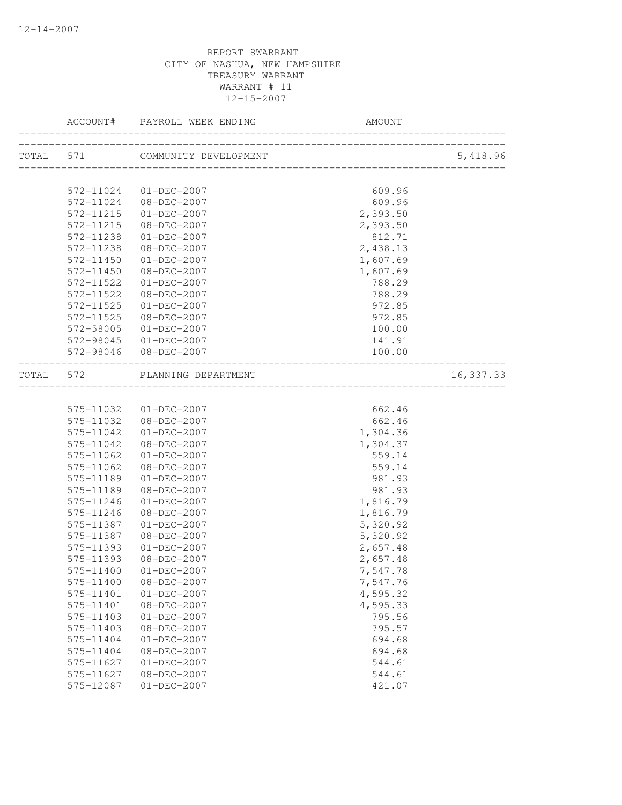| TOTAL 571 COMMUNITY DEVELOPMENT<br>________________________________<br>572-11024<br>$01 - DEC - 2007$<br>609.96<br>609.96<br>572-11024 08-DEC-2007<br>572-11215<br>$01 - DEC - 2007$<br>2,393.50<br>572-11215<br>08-DEC-2007<br>2,393.50<br>572-11238<br>$01 - DEC - 2007$<br>812.71<br>2,438.13<br>572-11238<br>$08 - DEC - 2007$<br>572-11450<br>$01 - DEC - 2007$<br>1,607.69<br>1,607.69<br>572-11450<br>08-DEC-2007<br>572-11522<br>$01 - DEC - 2007$<br>788.29<br>572-11522<br>08-DEC-2007<br>788.29<br>972.85<br>572-11525<br>$01 - DEC - 2007$<br>972.85<br>572-11525<br>08-DEC-2007<br>100.00<br>572-58005<br>$01 - DEC - 2007$<br>141.91<br>572-98045<br>$01 - DEC - 2007$<br>572-98046 08-DEC-2007<br>100.00<br>TOTAL 572<br>PLANNING DEPARTMENT<br>662.46<br>575-11032 01-DEC-2007<br>662.46<br>575-11032 08-DEC-2007<br>575-11042<br>$01 - DEC - 2007$<br>1,304.36<br>575-11042<br>08-DEC-2007<br>1,304.37<br>575-11062<br>$01 - DEC - 2007$<br>559.14<br>559.14<br>575-11062<br>08-DEC-2007<br>575-11189<br>$01 - DEC - 2007$<br>981.93<br>981.93<br>575-11189<br>08-DEC-2007<br>575-11246<br>$01 - DEC - 2007$<br>1,816.79<br>575-11246<br>$08 - DEC - 2007$<br>1,816.79<br>575-11387<br>$01 - DEC - 2007$<br>5,320.92<br>575-11387<br>08-DEC-2007<br>5,320.92<br>575-11393<br>$01 - DEC - 2007$<br>2,657.48<br>575-11393<br>08-DEC-2007<br>2,657.48<br>575-11400 01-DEC-2007<br>7,547.78<br>575-11400<br>08-DEC-2007<br>7,547.76<br>4,595.32<br>575-11401<br>$01 - DEC - 2007$ |           | ACCOUNT# PAYROLL WEEK ENDING<br>_____________ | AMOUNT   |            |
|------------------------------------------------------------------------------------------------------------------------------------------------------------------------------------------------------------------------------------------------------------------------------------------------------------------------------------------------------------------------------------------------------------------------------------------------------------------------------------------------------------------------------------------------------------------------------------------------------------------------------------------------------------------------------------------------------------------------------------------------------------------------------------------------------------------------------------------------------------------------------------------------------------------------------------------------------------------------------------------------------------------------------------------------------------------------------------------------------------------------------------------------------------------------------------------------------------------------------------------------------------------------------------------------------------------------------------------------------------------------------------------------------------------------------------------------------------------------------------------------|-----------|-----------------------------------------------|----------|------------|
|                                                                                                                                                                                                                                                                                                                                                                                                                                                                                                                                                                                                                                                                                                                                                                                                                                                                                                                                                                                                                                                                                                                                                                                                                                                                                                                                                                                                                                                                                                |           |                                               |          | 5,418.96   |
|                                                                                                                                                                                                                                                                                                                                                                                                                                                                                                                                                                                                                                                                                                                                                                                                                                                                                                                                                                                                                                                                                                                                                                                                                                                                                                                                                                                                                                                                                                |           |                                               |          |            |
|                                                                                                                                                                                                                                                                                                                                                                                                                                                                                                                                                                                                                                                                                                                                                                                                                                                                                                                                                                                                                                                                                                                                                                                                                                                                                                                                                                                                                                                                                                |           |                                               |          |            |
|                                                                                                                                                                                                                                                                                                                                                                                                                                                                                                                                                                                                                                                                                                                                                                                                                                                                                                                                                                                                                                                                                                                                                                                                                                                                                                                                                                                                                                                                                                |           |                                               |          |            |
|                                                                                                                                                                                                                                                                                                                                                                                                                                                                                                                                                                                                                                                                                                                                                                                                                                                                                                                                                                                                                                                                                                                                                                                                                                                                                                                                                                                                                                                                                                |           |                                               |          |            |
|                                                                                                                                                                                                                                                                                                                                                                                                                                                                                                                                                                                                                                                                                                                                                                                                                                                                                                                                                                                                                                                                                                                                                                                                                                                                                                                                                                                                                                                                                                |           |                                               |          |            |
|                                                                                                                                                                                                                                                                                                                                                                                                                                                                                                                                                                                                                                                                                                                                                                                                                                                                                                                                                                                                                                                                                                                                                                                                                                                                                                                                                                                                                                                                                                |           |                                               |          |            |
|                                                                                                                                                                                                                                                                                                                                                                                                                                                                                                                                                                                                                                                                                                                                                                                                                                                                                                                                                                                                                                                                                                                                                                                                                                                                                                                                                                                                                                                                                                |           |                                               |          |            |
|                                                                                                                                                                                                                                                                                                                                                                                                                                                                                                                                                                                                                                                                                                                                                                                                                                                                                                                                                                                                                                                                                                                                                                                                                                                                                                                                                                                                                                                                                                |           |                                               |          |            |
|                                                                                                                                                                                                                                                                                                                                                                                                                                                                                                                                                                                                                                                                                                                                                                                                                                                                                                                                                                                                                                                                                                                                                                                                                                                                                                                                                                                                                                                                                                |           |                                               |          |            |
|                                                                                                                                                                                                                                                                                                                                                                                                                                                                                                                                                                                                                                                                                                                                                                                                                                                                                                                                                                                                                                                                                                                                                                                                                                                                                                                                                                                                                                                                                                |           |                                               |          |            |
|                                                                                                                                                                                                                                                                                                                                                                                                                                                                                                                                                                                                                                                                                                                                                                                                                                                                                                                                                                                                                                                                                                                                                                                                                                                                                                                                                                                                                                                                                                |           |                                               |          |            |
|                                                                                                                                                                                                                                                                                                                                                                                                                                                                                                                                                                                                                                                                                                                                                                                                                                                                                                                                                                                                                                                                                                                                                                                                                                                                                                                                                                                                                                                                                                |           |                                               |          |            |
|                                                                                                                                                                                                                                                                                                                                                                                                                                                                                                                                                                                                                                                                                                                                                                                                                                                                                                                                                                                                                                                                                                                                                                                                                                                                                                                                                                                                                                                                                                |           |                                               |          |            |
|                                                                                                                                                                                                                                                                                                                                                                                                                                                                                                                                                                                                                                                                                                                                                                                                                                                                                                                                                                                                                                                                                                                                                                                                                                                                                                                                                                                                                                                                                                |           |                                               |          |            |
|                                                                                                                                                                                                                                                                                                                                                                                                                                                                                                                                                                                                                                                                                                                                                                                                                                                                                                                                                                                                                                                                                                                                                                                                                                                                                                                                                                                                                                                                                                |           |                                               |          |            |
|                                                                                                                                                                                                                                                                                                                                                                                                                                                                                                                                                                                                                                                                                                                                                                                                                                                                                                                                                                                                                                                                                                                                                                                                                                                                                                                                                                                                                                                                                                |           |                                               |          |            |
|                                                                                                                                                                                                                                                                                                                                                                                                                                                                                                                                                                                                                                                                                                                                                                                                                                                                                                                                                                                                                                                                                                                                                                                                                                                                                                                                                                                                                                                                                                |           |                                               |          | 16, 337.33 |
|                                                                                                                                                                                                                                                                                                                                                                                                                                                                                                                                                                                                                                                                                                                                                                                                                                                                                                                                                                                                                                                                                                                                                                                                                                                                                                                                                                                                                                                                                                |           |                                               |          |            |
|                                                                                                                                                                                                                                                                                                                                                                                                                                                                                                                                                                                                                                                                                                                                                                                                                                                                                                                                                                                                                                                                                                                                                                                                                                                                                                                                                                                                                                                                                                |           |                                               |          |            |
|                                                                                                                                                                                                                                                                                                                                                                                                                                                                                                                                                                                                                                                                                                                                                                                                                                                                                                                                                                                                                                                                                                                                                                                                                                                                                                                                                                                                                                                                                                |           |                                               |          |            |
|                                                                                                                                                                                                                                                                                                                                                                                                                                                                                                                                                                                                                                                                                                                                                                                                                                                                                                                                                                                                                                                                                                                                                                                                                                                                                                                                                                                                                                                                                                |           |                                               |          |            |
|                                                                                                                                                                                                                                                                                                                                                                                                                                                                                                                                                                                                                                                                                                                                                                                                                                                                                                                                                                                                                                                                                                                                                                                                                                                                                                                                                                                                                                                                                                |           |                                               |          |            |
|                                                                                                                                                                                                                                                                                                                                                                                                                                                                                                                                                                                                                                                                                                                                                                                                                                                                                                                                                                                                                                                                                                                                                                                                                                                                                                                                                                                                                                                                                                |           |                                               |          |            |
|                                                                                                                                                                                                                                                                                                                                                                                                                                                                                                                                                                                                                                                                                                                                                                                                                                                                                                                                                                                                                                                                                                                                                                                                                                                                                                                                                                                                                                                                                                |           |                                               |          |            |
|                                                                                                                                                                                                                                                                                                                                                                                                                                                                                                                                                                                                                                                                                                                                                                                                                                                                                                                                                                                                                                                                                                                                                                                                                                                                                                                                                                                                                                                                                                |           |                                               |          |            |
|                                                                                                                                                                                                                                                                                                                                                                                                                                                                                                                                                                                                                                                                                                                                                                                                                                                                                                                                                                                                                                                                                                                                                                                                                                                                                                                                                                                                                                                                                                |           |                                               |          |            |
|                                                                                                                                                                                                                                                                                                                                                                                                                                                                                                                                                                                                                                                                                                                                                                                                                                                                                                                                                                                                                                                                                                                                                                                                                                                                                                                                                                                                                                                                                                |           |                                               |          |            |
|                                                                                                                                                                                                                                                                                                                                                                                                                                                                                                                                                                                                                                                                                                                                                                                                                                                                                                                                                                                                                                                                                                                                                                                                                                                                                                                                                                                                                                                                                                |           |                                               |          |            |
|                                                                                                                                                                                                                                                                                                                                                                                                                                                                                                                                                                                                                                                                                                                                                                                                                                                                                                                                                                                                                                                                                                                                                                                                                                                                                                                                                                                                                                                                                                |           |                                               |          |            |
|                                                                                                                                                                                                                                                                                                                                                                                                                                                                                                                                                                                                                                                                                                                                                                                                                                                                                                                                                                                                                                                                                                                                                                                                                                                                                                                                                                                                                                                                                                |           |                                               |          |            |
|                                                                                                                                                                                                                                                                                                                                                                                                                                                                                                                                                                                                                                                                                                                                                                                                                                                                                                                                                                                                                                                                                                                                                                                                                                                                                                                                                                                                                                                                                                |           |                                               |          |            |
|                                                                                                                                                                                                                                                                                                                                                                                                                                                                                                                                                                                                                                                                                                                                                                                                                                                                                                                                                                                                                                                                                                                                                                                                                                                                                                                                                                                                                                                                                                |           |                                               |          |            |
|                                                                                                                                                                                                                                                                                                                                                                                                                                                                                                                                                                                                                                                                                                                                                                                                                                                                                                                                                                                                                                                                                                                                                                                                                                                                                                                                                                                                                                                                                                |           |                                               |          |            |
|                                                                                                                                                                                                                                                                                                                                                                                                                                                                                                                                                                                                                                                                                                                                                                                                                                                                                                                                                                                                                                                                                                                                                                                                                                                                                                                                                                                                                                                                                                |           |                                               |          |            |
|                                                                                                                                                                                                                                                                                                                                                                                                                                                                                                                                                                                                                                                                                                                                                                                                                                                                                                                                                                                                                                                                                                                                                                                                                                                                                                                                                                                                                                                                                                |           |                                               |          |            |
| 795.56                                                                                                                                                                                                                                                                                                                                                                                                                                                                                                                                                                                                                                                                                                                                                                                                                                                                                                                                                                                                                                                                                                                                                                                                                                                                                                                                                                                                                                                                                         | 575-11401 | 08-DEC-2007                                   | 4,595.33 |            |
| 575-11403<br>$01 - DEC - 2007$<br>575-11403<br>$08 - DEC - 2007$                                                                                                                                                                                                                                                                                                                                                                                                                                                                                                                                                                                                                                                                                                                                                                                                                                                                                                                                                                                                                                                                                                                                                                                                                                                                                                                                                                                                                               |           |                                               |          |            |
| 795.57<br>575-11404<br>$01 - DEC - 2007$<br>694.68                                                                                                                                                                                                                                                                                                                                                                                                                                                                                                                                                                                                                                                                                                                                                                                                                                                                                                                                                                                                                                                                                                                                                                                                                                                                                                                                                                                                                                             |           |                                               |          |            |
| $08 - DEC - 2007$<br>575-11404<br>694.68                                                                                                                                                                                                                                                                                                                                                                                                                                                                                                                                                                                                                                                                                                                                                                                                                                                                                                                                                                                                                                                                                                                                                                                                                                                                                                                                                                                                                                                       |           |                                               |          |            |
| 575-11627<br>$01 - DEC - 2007$<br>544.61                                                                                                                                                                                                                                                                                                                                                                                                                                                                                                                                                                                                                                                                                                                                                                                                                                                                                                                                                                                                                                                                                                                                                                                                                                                                                                                                                                                                                                                       |           |                                               |          |            |
| $08 - DEC - 2007$<br>544.61<br>575-11627                                                                                                                                                                                                                                                                                                                                                                                                                                                                                                                                                                                                                                                                                                                                                                                                                                                                                                                                                                                                                                                                                                                                                                                                                                                                                                                                                                                                                                                       |           |                                               |          |            |
| 575-12087<br>$01 - DEC - 2007$<br>421.07                                                                                                                                                                                                                                                                                                                                                                                                                                                                                                                                                                                                                                                                                                                                                                                                                                                                                                                                                                                                                                                                                                                                                                                                                                                                                                                                                                                                                                                       |           |                                               |          |            |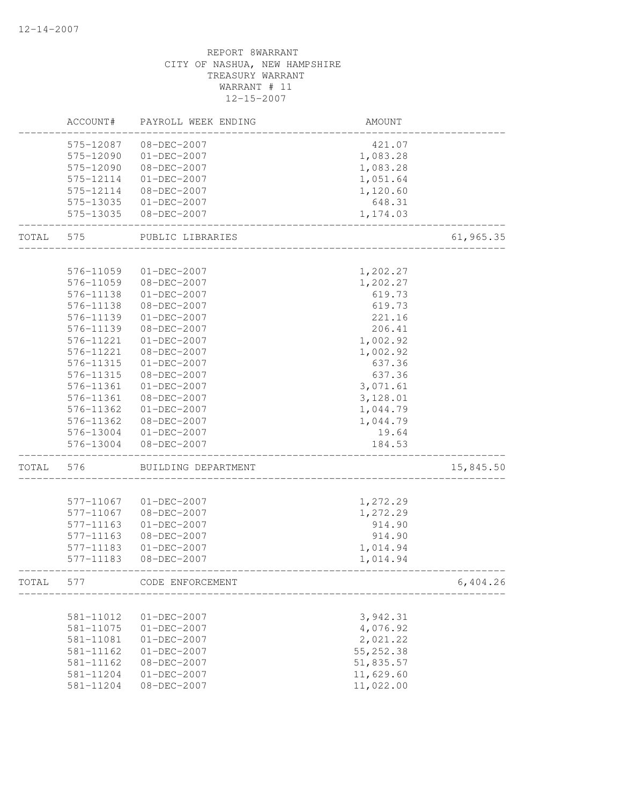# REPORT 8WARRANT CITY OF NASHUA, NEW HAMPSHIRE TREASURY WARRANT WARRANT # 11 12-15-2007 ACCOUNT# PAYROLL WEEK ENDING AMOUNT -------------------------------------------------------------------------------- 575-12087 08-DEC-2007 575-12090 01-DEC-2007 1,083.28 575-12090 08-DEC-2007 1,083.28 575-12114 01-DEC-2007 1,051.64 575-12114 08-DEC-2007 1,120.60 575-13035 01-DEC-2007 648.31 575-13035 08-DEC-2007 1,174.03 -------------------------------------------------------------------------------- TOTAL 575 PUBLIC LIBRARIES 61,965.35 -------------------------------------------------------------------------------- 576-11059 01-DEC-2007 1,202.27 576-11059 08-DEC-2007 1,202.27 576-11138 01-DEC-2007 619.73 576-11138 08-DEC-2007 619.73 576-11139 01-DEC-2007 221.16 576-11139 08-DEC-2007 206.41 576-11221 01-DEC-2007 1,002.92 576-11221 08-DEC-2007 1,002.92 576-11315 01-DEC-2007 637.36 576-11315 08-DEC-2007 637.36 576-11361 01-DEC-2007 3,071.61<br>576-11361 08-DEC-2007 3,128.01 576-11361 08-DEC-2007 576-11362 01-DEC-2007 1,044.79 576-11362 08-DEC-2007 1,044.79 576-13004 01-DEC-2007 19.64 576-13004 08-DEC-2007 184.53 -------------------------------------------------------------------------------- TOTAL 576 BUILDING DEPARTMENT 15,845.50 -------------------------------------------------------------------------------- 577-11067 01-DEC-2007 1,272.29 577-11067 08-DEC-2007 1,272.29 577-11163 01-DEC-2007 914.90 577-11163 08-DEC-2007 914.90 577-11183 01-DEC-2007 1,014.94 577-11183 08-DEC-2007 1,014.94 -------------------------------------------------------------------------------- TOTAL 577 CODE ENFORCEMENT 6,404.26 -------------------------------------------------------------------------------- 581-11012 01-DEC-2007 3,942.31

| $581 - 11012$ | $01 - DEC - 2007$ | 3,942.31   |
|---------------|-------------------|------------|
| 581-11075     | $01 - DEC - 2007$ | 4,076.92   |
| 581-11081     | $01 - DEC - 2007$ | 2,021.22   |
| 581-11162     | $01 - DEC - 2007$ | 55, 252.38 |
| $581 - 11162$ | $08 - DEC - 2007$ | 51,835.57  |
| 581-11204     | $01 - DEC - 2007$ | 11,629.60  |
| 581-11204     | $08 - DEC - 2007$ | 11,022.00  |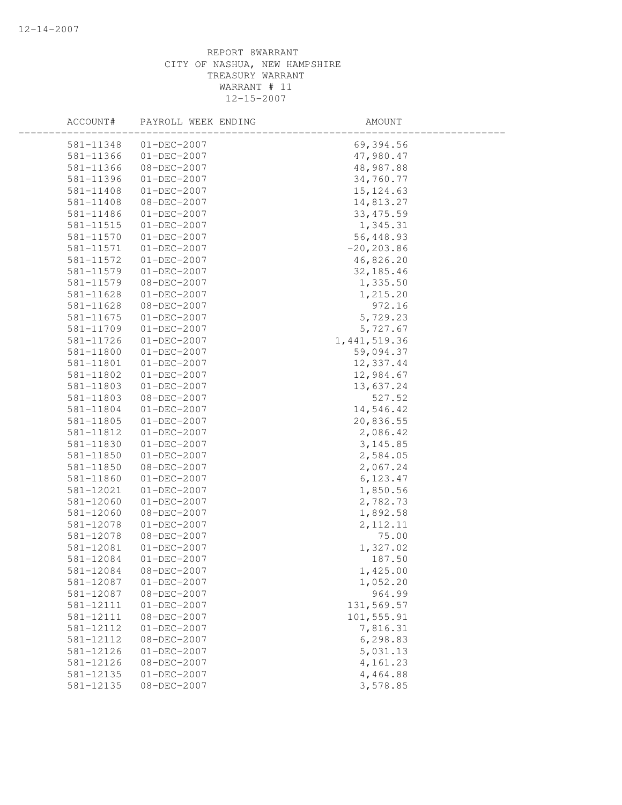| ACCOUNT#      | PAYROLL WEEK ENDING | AMOUNT         |  |
|---------------|---------------------|----------------|--|
| 581-11348     | $01 - DEC - 2007$   | 69,394.56      |  |
| 581-11366     | $01 - DEC - 2007$   | 47,980.47      |  |
| 581-11366     | $08 - DEC - 2007$   | 48,987.88      |  |
| 581-11396     | $01 - DEC - 2007$   | 34,760.77      |  |
| 581-11408     | $01-DEC-2007$       | 15, 124.63     |  |
| 581-11408     | 08-DEC-2007         | 14,813.27      |  |
| 581-11486     | $01 - DEC - 2007$   | 33, 475.59     |  |
| 581-11515     | $01 - DEC - 2007$   | 1,345.31       |  |
| 581-11570     | $01 - DEC - 2007$   | 56,448.93      |  |
| 581-11571     | $01 - DEC - 2007$   | $-20, 203.86$  |  |
| 581-11572     | $01 - DEC - 2007$   | 46,826.20      |  |
| 581-11579     | $01 - DEC - 2007$   | 32, 185.46     |  |
| 581-11579     | 08-DEC-2007         | 1,335.50       |  |
| 581-11628     | $01-DEC-2007$       | 1,215.20       |  |
| 581-11628     | 08-DEC-2007         | 972.16         |  |
| 581-11675     | $01 - DEC - 2007$   | 5,729.23       |  |
| 581-11709     | $01 - DEC - 2007$   | 5,727.67       |  |
| 581-11726     | $01 - DEC - 2007$   | 1, 441, 519.36 |  |
| 581-11800     | $01 - DEC - 2007$   | 59,094.37      |  |
| 581-11801     | $01 - DEC - 2007$   | 12,337.44      |  |
| 581-11802     | $01 - DEC - 2007$   | 12,984.67      |  |
| 581-11803     | $01-DEC-2007$       | 13,637.24      |  |
| 581-11803     | 08-DEC-2007         | 527.52         |  |
| 581-11804     | $01 - DEC - 2007$   | 14,546.42      |  |
| 581-11805     | $01 - DEC - 2007$   | 20,836.55      |  |
| 581-11812     | $01 - DEC - 2007$   | 2,086.42       |  |
| 581-11830     | $01 - DEC - 2007$   | 3,145.85       |  |
| 581-11850     | $01 - DEC - 2007$   | 2,584.05       |  |
| 581-11850     | 08-DEC-2007         | 2,067.24       |  |
| 581-11860     | $01 - DEC - 2007$   | 6, 123.47      |  |
| 581-12021     | $01-DEC-2007$       | 1,850.56       |  |
| 581-12060     | $01-DEC-2007$       | 2,782.73       |  |
| 581-12060     | $08 - DEC - 2007$   | 1,892.58       |  |
| 581-12078     | $01 - DEC - 2007$   | 2, 112.11      |  |
| 581-12078     | 08-DEC-2007         | 75.00          |  |
| 581-12081     | $01 - DEC - 2007$   | 1,327.02       |  |
| 581-12084     | $01 - DEC - 2007$   | 187.50         |  |
| 581-12084     | 08-DEC-2007         | 1,425.00       |  |
| 581-12087     | $01 - DEC - 2007$   | 1,052.20       |  |
| 581-12087     | 08-DEC-2007         | 964.99         |  |
| 581-12111     | $01 - DEC - 2007$   | 131,569.57     |  |
| 581-12111     | $08 - DEC - 2007$   | 101,555.91     |  |
| 581-12112     | $01 - DEC - 2007$   | 7,816.31       |  |
| 581-12112     | $08 - DEC - 2007$   | 6,298.83       |  |
| 581-12126     | $01 - DEC - 2007$   | 5,031.13       |  |
| 581-12126     | $08 - DEC - 2007$   | 4,161.23       |  |
| 581-12135     | $01 - DEC - 2007$   | 4,464.88       |  |
| $581 - 12135$ | $08 - DEC - 2007$   | 3,578.85       |  |
|               |                     |                |  |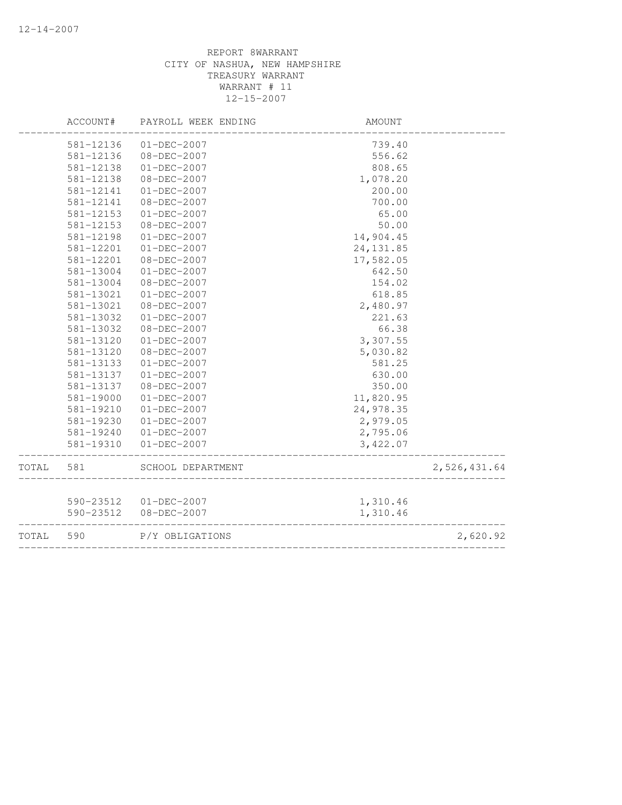|       | ACCOUNT#  | PAYROLL WEEK ENDING    | AMOUNT     |              |
|-------|-----------|------------------------|------------|--------------|
|       | 581-12136 | $01 - DEC - 2007$      | 739.40     |              |
|       | 581-12136 | $08 - DEC - 2007$      | 556.62     |              |
|       | 581-12138 | $01 - DEC - 2007$      | 808.65     |              |
|       | 581-12138 | $08 - DEC - 2007$      | 1,078.20   |              |
|       | 581-12141 | $01 - DEC - 2007$      | 200.00     |              |
|       | 581-12141 | $08 - DEC - 2007$      | 700.00     |              |
|       | 581-12153 | $01 - DEC - 2007$      | 65.00      |              |
|       | 581-12153 | $08 - DEC - 2007$      | 50.00      |              |
|       | 581-12198 | $01 - DEC - 2007$      | 14,904.45  |              |
|       | 581-12201 | $01 - DEC - 2007$      | 24, 131.85 |              |
|       | 581-12201 | $08 - DEC - 2007$      | 17,582.05  |              |
|       | 581-13004 | $01 - DEC - 2007$      | 642.50     |              |
|       | 581-13004 | 08-DEC-2007            | 154.02     |              |
|       | 581-13021 | $01 - DEC - 2007$      | 618.85     |              |
|       | 581-13021 | 08-DEC-2007            | 2,480.97   |              |
|       | 581-13032 | $01 - DEC - 2007$      | 221.63     |              |
|       | 581-13032 | 08-DEC-2007            | 66.38      |              |
|       | 581-13120 | $01 - DEC - 2007$      | 3,307.55   |              |
|       | 581-13120 | $08 - DEC - 2007$      | 5,030.82   |              |
|       | 581-13133 | $01 - DEC - 2007$      | 581.25     |              |
|       | 581-13137 | $01 - DEC - 2007$      | 630.00     |              |
|       | 581-13137 | 08-DEC-2007            | 350.00     |              |
|       | 581-19000 | $01 - DEC - 2007$      | 11,820.95  |              |
|       | 581-19210 | $01 - DEC - 2007$      | 24,978.35  |              |
|       | 581-19230 | $01 - DEC - 2007$      | 2,979.05   |              |
|       | 581-19240 | $01 - DEC - 2007$      | 2,795.06   |              |
|       | 581-19310 | $01 - DEC - 2007$      | 3,422.07   |              |
| TOTAL | 581       | SCHOOL DEPARTMENT      |            | 2,526,431.64 |
|       |           |                        |            |              |
|       |           | 590-23512  01-DEC-2007 | 1,310.46   |              |
|       | 590-23512 | 08-DEC-2007            | 1,310.46   |              |
| TOTAL | 590       | P/Y OBLIGATIONS        |            | 2,620.92     |
|       |           |                        |            |              |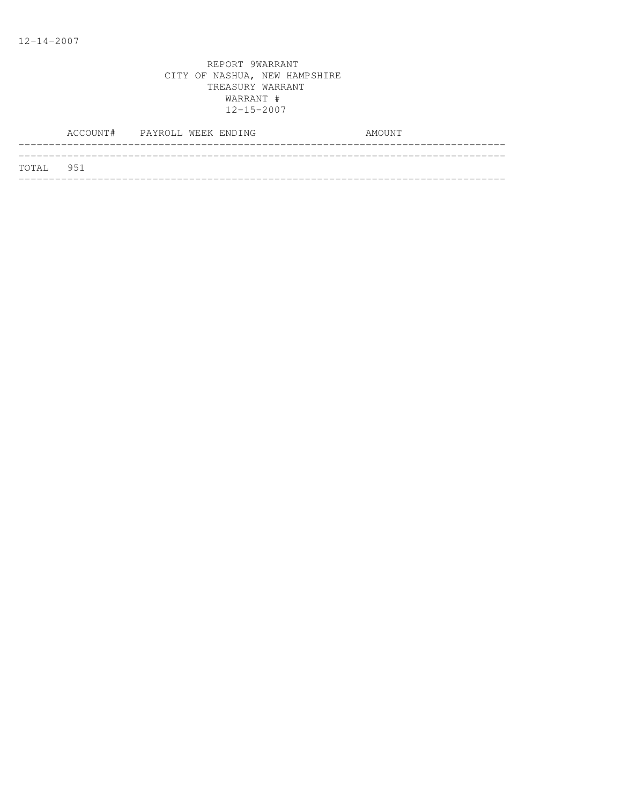|           | ACCOUNT# PAYROLL WEEK ENDING |  |  | AMOUNT |  |
|-----------|------------------------------|--|--|--------|--|
|           |                              |  |  |        |  |
| TOTAL 951 |                              |  |  |        |  |
|           |                              |  |  |        |  |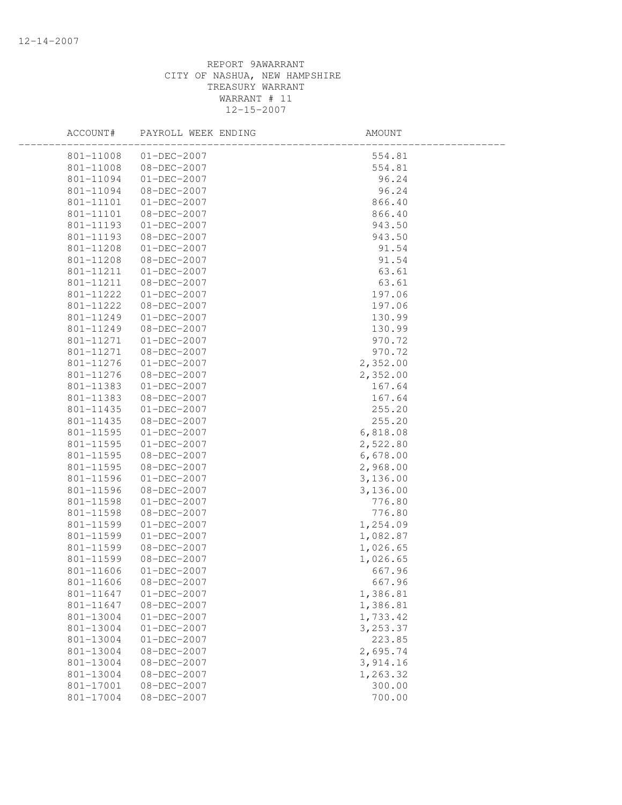| ACCOUNT#  | PAYROLL WEEK ENDING | AMOUNT    |  |
|-----------|---------------------|-----------|--|
| 801-11008 | $01 - DEC - 2007$   | 554.81    |  |
| 801-11008 | 08-DEC-2007         | 554.81    |  |
| 801-11094 | 01-DEC-2007         | 96.24     |  |
| 801-11094 | 08-DEC-2007         | 96.24     |  |
| 801-11101 | $01 - DEC - 2007$   | 866.40    |  |
| 801-11101 | 08-DEC-2007         | 866.40    |  |
| 801-11193 | $01 - DEC - 2007$   | 943.50    |  |
| 801-11193 | 08-DEC-2007         | 943.50    |  |
| 801-11208 | 01-DEC-2007         | 91.54     |  |
| 801-11208 | 08-DEC-2007         | 91.54     |  |
| 801-11211 | 01-DEC-2007         | 63.61     |  |
| 801-11211 | 08-DEC-2007         | 63.61     |  |
| 801-11222 | $01 - DEC - 2007$   | 197.06    |  |
| 801-11222 | 08-DEC-2007         | 197.06    |  |
| 801-11249 | $01 - DEC - 2007$   | 130.99    |  |
| 801-11249 | 08-DEC-2007         | 130.99    |  |
| 801-11271 | 01-DEC-2007         | 970.72    |  |
| 801-11271 | 08-DEC-2007         | 970.72    |  |
| 801-11276 | $01 - DEC - 2007$   | 2,352.00  |  |
| 801-11276 | 08-DEC-2007         | 2,352.00  |  |
| 801-11383 | $01 - DEC - 2007$   | 167.64    |  |
| 801-11383 | 08-DEC-2007         | 167.64    |  |
| 801-11435 | $01-DEC-2007$       | 255.20    |  |
| 801-11435 | 08-DEC-2007         | 255.20    |  |
| 801-11595 | 01-DEC-2007         | 6,818.08  |  |
| 801-11595 | 01-DEC-2007         | 2,522.80  |  |
| 801-11595 | 08-DEC-2007         | 6,678.00  |  |
| 801-11595 | 08-DEC-2007         | 2,968.00  |  |
| 801-11596 | $01 - DEC - 2007$   | 3,136.00  |  |
| 801-11596 | $08 - DEC - 2007$   | 3,136.00  |  |
| 801-11598 | $01 - DEC - 2007$   | 776.80    |  |
| 801-11598 | 08-DEC-2007         | 776.80    |  |
| 801-11599 | $01 - DEC - 2007$   | 1,254.09  |  |
| 801-11599 | $01 - DEC - 2007$   | 1,082.87  |  |
| 801-11599 | 08-DEC-2007         | 1,026.65  |  |
| 801-11599 | $08 - DEC - 2007$   | 1,026.65  |  |
| 801-11606 | $01 - DEC - 2007$   | 667.96    |  |
| 801-11606 | 08-DEC-2007         | 667.96    |  |
| 801-11647 | $01 - DEC - 2007$   | 1,386.81  |  |
| 801-11647 | 08-DEC-2007         | 1,386.81  |  |
| 801-13004 | $01 - DEC - 2007$   | 1,733.42  |  |
| 801-13004 | $01 - DEC - 2007$   | 3, 253.37 |  |
| 801-13004 | $01 - DEC - 2007$   | 223.85    |  |
| 801-13004 | $08 - DEC - 2007$   | 2,695.74  |  |
| 801-13004 | $08 - DEC - 2007$   | 3,914.16  |  |
| 801-13004 | 08-DEC-2007         | 1,263.32  |  |
| 801-17001 | 08-DEC-2007         | 300.00    |  |
| 801-17004 | $08 - DEC - 2007$   | 700.00    |  |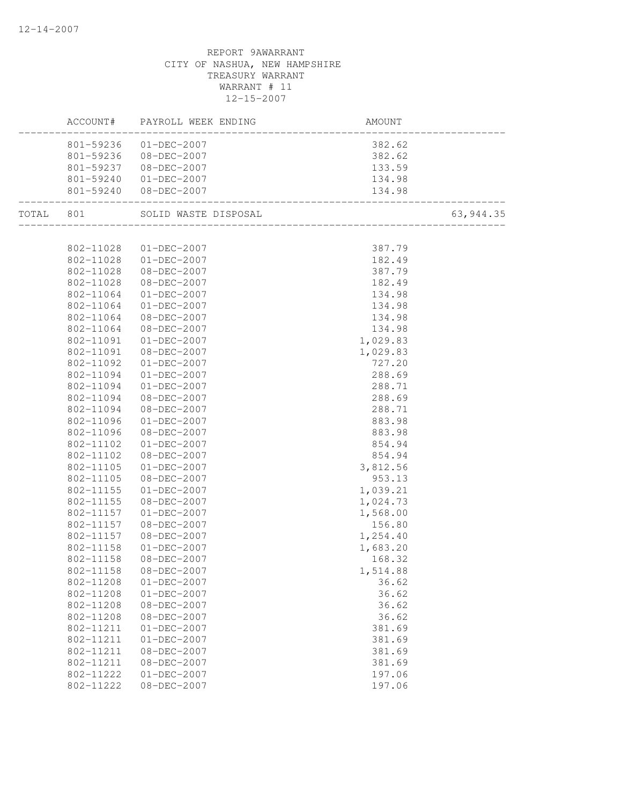|           |                        | $\texttt{ACCOUNT}\#$ PAYROLL WEEK ENDING _____________ | AMOUNT           |           |
|-----------|------------------------|--------------------------------------------------------|------------------|-----------|
|           |                        | 801-59236 01-DEC-2007                                  | 382.62           |           |
|           |                        | 801-59236 08-DEC-2007                                  |                  |           |
|           |                        | 801-59237 08-DEC-2007                                  | 382.62<br>133.59 |           |
|           | 801-59240              | 01-DEC-2007                                            | 134.98           |           |
|           | 801-59240              | $08 - DEC - 2007$                                      | 134.98           |           |
| TOTAL 801 |                        | SOLID WASTE DISPOSAL                                   |                  | 63,944.35 |
|           |                        |                                                        |                  |           |
|           |                        | 802-11028 01-DEC-2007                                  | 387.79           |           |
|           |                        | 802-11028 01-DEC-2007                                  | 182.49           |           |
|           | 802-11028              | 08-DEC-2007                                            | 387.79           |           |
|           | 802-11028              | 08-DEC-2007                                            | 182.49           |           |
|           | 802-11064              | 01-DEC-2007                                            | 134.98           |           |
|           | 802-11064              | $01 - DEC - 2007$                                      | 134.98           |           |
|           | 802-11064              | 08-DEC-2007                                            | 134.98           |           |
|           | 802-11064              | 08-DEC-2007                                            | 134.98           |           |
|           | 802-11091              | $01 - DEC - 2007$                                      | 1,029.83         |           |
|           | 802-11091              | 08-DEC-2007                                            | 1,029.83         |           |
|           | 802-11092              | $01 - DEC - 2007$                                      | 727.20           |           |
|           | 802-11094              | $01 - DEC - 2007$                                      | 288.69           |           |
|           | 802-11094              | $01 - DEC - 2007$                                      | 288.71           |           |
|           | 802-11094              | 08-DEC-2007                                            | 288.69           |           |
|           | 802-11094              | 08-DEC-2007                                            | 288.71           |           |
|           | 802-11096              | $01 - DEC - 2007$                                      | 883.98           |           |
|           | 802-11096              | 08-DEC-2007                                            | 883.98           |           |
|           | 802-11102              | $01 - DEC - 2007$                                      | 854.94           |           |
|           | 802-11102              | 08-DEC-2007                                            | 854.94           |           |
|           | 802-11105              | $01 - DEC - 2007$                                      | 3,812.56         |           |
|           | 802-11105              | 08-DEC-2007                                            | 953.13           |           |
|           | 802-11155              | $01 - DEC - 2007$                                      | 1,039.21         |           |
|           | 802-11155              | 08-DEC-2007                                            | 1,024.73         |           |
|           | 802-11157              | $01 - DEC - 2007$                                      | 1,568.00         |           |
|           | 802-11157              | 08-DEC-2007                                            | 156.80           |           |
|           | 802-11157              | 08-DEC-2007                                            | 1,254.40         |           |
|           | 802-11158              | $01 - DEC - 2007$                                      | 1,683.20         |           |
|           | 802-11158              | 08-DEC-2007                                            | 168.32           |           |
|           | 802-11158              | 08-DEC-2007                                            | 1,514.88         |           |
|           | 802-11208              | $01 - DEC - 2007$                                      | 36.62            |           |
|           | 802-11208              | $01 - DEC - 2007$                                      | 36.62            |           |
|           | 802-11208              | $08 - DEC - 2007$                                      | 36.62            |           |
|           | 802-11208              | $08 - DEC - 2007$                                      | 36.62            |           |
|           | 802-11211              | $01 - DEC - 2007$                                      | 381.69           |           |
|           |                        |                                                        |                  |           |
|           | 802-11211<br>802-11211 | $01 - DEC - 2007$                                      | 381.69           |           |
|           |                        | 08-DEC-2007                                            | 381.69           |           |
|           | 802-11211              | 08-DEC-2007                                            | 381.69           |           |
|           | 802-11222              | $01 - DEC - 2007$                                      | 197.06           |           |
|           | 802-11222              | $08 - DEC - 2007$                                      | 197.06           |           |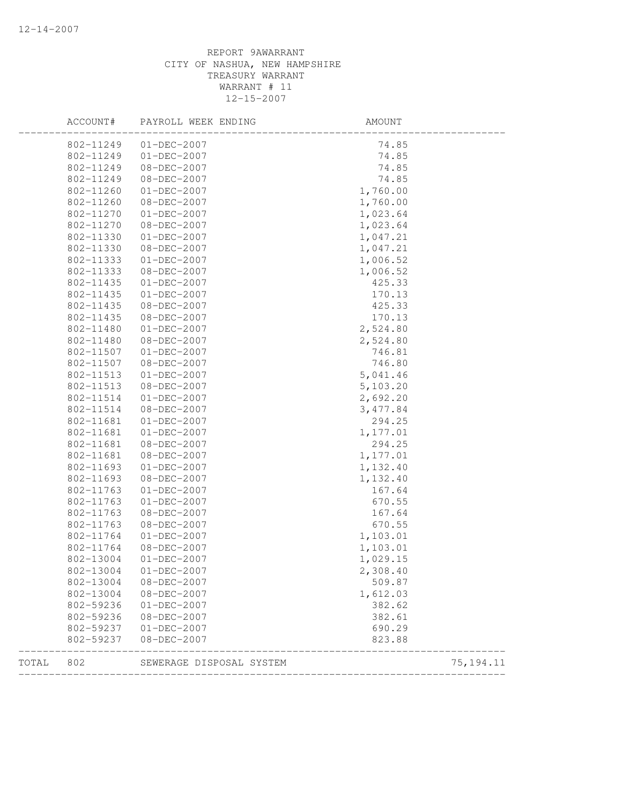|       | ACCOUNT#  | PAYROLL WEEK ENDING      | AMOUNT    |            |
|-------|-----------|--------------------------|-----------|------------|
|       | 802-11249 | $01 - DEC - 2007$        | 74.85     |            |
|       | 802-11249 | $01 - DEC - 2007$        | 74.85     |            |
|       | 802-11249 | 08-DEC-2007              | 74.85     |            |
|       | 802-11249 | 08-DEC-2007              | 74.85     |            |
|       | 802-11260 | $01 - DEC - 2007$        | 1,760.00  |            |
|       | 802-11260 | 08-DEC-2007              | 1,760.00  |            |
|       | 802-11270 | $01 - DEC - 2007$        | 1,023.64  |            |
|       | 802-11270 | 08-DEC-2007              | 1,023.64  |            |
|       | 802-11330 | $01 - DEC - 2007$        | 1,047.21  |            |
|       | 802-11330 | 08-DEC-2007              | 1,047.21  |            |
|       | 802-11333 | $01 - DEC - 2007$        | 1,006.52  |            |
|       | 802-11333 | 08-DEC-2007              | 1,006.52  |            |
|       | 802-11435 | $01 - DEC - 2007$        | 425.33    |            |
|       | 802-11435 | $01 - DEC - 2007$        | 170.13    |            |
|       | 802-11435 | 08-DEC-2007              | 425.33    |            |
|       | 802-11435 | 08-DEC-2007              | 170.13    |            |
|       | 802-11480 | $01 - DEC - 2007$        | 2,524.80  |            |
|       | 802-11480 | 08-DEC-2007              | 2,524.80  |            |
|       | 802-11507 | $01 - DEC - 2007$        | 746.81    |            |
|       | 802-11507 | 08-DEC-2007              | 746.80    |            |
|       | 802-11513 | $01 - DEC - 2007$        | 5,041.46  |            |
|       | 802-11513 | 08-DEC-2007              | 5,103.20  |            |
|       | 802-11514 | $01 - DEC - 2007$        | 2,692.20  |            |
|       | 802-11514 | 08-DEC-2007              | 3, 477.84 |            |
|       | 802-11681 | $01 - DEC - 2007$        | 294.25    |            |
|       | 802-11681 | $01 - DEC - 2007$        | 1,177.01  |            |
|       | 802-11681 | 08-DEC-2007              | 294.25    |            |
|       | 802-11681 | $08 - DEC - 2007$        | 1,177.01  |            |
|       | 802-11693 | $01 - DEC - 2007$        | 1,132.40  |            |
|       | 802-11693 | 08-DEC-2007              | 1,132.40  |            |
|       | 802-11763 | $01 - DEC - 2007$        | 167.64    |            |
|       | 802-11763 | $01 - DEC - 2007$        | 670.55    |            |
|       | 802-11763 | 08-DEC-2007              | 167.64    |            |
|       | 802-11763 | 08-DEC-2007              | 670.55    |            |
|       | 802-11764 | $01 - DEC - 2007$        | 1,103.01  |            |
|       | 802-11764 | 08-DEC-2007              | 1,103.01  |            |
|       | 802-13004 | $01 - DEC - 2007$        | 1,029.15  |            |
|       | 802-13004 | $01 - DEC - 2007$        | 2,308.40  |            |
|       | 802-13004 | 08-DEC-2007              | 509.87    |            |
|       | 802-13004 | 08-DEC-2007              | 1,612.03  |            |
|       | 802-59236 | $01 - DEC - 2007$        | 382.62    |            |
|       | 802-59236 | $08 - DEC - 2007$        | 382.61    |            |
|       | 802-59237 | $01 - DEC - 2007$        | 690.29    |            |
|       | 802-59237 | $08 - DEC - 2007$        | 823.88    |            |
| TOTAL | 802       | SEWERAGE DISPOSAL SYSTEM |           | 75, 194.11 |
|       |           |                          |           |            |